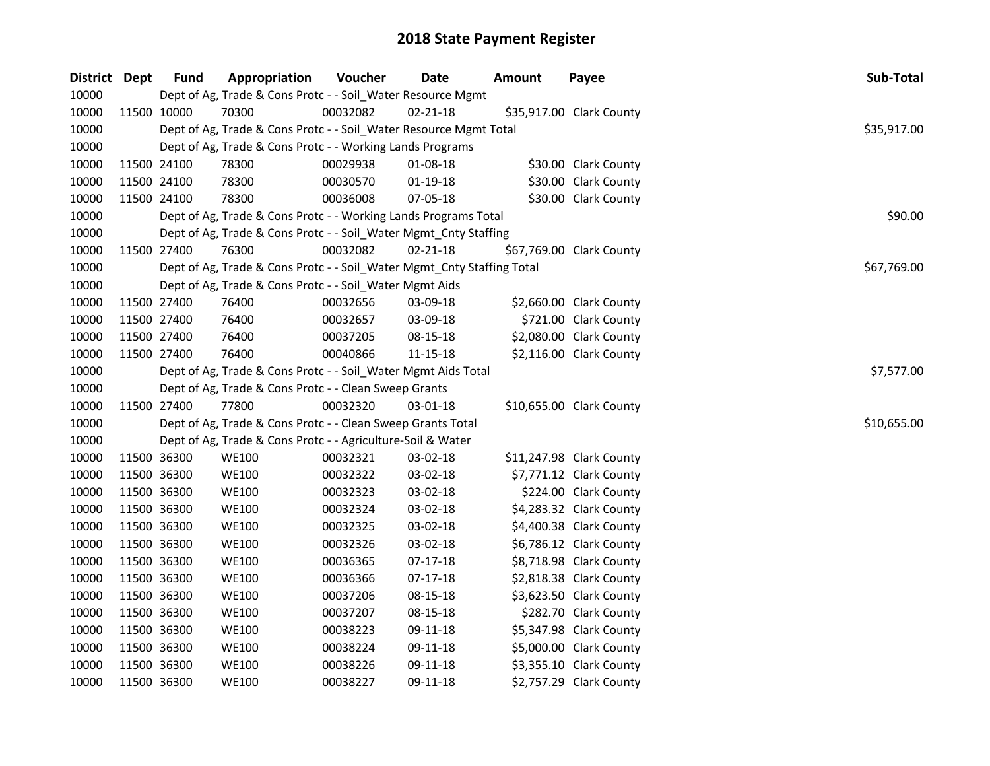| District Dept | <b>Fund</b> | Appropriation                                                          | Voucher    | Date           | <b>Amount</b> | Payee                    | Sub-Total   |
|---------------|-------------|------------------------------------------------------------------------|------------|----------------|---------------|--------------------------|-------------|
| 10000         |             | Dept of Ag, Trade & Cons Protc - - Soil_Water Resource Mgmt            |            |                |               |                          |             |
| 10000         | 11500 10000 | 70300                                                                  | 00032082   | $02 - 21 - 18$ |               | \$35,917.00 Clark County |             |
| 10000         |             | Dept of Ag, Trade & Cons Protc - - Soil_Water Resource Mgmt Total      |            |                |               |                          | \$35,917.00 |
| 10000         |             | Dept of Ag, Trade & Cons Protc - - Working Lands Programs              |            |                |               |                          |             |
| 10000         | 11500 24100 | 78300                                                                  | 00029938   | 01-08-18       |               | \$30.00 Clark County     |             |
| 10000         | 11500 24100 | 78300                                                                  | 00030570   | $01-19-18$     |               | \$30.00 Clark County     |             |
| 10000         | 11500 24100 | 78300                                                                  | 00036008   | 07-05-18       |               | \$30.00 Clark County     |             |
| 10000         |             | Dept of Ag, Trade & Cons Protc - - Working Lands Programs Total        |            |                |               |                          | \$90.00     |
| 10000         |             | Dept of Ag, Trade & Cons Protc - - Soil_Water Mgmt_Cnty Staffing       |            |                |               |                          |             |
| 10000         | 11500 27400 | 76300                                                                  | 00032082   | $02 - 21 - 18$ |               | \$67,769.00 Clark County |             |
| 10000         |             | Dept of Ag, Trade & Cons Protc - - Soil_Water Mgmt_Cnty Staffing Total |            |                |               |                          | \$67,769.00 |
| 10000         |             | Dept of Ag, Trade & Cons Protc - - Soil_Water Mgmt Aids                |            |                |               |                          |             |
| 10000         | 11500 27400 | 76400                                                                  | 00032656   | 03-09-18       |               | \$2,660.00 Clark County  |             |
| 10000         | 11500 27400 | 76400                                                                  | 00032657   | 03-09-18       |               | \$721.00 Clark County    |             |
| 10000         | 11500 27400 | 76400                                                                  | 00037205   | 08-15-18       |               | \$2,080.00 Clark County  |             |
| 10000         | 11500 27400 | 76400                                                                  | 00040866   | 11-15-18       |               | \$2,116.00 Clark County  |             |
| 10000         |             | Dept of Ag, Trade & Cons Protc - - Soil_Water Mgmt Aids Total          | \$7,577.00 |                |               |                          |             |
| 10000         |             | Dept of Ag, Trade & Cons Protc - - Clean Sweep Grants                  |            |                |               |                          |             |
| 10000         | 11500 27400 | 77800                                                                  | 00032320   | 03-01-18       |               | \$10,655.00 Clark County |             |
| 10000         |             | Dept of Ag, Trade & Cons Protc - - Clean Sweep Grants Total            |            |                |               |                          | \$10,655.00 |
| 10000         |             | Dept of Ag, Trade & Cons Protc - - Agriculture-Soil & Water            |            |                |               |                          |             |
| 10000         | 11500 36300 | <b>WE100</b>                                                           | 00032321   | 03-02-18       |               | \$11,247.98 Clark County |             |
| 10000         | 11500 36300 | <b>WE100</b>                                                           | 00032322   | 03-02-18       |               | \$7,771.12 Clark County  |             |
| 10000         | 11500 36300 | <b>WE100</b>                                                           | 00032323   | 03-02-18       |               | \$224.00 Clark County    |             |
| 10000         | 11500 36300 | <b>WE100</b>                                                           | 00032324   | 03-02-18       |               | \$4,283.32 Clark County  |             |
| 10000         | 11500 36300 | <b>WE100</b>                                                           | 00032325   | 03-02-18       |               | \$4,400.38 Clark County  |             |
| 10000         | 11500 36300 | <b>WE100</b>                                                           | 00032326   | 03-02-18       |               | \$6,786.12 Clark County  |             |
| 10000         | 11500 36300 | <b>WE100</b>                                                           | 00036365   | $07-17-18$     |               | \$8,718.98 Clark County  |             |
| 10000         | 11500 36300 | <b>WE100</b>                                                           | 00036366   | $07-17-18$     |               | \$2,818.38 Clark County  |             |
| 10000         | 11500 36300 | <b>WE100</b>                                                           | 00037206   | 08-15-18       |               | \$3,623.50 Clark County  |             |
| 10000         | 11500 36300 | <b>WE100</b>                                                           | 00037207   | 08-15-18       |               | \$282.70 Clark County    |             |
| 10000         | 11500 36300 | <b>WE100</b>                                                           | 00038223   | 09-11-18       |               | \$5,347.98 Clark County  |             |
| 10000         | 11500 36300 | <b>WE100</b>                                                           | 00038224   | 09-11-18       |               | \$5,000.00 Clark County  |             |
| 10000         | 11500 36300 | <b>WE100</b>                                                           | 00038226   | 09-11-18       |               | \$3,355.10 Clark County  |             |
| 10000         | 11500 36300 | <b>WE100</b>                                                           | 00038227   | 09-11-18       |               | \$2,757.29 Clark County  |             |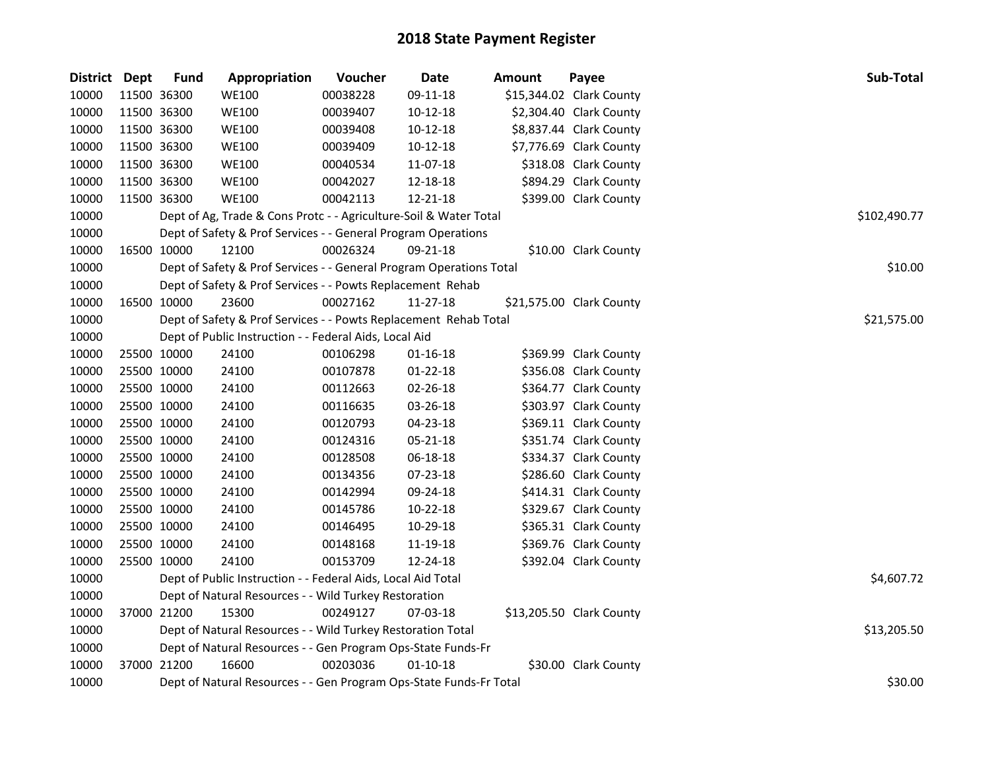| District | <b>Dept</b> | <b>Fund</b>                                                  | Appropriation                                                       | Voucher  | Date           | <b>Amount</b> | Payee                    | Sub-Total    |  |  |  |
|----------|-------------|--------------------------------------------------------------|---------------------------------------------------------------------|----------|----------------|---------------|--------------------------|--------------|--|--|--|
| 10000    | 11500 36300 |                                                              | <b>WE100</b>                                                        | 00038228 | 09-11-18       |               | \$15,344.02 Clark County |              |  |  |  |
| 10000    |             | 11500 36300                                                  | <b>WE100</b>                                                        | 00039407 | $10-12-18$     |               | \$2,304.40 Clark County  |              |  |  |  |
| 10000    |             | 11500 36300                                                  | <b>WE100</b>                                                        | 00039408 | $10-12-18$     |               | \$8,837.44 Clark County  |              |  |  |  |
| 10000    |             | 11500 36300                                                  | <b>WE100</b>                                                        | 00039409 | 10-12-18       |               | \$7,776.69 Clark County  |              |  |  |  |
| 10000    |             | 11500 36300                                                  | <b>WE100</b>                                                        | 00040534 | 11-07-18       |               | \$318.08 Clark County    |              |  |  |  |
| 10000    | 11500 36300 |                                                              | <b>WE100</b>                                                        | 00042027 | 12-18-18       |               | \$894.29 Clark County    |              |  |  |  |
| 10000    | 11500 36300 |                                                              | <b>WE100</b>                                                        | 00042113 | 12-21-18       |               | \$399.00 Clark County    |              |  |  |  |
| 10000    |             |                                                              | Dept of Ag, Trade & Cons Protc - - Agriculture-Soil & Water Total   |          |                |               |                          | \$102,490.77 |  |  |  |
| 10000    |             |                                                              | Dept of Safety & Prof Services - - General Program Operations       |          |                |               |                          |              |  |  |  |
| 10000    |             | 16500 10000                                                  | 12100                                                               | 00026324 | 09-21-18       |               | \$10.00 Clark County     |              |  |  |  |
| 10000    |             |                                                              | Dept of Safety & Prof Services - - General Program Operations Total |          |                |               |                          | \$10.00      |  |  |  |
| 10000    |             |                                                              | Dept of Safety & Prof Services - - Powts Replacement Rehab          |          |                |               |                          |              |  |  |  |
| 10000    | 16500 10000 |                                                              | 23600                                                               | 00027162 | 11-27-18       |               | \$21,575.00 Clark County |              |  |  |  |
| 10000    |             |                                                              | Dept of Safety & Prof Services - - Powts Replacement Rehab Total    |          |                |               |                          | \$21,575.00  |  |  |  |
| 10000    |             |                                                              | Dept of Public Instruction - - Federal Aids, Local Aid              |          |                |               |                          |              |  |  |  |
| 10000    | 25500 10000 |                                                              | 24100                                                               | 00106298 | $01 - 16 - 18$ |               | \$369.99 Clark County    |              |  |  |  |
| 10000    |             | 25500 10000                                                  | 24100                                                               | 00107878 | $01 - 22 - 18$ |               | \$356.08 Clark County    |              |  |  |  |
| 10000    |             | 25500 10000                                                  | 24100                                                               | 00112663 | 02-26-18       |               | \$364.77 Clark County    |              |  |  |  |
| 10000    | 25500 10000 |                                                              | 24100                                                               | 00116635 | 03-26-18       |               | \$303.97 Clark County    |              |  |  |  |
| 10000    |             | 25500 10000                                                  | 24100                                                               | 00120793 | 04-23-18       |               | \$369.11 Clark County    |              |  |  |  |
| 10000    |             | 25500 10000                                                  | 24100                                                               | 00124316 | 05-21-18       |               | \$351.74 Clark County    |              |  |  |  |
| 10000    |             | 25500 10000                                                  | 24100                                                               | 00128508 | 06-18-18       |               | \$334.37 Clark County    |              |  |  |  |
| 10000    |             | 25500 10000                                                  | 24100                                                               | 00134356 | 07-23-18       |               | \$286.60 Clark County    |              |  |  |  |
| 10000    |             | 25500 10000                                                  | 24100                                                               | 00142994 | 09-24-18       |               | \$414.31 Clark County    |              |  |  |  |
| 10000    |             | 25500 10000                                                  | 24100                                                               | 00145786 | 10-22-18       |               | \$329.67 Clark County    |              |  |  |  |
| 10000    |             | 25500 10000                                                  | 24100                                                               | 00146495 | 10-29-18       |               | \$365.31 Clark County    |              |  |  |  |
| 10000    |             | 25500 10000                                                  | 24100                                                               | 00148168 | 11-19-18       |               | \$369.76 Clark County    |              |  |  |  |
| 10000    | 25500 10000 |                                                              | 24100                                                               | 00153709 | 12-24-18       |               | \$392.04 Clark County    |              |  |  |  |
| 10000    |             | Dept of Public Instruction - - Federal Aids, Local Aid Total | \$4,607.72                                                          |          |                |               |                          |              |  |  |  |
| 10000    |             |                                                              | Dept of Natural Resources - - Wild Turkey Restoration               |          |                |               |                          |              |  |  |  |
| 10000    |             | 37000 21200                                                  | 15300                                                               | 00249127 | 07-03-18       |               | \$13,205.50 Clark County |              |  |  |  |
| 10000    |             |                                                              | Dept of Natural Resources - - Wild Turkey Restoration Total         |          |                |               |                          | \$13,205.50  |  |  |  |
| 10000    |             |                                                              | Dept of Natural Resources - - Gen Program Ops-State Funds-Fr        |          |                |               |                          |              |  |  |  |
| 10000    | 37000 21200 |                                                              | 16600                                                               | 00203036 | $01 - 10 - 18$ |               | \$30.00 Clark County     |              |  |  |  |
| 10000    |             |                                                              | Dept of Natural Resources - - Gen Program Ops-State Funds-Fr Total  |          |                |               |                          | \$30.00      |  |  |  |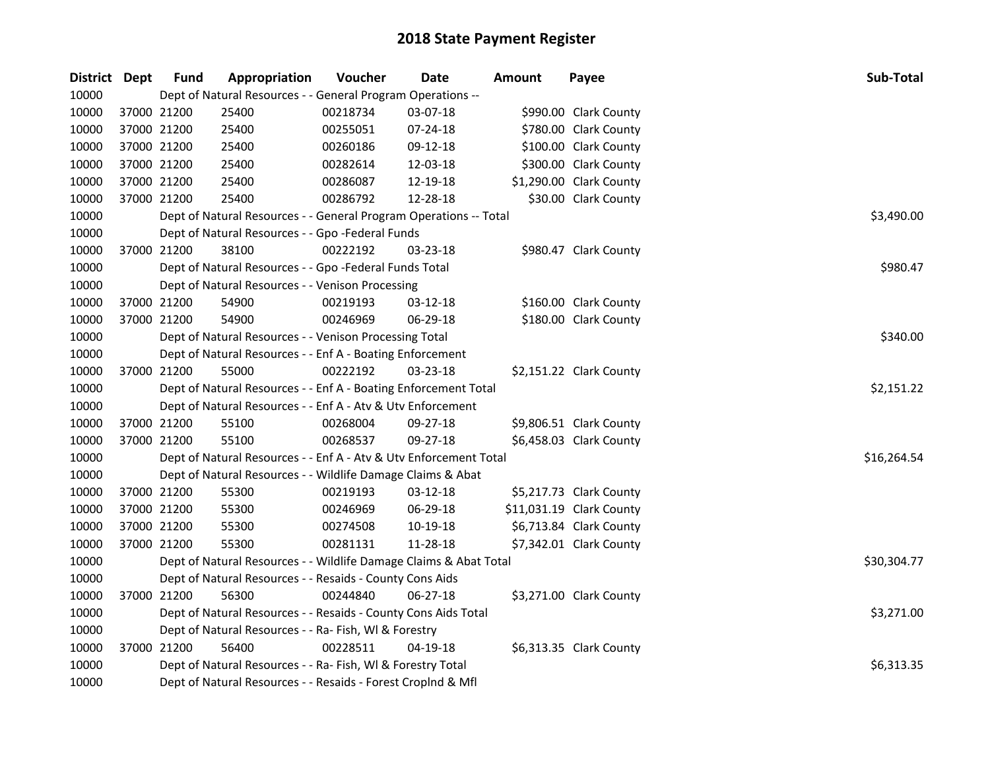| District Dept | <b>Fund</b> | Appropriation                                                     | Voucher  | Date     | <b>Amount</b> | Payee                    | Sub-Total   |  |  |  |  |
|---------------|-------------|-------------------------------------------------------------------|----------|----------|---------------|--------------------------|-------------|--|--|--|--|
| 10000         |             | Dept of Natural Resources - - General Program Operations --       |          |          |               |                          |             |  |  |  |  |
| 10000         | 37000 21200 | 25400                                                             | 00218734 | 03-07-18 |               | \$990.00 Clark County    |             |  |  |  |  |
| 10000         | 37000 21200 | 25400                                                             | 00255051 | 07-24-18 |               | \$780.00 Clark County    |             |  |  |  |  |
| 10000         | 37000 21200 | 25400                                                             | 00260186 | 09-12-18 |               | \$100.00 Clark County    |             |  |  |  |  |
| 10000         | 37000 21200 | 25400                                                             | 00282614 | 12-03-18 |               | \$300.00 Clark County    |             |  |  |  |  |
| 10000         | 37000 21200 | 25400                                                             | 00286087 | 12-19-18 |               | \$1,290.00 Clark County  |             |  |  |  |  |
| 10000         | 37000 21200 | 25400                                                             | 00286792 | 12-28-18 |               | \$30.00 Clark County     |             |  |  |  |  |
| 10000         |             | Dept of Natural Resources - - General Program Operations -- Total |          |          |               |                          | \$3,490.00  |  |  |  |  |
| 10000         |             | Dept of Natural Resources - - Gpo -Federal Funds                  |          |          |               |                          |             |  |  |  |  |
| 10000         | 37000 21200 | 38100                                                             | 00222192 | 03-23-18 |               | \$980.47 Clark County    |             |  |  |  |  |
| 10000         |             | Dept of Natural Resources - - Gpo -Federal Funds Total            | \$980.47 |          |               |                          |             |  |  |  |  |
| 10000         |             | Dept of Natural Resources - - Venison Processing                  |          |          |               |                          |             |  |  |  |  |
| 10000         | 37000 21200 | 54900                                                             | 00219193 | 03-12-18 |               | \$160.00 Clark County    |             |  |  |  |  |
| 10000         | 37000 21200 | 54900                                                             | 00246969 | 06-29-18 |               | \$180.00 Clark County    |             |  |  |  |  |
| 10000         |             | Dept of Natural Resources - - Venison Processing Total            |          |          |               |                          | \$340.00    |  |  |  |  |
| 10000         |             | Dept of Natural Resources - - Enf A - Boating Enforcement         |          |          |               |                          |             |  |  |  |  |
| 10000         | 37000 21200 | 55000                                                             | 00222192 | 03-23-18 |               | \$2,151.22 Clark County  |             |  |  |  |  |
| 10000         |             | Dept of Natural Resources - - Enf A - Boating Enforcement Total   |          |          |               |                          | \$2,151.22  |  |  |  |  |
| 10000         |             | Dept of Natural Resources - - Enf A - Atv & Utv Enforcement       |          |          |               |                          |             |  |  |  |  |
| 10000         | 37000 21200 | 55100                                                             | 00268004 | 09-27-18 |               | \$9,806.51 Clark County  |             |  |  |  |  |
| 10000         | 37000 21200 | 55100                                                             | 00268537 | 09-27-18 |               | \$6,458.03 Clark County  |             |  |  |  |  |
| 10000         |             | Dept of Natural Resources - - Enf A - Atv & Utv Enforcement Total |          |          |               |                          | \$16,264.54 |  |  |  |  |
| 10000         |             | Dept of Natural Resources - - Wildlife Damage Claims & Abat       |          |          |               |                          |             |  |  |  |  |
| 10000         | 37000 21200 | 55300                                                             | 00219193 | 03-12-18 |               | \$5,217.73 Clark County  |             |  |  |  |  |
| 10000         | 37000 21200 | 55300                                                             | 00246969 | 06-29-18 |               | \$11,031.19 Clark County |             |  |  |  |  |
| 10000         | 37000 21200 | 55300                                                             | 00274508 | 10-19-18 |               | \$6,713.84 Clark County  |             |  |  |  |  |
| 10000         | 37000 21200 | 55300                                                             | 00281131 | 11-28-18 |               | \$7,342.01 Clark County  |             |  |  |  |  |
| 10000         |             | Dept of Natural Resources - - Wildlife Damage Claims & Abat Total |          |          |               |                          | \$30,304.77 |  |  |  |  |
| 10000         |             | Dept of Natural Resources - - Resaids - County Cons Aids          |          |          |               |                          |             |  |  |  |  |
| 10000         | 37000 21200 | 56300                                                             | 00244840 | 06-27-18 |               | \$3,271.00 Clark County  |             |  |  |  |  |
| 10000         |             | Dept of Natural Resources - - Resaids - County Cons Aids Total    |          |          |               |                          | \$3,271.00  |  |  |  |  |
| 10000         |             | Dept of Natural Resources - - Ra- Fish, WI & Forestry             |          |          |               |                          |             |  |  |  |  |
| 10000         | 37000 21200 | 56400                                                             | 00228511 | 04-19-18 |               | \$6,313.35 Clark County  |             |  |  |  |  |
| 10000         |             | Dept of Natural Resources - - Ra- Fish, WI & Forestry Total       |          |          |               |                          |             |  |  |  |  |
| 10000         |             | Dept of Natural Resources - - Resaids - Forest Croplnd & Mfl      |          |          |               |                          |             |  |  |  |  |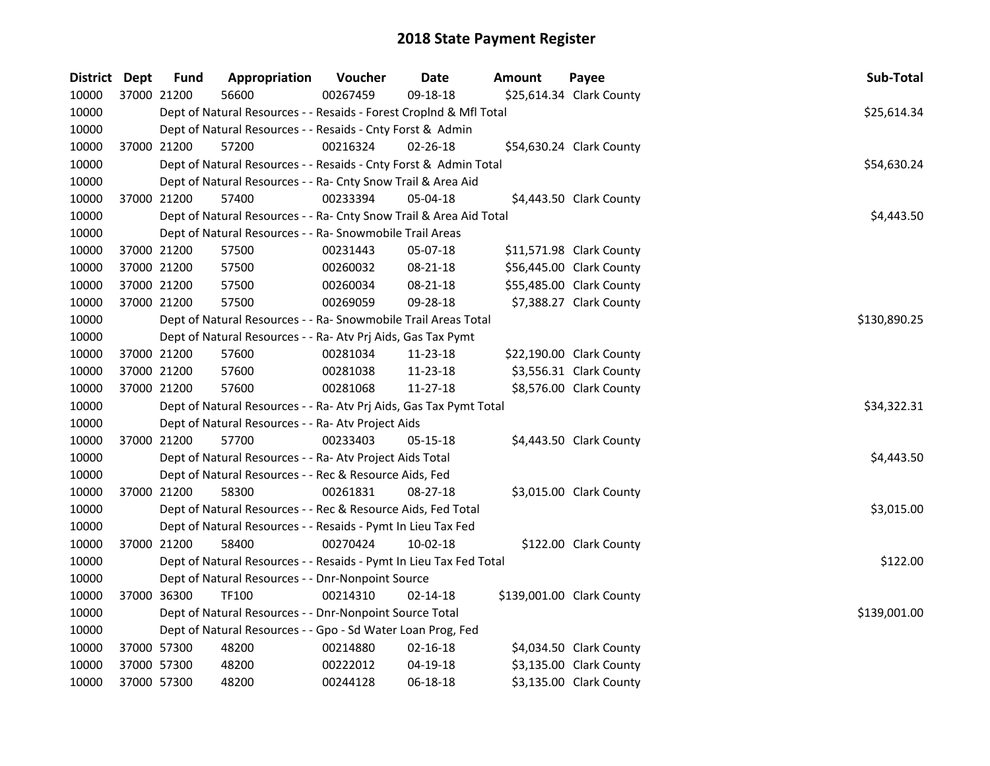| District Dept | <b>Fund</b> | Appropriation                                                      | Voucher  | <b>Date</b>    | Amount | Payee                     | Sub-Total    |  |  |  |
|---------------|-------------|--------------------------------------------------------------------|----------|----------------|--------|---------------------------|--------------|--|--|--|
| 10000         | 37000 21200 | 56600                                                              | 00267459 | 09-18-18       |        | \$25,614.34 Clark County  |              |  |  |  |
| 10000         |             | Dept of Natural Resources - - Resaids - Forest Croplnd & Mfl Total |          |                |        |                           | \$25,614.34  |  |  |  |
| 10000         |             | Dept of Natural Resources - - Resaids - Cnty Forst & Admin         |          |                |        |                           |              |  |  |  |
| 10000         | 37000 21200 | 57200                                                              | 00216324 | $02 - 26 - 18$ |        | \$54,630.24 Clark County  |              |  |  |  |
| 10000         |             | Dept of Natural Resources - - Resaids - Cnty Forst & Admin Total   |          |                |        |                           | \$54,630.24  |  |  |  |
| 10000         |             | Dept of Natural Resources - - Ra- Cnty Snow Trail & Area Aid       |          |                |        |                           |              |  |  |  |
| 10000         | 37000 21200 | 57400                                                              | 00233394 | 05-04-18       |        | \$4,443.50 Clark County   |              |  |  |  |
| 10000         |             | Dept of Natural Resources - - Ra- Cnty Snow Trail & Area Aid Total |          |                |        |                           | \$4,443.50   |  |  |  |
| 10000         |             | Dept of Natural Resources - - Ra- Snowmobile Trail Areas           |          |                |        |                           |              |  |  |  |
| 10000         | 37000 21200 | 57500                                                              | 00231443 | 05-07-18       |        | \$11,571.98 Clark County  |              |  |  |  |
| 10000         | 37000 21200 | 57500                                                              | 00260032 | 08-21-18       |        | \$56,445.00 Clark County  |              |  |  |  |
| 10000         | 37000 21200 | 57500                                                              | 00260034 | 08-21-18       |        | \$55,485.00 Clark County  |              |  |  |  |
| 10000         | 37000 21200 | 57500                                                              | 00269059 | 09-28-18       |        | \$7,388.27 Clark County   |              |  |  |  |
| 10000         |             | Dept of Natural Resources - - Ra- Snowmobile Trail Areas Total     |          |                |        |                           | \$130,890.25 |  |  |  |
| 10000         |             | Dept of Natural Resources - - Ra- Atv Prj Aids, Gas Tax Pymt       |          |                |        |                           |              |  |  |  |
| 10000         | 37000 21200 | 57600                                                              | 00281034 | 11-23-18       |        | \$22,190.00 Clark County  |              |  |  |  |
| 10000         | 37000 21200 | 57600                                                              | 00281038 | 11-23-18       |        | \$3,556.31 Clark County   |              |  |  |  |
| 10000         | 37000 21200 | 57600                                                              | 00281068 | $11-27-18$     |        | \$8,576.00 Clark County   |              |  |  |  |
| 10000         |             | Dept of Natural Resources - - Ra- Atv Prj Aids, Gas Tax Pymt Total |          |                |        |                           | \$34,322.31  |  |  |  |
| 10000         |             | Dept of Natural Resources - - Ra- Atv Project Aids                 |          |                |        |                           |              |  |  |  |
| 10000         | 37000 21200 | 57700                                                              | 00233403 | 05-15-18       |        | \$4,443.50 Clark County   |              |  |  |  |
| 10000         |             | Dept of Natural Resources - - Ra- Atv Project Aids Total           |          |                |        |                           | \$4,443.50   |  |  |  |
| 10000         |             | Dept of Natural Resources - - Rec & Resource Aids, Fed             |          |                |        |                           |              |  |  |  |
| 10000         | 37000 21200 | 58300                                                              | 00261831 | $08 - 27 - 18$ |        | \$3,015.00 Clark County   |              |  |  |  |
| 10000         |             | Dept of Natural Resources - - Rec & Resource Aids, Fed Total       |          |                |        |                           | \$3,015.00   |  |  |  |
| 10000         |             | Dept of Natural Resources - - Resaids - Pymt In Lieu Tax Fed       |          |                |        |                           |              |  |  |  |
| 10000         | 37000 21200 | 58400                                                              | 00270424 | $10 - 02 - 18$ |        | \$122.00 Clark County     |              |  |  |  |
| 10000         |             | Dept of Natural Resources - - Resaids - Pymt In Lieu Tax Fed Total |          |                |        |                           | \$122.00     |  |  |  |
| 10000         |             | Dept of Natural Resources - - Dnr-Nonpoint Source                  |          |                |        |                           |              |  |  |  |
| 10000         | 37000 36300 | <b>TF100</b>                                                       | 00214310 | $02 - 14 - 18$ |        | \$139,001.00 Clark County |              |  |  |  |
| 10000         |             | Dept of Natural Resources - - Dnr-Nonpoint Source Total            |          |                |        |                           | \$139,001.00 |  |  |  |
| 10000         |             | Dept of Natural Resources - - Gpo - Sd Water Loan Prog, Fed        |          |                |        |                           |              |  |  |  |
| 10000         | 37000 57300 | 48200                                                              | 00214880 | 02-16-18       |        | \$4,034.50 Clark County   |              |  |  |  |
| 10000         | 37000 57300 | 48200                                                              | 00222012 | 04-19-18       |        | \$3,135.00 Clark County   |              |  |  |  |
| 10000         | 37000 57300 | 48200                                                              | 00244128 | 06-18-18       |        | \$3,135.00 Clark County   |              |  |  |  |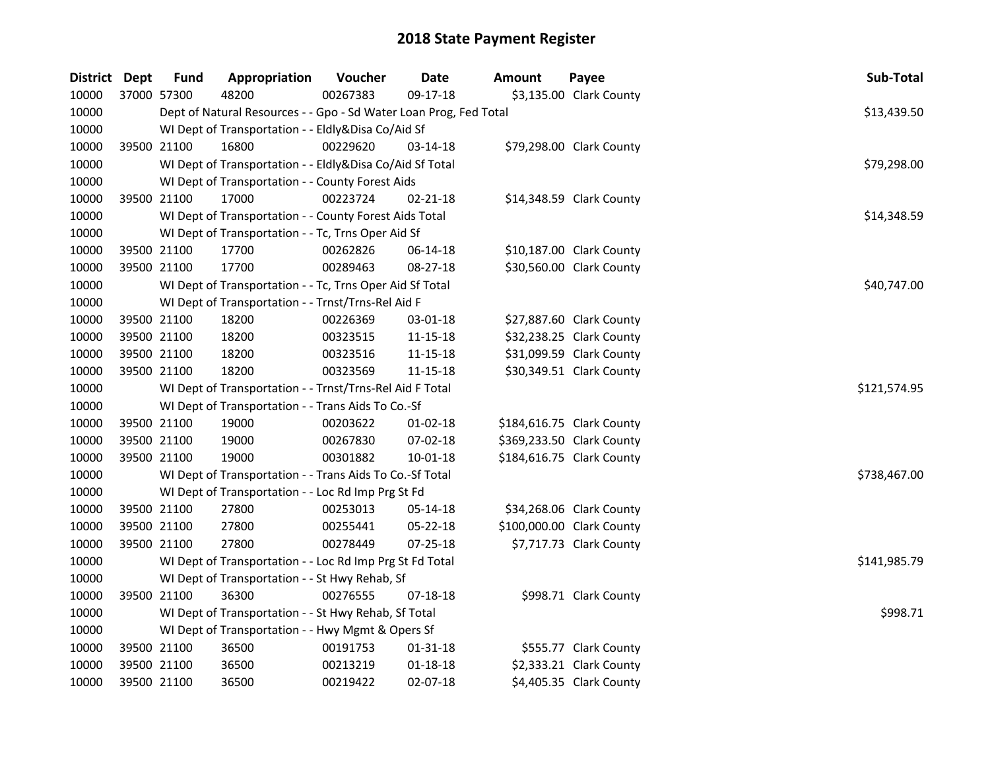| District Dept | <b>Fund</b> | Appropriation                                                     | Voucher  | Date           | Amount | Payee                     | Sub-Total    |
|---------------|-------------|-------------------------------------------------------------------|----------|----------------|--------|---------------------------|--------------|
| 10000         | 37000 57300 | 48200                                                             | 00267383 | 09-17-18       |        | \$3,135.00 Clark County   |              |
| 10000         |             | Dept of Natural Resources - - Gpo - Sd Water Loan Prog, Fed Total |          |                |        |                           | \$13,439.50  |
| 10000         |             | WI Dept of Transportation - - Eldly&Disa Co/Aid Sf                |          |                |        |                           |              |
| 10000         | 39500 21100 | 16800                                                             | 00229620 | 03-14-18       |        | \$79,298.00 Clark County  |              |
| 10000         |             | WI Dept of Transportation - - Eldly&Disa Co/Aid Sf Total          |          |                |        |                           | \$79,298.00  |
| 10000         |             | WI Dept of Transportation - - County Forest Aids                  |          |                |        |                           |              |
| 10000         | 39500 21100 | 17000                                                             | 00223724 | $02 - 21 - 18$ |        | \$14,348.59 Clark County  |              |
| 10000         |             | WI Dept of Transportation - - County Forest Aids Total            |          |                |        |                           | \$14,348.59  |
| 10000         |             | WI Dept of Transportation - - Tc, Trns Oper Aid Sf                |          |                |        |                           |              |
| 10000         | 39500 21100 | 17700                                                             | 00262826 | 06-14-18       |        | \$10,187.00 Clark County  |              |
| 10000         | 39500 21100 | 17700                                                             | 00289463 | 08-27-18       |        | \$30,560.00 Clark County  |              |
| 10000         |             | WI Dept of Transportation - - Tc, Trns Oper Aid Sf Total          |          |                |        |                           | \$40,747.00  |
| 10000         |             | WI Dept of Transportation - - Trnst/Trns-Rel Aid F                |          |                |        |                           |              |
| 10000         | 39500 21100 | 18200                                                             | 00226369 | 03-01-18       |        | \$27,887.60 Clark County  |              |
| 10000         | 39500 21100 | 18200                                                             | 00323515 | $11 - 15 - 18$ |        | \$32,238.25 Clark County  |              |
| 10000         | 39500 21100 | 18200                                                             | 00323516 | 11-15-18       |        | \$31,099.59 Clark County  |              |
| 10000         | 39500 21100 | 18200                                                             | 00323569 | 11-15-18       |        | \$30,349.51 Clark County  |              |
| 10000         |             | WI Dept of Transportation - - Trnst/Trns-Rel Aid F Total          |          |                |        |                           | \$121,574.95 |
| 10000         |             | WI Dept of Transportation - - Trans Aids To Co.-Sf                |          |                |        |                           |              |
| 10000         | 39500 21100 | 19000                                                             | 00203622 | $01 - 02 - 18$ |        | \$184,616.75 Clark County |              |
| 10000         | 39500 21100 | 19000                                                             | 00267830 | 07-02-18       |        | \$369,233.50 Clark County |              |
| 10000         | 39500 21100 | 19000                                                             | 00301882 | $10 - 01 - 18$ |        | \$184,616.75 Clark County |              |
| 10000         |             | WI Dept of Transportation - - Trans Aids To Co.-Sf Total          |          |                |        |                           | \$738,467.00 |
| 10000         |             | WI Dept of Transportation - - Loc Rd Imp Prg St Fd                |          |                |        |                           |              |
| 10000         | 39500 21100 | 27800                                                             | 00253013 | 05-14-18       |        | \$34,268.06 Clark County  |              |
| 10000         | 39500 21100 | 27800                                                             | 00255441 | 05-22-18       |        | \$100,000.00 Clark County |              |
| 10000         | 39500 21100 | 27800                                                             | 00278449 | 07-25-18       |        | \$7,717.73 Clark County   |              |
| 10000         |             | WI Dept of Transportation - - Loc Rd Imp Prg St Fd Total          |          |                |        |                           | \$141,985.79 |
| 10000         |             | WI Dept of Transportation - - St Hwy Rehab, Sf                    |          |                |        |                           |              |
| 10000         | 39500 21100 | 36300                                                             | 00276555 | 07-18-18       |        | \$998.71 Clark County     |              |
| 10000         |             | WI Dept of Transportation - - St Hwy Rehab, Sf Total              |          |                |        |                           | \$998.71     |
| 10000         |             | WI Dept of Transportation - - Hwy Mgmt & Opers Sf                 |          |                |        |                           |              |
| 10000         | 39500 21100 | 36500                                                             | 00191753 | $01 - 31 - 18$ |        | \$555.77 Clark County     |              |
| 10000         | 39500 21100 | 36500                                                             | 00213219 | $01 - 18 - 18$ |        | \$2,333.21 Clark County   |              |
| 10000         | 39500 21100 | 36500                                                             | 00219422 | 02-07-18       |        | \$4,405.35 Clark County   |              |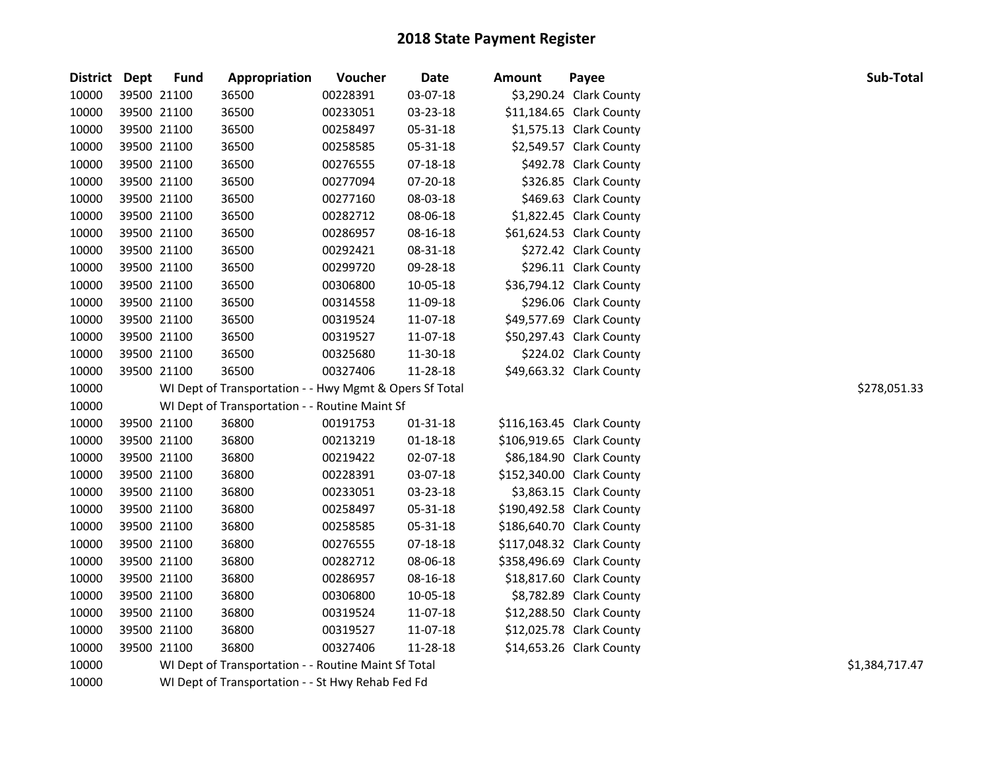| District Dept |             | <b>Fund</b> | Appropriation                                           | Voucher  | Date           | <b>Amount</b> | Payee                     | Sub-Total      |
|---------------|-------------|-------------|---------------------------------------------------------|----------|----------------|---------------|---------------------------|----------------|
| 10000         |             | 39500 21100 | 36500                                                   | 00228391 | 03-07-18       |               | \$3,290.24 Clark County   |                |
| 10000         | 39500 21100 |             | 36500                                                   | 00233051 | 03-23-18       |               | \$11,184.65 Clark County  |                |
| 10000         | 39500 21100 |             | 36500                                                   | 00258497 | 05-31-18       |               | \$1,575.13 Clark County   |                |
| 10000         | 39500 21100 |             | 36500                                                   | 00258585 | 05-31-18       |               | \$2,549.57 Clark County   |                |
| 10000         | 39500 21100 |             | 36500                                                   | 00276555 | 07-18-18       |               | \$492.78 Clark County     |                |
| 10000         |             | 39500 21100 | 36500                                                   | 00277094 | 07-20-18       |               | \$326.85 Clark County     |                |
| 10000         | 39500 21100 |             | 36500                                                   | 00277160 | 08-03-18       |               | \$469.63 Clark County     |                |
| 10000         | 39500 21100 |             | 36500                                                   | 00282712 | 08-06-18       |               | \$1,822.45 Clark County   |                |
| 10000         | 39500 21100 |             | 36500                                                   | 00286957 | 08-16-18       |               | \$61,624.53 Clark County  |                |
| 10000         | 39500 21100 |             | 36500                                                   | 00292421 | 08-31-18       |               | \$272.42 Clark County     |                |
| 10000         | 39500 21100 |             | 36500                                                   | 00299720 | 09-28-18       |               | \$296.11 Clark County     |                |
| 10000         | 39500 21100 |             | 36500                                                   | 00306800 | 10-05-18       |               | \$36,794.12 Clark County  |                |
| 10000         |             | 39500 21100 | 36500                                                   | 00314558 | 11-09-18       |               | \$296.06 Clark County     |                |
| 10000         |             | 39500 21100 | 36500                                                   | 00319524 | 11-07-18       |               | \$49,577.69 Clark County  |                |
| 10000         | 39500 21100 |             | 36500                                                   | 00319527 | 11-07-18       |               | \$50,297.43 Clark County  |                |
| 10000         | 39500 21100 |             | 36500                                                   | 00325680 | 11-30-18       |               | \$224.02 Clark County     |                |
| 10000         | 39500 21100 |             | 36500                                                   | 00327406 | 11-28-18       |               | \$49,663.32 Clark County  |                |
| 10000         |             |             | WI Dept of Transportation - - Hwy Mgmt & Opers Sf Total |          |                |               |                           | \$278,051.33   |
| 10000         |             |             | WI Dept of Transportation - - Routine Maint Sf          |          |                |               |                           |                |
| 10000         |             | 39500 21100 | 36800                                                   | 00191753 | 01-31-18       |               | \$116,163.45 Clark County |                |
| 10000         | 39500 21100 |             | 36800                                                   | 00213219 | $01 - 18 - 18$ |               | \$106,919.65 Clark County |                |
| 10000         |             | 39500 21100 | 36800                                                   | 00219422 | 02-07-18       |               | \$86,184.90 Clark County  |                |
| 10000         | 39500 21100 |             | 36800                                                   | 00228391 | 03-07-18       |               | \$152,340.00 Clark County |                |
| 10000         | 39500 21100 |             | 36800                                                   | 00233051 | 03-23-18       |               | \$3,863.15 Clark County   |                |
| 10000         |             | 39500 21100 | 36800                                                   | 00258497 | 05-31-18       |               | \$190,492.58 Clark County |                |
| 10000         |             | 39500 21100 | 36800                                                   | 00258585 | 05-31-18       |               | \$186,640.70 Clark County |                |
| 10000         | 39500 21100 |             | 36800                                                   | 00276555 | 07-18-18       |               | \$117,048.32 Clark County |                |
| 10000         | 39500 21100 |             | 36800                                                   | 00282712 | 08-06-18       |               | \$358,496.69 Clark County |                |
| 10000         | 39500 21100 |             | 36800                                                   | 00286957 | 08-16-18       |               | \$18,817.60 Clark County  |                |
| 10000         | 39500 21100 |             | 36800                                                   | 00306800 | 10-05-18       |               | \$8,782.89 Clark County   |                |
| 10000         | 39500 21100 |             | 36800                                                   | 00319524 | 11-07-18       |               | \$12,288.50 Clark County  |                |
| 10000         | 39500 21100 |             | 36800                                                   | 00319527 | 11-07-18       |               | \$12,025.78 Clark County  |                |
| 10000         | 39500 21100 |             | 36800                                                   | 00327406 | 11-28-18       |               | \$14,653.26 Clark County  |                |
| 10000         |             |             | WI Dept of Transportation - - Routine Maint Sf Total    |          |                |               |                           | \$1,384,717.47 |
| 10000         |             |             | WI Dept of Transportation - - St Hwy Rehab Fed Fd       |          |                |               |                           |                |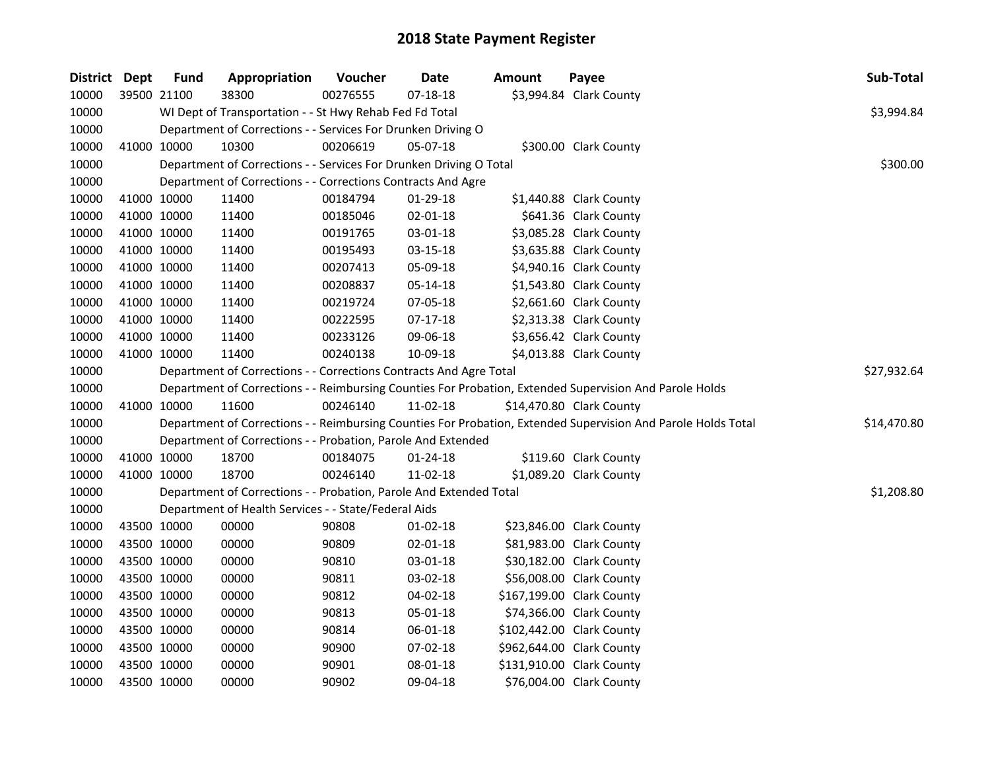| District Dept | <b>Fund</b> | Appropriation                                                      | Voucher  | <b>Date</b>    | <b>Amount</b> | Payee                                                                                                         | Sub-Total   |  |  |
|---------------|-------------|--------------------------------------------------------------------|----------|----------------|---------------|---------------------------------------------------------------------------------------------------------------|-------------|--|--|
| 10000         | 39500 21100 | 38300                                                              | 00276555 | $07 - 18 - 18$ |               | \$3,994.84 Clark County                                                                                       |             |  |  |
| 10000         |             | WI Dept of Transportation - - St Hwy Rehab Fed Fd Total            |          |                |               |                                                                                                               | \$3,994.84  |  |  |
| 10000         |             | Department of Corrections - - Services For Drunken Driving O       |          |                |               |                                                                                                               |             |  |  |
| 10000         | 41000 10000 | 10300                                                              | 00206619 | 05-07-18       |               | \$300.00 Clark County                                                                                         |             |  |  |
| 10000         |             | Department of Corrections - - Services For Drunken Driving O Total |          |                |               |                                                                                                               | \$300.00    |  |  |
| 10000         |             | Department of Corrections - - Corrections Contracts And Agre       |          |                |               |                                                                                                               |             |  |  |
| 10000         | 41000 10000 | 11400                                                              | 00184794 | 01-29-18       |               | \$1,440.88 Clark County                                                                                       |             |  |  |
| 10000         | 41000 10000 | 11400                                                              | 00185046 | $02 - 01 - 18$ |               | \$641.36 Clark County                                                                                         |             |  |  |
| 10000         | 41000 10000 | 11400                                                              | 00191765 | 03-01-18       |               | \$3,085.28 Clark County                                                                                       |             |  |  |
| 10000         | 41000 10000 | 11400                                                              | 00195493 | 03-15-18       |               | \$3,635.88 Clark County                                                                                       |             |  |  |
| 10000         | 41000 10000 | 11400                                                              | 00207413 | 05-09-18       |               | \$4,940.16 Clark County                                                                                       |             |  |  |
| 10000         | 41000 10000 | 11400                                                              | 00208837 | 05-14-18       |               | \$1,543.80 Clark County                                                                                       |             |  |  |
| 10000         | 41000 10000 | 11400                                                              | 00219724 | 07-05-18       |               | \$2,661.60 Clark County                                                                                       |             |  |  |
| 10000         | 41000 10000 | 11400                                                              | 00222595 | $07-17-18$     |               | \$2,313.38 Clark County                                                                                       |             |  |  |
| 10000         | 41000 10000 | 11400                                                              | 00233126 | 09-06-18       |               | \$3,656.42 Clark County                                                                                       |             |  |  |
| 10000         | 41000 10000 | 11400                                                              | 00240138 | 10-09-18       |               | \$4,013.88 Clark County                                                                                       |             |  |  |
| 10000         |             | Department of Corrections - - Corrections Contracts And Agre Total |          |                |               |                                                                                                               |             |  |  |
| 10000         |             |                                                                    |          |                |               | Department of Corrections - - Reimbursing Counties For Probation, Extended Supervision And Parole Holds       |             |  |  |
| 10000         | 41000 10000 | 11600                                                              | 00246140 | 11-02-18       |               | \$14,470.80 Clark County                                                                                      |             |  |  |
| 10000         |             |                                                                    |          |                |               | Department of Corrections - - Reimbursing Counties For Probation, Extended Supervision And Parole Holds Total | \$14,470.80 |  |  |
| 10000         |             | Department of Corrections - - Probation, Parole And Extended       |          |                |               |                                                                                                               |             |  |  |
| 10000         | 41000 10000 | 18700                                                              | 00184075 | $01 - 24 - 18$ |               | \$119.60 Clark County                                                                                         |             |  |  |
| 10000         | 41000 10000 | 18700                                                              | 00246140 | 11-02-18       |               | \$1,089.20 Clark County                                                                                       |             |  |  |
| 10000         |             | Department of Corrections - - Probation, Parole And Extended Total |          |                |               |                                                                                                               | \$1,208.80  |  |  |
| 10000         |             | Department of Health Services - - State/Federal Aids               |          |                |               |                                                                                                               |             |  |  |
| 10000         | 43500 10000 | 00000                                                              | 90808    | $01-02-18$     |               | \$23,846.00 Clark County                                                                                      |             |  |  |
| 10000         | 43500 10000 | 00000                                                              | 90809    | 02-01-18       |               | \$81,983.00 Clark County                                                                                      |             |  |  |
| 10000         | 43500 10000 | 00000                                                              | 90810    | 03-01-18       |               | \$30,182.00 Clark County                                                                                      |             |  |  |
| 10000         | 43500 10000 | 00000                                                              | 90811    | 03-02-18       |               | \$56,008.00 Clark County                                                                                      |             |  |  |
| 10000         | 43500 10000 | 00000                                                              | 90812    | 04-02-18       |               | \$167,199.00 Clark County                                                                                     |             |  |  |
| 10000         | 43500 10000 | 00000                                                              | 90813    | 05-01-18       |               | \$74,366.00 Clark County                                                                                      |             |  |  |
| 10000         | 43500 10000 | 00000                                                              | 90814    | 06-01-18       |               | \$102,442.00 Clark County                                                                                     |             |  |  |
| 10000         | 43500 10000 | 00000                                                              | 90900    | 07-02-18       |               | \$962,644.00 Clark County                                                                                     |             |  |  |
| 10000         | 43500 10000 | 00000                                                              | 90901    | 08-01-18       |               | \$131,910.00 Clark County                                                                                     |             |  |  |
| 10000         | 43500 10000 | 00000                                                              | 90902    | 09-04-18       |               | \$76,004.00 Clark County                                                                                      |             |  |  |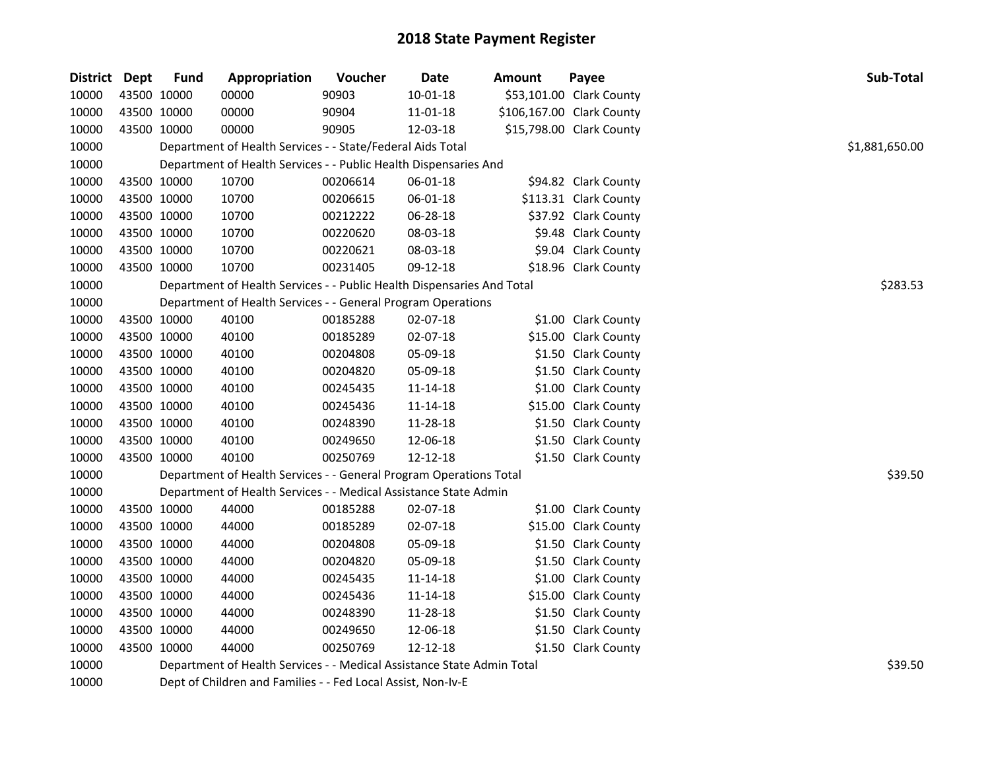| District Dept | <b>Fund</b>                                                            | Appropriation                                                          | Voucher  | Date           | <b>Amount</b> | Payee                     | Sub-Total      |
|---------------|------------------------------------------------------------------------|------------------------------------------------------------------------|----------|----------------|---------------|---------------------------|----------------|
| 10000         | 43500 10000                                                            | 00000                                                                  | 90903    | $10 - 01 - 18$ |               | \$53,101.00 Clark County  |                |
| 10000         | 43500 10000                                                            | 00000                                                                  | 90904    | 11-01-18       |               | \$106,167.00 Clark County |                |
| 10000         | 43500 10000                                                            | 00000                                                                  | 90905    | 12-03-18       |               | \$15,798.00 Clark County  |                |
| 10000         |                                                                        | Department of Health Services - - State/Federal Aids Total             |          |                |               |                           | \$1,881,650.00 |
| 10000         |                                                                        | Department of Health Services - - Public Health Dispensaries And       |          |                |               |                           |                |
| 10000         | 43500 10000                                                            | 10700                                                                  | 00206614 | 06-01-18       |               | \$94.82 Clark County      |                |
| 10000         | 43500 10000                                                            | 10700                                                                  | 00206615 | 06-01-18       |               | \$113.31 Clark County     |                |
| 10000         | 43500 10000                                                            | 10700                                                                  | 00212222 | 06-28-18       |               | \$37.92 Clark County      |                |
| 10000         | 43500 10000                                                            | 10700                                                                  | 00220620 | 08-03-18       |               | \$9.48 Clark County       |                |
| 10000         | 43500 10000                                                            | 10700                                                                  | 00220621 | 08-03-18       |               | \$9.04 Clark County       |                |
| 10000         | 43500 10000                                                            | 10700                                                                  | 00231405 | 09-12-18       |               | \$18.96 Clark County      |                |
| 10000         |                                                                        | Department of Health Services - - Public Health Dispensaries And Total | \$283.53 |                |               |                           |                |
| 10000         |                                                                        | Department of Health Services - - General Program Operations           |          |                |               |                           |                |
| 10000         | 43500 10000                                                            | 40100                                                                  | 00185288 | 02-07-18       |               | \$1.00 Clark County       |                |
| 10000         | 43500 10000                                                            | 40100                                                                  | 00185289 | 02-07-18       |               | \$15.00 Clark County      |                |
| 10000         | 43500 10000                                                            | 40100                                                                  | 00204808 | 05-09-18       |               | \$1.50 Clark County       |                |
| 10000         | 43500 10000                                                            | 40100                                                                  | 00204820 | 05-09-18       |               | \$1.50 Clark County       |                |
| 10000         | 43500 10000                                                            | 40100                                                                  | 00245435 | 11-14-18       |               | \$1.00 Clark County       |                |
| 10000         | 43500 10000                                                            | 40100                                                                  | 00245436 | 11-14-18       |               | \$15.00 Clark County      |                |
| 10000         | 43500 10000                                                            | 40100                                                                  | 00248390 | 11-28-18       |               | \$1.50 Clark County       |                |
| 10000         | 43500 10000                                                            | 40100                                                                  | 00249650 | 12-06-18       |               | \$1.50 Clark County       |                |
| 10000         | 43500 10000                                                            | 40100                                                                  | 00250769 | 12-12-18       |               | \$1.50 Clark County       |                |
| 10000         |                                                                        | Department of Health Services - - General Program Operations Total     |          |                |               |                           | \$39.50        |
| 10000         |                                                                        | Department of Health Services - - Medical Assistance State Admin       |          |                |               |                           |                |
| 10000         | 43500 10000                                                            | 44000                                                                  | 00185288 | 02-07-18       |               | \$1.00 Clark County       |                |
| 10000         | 43500 10000                                                            | 44000                                                                  | 00185289 | 02-07-18       |               | \$15.00 Clark County      |                |
| 10000         | 43500 10000                                                            | 44000                                                                  | 00204808 | 05-09-18       |               | \$1.50 Clark County       |                |
| 10000         | 43500 10000                                                            | 44000                                                                  | 00204820 | 05-09-18       |               | \$1.50 Clark County       |                |
| 10000         | 43500 10000                                                            | 44000                                                                  | 00245435 | 11-14-18       |               | \$1.00 Clark County       |                |
| 10000         | 43500 10000                                                            | 44000                                                                  | 00245436 | 11-14-18       |               | \$15.00 Clark County      |                |
| 10000         | 43500 10000                                                            | 44000                                                                  | 00248390 | 11-28-18       |               | \$1.50 Clark County       |                |
| 10000         | 43500 10000                                                            | 44000                                                                  | 00249650 | 12-06-18       |               | \$1.50 Clark County       |                |
| 10000         | 43500 10000                                                            | 44000                                                                  | 00250769 | 12-12-18       |               | \$1.50 Clark County       |                |
| 10000         | Department of Health Services - - Medical Assistance State Admin Total | \$39.50                                                                |          |                |               |                           |                |
| 10000         |                                                                        | Dept of Children and Families - - Fed Local Assist, Non-Iv-E           |          |                |               |                           |                |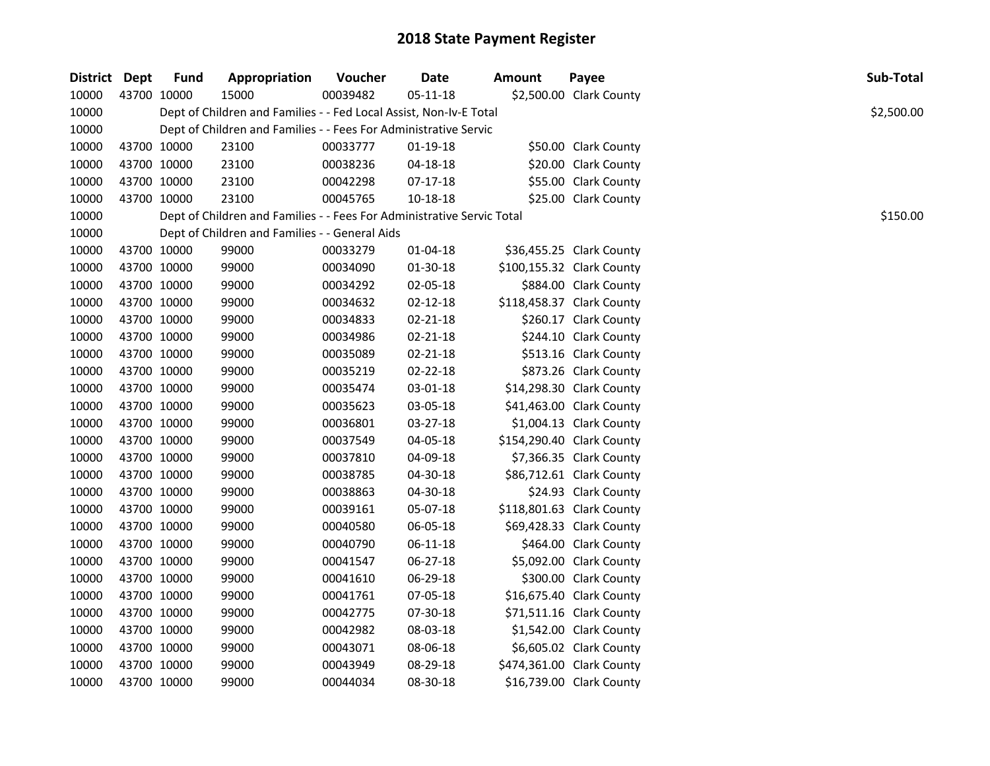| District Dept |             | <b>Fund</b> | Appropriation                                                          | Voucher  | Date           | <b>Amount</b> | Payee                     | Sub-Total  |
|---------------|-------------|-------------|------------------------------------------------------------------------|----------|----------------|---------------|---------------------------|------------|
| 10000         |             | 43700 10000 | 15000                                                                  | 00039482 | $05 - 11 - 18$ |               | \$2,500.00 Clark County   |            |
| 10000         |             |             | Dept of Children and Families - - Fed Local Assist, Non-Iv-E Total     |          |                |               |                           | \$2,500.00 |
| 10000         |             |             | Dept of Children and Families - - Fees For Administrative Servic       |          |                |               |                           |            |
| 10000         |             | 43700 10000 | 23100                                                                  | 00033777 | 01-19-18       |               | \$50.00 Clark County      |            |
| 10000         |             | 43700 10000 | 23100                                                                  | 00038236 | $04 - 18 - 18$ |               | \$20.00 Clark County      |            |
| 10000         |             | 43700 10000 | 23100                                                                  | 00042298 | 07-17-18       |               | \$55.00 Clark County      |            |
| 10000         |             | 43700 10000 | 23100                                                                  | 00045765 | $10 - 18 - 18$ |               | \$25.00 Clark County      |            |
| 10000         |             |             | Dept of Children and Families - - Fees For Administrative Servic Total |          |                |               |                           | \$150.00   |
| 10000         |             |             | Dept of Children and Families - - General Aids                         |          |                |               |                           |            |
| 10000         |             | 43700 10000 | 99000                                                                  | 00033279 | $01 - 04 - 18$ |               | \$36,455.25 Clark County  |            |
| 10000         |             | 43700 10000 | 99000                                                                  | 00034090 | 01-30-18       |               | \$100,155.32 Clark County |            |
| 10000         |             | 43700 10000 | 99000                                                                  | 00034292 | 02-05-18       |               | \$884.00 Clark County     |            |
| 10000         |             | 43700 10000 | 99000                                                                  | 00034632 | $02 - 12 - 18$ |               | \$118,458.37 Clark County |            |
| 10000         |             | 43700 10000 | 99000                                                                  | 00034833 | $02 - 21 - 18$ |               | \$260.17 Clark County     |            |
| 10000         |             | 43700 10000 | 99000                                                                  | 00034986 | 02-21-18       |               | \$244.10 Clark County     |            |
| 10000         |             | 43700 10000 | 99000                                                                  | 00035089 | 02-21-18       |               | \$513.16 Clark County     |            |
| 10000         |             | 43700 10000 | 99000                                                                  | 00035219 | 02-22-18       |               | \$873.26 Clark County     |            |
| 10000         |             | 43700 10000 | 99000                                                                  | 00035474 | 03-01-18       |               | \$14,298.30 Clark County  |            |
| 10000         |             | 43700 10000 | 99000                                                                  | 00035623 | 03-05-18       |               | \$41,463.00 Clark County  |            |
| 10000         |             | 43700 10000 | 99000                                                                  | 00036801 | 03-27-18       |               | \$1,004.13 Clark County   |            |
| 10000         | 43700 10000 |             | 99000                                                                  | 00037549 | 04-05-18       |               | \$154,290.40 Clark County |            |
| 10000         |             | 43700 10000 | 99000                                                                  | 00037810 | 04-09-18       |               | \$7,366.35 Clark County   |            |
| 10000         |             | 43700 10000 | 99000                                                                  | 00038785 | 04-30-18       |               | \$86,712.61 Clark County  |            |
| 10000         |             | 43700 10000 | 99000                                                                  | 00038863 | 04-30-18       |               | \$24.93 Clark County      |            |
| 10000         |             | 43700 10000 | 99000                                                                  | 00039161 | 05-07-18       |               | \$118,801.63 Clark County |            |
| 10000         |             | 43700 10000 | 99000                                                                  | 00040580 | 06-05-18       |               | \$69,428.33 Clark County  |            |
| 10000         |             | 43700 10000 | 99000                                                                  | 00040790 | 06-11-18       |               | \$464.00 Clark County     |            |
| 10000         |             | 43700 10000 | 99000                                                                  | 00041547 | 06-27-18       |               | \$5,092.00 Clark County   |            |
| 10000         |             | 43700 10000 | 99000                                                                  | 00041610 | 06-29-18       |               | \$300.00 Clark County     |            |
| 10000         |             | 43700 10000 | 99000                                                                  | 00041761 | 07-05-18       |               | \$16,675.40 Clark County  |            |
| 10000         |             | 43700 10000 | 99000                                                                  | 00042775 | 07-30-18       |               | \$71,511.16 Clark County  |            |
| 10000         |             | 43700 10000 | 99000                                                                  | 00042982 | 08-03-18       |               | \$1,542.00 Clark County   |            |
| 10000         |             | 43700 10000 | 99000                                                                  | 00043071 | 08-06-18       |               | \$6,605.02 Clark County   |            |
| 10000         |             | 43700 10000 | 99000                                                                  | 00043949 | 08-29-18       |               | \$474,361.00 Clark County |            |
| 10000         |             | 43700 10000 | 99000                                                                  | 00044034 | 08-30-18       |               | \$16,739.00 Clark County  |            |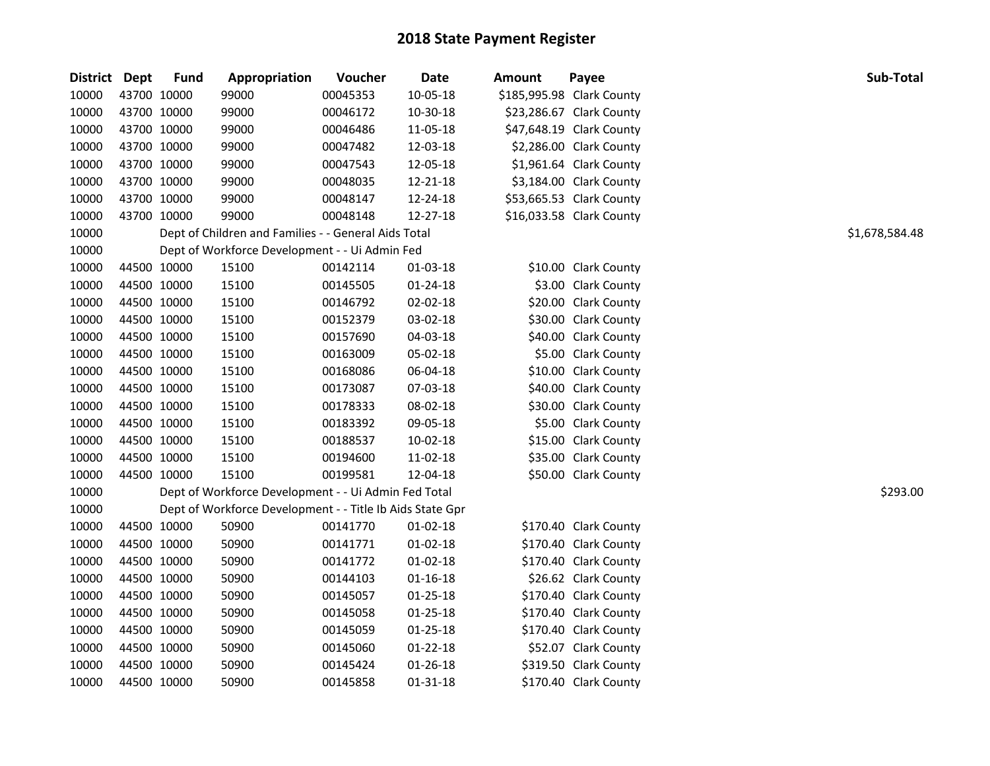| District Dept |             | <b>Fund</b> | Appropriation                                             | Voucher  | <b>Date</b>    | <b>Amount</b> | Payee                     | Sub-Total      |
|---------------|-------------|-------------|-----------------------------------------------------------|----------|----------------|---------------|---------------------------|----------------|
| 10000         | 43700 10000 |             | 99000                                                     | 00045353 | 10-05-18       |               | \$185,995.98 Clark County |                |
| 10000         | 43700 10000 |             | 99000                                                     | 00046172 | 10-30-18       |               | \$23,286.67 Clark County  |                |
| 10000         | 43700 10000 |             | 99000                                                     | 00046486 | 11-05-18       |               | \$47,648.19 Clark County  |                |
| 10000         | 43700 10000 |             | 99000                                                     | 00047482 | 12-03-18       |               | \$2,286.00 Clark County   |                |
| 10000         | 43700 10000 |             | 99000                                                     | 00047543 | 12-05-18       |               | \$1,961.64 Clark County   |                |
| 10000         | 43700 10000 |             | 99000                                                     | 00048035 | 12-21-18       |               | \$3,184.00 Clark County   |                |
| 10000         | 43700 10000 |             | 99000                                                     | 00048147 | 12-24-18       |               | \$53,665.53 Clark County  |                |
| 10000         | 43700 10000 |             | 99000                                                     | 00048148 | 12-27-18       |               | \$16,033.58 Clark County  |                |
| 10000         |             |             | Dept of Children and Families - - General Aids Total      |          |                |               |                           | \$1,678,584.48 |
| 10000         |             |             | Dept of Workforce Development - - Ui Admin Fed            |          |                |               |                           |                |
| 10000         |             | 44500 10000 | 15100                                                     | 00142114 | 01-03-18       |               | \$10.00 Clark County      |                |
| 10000         | 44500 10000 |             | 15100                                                     | 00145505 | 01-24-18       |               | \$3.00 Clark County       |                |
| 10000         |             | 44500 10000 | 15100                                                     | 00146792 | 02-02-18       |               | \$20.00 Clark County      |                |
| 10000         | 44500 10000 |             | 15100                                                     | 00152379 | 03-02-18       |               | \$30.00 Clark County      |                |
| 10000         | 44500 10000 |             | 15100                                                     | 00157690 | 04-03-18       |               | \$40.00 Clark County      |                |
| 10000         | 44500 10000 |             | 15100                                                     | 00163009 | 05-02-18       |               | \$5.00 Clark County       |                |
| 10000         | 44500 10000 |             | 15100                                                     | 00168086 | 06-04-18       |               | \$10.00 Clark County      |                |
| 10000         | 44500 10000 |             | 15100                                                     | 00173087 | 07-03-18       |               | \$40.00 Clark County      |                |
| 10000         | 44500 10000 |             | 15100                                                     | 00178333 | 08-02-18       |               | \$30.00 Clark County      |                |
| 10000         | 44500 10000 |             | 15100                                                     | 00183392 | 09-05-18       |               | \$5.00 Clark County       |                |
| 10000         | 44500 10000 |             | 15100                                                     | 00188537 | 10-02-18       |               | \$15.00 Clark County      |                |
| 10000         | 44500 10000 |             | 15100                                                     | 00194600 | 11-02-18       |               | \$35.00 Clark County      |                |
| 10000         | 44500 10000 |             | 15100                                                     | 00199581 | 12-04-18       |               | \$50.00 Clark County      |                |
| 10000         |             |             | Dept of Workforce Development - - Ui Admin Fed Total      |          |                |               |                           | \$293.00       |
| 10000         |             |             | Dept of Workforce Development - - Title Ib Aids State Gpr |          |                |               |                           |                |
| 10000         | 44500 10000 |             | 50900                                                     | 00141770 | $01-02-18$     |               | \$170.40 Clark County     |                |
| 10000         | 44500 10000 |             | 50900                                                     | 00141771 | $01-02-18$     |               | \$170.40 Clark County     |                |
| 10000         | 44500 10000 |             | 50900                                                     | 00141772 | $01 - 02 - 18$ |               | \$170.40 Clark County     |                |
| 10000         | 44500 10000 |             | 50900                                                     | 00144103 | $01 - 16 - 18$ |               | \$26.62 Clark County      |                |
| 10000         | 44500 10000 |             | 50900                                                     | 00145057 | $01 - 25 - 18$ |               | \$170.40 Clark County     |                |
| 10000         | 44500 10000 |             | 50900                                                     | 00145058 | $01 - 25 - 18$ |               | \$170.40 Clark County     |                |
| 10000         | 44500 10000 |             | 50900                                                     | 00145059 | $01 - 25 - 18$ |               | \$170.40 Clark County     |                |
| 10000         | 44500 10000 |             | 50900                                                     | 00145060 | $01 - 22 - 18$ |               | \$52.07 Clark County      |                |
| 10000         | 44500 10000 |             | 50900                                                     | 00145424 | $01 - 26 - 18$ |               | \$319.50 Clark County     |                |
| 10000         | 44500 10000 |             | 50900                                                     | 00145858 | 01-31-18       |               | \$170.40 Clark County     |                |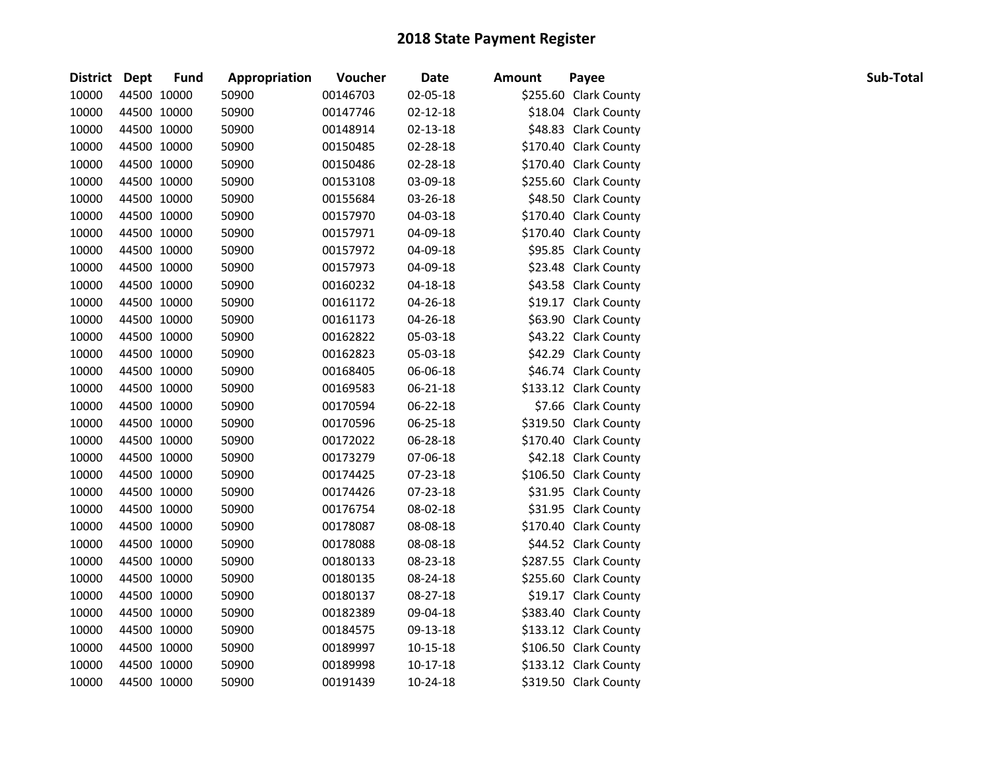| District Dept |             | <b>Fund</b> | Appropriation | Voucher  | <b>Date</b>    | <b>Amount</b> | Payee                 | Sub-Total |
|---------------|-------------|-------------|---------------|----------|----------------|---------------|-----------------------|-----------|
| 10000         | 44500 10000 |             | 50900         | 00146703 | 02-05-18       |               | \$255.60 Clark County |           |
| 10000         | 44500 10000 |             | 50900         | 00147746 | $02 - 12 - 18$ |               | \$18.04 Clark County  |           |
| 10000         | 44500 10000 |             | 50900         | 00148914 | 02-13-18       |               | \$48.83 Clark County  |           |
| 10000         | 44500 10000 |             | 50900         | 00150485 | 02-28-18       |               | \$170.40 Clark County |           |
| 10000         | 44500 10000 |             | 50900         | 00150486 | 02-28-18       |               | \$170.40 Clark County |           |
| 10000         | 44500 10000 |             | 50900         | 00153108 | 03-09-18       |               | \$255.60 Clark County |           |
| 10000         | 44500 10000 |             | 50900         | 00155684 | 03-26-18       |               | \$48.50 Clark County  |           |
| 10000         | 44500 10000 |             | 50900         | 00157970 | 04-03-18       |               | \$170.40 Clark County |           |
| 10000         | 44500 10000 |             | 50900         | 00157971 | 04-09-18       |               | \$170.40 Clark County |           |
| 10000         | 44500 10000 |             | 50900         | 00157972 | 04-09-18       |               | \$95.85 Clark County  |           |
| 10000         | 44500 10000 |             | 50900         | 00157973 | 04-09-18       |               | \$23.48 Clark County  |           |
| 10000         | 44500 10000 |             | 50900         | 00160232 | 04-18-18       |               | \$43.58 Clark County  |           |
| 10000         | 44500 10000 |             | 50900         | 00161172 | 04-26-18       |               | \$19.17 Clark County  |           |
| 10000         | 44500 10000 |             | 50900         | 00161173 | 04-26-18       |               | \$63.90 Clark County  |           |
| 10000         | 44500 10000 |             | 50900         | 00162822 | 05-03-18       |               | \$43.22 Clark County  |           |
| 10000         | 44500 10000 |             | 50900         | 00162823 | 05-03-18       |               | \$42.29 Clark County  |           |
| 10000         | 44500 10000 |             | 50900         | 00168405 | 06-06-18       |               | \$46.74 Clark County  |           |
| 10000         | 44500 10000 |             | 50900         | 00169583 | 06-21-18       |               | \$133.12 Clark County |           |
| 10000         | 44500 10000 |             | 50900         | 00170594 | 06-22-18       |               | \$7.66 Clark County   |           |
| 10000         | 44500 10000 |             | 50900         | 00170596 | 06-25-18       |               | \$319.50 Clark County |           |
| 10000         | 44500 10000 |             | 50900         | 00172022 | 06-28-18       |               | \$170.40 Clark County |           |
| 10000         | 44500 10000 |             | 50900         | 00173279 | 07-06-18       |               | \$42.18 Clark County  |           |
| 10000         | 44500 10000 |             | 50900         | 00174425 | 07-23-18       |               | \$106.50 Clark County |           |
| 10000         | 44500 10000 |             | 50900         | 00174426 | 07-23-18       |               | \$31.95 Clark County  |           |
| 10000         | 44500 10000 |             | 50900         | 00176754 | 08-02-18       |               | \$31.95 Clark County  |           |
| 10000         | 44500 10000 |             | 50900         | 00178087 | 08-08-18       |               | \$170.40 Clark County |           |
| 10000         | 44500 10000 |             | 50900         | 00178088 | 08-08-18       |               | \$44.52 Clark County  |           |
| 10000         | 44500 10000 |             | 50900         | 00180133 | 08-23-18       |               | \$287.55 Clark County |           |
| 10000         | 44500 10000 |             | 50900         | 00180135 | 08-24-18       |               | \$255.60 Clark County |           |
| 10000         | 44500 10000 |             | 50900         | 00180137 | 08-27-18       |               | \$19.17 Clark County  |           |
| 10000         | 44500 10000 |             | 50900         | 00182389 | 09-04-18       |               | \$383.40 Clark County |           |
| 10000         | 44500 10000 |             | 50900         | 00184575 | 09-13-18       |               | \$133.12 Clark County |           |
| 10000         | 44500 10000 |             | 50900         | 00189997 | 10-15-18       |               | \$106.50 Clark County |           |
| 10000         | 44500 10000 |             | 50900         | 00189998 | $10-17-18$     |               | \$133.12 Clark County |           |
| 10000         | 44500 10000 |             | 50900         | 00191439 | 10-24-18       |               | \$319.50 Clark County |           |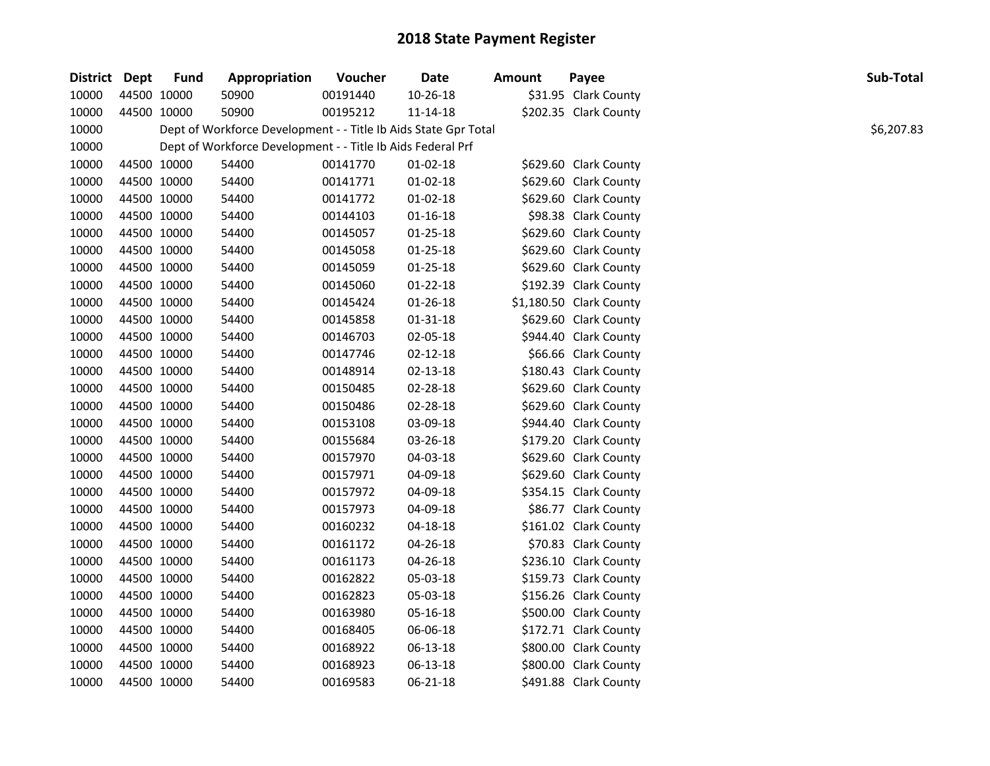| District Dept |             | <b>Fund</b> | Appropriation                                                   | Voucher  | Date           | <b>Amount</b> | Payee                   | Sub-Total  |
|---------------|-------------|-------------|-----------------------------------------------------------------|----------|----------------|---------------|-------------------------|------------|
| 10000         | 44500 10000 |             | 50900                                                           | 00191440 | $10 - 26 - 18$ |               | \$31.95 Clark County    |            |
| 10000         | 44500 10000 |             | 50900                                                           | 00195212 | 11-14-18       |               | \$202.35 Clark County   |            |
| 10000         |             |             | Dept of Workforce Development - - Title Ib Aids State Gpr Total |          |                |               |                         | \$6,207.83 |
| 10000         |             |             | Dept of Workforce Development - - Title Ib Aids Federal Prf     |          |                |               |                         |            |
| 10000         | 44500 10000 |             | 54400                                                           | 00141770 | 01-02-18       |               | \$629.60 Clark County   |            |
| 10000         | 44500 10000 |             | 54400                                                           | 00141771 | 01-02-18       |               | \$629.60 Clark County   |            |
| 10000         | 44500 10000 |             | 54400                                                           | 00141772 | $01 - 02 - 18$ |               | \$629.60 Clark County   |            |
| 10000         | 44500 10000 |             | 54400                                                           | 00144103 | 01-16-18       |               | \$98.38 Clark County    |            |
| 10000         | 44500 10000 |             | 54400                                                           | 00145057 | $01 - 25 - 18$ |               | \$629.60 Clark County   |            |
| 10000         | 44500 10000 |             | 54400                                                           | 00145058 | 01-25-18       |               | \$629.60 Clark County   |            |
| 10000         | 44500 10000 |             | 54400                                                           | 00145059 | 01-25-18       |               | \$629.60 Clark County   |            |
| 10000         | 44500 10000 |             | 54400                                                           | 00145060 | $01 - 22 - 18$ |               | \$192.39 Clark County   |            |
| 10000         | 44500 10000 |             | 54400                                                           | 00145424 | 01-26-18       |               | \$1,180.50 Clark County |            |
| 10000         | 44500 10000 |             | 54400                                                           | 00145858 | 01-31-18       |               | \$629.60 Clark County   |            |
| 10000         | 44500 10000 |             | 54400                                                           | 00146703 | 02-05-18       |               | \$944.40 Clark County   |            |
| 10000         | 44500 10000 |             | 54400                                                           | 00147746 | 02-12-18       |               | \$66.66 Clark County    |            |
| 10000         | 44500 10000 |             | 54400                                                           | 00148914 | 02-13-18       |               | \$180.43 Clark County   |            |
| 10000         | 44500 10000 |             | 54400                                                           | 00150485 | 02-28-18       |               | \$629.60 Clark County   |            |
| 10000         | 44500 10000 |             | 54400                                                           | 00150486 | 02-28-18       |               | \$629.60 Clark County   |            |
| 10000         | 44500 10000 |             | 54400                                                           | 00153108 | 03-09-18       |               | \$944.40 Clark County   |            |
| 10000         | 44500 10000 |             | 54400                                                           | 00155684 | 03-26-18       |               | \$179.20 Clark County   |            |
| 10000         | 44500 10000 |             | 54400                                                           | 00157970 | 04-03-18       |               | \$629.60 Clark County   |            |
| 10000         | 44500 10000 |             | 54400                                                           | 00157971 | 04-09-18       |               | \$629.60 Clark County   |            |
| 10000         | 44500 10000 |             | 54400                                                           | 00157972 | 04-09-18       |               | \$354.15 Clark County   |            |
| 10000         | 44500 10000 |             | 54400                                                           | 00157973 | 04-09-18       |               | \$86.77 Clark County    |            |
| 10000         | 44500 10000 |             | 54400                                                           | 00160232 | 04-18-18       |               | \$161.02 Clark County   |            |
| 10000         | 44500 10000 |             | 54400                                                           | 00161172 | 04-26-18       |               | \$70.83 Clark County    |            |
| 10000         | 44500 10000 |             | 54400                                                           | 00161173 | 04-26-18       |               | \$236.10 Clark County   |            |
| 10000         | 44500 10000 |             | 54400                                                           | 00162822 | 05-03-18       |               | \$159.73 Clark County   |            |
| 10000         | 44500 10000 |             | 54400                                                           | 00162823 | 05-03-18       |               | \$156.26 Clark County   |            |
| 10000         | 44500 10000 |             | 54400                                                           | 00163980 | 05-16-18       |               | \$500.00 Clark County   |            |
| 10000         | 44500 10000 |             | 54400                                                           | 00168405 | 06-06-18       |               | \$172.71 Clark County   |            |
| 10000         | 44500 10000 |             | 54400                                                           | 00168922 | 06-13-18       |               | \$800.00 Clark County   |            |
| 10000         | 44500 10000 |             | 54400                                                           | 00168923 | 06-13-18       |               | \$800.00 Clark County   |            |
| 10000         | 44500 10000 |             | 54400                                                           | 00169583 | 06-21-18       |               | \$491.88 Clark County   |            |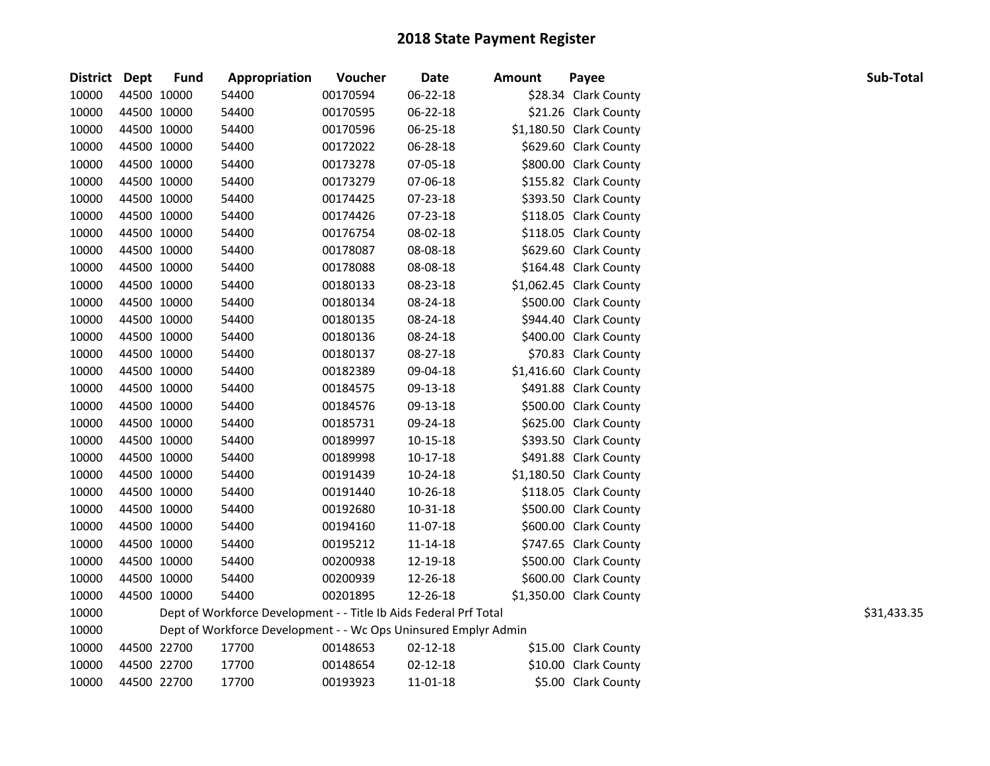| District Dept |             | <b>Fund</b> | Appropriation                                                     | Voucher  | Date       | <b>Amount</b> | Payee                   | Sub-Total   |
|---------------|-------------|-------------|-------------------------------------------------------------------|----------|------------|---------------|-------------------------|-------------|
| 10000         | 44500 10000 |             | 54400                                                             | 00170594 | 06-22-18   |               | \$28.34 Clark County    |             |
| 10000         | 44500 10000 |             | 54400                                                             | 00170595 | 06-22-18   |               | \$21.26 Clark County    |             |
| 10000         | 44500 10000 |             | 54400                                                             | 00170596 | 06-25-18   |               | \$1,180.50 Clark County |             |
| 10000         | 44500 10000 |             | 54400                                                             | 00172022 | 06-28-18   |               | \$629.60 Clark County   |             |
| 10000         | 44500 10000 |             | 54400                                                             | 00173278 | 07-05-18   |               | \$800.00 Clark County   |             |
| 10000         | 44500 10000 |             | 54400                                                             | 00173279 | 07-06-18   |               | \$155.82 Clark County   |             |
| 10000         | 44500 10000 |             | 54400                                                             | 00174425 | 07-23-18   |               | \$393.50 Clark County   |             |
| 10000         | 44500 10000 |             | 54400                                                             | 00174426 | 07-23-18   |               | \$118.05 Clark County   |             |
| 10000         | 44500 10000 |             | 54400                                                             | 00176754 | 08-02-18   |               | \$118.05 Clark County   |             |
| 10000         |             | 44500 10000 | 54400                                                             | 00178087 | 08-08-18   |               | \$629.60 Clark County   |             |
| 10000         | 44500 10000 |             | 54400                                                             | 00178088 | 08-08-18   |               | \$164.48 Clark County   |             |
| 10000         | 44500 10000 |             | 54400                                                             | 00180133 | 08-23-18   |               | \$1,062.45 Clark County |             |
| 10000         | 44500 10000 |             | 54400                                                             | 00180134 | 08-24-18   |               | \$500.00 Clark County   |             |
| 10000         | 44500 10000 |             | 54400                                                             | 00180135 | 08-24-18   |               | \$944.40 Clark County   |             |
| 10000         | 44500 10000 |             | 54400                                                             | 00180136 | 08-24-18   |               | \$400.00 Clark County   |             |
| 10000         | 44500 10000 |             | 54400                                                             | 00180137 | 08-27-18   |               | \$70.83 Clark County    |             |
| 10000         | 44500 10000 |             | 54400                                                             | 00182389 | 09-04-18   |               | \$1,416.60 Clark County |             |
| 10000         | 44500 10000 |             | 54400                                                             | 00184575 | 09-13-18   |               | \$491.88 Clark County   |             |
| 10000         | 44500 10000 |             | 54400                                                             | 00184576 | 09-13-18   |               | \$500.00 Clark County   |             |
| 10000         | 44500 10000 |             | 54400                                                             | 00185731 | 09-24-18   |               | \$625.00 Clark County   |             |
| 10000         |             | 44500 10000 | 54400                                                             | 00189997 | 10-15-18   |               | \$393.50 Clark County   |             |
| 10000         | 44500 10000 |             | 54400                                                             | 00189998 | $10-17-18$ |               | \$491.88 Clark County   |             |
| 10000         | 44500 10000 |             | 54400                                                             | 00191439 | 10-24-18   |               | \$1,180.50 Clark County |             |
| 10000         | 44500 10000 |             | 54400                                                             | 00191440 | 10-26-18   |               | \$118.05 Clark County   |             |
| 10000         | 44500 10000 |             | 54400                                                             | 00192680 | 10-31-18   |               | \$500.00 Clark County   |             |
| 10000         | 44500 10000 |             | 54400                                                             | 00194160 | 11-07-18   |               | \$600.00 Clark County   |             |
| 10000         | 44500 10000 |             | 54400                                                             | 00195212 | 11-14-18   |               | \$747.65 Clark County   |             |
| 10000         | 44500 10000 |             | 54400                                                             | 00200938 | 12-19-18   |               | \$500.00 Clark County   |             |
| 10000         | 44500 10000 |             | 54400                                                             | 00200939 | 12-26-18   |               | \$600.00 Clark County   |             |
| 10000         | 44500 10000 |             | 54400                                                             | 00201895 | 12-26-18   |               | \$1,350.00 Clark County |             |
| 10000         |             |             | Dept of Workforce Development - - Title Ib Aids Federal Prf Total |          |            |               |                         | \$31,433.35 |
| 10000         |             |             | Dept of Workforce Development - - Wc Ops Uninsured Emplyr Admin   |          |            |               |                         |             |
| 10000         |             | 44500 22700 | 17700                                                             | 00148653 | 02-12-18   |               | \$15.00 Clark County    |             |
| 10000         |             | 44500 22700 | 17700                                                             | 00148654 | 02-12-18   |               | \$10.00 Clark County    |             |
| 10000         | 44500 22700 |             | 17700                                                             | 00193923 | 11-01-18   |               | \$5.00 Clark County     |             |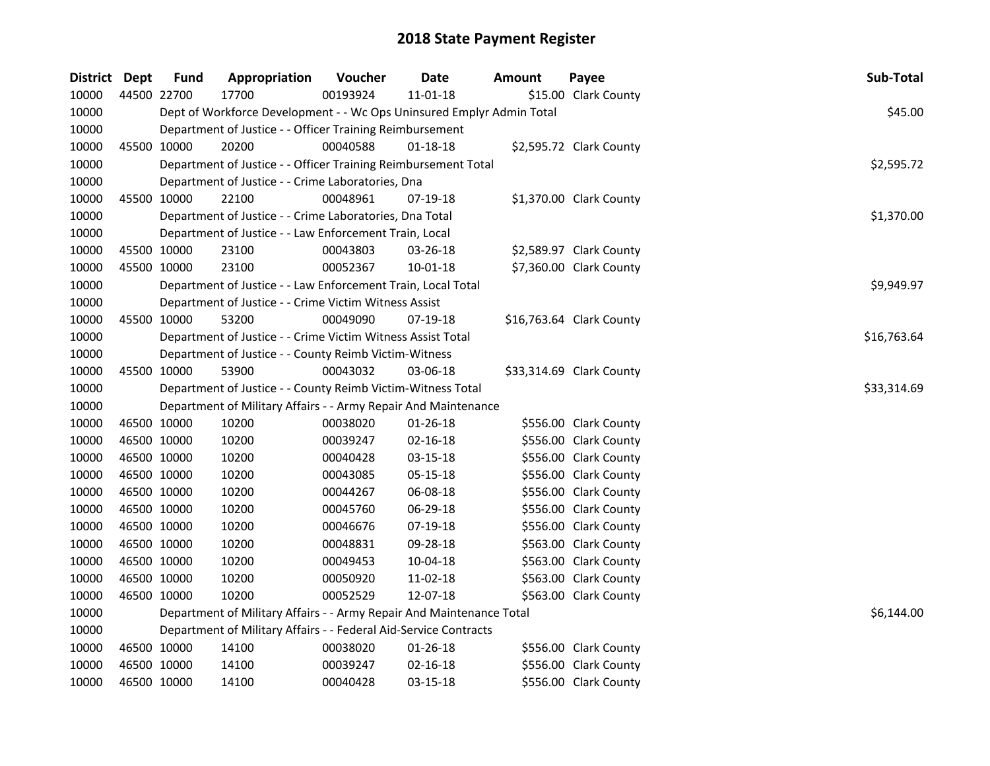| District Dept |             | <b>Fund</b> | Appropriation                                                         | Voucher  | Date           | <b>Amount</b> | Payee                    | Sub-Total   |
|---------------|-------------|-------------|-----------------------------------------------------------------------|----------|----------------|---------------|--------------------------|-------------|
| 10000         | 44500 22700 |             | 17700                                                                 | 00193924 | $11 - 01 - 18$ |               | \$15.00 Clark County     |             |
| 10000         |             |             | Dept of Workforce Development - - Wc Ops Uninsured Emplyr Admin Total |          |                |               |                          | \$45.00     |
| 10000         |             |             | Department of Justice - - Officer Training Reimbursement              |          |                |               |                          |             |
| 10000         |             | 45500 10000 | 20200                                                                 | 00040588 | $01 - 18 - 18$ |               | \$2,595.72 Clark County  |             |
| 10000         |             |             | Department of Justice - - Officer Training Reimbursement Total        |          |                |               |                          | \$2,595.72  |
| 10000         |             |             | Department of Justice - - Crime Laboratories, Dna                     |          |                |               |                          |             |
| 10000         |             | 45500 10000 | 22100                                                                 | 00048961 | 07-19-18       |               | \$1,370.00 Clark County  |             |
| 10000         |             |             | Department of Justice - - Crime Laboratories, Dna Total               |          |                |               |                          | \$1,370.00  |
| 10000         |             |             | Department of Justice - - Law Enforcement Train, Local                |          |                |               |                          |             |
| 10000         |             | 45500 10000 | 23100                                                                 | 00043803 | 03-26-18       |               | \$2,589.97 Clark County  |             |
| 10000         |             | 45500 10000 | 23100                                                                 | 00052367 | $10 - 01 - 18$ |               | \$7,360.00 Clark County  |             |
| 10000         |             |             | Department of Justice - - Law Enforcement Train, Local Total          |          |                |               |                          | \$9,949.97  |
| 10000         |             |             | Department of Justice - - Crime Victim Witness Assist                 |          |                |               |                          |             |
| 10000         |             | 45500 10000 | 53200                                                                 | 00049090 | 07-19-18       |               | \$16,763.64 Clark County |             |
| 10000         |             |             | Department of Justice - - Crime Victim Witness Assist Total           |          |                |               |                          | \$16,763.64 |
| 10000         |             |             | Department of Justice - - County Reimb Victim-Witness                 |          |                |               |                          |             |
| 10000         |             | 45500 10000 | 53900                                                                 | 00043032 | 03-06-18       |               | \$33,314.69 Clark County |             |
| 10000         |             |             | Department of Justice - - County Reimb Victim-Witness Total           |          |                |               |                          | \$33,314.69 |
| 10000         |             |             | Department of Military Affairs - - Army Repair And Maintenance        |          |                |               |                          |             |
| 10000         |             | 46500 10000 | 10200                                                                 | 00038020 | $01 - 26 - 18$ |               | \$556.00 Clark County    |             |
| 10000         |             | 46500 10000 | 10200                                                                 | 00039247 | 02-16-18       |               | \$556.00 Clark County    |             |
| 10000         |             | 46500 10000 | 10200                                                                 | 00040428 | 03-15-18       |               | \$556.00 Clark County    |             |
| 10000         |             | 46500 10000 | 10200                                                                 | 00043085 | 05-15-18       |               | \$556.00 Clark County    |             |
| 10000         |             | 46500 10000 | 10200                                                                 | 00044267 | 06-08-18       |               | \$556.00 Clark County    |             |
| 10000         |             | 46500 10000 | 10200                                                                 | 00045760 | 06-29-18       |               | \$556.00 Clark County    |             |
| 10000         |             | 46500 10000 | 10200                                                                 | 00046676 | 07-19-18       |               | \$556.00 Clark County    |             |
| 10000         |             | 46500 10000 | 10200                                                                 | 00048831 | 09-28-18       |               | \$563.00 Clark County    |             |
| 10000         |             | 46500 10000 | 10200                                                                 | 00049453 | 10-04-18       |               | \$563.00 Clark County    |             |
| 10000         | 46500 10000 |             | 10200                                                                 | 00050920 | 11-02-18       |               | \$563.00 Clark County    |             |
| 10000         |             | 46500 10000 | 10200                                                                 | 00052529 | 12-07-18       |               | \$563.00 Clark County    |             |
| 10000         |             |             | Department of Military Affairs - - Army Repair And Maintenance Total  |          |                |               |                          | \$6,144.00  |
| 10000         |             |             | Department of Military Affairs - - Federal Aid-Service Contracts      |          |                |               |                          |             |
| 10000         |             | 46500 10000 | 14100                                                                 | 00038020 | 01-26-18       |               | \$556.00 Clark County    |             |
| 10000         |             | 46500 10000 | 14100                                                                 | 00039247 | 02-16-18       |               | \$556.00 Clark County    |             |
| 10000         |             | 46500 10000 | 14100                                                                 | 00040428 | 03-15-18       |               | \$556.00 Clark County    |             |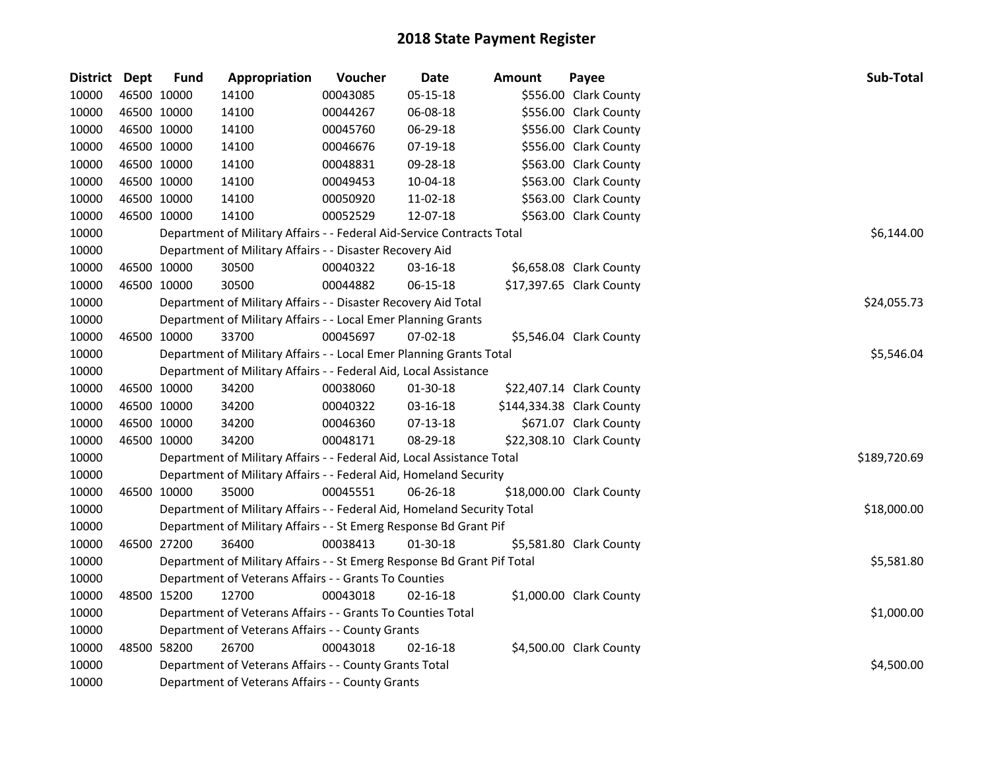| District Dept |             | <b>Fund</b> | Appropriation                                                           | Voucher  | <b>Date</b> | Amount | Payee                     | Sub-Total    |  |  |  |
|---------------|-------------|-------------|-------------------------------------------------------------------------|----------|-------------|--------|---------------------------|--------------|--|--|--|
| 10000         | 46500 10000 |             | 14100                                                                   | 00043085 | 05-15-18    |        | \$556.00 Clark County     |              |  |  |  |
| 10000         | 46500 10000 |             | 14100                                                                   | 00044267 | 06-08-18    |        | \$556.00 Clark County     |              |  |  |  |
| 10000         | 46500 10000 |             | 14100                                                                   | 00045760 | 06-29-18    |        | \$556.00 Clark County     |              |  |  |  |
| 10000         | 46500 10000 |             | 14100                                                                   | 00046676 | 07-19-18    |        | \$556.00 Clark County     |              |  |  |  |
| 10000         | 46500 10000 |             | 14100                                                                   | 00048831 | 09-28-18    |        | \$563.00 Clark County     |              |  |  |  |
| 10000         | 46500 10000 |             | 14100                                                                   | 00049453 | 10-04-18    |        | \$563.00 Clark County     |              |  |  |  |
| 10000         | 46500 10000 |             | 14100                                                                   | 00050920 | 11-02-18    |        | \$563.00 Clark County     |              |  |  |  |
| 10000         | 46500 10000 |             | 14100                                                                   | 00052529 | 12-07-18    |        | \$563.00 Clark County     |              |  |  |  |
| 10000         |             |             | Department of Military Affairs - - Federal Aid-Service Contracts Total  |          |             |        |                           | \$6,144.00   |  |  |  |
| 10000         |             |             | Department of Military Affairs - - Disaster Recovery Aid                |          |             |        |                           |              |  |  |  |
| 10000         |             | 46500 10000 | 30500                                                                   | 00040322 | 03-16-18    |        | \$6,658.08 Clark County   |              |  |  |  |
| 10000         | 46500 10000 |             | 30500                                                                   | 00044882 | 06-15-18    |        | \$17,397.65 Clark County  |              |  |  |  |
| 10000         |             |             | Department of Military Affairs - - Disaster Recovery Aid Total          |          |             |        |                           | \$24,055.73  |  |  |  |
| 10000         |             |             | Department of Military Affairs - - Local Emer Planning Grants           |          |             |        |                           |              |  |  |  |
| 10000         | 46500 10000 |             | 33700                                                                   | 00045697 | 07-02-18    |        | \$5,546.04 Clark County   |              |  |  |  |
| 10000         |             |             | Department of Military Affairs - - Local Emer Planning Grants Total     |          |             |        |                           |              |  |  |  |
| 10000         |             |             | Department of Military Affairs - - Federal Aid, Local Assistance        |          |             |        |                           |              |  |  |  |
| 10000         | 46500 10000 |             | 34200                                                                   | 00038060 | 01-30-18    |        | \$22,407.14 Clark County  |              |  |  |  |
| 10000         | 46500 10000 |             | 34200                                                                   | 00040322 | 03-16-18    |        | \$144,334.38 Clark County |              |  |  |  |
| 10000         | 46500 10000 |             | 34200                                                                   | 00046360 | $07-13-18$  |        | \$671.07 Clark County     |              |  |  |  |
| 10000         | 46500 10000 |             | 34200                                                                   | 00048171 | 08-29-18    |        | \$22,308.10 Clark County  |              |  |  |  |
| 10000         |             |             | Department of Military Affairs - - Federal Aid, Local Assistance Total  |          |             |        |                           | \$189,720.69 |  |  |  |
| 10000         |             |             | Department of Military Affairs - - Federal Aid, Homeland Security       |          |             |        |                           |              |  |  |  |
| 10000         | 46500 10000 |             | 35000                                                                   | 00045551 | 06-26-18    |        | \$18,000.00 Clark County  |              |  |  |  |
| 10000         |             |             | Department of Military Affairs - - Federal Aid, Homeland Security Total |          |             |        |                           | \$18,000.00  |  |  |  |
| 10000         |             |             | Department of Military Affairs - - St Emerg Response Bd Grant Pif       |          |             |        |                           |              |  |  |  |
| 10000         |             | 46500 27200 | 36400                                                                   | 00038413 | 01-30-18    |        | \$5,581.80 Clark County   |              |  |  |  |
| 10000         |             |             | Department of Military Affairs - - St Emerg Response Bd Grant Pif Total |          |             |        |                           | \$5,581.80   |  |  |  |
| 10000         |             |             | Department of Veterans Affairs - - Grants To Counties                   |          |             |        |                           |              |  |  |  |
| 10000         | 48500 15200 |             | 12700                                                                   | 00043018 | 02-16-18    |        | \$1,000.00 Clark County   |              |  |  |  |
| 10000         |             |             | Department of Veterans Affairs - - Grants To Counties Total             |          |             |        |                           | \$1,000.00   |  |  |  |
| 10000         |             |             | Department of Veterans Affairs - - County Grants                        |          |             |        |                           |              |  |  |  |
| 10000         | 48500 58200 |             | 26700                                                                   | 00043018 | 02-16-18    |        | \$4,500.00 Clark County   |              |  |  |  |
| 10000         |             |             | Department of Veterans Affairs - - County Grants Total                  |          |             |        |                           | \$4,500.00   |  |  |  |
| 10000         |             |             | Department of Veterans Affairs - - County Grants                        |          |             |        |                           |              |  |  |  |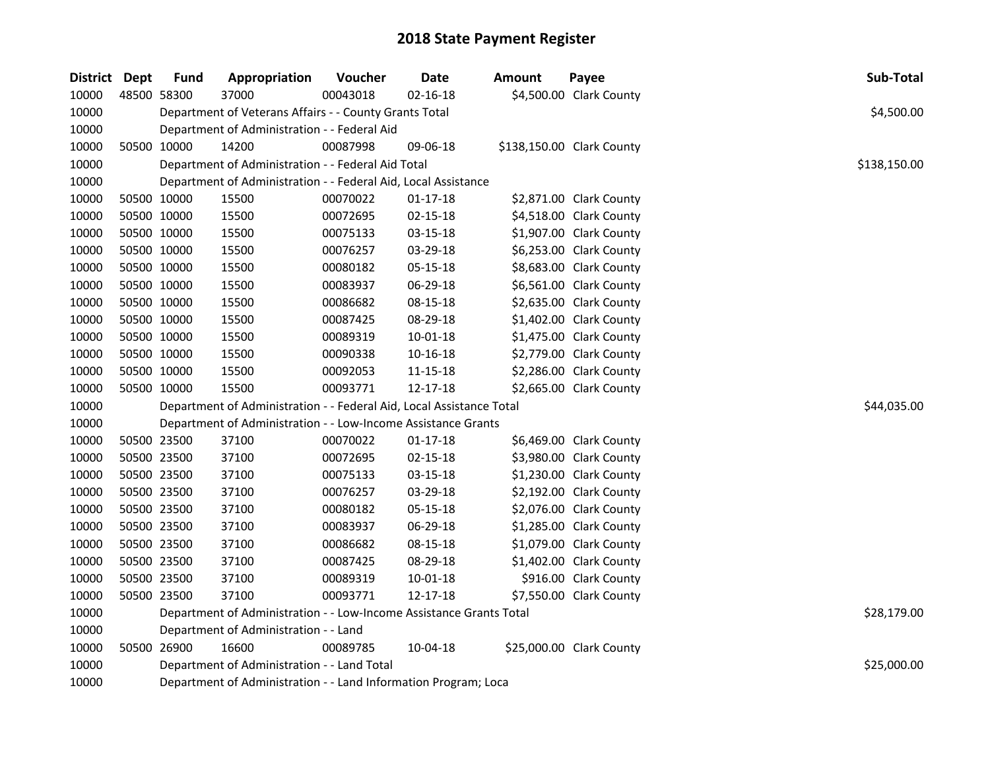| <b>District Dept</b> | Fund        | Appropriation                                                        | Voucher  | <b>Date</b>    | <b>Amount</b> | Payee                     | Sub-Total    |
|----------------------|-------------|----------------------------------------------------------------------|----------|----------------|---------------|---------------------------|--------------|
| 10000                | 48500 58300 | 37000                                                                | 00043018 | $02 - 16 - 18$ |               | \$4,500.00 Clark County   |              |
| 10000                |             | Department of Veterans Affairs - - County Grants Total               |          |                |               |                           | \$4,500.00   |
| 10000                |             | Department of Administration - - Federal Aid                         |          |                |               |                           |              |
| 10000                | 50500 10000 | 14200                                                                | 00087998 | 09-06-18       |               | \$138,150.00 Clark County |              |
| 10000                |             | Department of Administration - - Federal Aid Total                   |          |                |               |                           | \$138,150.00 |
| 10000                |             | Department of Administration - - Federal Aid, Local Assistance       |          |                |               |                           |              |
| 10000                | 50500 10000 | 15500                                                                | 00070022 | $01 - 17 - 18$ |               | \$2,871.00 Clark County   |              |
| 10000                | 50500 10000 | 15500                                                                | 00072695 | 02-15-18       |               | \$4,518.00 Clark County   |              |
| 10000                | 50500 10000 | 15500                                                                | 00075133 | 03-15-18       |               | \$1,907.00 Clark County   |              |
| 10000                | 50500 10000 | 15500                                                                | 00076257 | 03-29-18       |               | \$6,253.00 Clark County   |              |
| 10000                | 50500 10000 | 15500                                                                | 00080182 | 05-15-18       |               | \$8,683.00 Clark County   |              |
| 10000                | 50500 10000 | 15500                                                                | 00083937 | 06-29-18       |               | \$6,561.00 Clark County   |              |
| 10000                | 50500 10000 | 15500                                                                | 00086682 | 08-15-18       |               | \$2,635.00 Clark County   |              |
| 10000                | 50500 10000 | 15500                                                                | 00087425 | 08-29-18       |               | \$1,402.00 Clark County   |              |
| 10000                | 50500 10000 | 15500                                                                | 00089319 | 10-01-18       |               | \$1,475.00 Clark County   |              |
| 10000                | 50500 10000 | 15500                                                                | 00090338 | 10-16-18       |               | \$2,779.00 Clark County   |              |
| 10000                | 50500 10000 | 15500                                                                | 00092053 | 11-15-18       |               | \$2,286.00 Clark County   |              |
| 10000                | 50500 10000 | 15500                                                                | 00093771 | 12-17-18       |               | \$2,665.00 Clark County   |              |
| 10000                |             | Department of Administration - - Federal Aid, Local Assistance Total |          |                |               |                           | \$44,035.00  |
| 10000                |             | Department of Administration - - Low-Income Assistance Grants        |          |                |               |                           |              |
| 10000                | 50500 23500 | 37100                                                                | 00070022 | $01 - 17 - 18$ |               | \$6,469.00 Clark County   |              |
| 10000                | 50500 23500 | 37100                                                                | 00072695 | $02 - 15 - 18$ |               | \$3,980.00 Clark County   |              |
| 10000                | 50500 23500 | 37100                                                                | 00075133 | 03-15-18       |               | \$1,230.00 Clark County   |              |
| 10000                | 50500 23500 | 37100                                                                | 00076257 | 03-29-18       |               | \$2,192.00 Clark County   |              |
| 10000                | 50500 23500 | 37100                                                                | 00080182 | 05-15-18       |               | \$2,076.00 Clark County   |              |
| 10000                | 50500 23500 | 37100                                                                | 00083937 | 06-29-18       |               | \$1,285.00 Clark County   |              |
| 10000                | 50500 23500 | 37100                                                                | 00086682 | 08-15-18       |               | \$1,079.00 Clark County   |              |
| 10000                | 50500 23500 | 37100                                                                | 00087425 | 08-29-18       |               | \$1,402.00 Clark County   |              |
| 10000                | 50500 23500 | 37100                                                                | 00089319 | $10 - 01 - 18$ |               | \$916.00 Clark County     |              |
| 10000                | 50500 23500 | 37100                                                                | 00093771 | 12-17-18       |               | \$7,550.00 Clark County   |              |
| 10000                |             | Department of Administration - - Low-Income Assistance Grants Total  |          |                |               |                           | \$28,179.00  |
| 10000                |             | Department of Administration - - Land                                |          |                |               |                           |              |
| 10000                | 50500 26900 | 16600                                                                | 00089785 | 10-04-18       |               | \$25,000.00 Clark County  |              |
| 10000                |             | Department of Administration - - Land Total                          |          |                |               |                           | \$25,000.00  |
| 10000                |             | Department of Administration - - Land Information Program; Loca      |          |                |               |                           |              |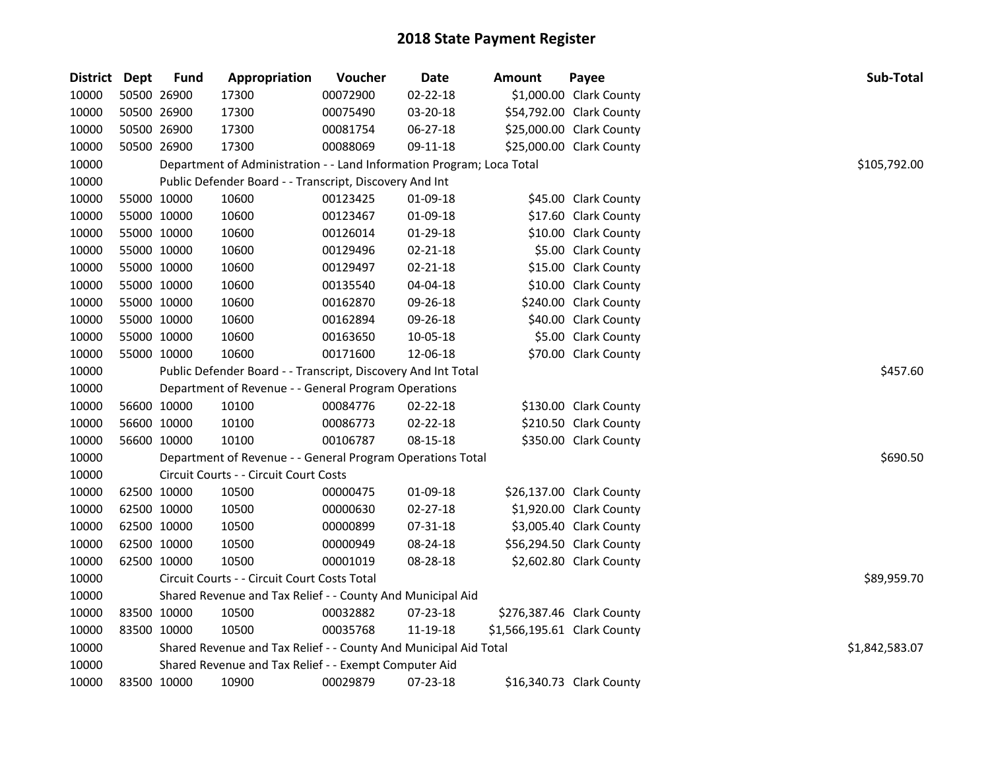| District Dept | <b>Fund</b> | Appropriation                                                         | Voucher  | Date           | Amount                      | Payee                     | Sub-Total      |
|---------------|-------------|-----------------------------------------------------------------------|----------|----------------|-----------------------------|---------------------------|----------------|
| 10000         | 50500 26900 | 17300                                                                 | 00072900 | $02 - 22 - 18$ |                             | \$1,000.00 Clark County   |                |
| 10000         | 50500 26900 | 17300                                                                 | 00075490 | 03-20-18       |                             | \$54,792.00 Clark County  |                |
| 10000         | 50500 26900 | 17300                                                                 | 00081754 | 06-27-18       |                             | \$25,000.00 Clark County  |                |
| 10000         | 50500 26900 | 17300                                                                 | 00088069 | 09-11-18       |                             | \$25,000.00 Clark County  |                |
| 10000         |             | Department of Administration - - Land Information Program; Loca Total |          |                |                             |                           | \$105,792.00   |
| 10000         |             | Public Defender Board - - Transcript, Discovery And Int               |          |                |                             |                           |                |
| 10000         | 55000 10000 | 10600                                                                 | 00123425 | 01-09-18       |                             | \$45.00 Clark County      |                |
| 10000         | 55000 10000 | 10600                                                                 | 00123467 | 01-09-18       |                             | \$17.60 Clark County      |                |
| 10000         | 55000 10000 | 10600                                                                 | 00126014 | 01-29-18       |                             | \$10.00 Clark County      |                |
| 10000         | 55000 10000 | 10600                                                                 | 00129496 | 02-21-18       |                             | \$5.00 Clark County       |                |
| 10000         | 55000 10000 | 10600                                                                 | 00129497 | 02-21-18       |                             | \$15.00 Clark County      |                |
| 10000         | 55000 10000 | 10600                                                                 | 00135540 | 04-04-18       |                             | \$10.00 Clark County      |                |
| 10000         | 55000 10000 | 10600                                                                 | 00162870 | 09-26-18       |                             | \$240.00 Clark County     |                |
| 10000         | 55000 10000 | 10600                                                                 | 00162894 | 09-26-18       |                             | \$40.00 Clark County      |                |
| 10000         | 55000 10000 | 10600                                                                 | 00163650 | 10-05-18       |                             | \$5.00 Clark County       |                |
| 10000         | 55000 10000 | 10600                                                                 | 00171600 | 12-06-18       |                             | \$70.00 Clark County      |                |
| 10000         |             | Public Defender Board - - Transcript, Discovery And Int Total         |          |                |                             |                           | \$457.60       |
| 10000         |             | Department of Revenue - - General Program Operations                  |          |                |                             |                           |                |
| 10000         | 56600 10000 | 10100                                                                 | 00084776 | 02-22-18       |                             | \$130.00 Clark County     |                |
| 10000         | 56600 10000 | 10100                                                                 | 00086773 | 02-22-18       |                             | \$210.50 Clark County     |                |
| 10000         | 56600 10000 | 10100                                                                 | 00106787 | 08-15-18       |                             | \$350.00 Clark County     |                |
| 10000         |             | Department of Revenue - - General Program Operations Total            |          |                |                             |                           | \$690.50       |
| 10000         |             | Circuit Courts - - Circuit Court Costs                                |          |                |                             |                           |                |
| 10000         | 62500 10000 | 10500                                                                 | 00000475 | 01-09-18       |                             | \$26,137.00 Clark County  |                |
| 10000         | 62500 10000 | 10500                                                                 | 00000630 | 02-27-18       |                             | \$1,920.00 Clark County   |                |
| 10000         | 62500 10000 | 10500                                                                 | 00000899 | 07-31-18       |                             | \$3,005.40 Clark County   |                |
| 10000         | 62500 10000 | 10500                                                                 | 00000949 | 08-24-18       |                             | \$56,294.50 Clark County  |                |
| 10000         | 62500 10000 | 10500                                                                 | 00001019 | 08-28-18       |                             | \$2,602.80 Clark County   |                |
| 10000         |             | Circuit Courts - - Circuit Court Costs Total                          |          |                |                             |                           | \$89,959.70    |
| 10000         |             | Shared Revenue and Tax Relief - - County And Municipal Aid            |          |                |                             |                           |                |
| 10000         | 83500 10000 | 10500                                                                 | 00032882 | 07-23-18       |                             | \$276,387.46 Clark County |                |
| 10000         | 83500 10000 | 10500                                                                 | 00035768 | 11-19-18       | \$1,566,195.61 Clark County |                           |                |
| 10000         |             | Shared Revenue and Tax Relief - - County And Municipal Aid Total      |          |                |                             |                           | \$1,842,583.07 |
| 10000         |             | Shared Revenue and Tax Relief - - Exempt Computer Aid                 |          |                |                             |                           |                |
| 10000         | 83500 10000 | 10900                                                                 | 00029879 | 07-23-18       |                             | \$16,340.73 Clark County  |                |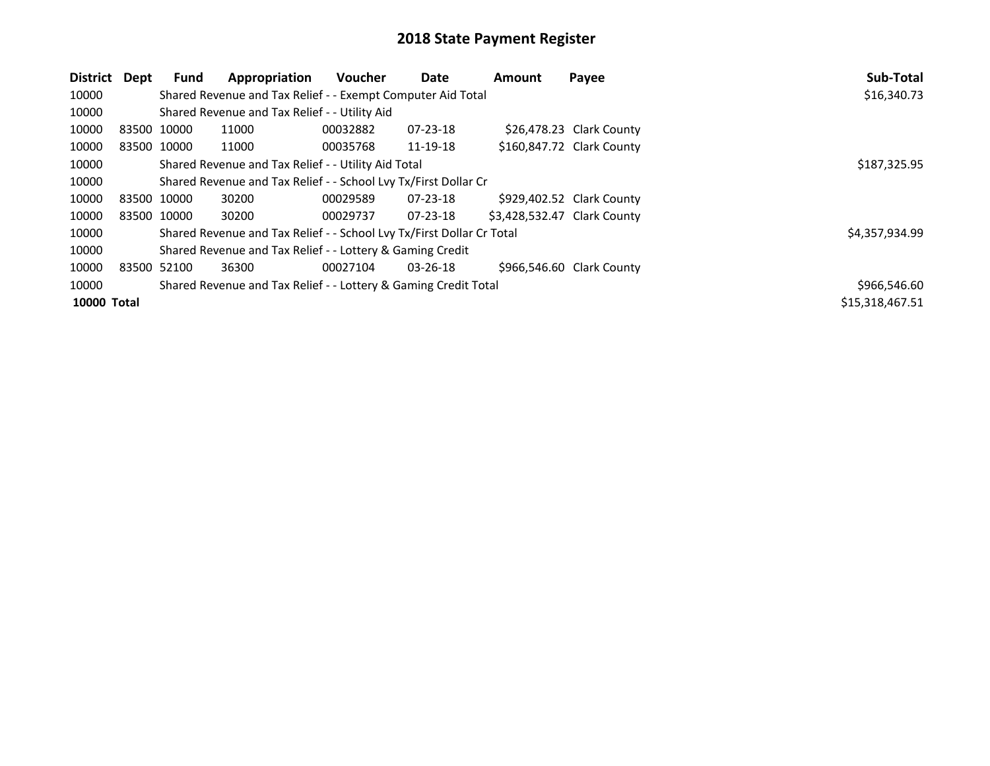| District           | Dept        | <b>Fund</b> | Appropriation                                                         | <b>Voucher</b> | <b>Date</b>    | <b>Amount</b>               | Payee                     | Sub-Total       |
|--------------------|-------------|-------------|-----------------------------------------------------------------------|----------------|----------------|-----------------------------|---------------------------|-----------------|
| 10000              |             |             | Shared Revenue and Tax Relief - - Exempt Computer Aid Total           |                |                |                             |                           | \$16,340.73     |
| 10000              |             |             | Shared Revenue and Tax Relief - - Utility Aid                         |                |                |                             |                           |                 |
| 10000              | 83500 10000 |             | 11000                                                                 | 00032882       | 07-23-18       |                             | \$26,478.23 Clark County  |                 |
| 10000              |             | 83500 10000 | 11000                                                                 | 00035768       | 11-19-18       |                             | \$160,847.72 Clark County |                 |
| 10000              |             |             | Shared Revenue and Tax Relief - - Utility Aid Total                   |                |                |                             |                           | \$187,325.95    |
| 10000              |             |             | Shared Revenue and Tax Relief - - School Lvy Tx/First Dollar Cr       |                |                |                             |                           |                 |
| 10000              |             | 83500 10000 | 30200                                                                 | 00029589       | $07 - 23 - 18$ |                             | \$929,402.52 Clark County |                 |
| 10000              |             | 83500 10000 | 30200                                                                 | 00029737       | $07 - 23 - 18$ | \$3,428,532.47 Clark County |                           |                 |
| 10000              |             |             | Shared Revenue and Tax Relief - - School Lvy Tx/First Dollar Cr Total |                |                |                             |                           | \$4,357,934.99  |
| 10000              |             |             | Shared Revenue and Tax Relief - - Lottery & Gaming Credit             |                |                |                             |                           |                 |
| 10000              | 83500 52100 |             | 36300                                                                 | 00027104       | 03-26-18       |                             | \$966,546.60 Clark County |                 |
| 10000              |             |             | Shared Revenue and Tax Relief - - Lottery & Gaming Credit Total       |                |                |                             |                           | \$966,546.60    |
| <b>10000 Total</b> |             |             |                                                                       |                |                |                             |                           | \$15,318,467.51 |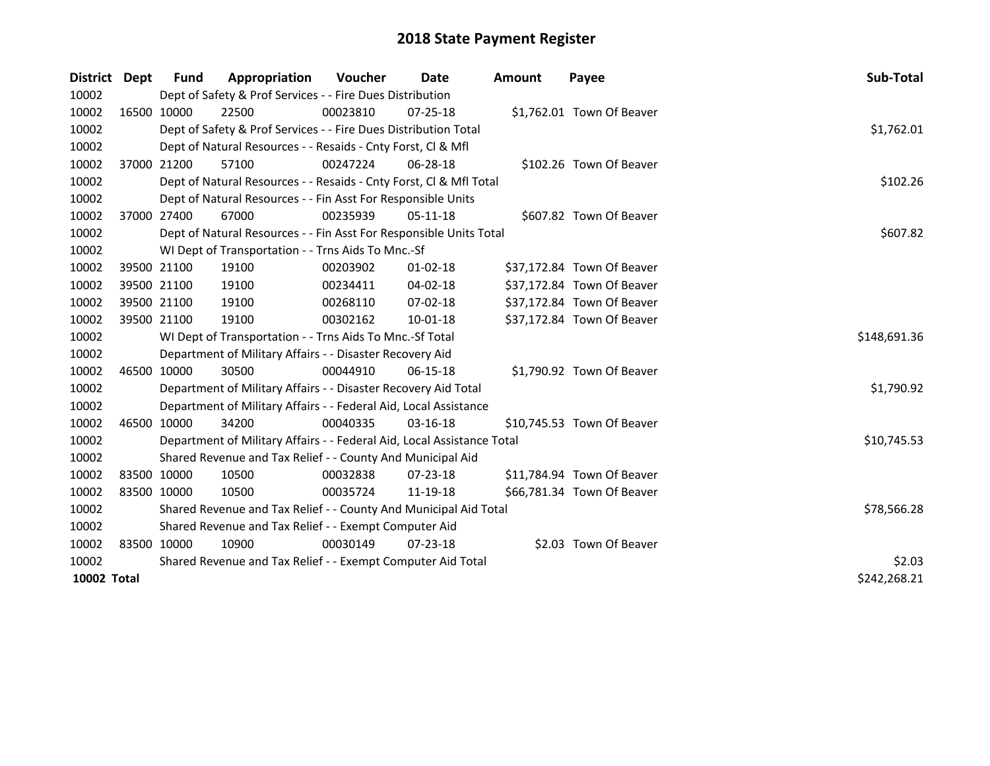| District Dept      |             | <b>Fund</b> | Appropriation                                                          | Voucher  | Date           | Amount | Payee                      | Sub-Total    |
|--------------------|-------------|-------------|------------------------------------------------------------------------|----------|----------------|--------|----------------------------|--------------|
| 10002              |             |             | Dept of Safety & Prof Services - - Fire Dues Distribution              |          |                |        |                            |              |
| 10002              |             | 16500 10000 | 22500                                                                  | 00023810 | 07-25-18       |        | \$1,762.01 Town Of Beaver  |              |
| 10002              |             |             | Dept of Safety & Prof Services - - Fire Dues Distribution Total        |          |                |        |                            | \$1,762.01   |
| 10002              |             |             | Dept of Natural Resources - - Resaids - Cnty Forst, Cl & Mfl           |          |                |        |                            |              |
| 10002              |             | 37000 21200 | 57100                                                                  | 00247224 | 06-28-18       |        | \$102.26 Town Of Beaver    |              |
| 10002              |             |             | Dept of Natural Resources - - Resaids - Cnty Forst, Cl & Mfl Total     |          |                |        |                            | \$102.26     |
| 10002              |             |             | Dept of Natural Resources - - Fin Asst For Responsible Units           |          |                |        |                            |              |
| 10002              |             | 37000 27400 | 67000                                                                  | 00235939 | $05-11-18$     |        | \$607.82 Town Of Beaver    |              |
| 10002              |             |             | Dept of Natural Resources - - Fin Asst For Responsible Units Total     |          |                |        |                            | \$607.82     |
| 10002              |             |             | WI Dept of Transportation - - Trns Aids To Mnc.-Sf                     |          |                |        |                            |              |
| 10002              |             | 39500 21100 | 19100                                                                  | 00203902 | $01 - 02 - 18$ |        | \$37,172.84 Town Of Beaver |              |
| 10002              |             | 39500 21100 | 19100                                                                  | 00234411 | 04-02-18       |        | \$37,172.84 Town Of Beaver |              |
| 10002              |             | 39500 21100 | 19100                                                                  | 00268110 | 07-02-18       |        | \$37,172.84 Town Of Beaver |              |
| 10002              |             | 39500 21100 | 19100                                                                  | 00302162 | 10-01-18       |        | \$37,172.84 Town Of Beaver |              |
| 10002              |             |             | WI Dept of Transportation - - Trns Aids To Mnc.-Sf Total               |          |                |        |                            | \$148,691.36 |
| 10002              |             |             | Department of Military Affairs - - Disaster Recovery Aid               |          |                |        |                            |              |
| 10002              |             | 46500 10000 | 30500                                                                  | 00044910 | $06-15-18$     |        | \$1,790.92 Town Of Beaver  |              |
| 10002              |             |             | Department of Military Affairs - - Disaster Recovery Aid Total         |          |                |        |                            | \$1,790.92   |
| 10002              |             |             | Department of Military Affairs - - Federal Aid, Local Assistance       |          |                |        |                            |              |
| 10002              |             | 46500 10000 | 34200                                                                  | 00040335 | 03-16-18       |        | \$10,745.53 Town Of Beaver |              |
| 10002              |             |             | Department of Military Affairs - - Federal Aid, Local Assistance Total |          |                |        |                            | \$10,745.53  |
| 10002              |             |             | Shared Revenue and Tax Relief - - County And Municipal Aid             |          |                |        |                            |              |
| 10002              | 83500 10000 |             | 10500                                                                  | 00032838 | 07-23-18       |        | \$11,784.94 Town Of Beaver |              |
| 10002              | 83500 10000 |             | 10500                                                                  | 00035724 | 11-19-18       |        | \$66,781.34 Town Of Beaver |              |
| 10002              |             |             | Shared Revenue and Tax Relief - - County And Municipal Aid Total       |          |                |        |                            | \$78,566.28  |
| 10002              |             |             | Shared Revenue and Tax Relief - - Exempt Computer Aid                  |          |                |        |                            |              |
| 10002              | 83500 10000 |             | 10900                                                                  | 00030149 | $07 - 23 - 18$ |        | \$2.03 Town Of Beaver      |              |
| 10002              |             |             | Shared Revenue and Tax Relief - - Exempt Computer Aid Total            | \$2.03   |                |        |                            |              |
| <b>10002 Total</b> |             |             |                                                                        |          |                |        |                            | \$242,268.21 |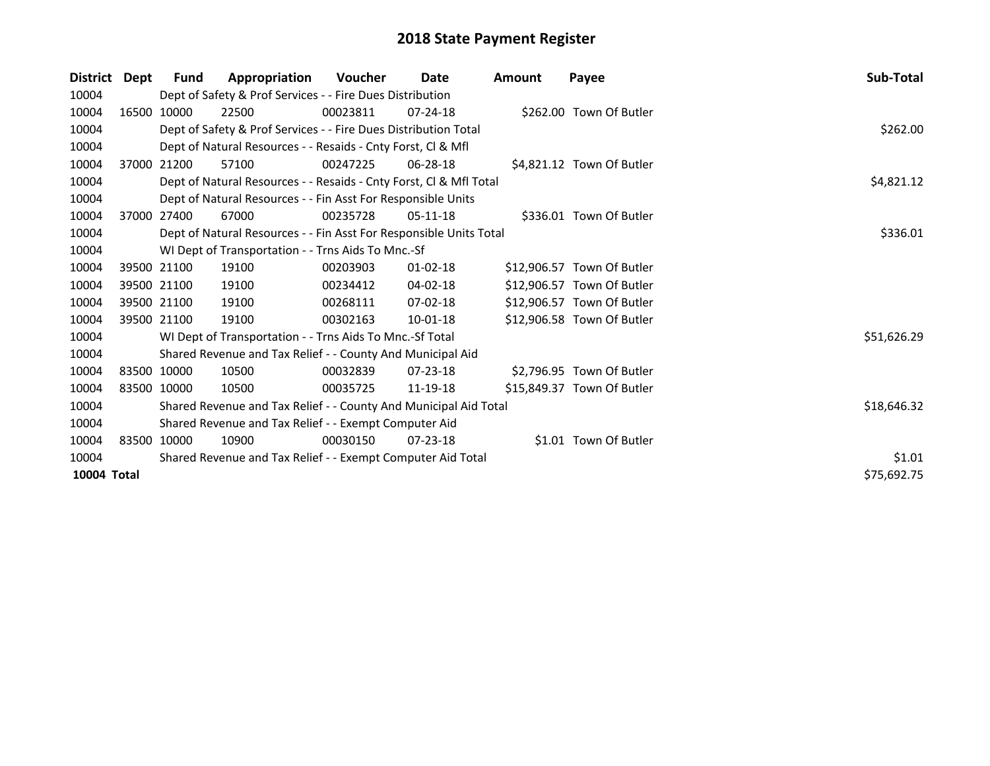| <b>District</b> | Dept        | <b>Fund</b> | Appropriation                                                      | <b>Voucher</b> | Date           | <b>Amount</b> | Payee                      | Sub-Total   |  |  |
|-----------------|-------------|-------------|--------------------------------------------------------------------|----------------|----------------|---------------|----------------------------|-------------|--|--|
| 10004           |             |             | Dept of Safety & Prof Services - - Fire Dues Distribution          |                |                |               |                            |             |  |  |
| 10004           |             | 16500 10000 | 22500                                                              | 00023811       | $07 - 24 - 18$ |               | \$262.00 Town Of Butler    |             |  |  |
| 10004           |             |             | Dept of Safety & Prof Services - - Fire Dues Distribution Total    |                |                |               |                            | \$262.00    |  |  |
| 10004           |             |             | Dept of Natural Resources - - Resaids - Cnty Forst, CI & Mfl       |                |                |               |                            |             |  |  |
| 10004           |             | 37000 21200 | 57100                                                              | 00247225       | 06-28-18       |               | \$4,821.12 Town Of Butler  |             |  |  |
| 10004           |             |             | Dept of Natural Resources - - Resaids - Cnty Forst, Cl & Mfl Total |                |                |               |                            | \$4,821.12  |  |  |
| 10004           |             |             | Dept of Natural Resources - - Fin Asst For Responsible Units       |                |                |               |                            |             |  |  |
| 10004           |             | 37000 27400 | 67000                                                              | 00235728       | 05-11-18       |               | \$336.01 Town Of Butler    |             |  |  |
| 10004           |             |             | Dept of Natural Resources - - Fin Asst For Responsible Units Total |                |                |               |                            | \$336.01    |  |  |
| 10004           |             |             | WI Dept of Transportation - - Trns Aids To Mnc.-Sf                 |                |                |               |                            |             |  |  |
| 10004           |             | 39500 21100 | 19100                                                              | 00203903       | $01 - 02 - 18$ |               | \$12,906.57 Town Of Butler |             |  |  |
| 10004           |             | 39500 21100 | 19100                                                              | 00234412       | 04-02-18       |               | \$12,906.57 Town Of Butler |             |  |  |
| 10004           |             | 39500 21100 | 19100                                                              | 00268111       | $07 - 02 - 18$ |               | \$12,906.57 Town Of Butler |             |  |  |
| 10004           |             | 39500 21100 | 19100                                                              | 00302163       | 10-01-18       |               | \$12,906.58 Town Of Butler |             |  |  |
| 10004           |             |             | WI Dept of Transportation - - Trns Aids To Mnc.-Sf Total           |                |                |               |                            | \$51,626.29 |  |  |
| 10004           |             |             | Shared Revenue and Tax Relief - - County And Municipal Aid         |                |                |               |                            |             |  |  |
| 10004           | 83500 10000 |             | 10500                                                              | 00032839       | $07 - 23 - 18$ |               | \$2,796.95 Town Of Butler  |             |  |  |
| 10004           | 83500 10000 |             | 10500                                                              | 00035725       | 11-19-18       |               | \$15,849.37 Town Of Butler |             |  |  |
| 10004           |             |             | Shared Revenue and Tax Relief - - County And Municipal Aid Total   |                |                |               |                            | \$18,646.32 |  |  |
| 10004           |             |             | Shared Revenue and Tax Relief - - Exempt Computer Aid              |                |                |               |                            |             |  |  |
| 10004           |             | 83500 10000 | 10900                                                              | 00030150       | $07 - 23 - 18$ |               | \$1.01 Town Of Butler      |             |  |  |
| 10004           |             |             | Shared Revenue and Tax Relief - - Exempt Computer Aid Total        |                |                |               |                            | \$1.01      |  |  |
| 10004 Total     |             |             |                                                                    |                |                |               |                            | \$75,692.75 |  |  |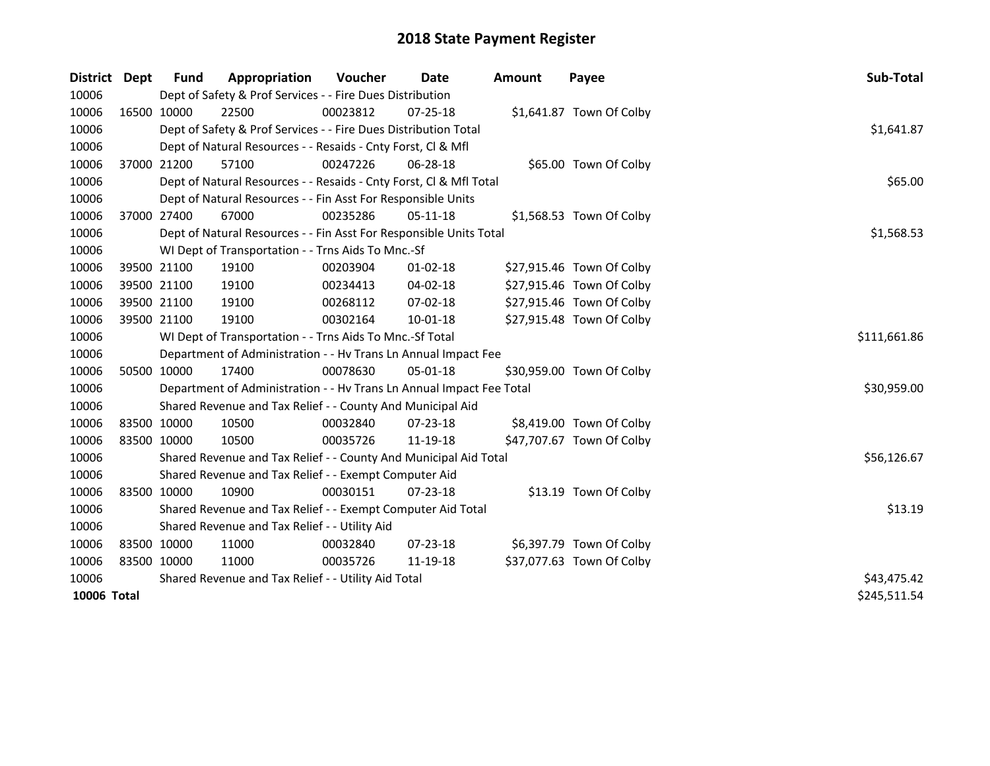| <b>District</b> | Dept        | <b>Fund</b> | Appropriation                                                        | <b>Voucher</b> | Date           | <b>Amount</b> | Payee                     | Sub-Total    |
|-----------------|-------------|-------------|----------------------------------------------------------------------|----------------|----------------|---------------|---------------------------|--------------|
| 10006           |             |             | Dept of Safety & Prof Services - - Fire Dues Distribution            |                |                |               |                           |              |
| 10006           |             | 16500 10000 | 22500                                                                | 00023812       | 07-25-18       |               | \$1,641.87 Town Of Colby  |              |
| 10006           |             |             | Dept of Safety & Prof Services - - Fire Dues Distribution Total      |                |                |               |                           | \$1,641.87   |
| 10006           |             |             | Dept of Natural Resources - - Resaids - Cnty Forst, Cl & Mfl         |                |                |               |                           |              |
| 10006           |             | 37000 21200 | 57100                                                                | 00247226       | $06 - 28 - 18$ |               | \$65.00 Town Of Colby     |              |
| 10006           |             |             | Dept of Natural Resources - - Resaids - Cnty Forst, CI & Mfl Total   | \$65.00        |                |               |                           |              |
| 10006           |             |             | Dept of Natural Resources - - Fin Asst For Responsible Units         |                |                |               |                           |              |
| 10006           |             | 37000 27400 | 67000                                                                | 00235286       | 05-11-18       |               | \$1,568.53 Town Of Colby  |              |
| 10006           |             |             | Dept of Natural Resources - - Fin Asst For Responsible Units Total   |                |                |               |                           | \$1,568.53   |
| 10006           |             |             | WI Dept of Transportation - - Trns Aids To Mnc.-Sf                   |                |                |               |                           |              |
| 10006           |             | 39500 21100 | 19100                                                                | 00203904       | 01-02-18       |               | \$27,915.46 Town Of Colby |              |
| 10006           |             | 39500 21100 | 19100                                                                | 00234413       | 04-02-18       |               | \$27,915.46 Town Of Colby |              |
| 10006           |             | 39500 21100 | 19100                                                                | 00268112       | 07-02-18       |               | \$27,915.46 Town Of Colby |              |
| 10006           | 39500 21100 |             | 19100                                                                | 00302164       | 10-01-18       |               | \$27,915.48 Town Of Colby |              |
| 10006           |             |             | WI Dept of Transportation - - Trns Aids To Mnc.-Sf Total             | \$111,661.86   |                |               |                           |              |
| 10006           |             |             | Department of Administration - - Hv Trans Ln Annual Impact Fee       |                |                |               |                           |              |
| 10006           |             | 50500 10000 | 17400                                                                | 00078630       | 05-01-18       |               | \$30,959.00 Town Of Colby |              |
| 10006           |             |             | Department of Administration - - Hv Trans Ln Annual Impact Fee Total |                |                |               |                           | \$30,959.00  |
| 10006           |             |             | Shared Revenue and Tax Relief - - County And Municipal Aid           |                |                |               |                           |              |
| 10006           |             | 83500 10000 | 10500                                                                | 00032840       | 07-23-18       |               | \$8,419.00 Town Of Colby  |              |
| 10006           | 83500 10000 |             | 10500                                                                | 00035726       | 11-19-18       |               | \$47,707.67 Town Of Colby |              |
| 10006           |             |             | Shared Revenue and Tax Relief - - County And Municipal Aid Total     |                |                |               |                           | \$56,126.67  |
| 10006           |             |             | Shared Revenue and Tax Relief - - Exempt Computer Aid                |                |                |               |                           |              |
| 10006           |             | 83500 10000 | 10900                                                                | 00030151       | $07 - 23 - 18$ |               | \$13.19 Town Of Colby     |              |
| 10006           |             |             | Shared Revenue and Tax Relief - - Exempt Computer Aid Total          |                |                |               |                           | \$13.19      |
| 10006           |             |             | Shared Revenue and Tax Relief - - Utility Aid                        |                |                |               |                           |              |
| 10006           |             | 83500 10000 | 11000                                                                | 00032840       | 07-23-18       |               | \$6,397.79 Town Of Colby  |              |
| 10006           | 83500 10000 |             | 11000                                                                | 00035726       | 11-19-18       |               | \$37,077.63 Town Of Colby |              |
| 10006           |             |             | Shared Revenue and Tax Relief - - Utility Aid Total                  | \$43,475.42    |                |               |                           |              |
| 10006 Total     |             |             |                                                                      |                |                |               |                           | \$245,511.54 |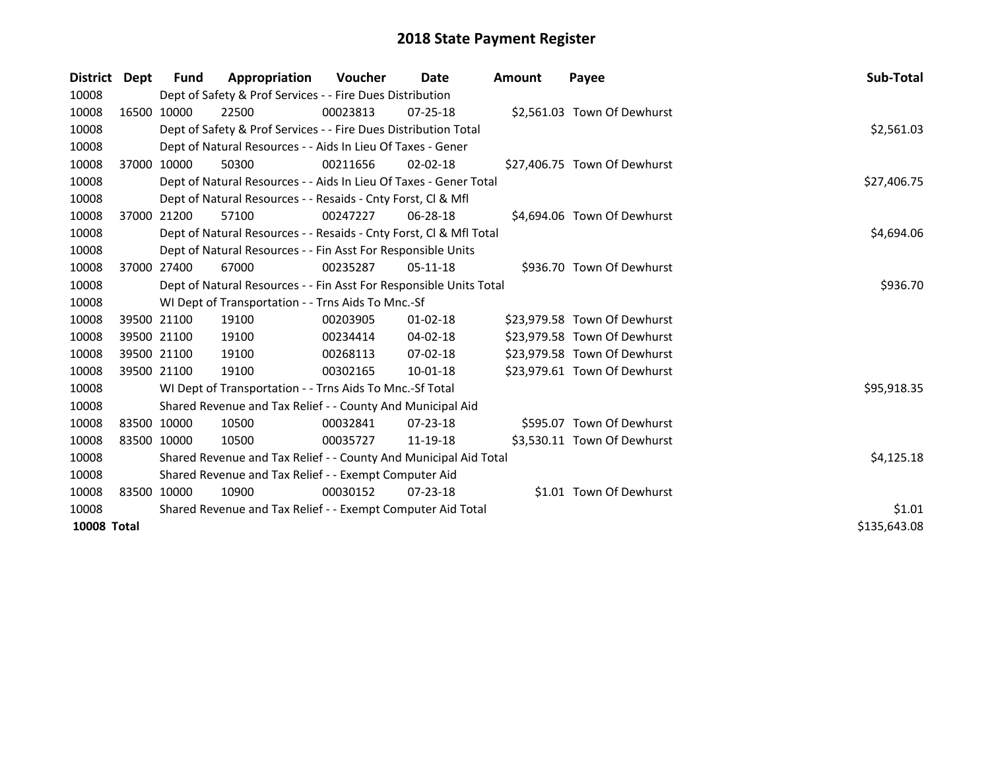| District Dept      |             | Fund                                                        | Appropriation                                                      | <b>Voucher</b> | Date           | Amount | Payee                        | Sub-Total    |
|--------------------|-------------|-------------------------------------------------------------|--------------------------------------------------------------------|----------------|----------------|--------|------------------------------|--------------|
| 10008              |             |                                                             | Dept of Safety & Prof Services - - Fire Dues Distribution          |                |                |        |                              |              |
| 10008              |             | 16500 10000                                                 | 22500                                                              | 00023813       | $07 - 25 - 18$ |        | \$2,561.03 Town Of Dewhurst  |              |
| 10008              |             |                                                             | Dept of Safety & Prof Services - - Fire Dues Distribution Total    |                |                |        |                              | \$2,561.03   |
| 10008              |             |                                                             | Dept of Natural Resources - - Aids In Lieu Of Taxes - Gener        |                |                |        |                              |              |
| 10008              |             | 37000 10000                                                 | 50300                                                              | 00211656       | $02 - 02 - 18$ |        | \$27,406.75 Town Of Dewhurst |              |
| 10008              |             |                                                             | Dept of Natural Resources - - Aids In Lieu Of Taxes - Gener Total  |                |                |        |                              | \$27,406.75  |
| 10008              |             |                                                             | Dept of Natural Resources - - Resaids - Cnty Forst, CI & Mfl       |                |                |        |                              |              |
| 10008              |             | 37000 21200                                                 | 57100                                                              | 00247227       | 06-28-18       |        | \$4,694.06 Town Of Dewhurst  |              |
| 10008              |             |                                                             | Dept of Natural Resources - - Resaids - Cnty Forst, Cl & Mfl Total |                |                |        |                              | \$4,694.06   |
| 10008              |             |                                                             | Dept of Natural Resources - - Fin Asst For Responsible Units       |                |                |        |                              |              |
| 10008              |             | 37000 27400                                                 | 67000                                                              | 00235287       | $05-11-18$     |        | \$936.70 Town Of Dewhurst    |              |
| 10008              |             |                                                             | Dept of Natural Resources - - Fin Asst For Responsible Units Total | \$936.70       |                |        |                              |              |
| 10008              |             |                                                             | WI Dept of Transportation - - Trns Aids To Mnc.-Sf                 |                |                |        |                              |              |
| 10008              |             | 39500 21100                                                 | 19100                                                              | 00203905       | $01 - 02 - 18$ |        | \$23,979.58 Town Of Dewhurst |              |
| 10008              |             | 39500 21100                                                 | 19100                                                              | 00234414       | 04-02-18       |        | \$23,979.58 Town Of Dewhurst |              |
| 10008              |             | 39500 21100                                                 | 19100                                                              | 00268113       | 07-02-18       |        | \$23,979.58 Town Of Dewhurst |              |
| 10008              |             | 39500 21100                                                 | 19100                                                              | 00302165       | 10-01-18       |        | \$23,979.61 Town Of Dewhurst |              |
| 10008              |             |                                                             | WI Dept of Transportation - - Trns Aids To Mnc.-Sf Total           |                |                |        |                              | \$95,918.35  |
| 10008              |             |                                                             | Shared Revenue and Tax Relief - - County And Municipal Aid         |                |                |        |                              |              |
| 10008              |             | 83500 10000                                                 | 10500                                                              | 00032841       | $07 - 23 - 18$ |        | \$595.07 Town Of Dewhurst    |              |
| 10008              | 83500 10000 |                                                             | 10500                                                              | 00035727       | 11-19-18       |        | \$3,530.11 Town Of Dewhurst  |              |
| 10008              |             |                                                             | Shared Revenue and Tax Relief - - County And Municipal Aid Total   | \$4,125.18     |                |        |                              |              |
| 10008              |             |                                                             | Shared Revenue and Tax Relief - - Exempt Computer Aid              |                |                |        |                              |              |
| 10008              |             | 83500 10000                                                 | 10900                                                              | 00030152       | $07 - 23 - 18$ |        | \$1.01 Town Of Dewhurst      |              |
| 10008              |             | Shared Revenue and Tax Relief - - Exempt Computer Aid Total | \$1.01                                                             |                |                |        |                              |              |
| <b>10008 Total</b> |             |                                                             |                                                                    |                |                |        |                              | \$135,643.08 |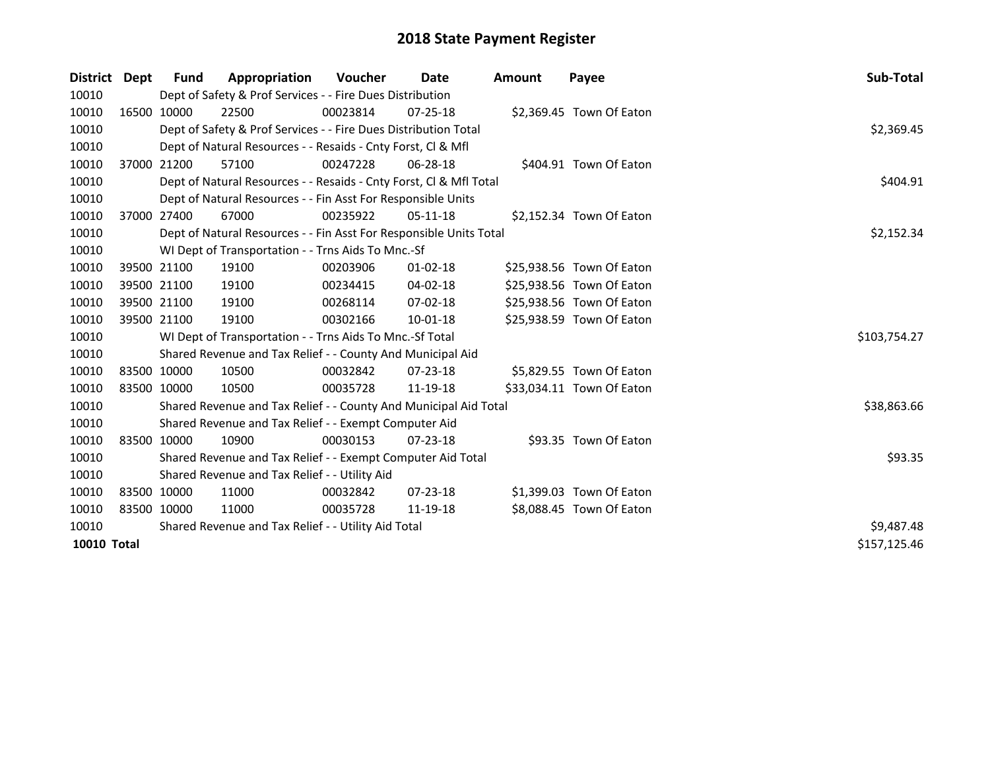| District Dept      | <b>Fund</b>                                         | Appropriation                                                      | <b>Voucher</b> | Date           | <b>Amount</b> | Payee                     | Sub-Total    |
|--------------------|-----------------------------------------------------|--------------------------------------------------------------------|----------------|----------------|---------------|---------------------------|--------------|
| 10010              |                                                     | Dept of Safety & Prof Services - - Fire Dues Distribution          |                |                |               |                           |              |
| 10010              | 16500 10000                                         | 22500                                                              | 00023814       | $07 - 25 - 18$ |               | \$2,369.45 Town Of Eaton  |              |
| 10010              |                                                     | Dept of Safety & Prof Services - - Fire Dues Distribution Total    |                |                |               |                           | \$2,369.45   |
| 10010              |                                                     | Dept of Natural Resources - - Resaids - Cnty Forst, Cl & Mfl       |                |                |               |                           |              |
| 10010              | 37000 21200                                         | 57100                                                              | 00247228       | 06-28-18       |               | \$404.91 Town Of Eaton    |              |
| 10010              |                                                     | Dept of Natural Resources - - Resaids - Cnty Forst, Cl & Mfl Total |                |                |               |                           | \$404.91     |
| 10010              |                                                     | Dept of Natural Resources - - Fin Asst For Responsible Units       |                |                |               |                           |              |
| 10010              | 37000 27400                                         | 67000                                                              | 00235922       | $05-11-18$     |               | \$2,152.34 Town Of Eaton  |              |
| 10010              |                                                     | Dept of Natural Resources - - Fin Asst For Responsible Units Total |                |                |               |                           | \$2,152.34   |
| 10010              |                                                     | WI Dept of Transportation - - Trns Aids To Mnc.-Sf                 |                |                |               |                           |              |
| 10010              | 39500 21100                                         | 19100                                                              | 00203906       | $01 - 02 - 18$ |               | \$25,938.56 Town Of Eaton |              |
| 10010              | 39500 21100                                         | 19100                                                              | 00234415       | 04-02-18       |               | \$25,938.56 Town Of Eaton |              |
| 10010              | 39500 21100                                         | 19100                                                              | 00268114       | $07 - 02 - 18$ |               | \$25,938.56 Town Of Eaton |              |
| 10010              | 39500 21100                                         | 19100                                                              | 00302166       | 10-01-18       |               | \$25,938.59 Town Of Eaton |              |
| 10010              |                                                     | WI Dept of Transportation - - Trns Aids To Mnc.-Sf Total           |                |                |               |                           | \$103,754.27 |
| 10010              |                                                     | Shared Revenue and Tax Relief - - County And Municipal Aid         |                |                |               |                           |              |
| 10010              | 83500 10000                                         | 10500                                                              | 00032842       | $07 - 23 - 18$ |               | \$5,829.55 Town Of Eaton  |              |
| 10010              | 83500 10000                                         | 10500                                                              | 00035728       | 11-19-18       |               | \$33,034.11 Town Of Eaton |              |
| 10010              |                                                     | Shared Revenue and Tax Relief - - County And Municipal Aid Total   |                |                |               |                           | \$38,863.66  |
| 10010              |                                                     | Shared Revenue and Tax Relief - - Exempt Computer Aid              |                |                |               |                           |              |
| 10010              | 83500 10000                                         | 10900                                                              | 00030153       | $07 - 23 - 18$ |               | \$93.35 Town Of Eaton     |              |
| 10010              |                                                     | Shared Revenue and Tax Relief - - Exempt Computer Aid Total        |                |                |               |                           | \$93.35      |
| 10010              |                                                     | Shared Revenue and Tax Relief - - Utility Aid                      |                |                |               |                           |              |
| 10010              | 83500 10000                                         | 11000                                                              | 00032842       | $07 - 23 - 18$ |               | \$1,399.03 Town Of Eaton  |              |
| 10010              | 83500 10000                                         | 11000                                                              | 00035728       | 11-19-18       |               | \$8,088.45 Town Of Eaton  |              |
| 10010              | Shared Revenue and Tax Relief - - Utility Aid Total | \$9,487.48                                                         |                |                |               |                           |              |
| <b>10010 Total</b> |                                                     |                                                                    |                |                |               |                           | \$157,125.46 |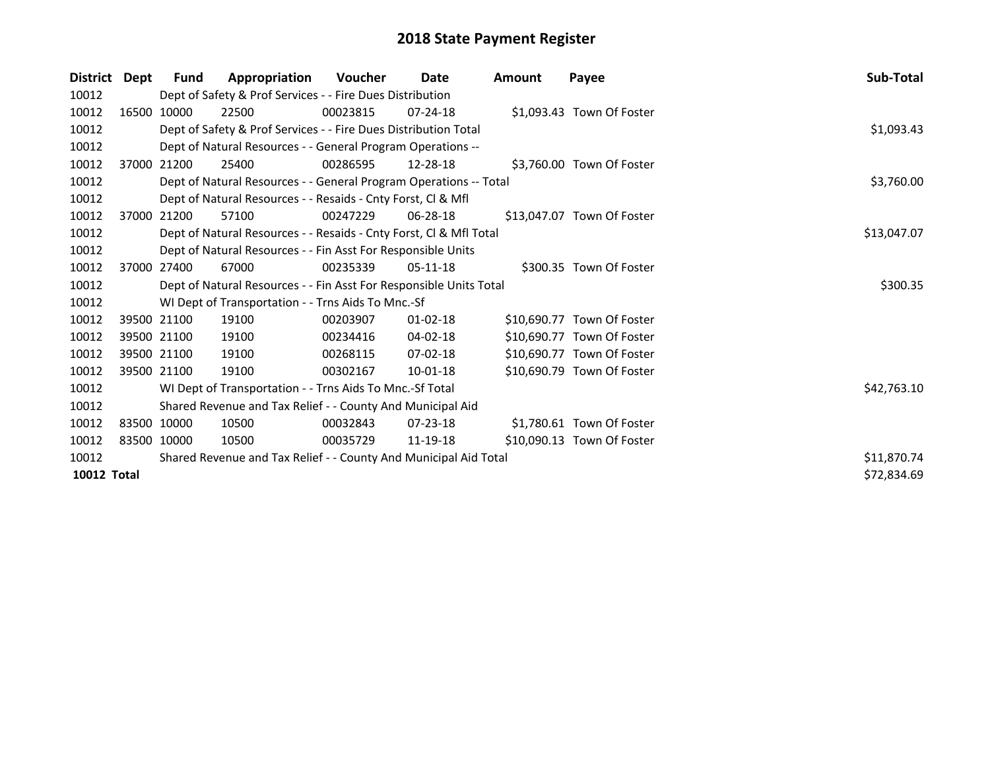| <b>District</b>    | Dept | Fund        | Appropriation                                                      | <b>Voucher</b> | Date           | Amount | Payee                      | Sub-Total   |  |
|--------------------|------|-------------|--------------------------------------------------------------------|----------------|----------------|--------|----------------------------|-------------|--|
| 10012              |      |             | Dept of Safety & Prof Services - - Fire Dues Distribution          |                |                |        |                            |             |  |
| 10012              |      | 16500 10000 | 22500                                                              | 00023815       | $07 - 24 - 18$ |        | \$1,093.43 Town Of Foster  |             |  |
| 10012              |      |             | Dept of Safety & Prof Services - - Fire Dues Distribution Total    |                |                |        |                            | \$1,093.43  |  |
| 10012              |      |             | Dept of Natural Resources - - General Program Operations --        |                |                |        |                            |             |  |
| 10012              |      | 37000 21200 | 25400                                                              | 00286595       | 12-28-18       |        | \$3,760.00 Town Of Foster  |             |  |
| 10012              |      |             | Dept of Natural Resources - - General Program Operations -- Total  |                |                |        |                            | \$3,760.00  |  |
| 10012              |      |             | Dept of Natural Resources - - Resaids - Cnty Forst, Cl & Mfl       |                |                |        |                            |             |  |
| 10012              |      | 37000 21200 | 57100                                                              | 00247229       | 06-28-18       |        | \$13,047.07 Town Of Foster |             |  |
| 10012              |      |             | Dept of Natural Resources - - Resaids - Cnty Forst, Cl & Mfl Total |                |                |        |                            | \$13,047.07 |  |
| 10012              |      |             | Dept of Natural Resources - - Fin Asst For Responsible Units       |                |                |        |                            |             |  |
| 10012              |      | 37000 27400 | 67000                                                              | 00235339       | $05-11-18$     |        | \$300.35 Town Of Foster    |             |  |
| 10012              |      |             | Dept of Natural Resources - - Fin Asst For Responsible Units Total |                |                |        |                            | \$300.35    |  |
| 10012              |      |             | WI Dept of Transportation - - Trns Aids To Mnc.-Sf                 |                |                |        |                            |             |  |
| 10012              |      | 39500 21100 | 19100                                                              | 00203907       | 01-02-18       |        | \$10,690.77 Town Of Foster |             |  |
| 10012              |      | 39500 21100 | 19100                                                              | 00234416       | 04-02-18       |        | \$10,690.77 Town Of Foster |             |  |
| 10012              |      | 39500 21100 | 19100                                                              | 00268115       | $07 - 02 - 18$ |        | \$10,690.77 Town Of Foster |             |  |
| 10012              |      | 39500 21100 | 19100                                                              | 00302167       | $10-01-18$     |        | \$10,690.79 Town Of Foster |             |  |
| 10012              |      |             | WI Dept of Transportation - - Trns Aids To Mnc.-Sf Total           |                |                |        |                            | \$42,763.10 |  |
| 10012              |      |             | Shared Revenue and Tax Relief - - County And Municipal Aid         |                |                |        |                            |             |  |
| 10012              |      | 83500 10000 | 10500                                                              | 00032843       | $07 - 23 - 18$ |        | \$1,780.61 Town Of Foster  |             |  |
| 10012              |      | 83500 10000 | 10500                                                              | 00035729       | 11-19-18       |        | \$10,090.13 Town Of Foster |             |  |
| 10012              |      |             | Shared Revenue and Tax Relief - - County And Municipal Aid Total   |                |                |        |                            | \$11,870.74 |  |
| <b>10012 Total</b> |      |             |                                                                    |                |                |        |                            | \$72,834.69 |  |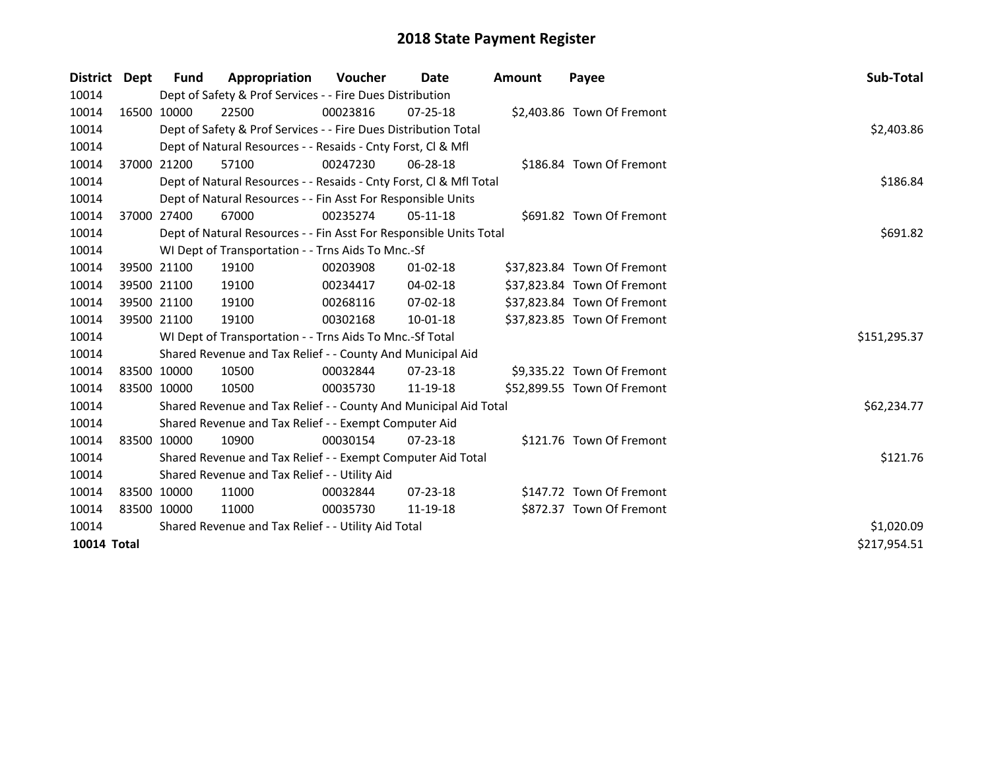| District Dept |             | <b>Fund</b>                                         | Appropriation                                                      | <b>Voucher</b> | Date           | <b>Amount</b> | Payee                       | <b>Sub-Total</b> |
|---------------|-------------|-----------------------------------------------------|--------------------------------------------------------------------|----------------|----------------|---------------|-----------------------------|------------------|
| 10014         |             |                                                     | Dept of Safety & Prof Services - - Fire Dues Distribution          |                |                |               |                             |                  |
| 10014         |             | 16500 10000                                         | 22500                                                              | 00023816       | $07 - 25 - 18$ |               | \$2,403.86 Town Of Fremont  |                  |
| 10014         |             |                                                     | Dept of Safety & Prof Services - - Fire Dues Distribution Total    |                |                |               |                             | \$2,403.86       |
| 10014         |             |                                                     | Dept of Natural Resources - - Resaids - Cnty Forst, CI & Mfl       |                |                |               |                             |                  |
| 10014         |             | 37000 21200                                         | 57100                                                              | 00247230       | 06-28-18       |               | \$186.84 Town Of Fremont    |                  |
| 10014         |             |                                                     | Dept of Natural Resources - - Resaids - Cnty Forst, Cl & Mfl Total |                |                |               |                             | \$186.84         |
| 10014         |             |                                                     | Dept of Natural Resources - - Fin Asst For Responsible Units       |                |                |               |                             |                  |
| 10014         |             | 37000 27400                                         | 67000                                                              | 00235274       | 05-11-18       |               | \$691.82 Town Of Fremont    |                  |
| 10014         |             |                                                     | Dept of Natural Resources - - Fin Asst For Responsible Units Total |                |                |               |                             | \$691.82         |
| 10014         |             |                                                     | WI Dept of Transportation - - Trns Aids To Mnc.-Sf                 |                |                |               |                             |                  |
| 10014         |             | 39500 21100                                         | 19100                                                              | 00203908       | $01 - 02 - 18$ |               | \$37,823.84 Town Of Fremont |                  |
| 10014         |             | 39500 21100                                         | 19100                                                              | 00234417       | 04-02-18       |               | \$37,823.84 Town Of Fremont |                  |
| 10014         |             | 39500 21100                                         | 19100                                                              | 00268116       | 07-02-18       |               | \$37,823.84 Town Of Fremont |                  |
| 10014         |             | 39500 21100                                         | 19100                                                              | 00302168       | 10-01-18       |               | \$37,823.85 Town Of Fremont |                  |
| 10014         |             |                                                     | WI Dept of Transportation - - Trns Aids To Mnc.-Sf Total           |                |                |               |                             | \$151,295.37     |
| 10014         |             |                                                     | Shared Revenue and Tax Relief - - County And Municipal Aid         |                |                |               |                             |                  |
| 10014         |             | 83500 10000                                         | 10500                                                              | 00032844       | 07-23-18       |               | \$9,335.22 Town Of Fremont  |                  |
| 10014         |             | 83500 10000                                         | 10500                                                              | 00035730       | 11-19-18       |               | \$52,899.55 Town Of Fremont |                  |
| 10014         |             |                                                     | Shared Revenue and Tax Relief - - County And Municipal Aid Total   |                |                |               |                             | \$62,234.77      |
| 10014         |             |                                                     | Shared Revenue and Tax Relief - - Exempt Computer Aid              |                |                |               |                             |                  |
| 10014         |             | 83500 10000                                         | 10900                                                              | 00030154       | $07 - 23 - 18$ |               | \$121.76 Town Of Fremont    |                  |
| 10014         |             |                                                     | Shared Revenue and Tax Relief - - Exempt Computer Aid Total        |                |                |               |                             | \$121.76         |
| 10014         |             |                                                     | Shared Revenue and Tax Relief - - Utility Aid                      |                |                |               |                             |                  |
| 10014         | 83500 10000 |                                                     | 11000                                                              | 00032844       | $07 - 23 - 18$ |               | \$147.72 Town Of Fremont    |                  |
| 10014         |             | 83500 10000                                         | 11000                                                              | 00035730       | 11-19-18       |               | \$872.37 Town Of Fremont    |                  |
| 10014         |             | Shared Revenue and Tax Relief - - Utility Aid Total | \$1,020.09                                                         |                |                |               |                             |                  |
| 10014 Total   |             |                                                     |                                                                    |                |                |               |                             | \$217,954.51     |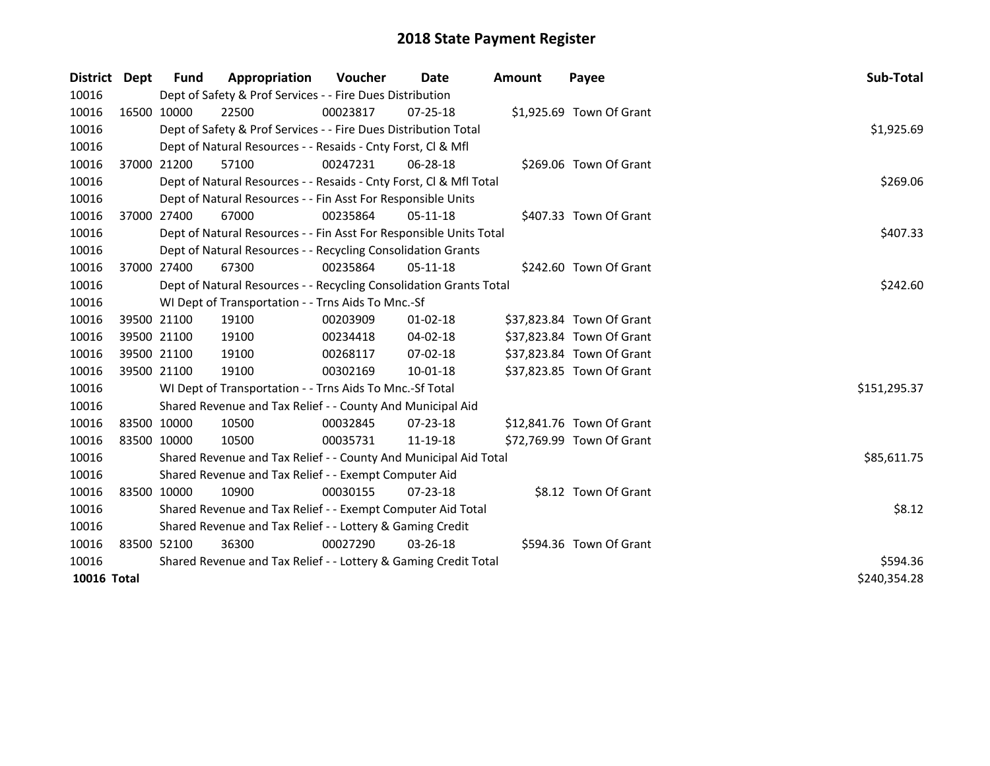| District    | Dept | <b>Fund</b>                                                                    | Appropriation                                                      | <b>Voucher</b> | Date           | <b>Amount</b> | Payee                     | Sub-Total    |  |
|-------------|------|--------------------------------------------------------------------------------|--------------------------------------------------------------------|----------------|----------------|---------------|---------------------------|--------------|--|
| 10016       |      |                                                                                | Dept of Safety & Prof Services - - Fire Dues Distribution          |                |                |               |                           |              |  |
| 10016       |      | 16500 10000                                                                    | 22500                                                              | 00023817       | $07 - 25 - 18$ |               | \$1,925.69 Town Of Grant  |              |  |
| 10016       |      |                                                                                | Dept of Safety & Prof Services - - Fire Dues Distribution Total    |                |                |               |                           | \$1,925.69   |  |
| 10016       |      |                                                                                | Dept of Natural Resources - - Resaids - Cnty Forst, CI & Mfl       |                |                |               |                           |              |  |
| 10016       |      | 37000 21200                                                                    | 57100                                                              | 00247231       | 06-28-18       |               | \$269.06 Town Of Grant    |              |  |
| 10016       |      | Dept of Natural Resources - - Resaids - Cnty Forst, CI & Mfl Total<br>\$269.06 |                                                                    |                |                |               |                           |              |  |
| 10016       |      |                                                                                | Dept of Natural Resources - - Fin Asst For Responsible Units       |                |                |               |                           |              |  |
| 10016       |      | 37000 27400                                                                    | 67000                                                              | 00235864       | $05-11-18$     |               | \$407.33 Town Of Grant    |              |  |
| 10016       |      |                                                                                | Dept of Natural Resources - - Fin Asst For Responsible Units Total |                |                |               |                           | \$407.33     |  |
| 10016       |      |                                                                                | Dept of Natural Resources - - Recycling Consolidation Grants       |                |                |               |                           |              |  |
| 10016       |      | 37000 27400                                                                    | 67300                                                              | 00235864       | 05-11-18       |               | \$242.60 Town Of Grant    |              |  |
| 10016       |      |                                                                                | Dept of Natural Resources - - Recycling Consolidation Grants Total |                |                |               |                           | \$242.60     |  |
| 10016       |      |                                                                                | WI Dept of Transportation - - Trns Aids To Mnc.-Sf                 |                |                |               |                           |              |  |
| 10016       |      | 39500 21100                                                                    | 19100                                                              | 00203909       | $01 - 02 - 18$ |               | \$37,823.84 Town Of Grant |              |  |
| 10016       |      | 39500 21100                                                                    | 19100                                                              | 00234418       | 04-02-18       |               | \$37,823.84 Town Of Grant |              |  |
| 10016       |      | 39500 21100                                                                    | 19100                                                              | 00268117       | $07 - 02 - 18$ |               | \$37,823.84 Town Of Grant |              |  |
| 10016       |      | 39500 21100                                                                    | 19100                                                              | 00302169       | 10-01-18       |               | \$37,823.85 Town Of Grant |              |  |
| 10016       |      |                                                                                | WI Dept of Transportation - - Trns Aids To Mnc.-Sf Total           |                |                |               |                           | \$151,295.37 |  |
| 10016       |      |                                                                                | Shared Revenue and Tax Relief - - County And Municipal Aid         |                |                |               |                           |              |  |
| 10016       |      | 83500 10000                                                                    | 10500                                                              | 00032845       | 07-23-18       |               | \$12,841.76 Town Of Grant |              |  |
| 10016       |      | 83500 10000                                                                    | 10500                                                              | 00035731       | 11-19-18       |               | \$72,769.99 Town Of Grant |              |  |
| 10016       |      |                                                                                | Shared Revenue and Tax Relief - - County And Municipal Aid Total   |                |                |               |                           | \$85,611.75  |  |
| 10016       |      |                                                                                | Shared Revenue and Tax Relief - - Exempt Computer Aid              |                |                |               |                           |              |  |
| 10016       |      | 83500 10000                                                                    | 10900                                                              | 00030155       | $07 - 23 - 18$ |               | \$8.12 Town Of Grant      |              |  |
| 10016       |      |                                                                                | Shared Revenue and Tax Relief - - Exempt Computer Aid Total        |                |                |               |                           | \$8.12       |  |
| 10016       |      | Shared Revenue and Tax Relief - - Lottery & Gaming Credit                      |                                                                    |                |                |               |                           |              |  |
| 10016       |      | 83500 52100                                                                    | 36300                                                              | 00027290       | 03-26-18       |               | \$594.36 Town Of Grant    |              |  |
| 10016       |      | Shared Revenue and Tax Relief - - Lottery & Gaming Credit Total                |                                                                    |                |                |               |                           |              |  |
| 10016 Total |      |                                                                                |                                                                    |                |                |               |                           | \$240,354.28 |  |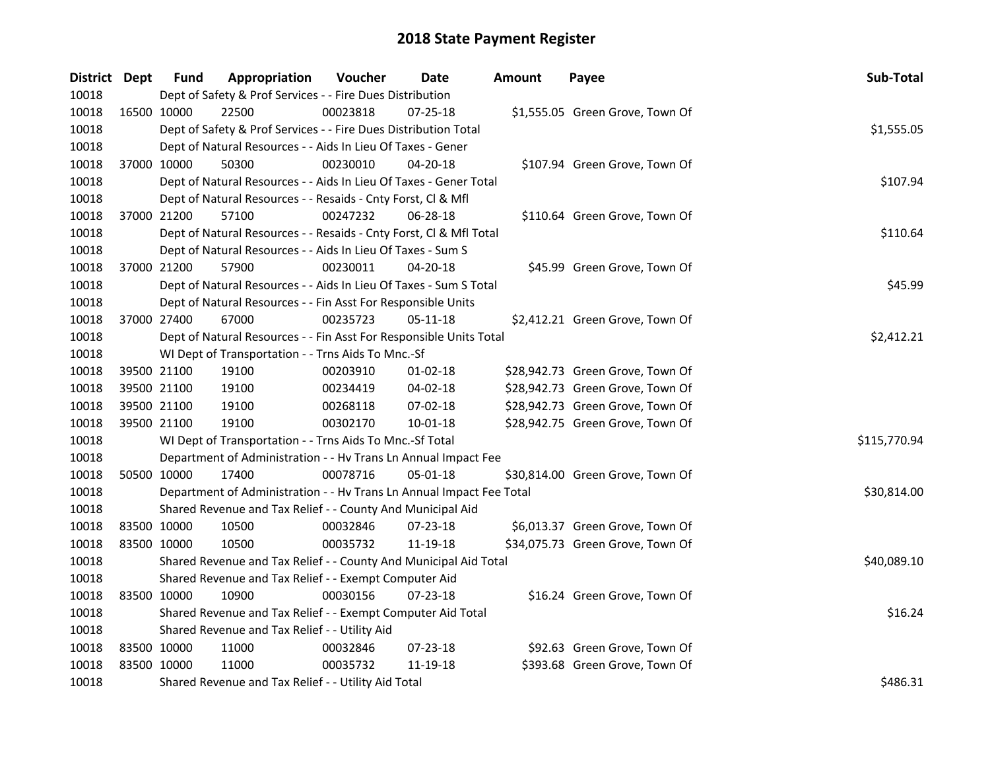| District Dept |             | Fund                                          | Appropriation                                                        | Voucher  | Date           | Amount | Payee                            | Sub-Total    |  |  |  |  |
|---------------|-------------|-----------------------------------------------|----------------------------------------------------------------------|----------|----------------|--------|----------------------------------|--------------|--|--|--|--|
| 10018         |             |                                               | Dept of Safety & Prof Services - - Fire Dues Distribution            |          |                |        |                                  |              |  |  |  |  |
| 10018         | 16500 10000 |                                               | 22500                                                                | 00023818 | 07-25-18       |        | \$1,555.05 Green Grove, Town Of  |              |  |  |  |  |
| 10018         |             |                                               | Dept of Safety & Prof Services - - Fire Dues Distribution Total      |          |                |        |                                  | \$1,555.05   |  |  |  |  |
| 10018         |             |                                               | Dept of Natural Resources - - Aids In Lieu Of Taxes - Gener          |          |                |        |                                  |              |  |  |  |  |
| 10018         |             | 37000 10000                                   | 50300                                                                | 00230010 | 04-20-18       |        | \$107.94 Green Grove, Town Of    |              |  |  |  |  |
| 10018         |             |                                               | Dept of Natural Resources - - Aids In Lieu Of Taxes - Gener Total    |          |                |        |                                  | \$107.94     |  |  |  |  |
| 10018         |             |                                               | Dept of Natural Resources - - Resaids - Cnty Forst, Cl & Mfl         |          |                |        |                                  |              |  |  |  |  |
| 10018         |             | 37000 21200                                   | 57100                                                                | 00247232 | $06 - 28 - 18$ |        | \$110.64 Green Grove, Town Of    |              |  |  |  |  |
| 10018         |             |                                               | Dept of Natural Resources - - Resaids - Cnty Forst, Cl & Mfl Total   |          |                |        |                                  | \$110.64     |  |  |  |  |
| 10018         |             |                                               | Dept of Natural Resources - - Aids In Lieu Of Taxes - Sum S          |          |                |        |                                  |              |  |  |  |  |
| 10018         |             | 37000 21200                                   | 57900                                                                | 00230011 | 04-20-18       |        | \$45.99 Green Grove, Town Of     |              |  |  |  |  |
| 10018         |             |                                               | Dept of Natural Resources - - Aids In Lieu Of Taxes - Sum S Total    |          |                |        |                                  | \$45.99      |  |  |  |  |
| 10018         |             |                                               | Dept of Natural Resources - - Fin Asst For Responsible Units         |          |                |        |                                  |              |  |  |  |  |
| 10018         | 37000 27400 |                                               | 67000                                                                | 00235723 | 05-11-18       |        | \$2,412.21 Green Grove, Town Of  |              |  |  |  |  |
| 10018         |             |                                               | Dept of Natural Resources - - Fin Asst For Responsible Units Total   |          |                |        |                                  | \$2,412.21   |  |  |  |  |
| 10018         |             |                                               | WI Dept of Transportation - - Trns Aids To Mnc.-Sf                   |          |                |        |                                  |              |  |  |  |  |
| 10018         | 39500 21100 |                                               | 19100                                                                | 00203910 | $01-02-18$     |        | \$28,942.73 Green Grove, Town Of |              |  |  |  |  |
| 10018         |             | 39500 21100                                   | 19100                                                                | 00234419 | $04 - 02 - 18$ |        | \$28,942.73 Green Grove, Town Of |              |  |  |  |  |
| 10018         |             | 39500 21100                                   | 19100                                                                | 00268118 | 07-02-18       |        | \$28,942.73 Green Grove, Town Of |              |  |  |  |  |
| 10018         | 39500 21100 |                                               | 19100                                                                | 00302170 | $10 - 01 - 18$ |        | \$28,942.75 Green Grove, Town Of |              |  |  |  |  |
| 10018         |             |                                               | WI Dept of Transportation - - Trns Aids To Mnc.-Sf Total             |          |                |        |                                  | \$115,770.94 |  |  |  |  |
| 10018         |             |                                               | Department of Administration - - Hv Trans Ln Annual Impact Fee       |          |                |        |                                  |              |  |  |  |  |
| 10018         | 50500 10000 |                                               | 17400                                                                | 00078716 | 05-01-18       |        | \$30,814.00 Green Grove, Town Of |              |  |  |  |  |
| 10018         |             |                                               | Department of Administration - - Hv Trans Ln Annual Impact Fee Total |          |                |        |                                  | \$30,814.00  |  |  |  |  |
| 10018         |             |                                               | Shared Revenue and Tax Relief - - County And Municipal Aid           |          |                |        |                                  |              |  |  |  |  |
| 10018         |             | 83500 10000                                   | 10500                                                                | 00032846 | 07-23-18       |        | \$6,013.37 Green Grove, Town Of  |              |  |  |  |  |
| 10018         | 83500 10000 |                                               | 10500                                                                | 00035732 | 11-19-18       |        | \$34,075.73 Green Grove, Town Of |              |  |  |  |  |
| 10018         |             |                                               | Shared Revenue and Tax Relief - - County And Municipal Aid Total     |          |                |        |                                  | \$40,089.10  |  |  |  |  |
| 10018         |             |                                               | Shared Revenue and Tax Relief - - Exempt Computer Aid                |          |                |        |                                  |              |  |  |  |  |
| 10018         | 83500 10000 |                                               | 10900                                                                | 00030156 | 07-23-18       |        | \$16.24 Green Grove, Town Of     |              |  |  |  |  |
| 10018         |             |                                               | Shared Revenue and Tax Relief - - Exempt Computer Aid Total          |          |                |        |                                  | \$16.24      |  |  |  |  |
| 10018         |             | Shared Revenue and Tax Relief - - Utility Aid |                                                                      |          |                |        |                                  |              |  |  |  |  |
| 10018         | 83500 10000 |                                               | 11000                                                                | 00032846 | 07-23-18       |        | \$92.63 Green Grove, Town Of     |              |  |  |  |  |
| 10018         | 83500 10000 |                                               | 11000                                                                | 00035732 | 11-19-18       |        | \$393.68 Green Grove, Town Of    |              |  |  |  |  |
| 10018         |             |                                               | Shared Revenue and Tax Relief - - Utility Aid Total                  |          |                |        |                                  | \$486.31     |  |  |  |  |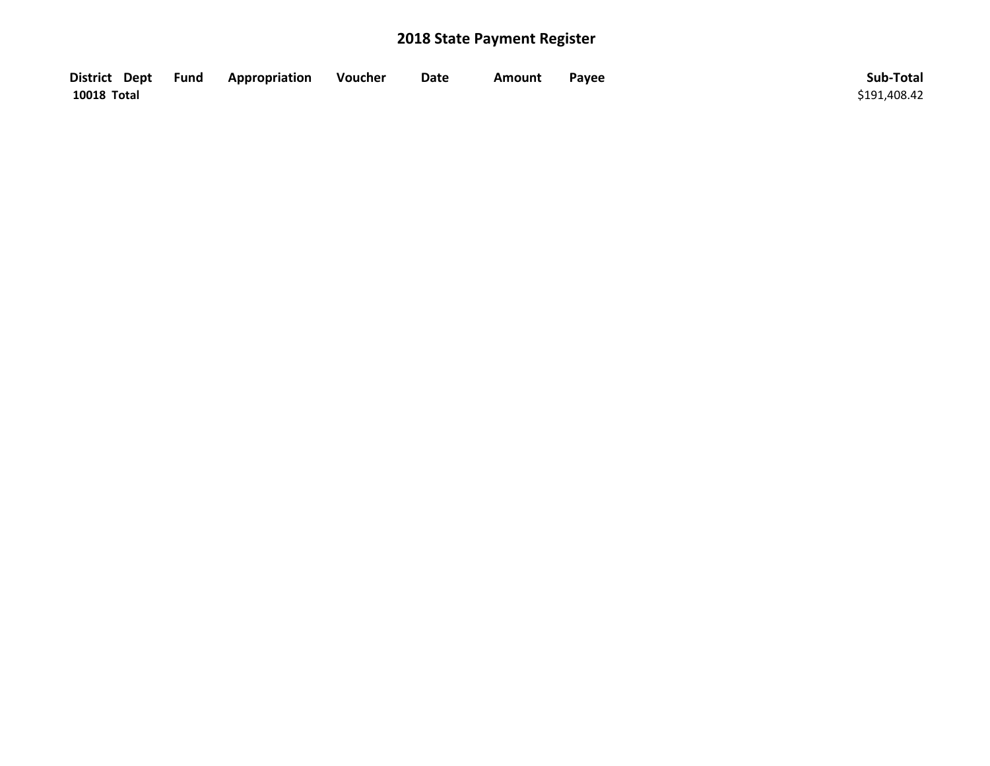| District Dept Fund | Appropriation | Voucher | Date | Amount | Payee | Sub-Total    |
|--------------------|---------------|---------|------|--------|-------|--------------|
| 10018 Total        |               |         |      |        |       | \$191,408.42 |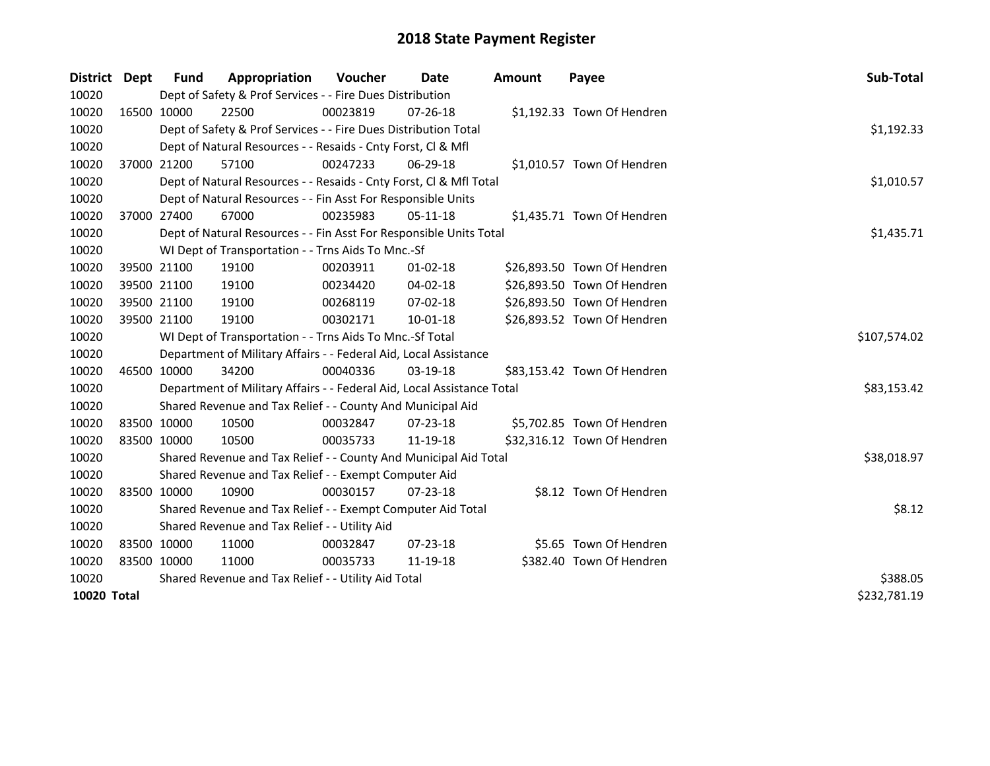| <b>District</b> | Dept        | <b>Fund</b> | Appropriation                                                          | <b>Voucher</b> | Date           | <b>Amount</b> | Payee                       | Sub-Total    |
|-----------------|-------------|-------------|------------------------------------------------------------------------|----------------|----------------|---------------|-----------------------------|--------------|
| 10020           |             |             | Dept of Safety & Prof Services - - Fire Dues Distribution              |                |                |               |                             |              |
| 10020           |             | 16500 10000 | 22500                                                                  | 00023819       | 07-26-18       |               | \$1,192.33 Town Of Hendren  |              |
| 10020           |             |             | Dept of Safety & Prof Services - - Fire Dues Distribution Total        |                |                |               |                             | \$1,192.33   |
| 10020           |             |             | Dept of Natural Resources - - Resaids - Cnty Forst, Cl & Mfl           |                |                |               |                             |              |
| 10020           |             | 37000 21200 | 57100                                                                  | 00247233       | 06-29-18       |               | \$1,010.57 Town Of Hendren  |              |
| 10020           |             |             | Dept of Natural Resources - - Resaids - Cnty Forst, Cl & Mfl Total     |                |                |               |                             | \$1,010.57   |
| 10020           |             |             | Dept of Natural Resources - - Fin Asst For Responsible Units           |                |                |               |                             |              |
| 10020           |             | 37000 27400 | 67000                                                                  | 00235983       | 05-11-18       |               | \$1,435.71 Town Of Hendren  |              |
| 10020           |             |             | Dept of Natural Resources - - Fin Asst For Responsible Units Total     |                |                |               |                             | \$1,435.71   |
| 10020           |             |             | WI Dept of Transportation - - Trns Aids To Mnc.-Sf                     |                |                |               |                             |              |
| 10020           |             | 39500 21100 | 19100                                                                  | 00203911       | $01 - 02 - 18$ |               | \$26,893.50 Town Of Hendren |              |
| 10020           |             | 39500 21100 | 19100                                                                  | 00234420       | 04-02-18       |               | \$26,893.50 Town Of Hendren |              |
| 10020           |             | 39500 21100 | 19100                                                                  | 00268119       | 07-02-18       |               | \$26,893.50 Town Of Hendren |              |
| 10020           | 39500 21100 |             | 19100                                                                  | 00302171       | 10-01-18       |               | \$26,893.52 Town Of Hendren |              |
| 10020           |             |             | WI Dept of Transportation - - Trns Aids To Mnc.-Sf Total               |                |                |               |                             | \$107,574.02 |
| 10020           |             |             | Department of Military Affairs - - Federal Aid, Local Assistance       |                |                |               |                             |              |
| 10020           |             | 46500 10000 | 34200                                                                  | 00040336       | 03-19-18       |               | \$83,153.42 Town Of Hendren |              |
| 10020           |             |             | Department of Military Affairs - - Federal Aid, Local Assistance Total |                |                |               |                             | \$83,153.42  |
| 10020           |             |             | Shared Revenue and Tax Relief - - County And Municipal Aid             |                |                |               |                             |              |
| 10020           | 83500 10000 |             | 10500                                                                  | 00032847       | $07 - 23 - 18$ |               | \$5,702.85 Town Of Hendren  |              |
| 10020           | 83500 10000 |             | 10500                                                                  | 00035733       | 11-19-18       |               | \$32,316.12 Town Of Hendren |              |
| 10020           |             |             | Shared Revenue and Tax Relief - - County And Municipal Aid Total       |                |                |               |                             | \$38,018.97  |
| 10020           |             |             | Shared Revenue and Tax Relief - - Exempt Computer Aid                  |                |                |               |                             |              |
| 10020           | 83500 10000 |             | 10900                                                                  | 00030157       | $07 - 23 - 18$ |               | \$8.12 Town Of Hendren      |              |
| 10020           |             |             | Shared Revenue and Tax Relief - - Exempt Computer Aid Total            |                |                |               |                             | \$8.12       |
| 10020           |             |             | Shared Revenue and Tax Relief - - Utility Aid                          |                |                |               |                             |              |
| 10020           | 83500 10000 |             | 11000                                                                  | 00032847       | 07-23-18       |               | \$5.65 Town Of Hendren      |              |
| 10020           | 83500 10000 |             | 11000                                                                  | 00035733       | 11-19-18       |               | \$382.40 Town Of Hendren    |              |
| 10020           |             |             | Shared Revenue and Tax Relief - - Utility Aid Total                    | \$388.05       |                |               |                             |              |
| 10020 Total     |             |             |                                                                        |                |                |               |                             | \$232,781.19 |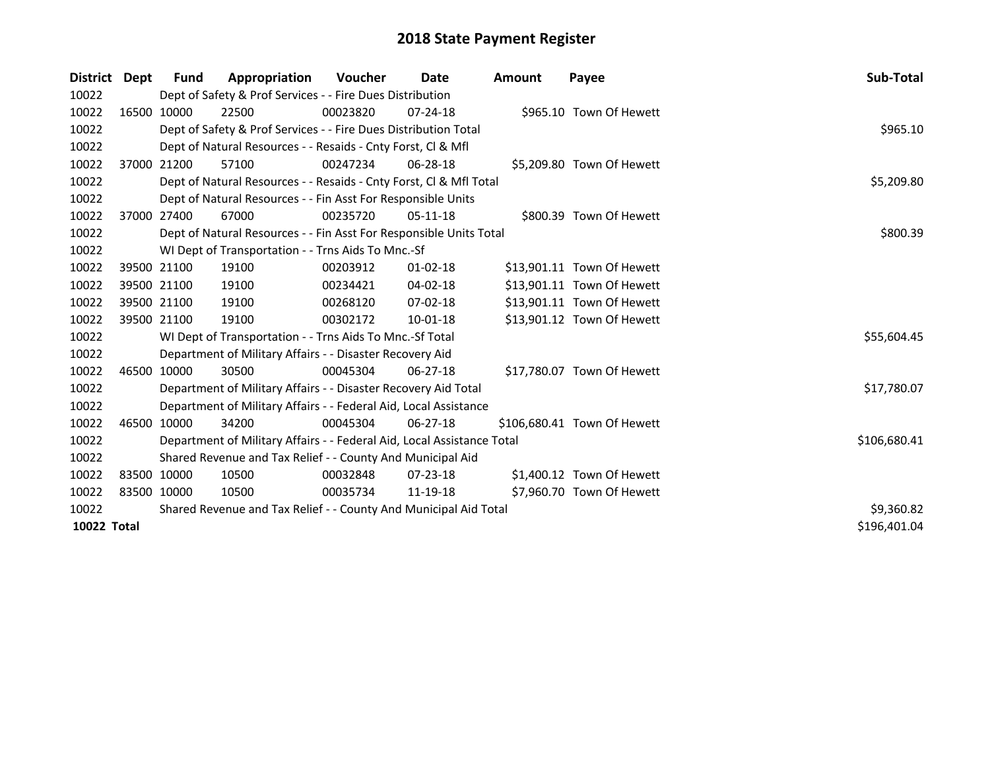| District Dept                      |  | Fund        | Appropriation                                                          | <b>Voucher</b> | Date           | Amount | Payee                       | Sub-Total    |  |  |
|------------------------------------|--|-------------|------------------------------------------------------------------------|----------------|----------------|--------|-----------------------------|--------------|--|--|
| 10022                              |  |             | Dept of Safety & Prof Services - - Fire Dues Distribution              |                |                |        |                             |              |  |  |
| 10022                              |  | 16500 10000 | 22500                                                                  | 00023820       | $07 - 24 - 18$ |        | \$965.10 Town Of Hewett     |              |  |  |
| 10022                              |  |             | Dept of Safety & Prof Services - - Fire Dues Distribution Total        |                |                |        |                             | \$965.10     |  |  |
| 10022                              |  |             | Dept of Natural Resources - - Resaids - Cnty Forst, CI & Mfl           |                |                |        |                             |              |  |  |
| 10022                              |  | 37000 21200 | 57100                                                                  | 00247234       | $06 - 28 - 18$ |        | \$5,209.80 Town Of Hewett   |              |  |  |
| 10022                              |  |             | Dept of Natural Resources - - Resaids - Cnty Forst, CI & Mfl Total     |                |                |        |                             |              |  |  |
| 10022                              |  |             | Dept of Natural Resources - - Fin Asst For Responsible Units           |                |                |        |                             |              |  |  |
| 10022                              |  | 37000 27400 | 67000                                                                  | 00235720       | $05-11-18$     |        | \$800.39 Town Of Hewett     |              |  |  |
| 10022                              |  |             | Dept of Natural Resources - - Fin Asst For Responsible Units Total     |                |                |        |                             | \$800.39     |  |  |
| 10022                              |  |             | WI Dept of Transportation - - Trns Aids To Mnc.-Sf                     |                |                |        |                             |              |  |  |
| 10022                              |  | 39500 21100 | 19100                                                                  | 00203912       | $01 - 02 - 18$ |        | \$13,901.11 Town Of Hewett  |              |  |  |
| 10022                              |  | 39500 21100 | 19100                                                                  | 00234421       | $04 - 02 - 18$ |        | \$13,901.11 Town Of Hewett  |              |  |  |
| 10022                              |  | 39500 21100 | 19100                                                                  | 00268120       | $07 - 02 - 18$ |        | \$13,901.11 Town Of Hewett  |              |  |  |
| 10022                              |  | 39500 21100 | 19100                                                                  | 00302172       | 10-01-18       |        | \$13,901.12 Town Of Hewett  |              |  |  |
| 10022                              |  |             | WI Dept of Transportation - - Trns Aids To Mnc.-Sf Total               |                |                |        |                             | \$55,604.45  |  |  |
| 10022                              |  |             | Department of Military Affairs - - Disaster Recovery Aid               |                |                |        |                             |              |  |  |
| 10022                              |  | 46500 10000 | 30500                                                                  | 00045304       | $06 - 27 - 18$ |        | \$17,780.07 Town Of Hewett  |              |  |  |
| 10022                              |  |             | Department of Military Affairs - - Disaster Recovery Aid Total         |                |                |        |                             | \$17,780.07  |  |  |
| 10022                              |  |             | Department of Military Affairs - - Federal Aid, Local Assistance       |                |                |        |                             |              |  |  |
| 10022                              |  | 46500 10000 | 34200                                                                  | 00045304       | $06 - 27 - 18$ |        | \$106,680.41 Town Of Hewett |              |  |  |
| 10022                              |  |             | Department of Military Affairs - - Federal Aid, Local Assistance Total |                |                |        |                             | \$106,680.41 |  |  |
| 10022                              |  |             | Shared Revenue and Tax Relief - - County And Municipal Aid             |                |                |        |                             |              |  |  |
| 10022                              |  | 83500 10000 | 10500                                                                  | 00032848       | $07 - 23 - 18$ |        | \$1,400.12 Town Of Hewett   |              |  |  |
| 10022                              |  | 83500 10000 | 10500                                                                  | 00035734       | 11-19-18       |        | \$7,960.70 Town Of Hewett   |              |  |  |
| 10022                              |  |             | Shared Revenue and Tax Relief - - County And Municipal Aid Total       |                |                |        |                             | \$9,360.82   |  |  |
| <b>10022 Total</b><br>\$196,401.04 |  |             |                                                                        |                |                |        |                             |              |  |  |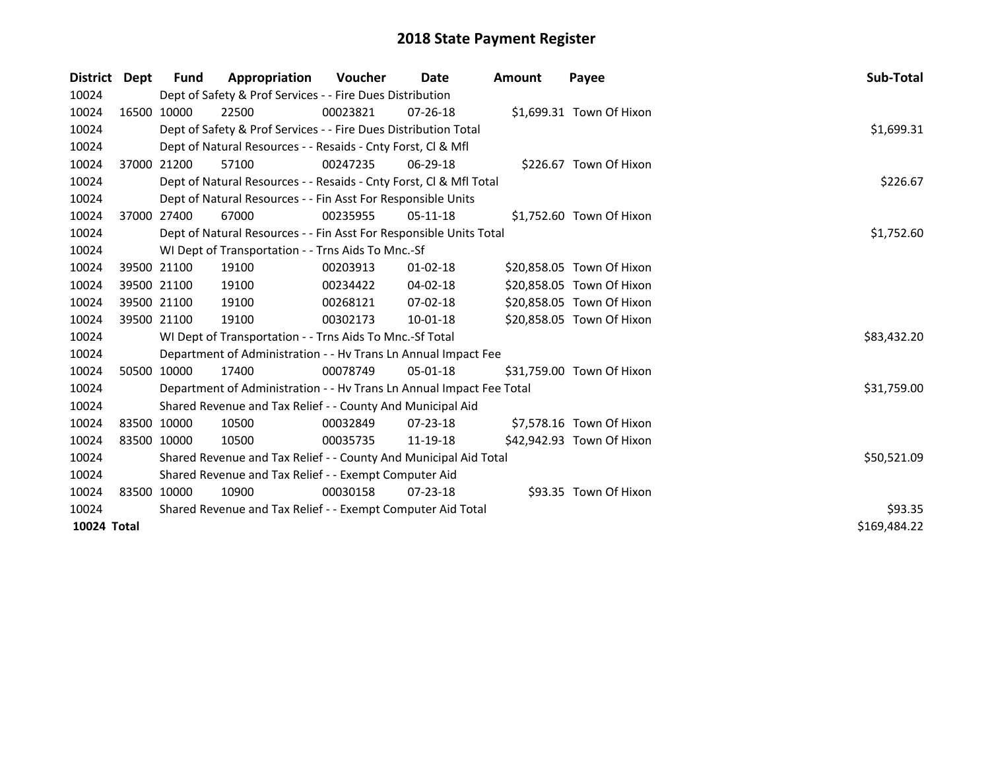| District Dept | Fund         | Appropriation                                                        | <b>Voucher</b> | Date           | <b>Amount</b> | Payee                     | Sub-Total   |
|---------------|--------------|----------------------------------------------------------------------|----------------|----------------|---------------|---------------------------|-------------|
| 10024         |              | Dept of Safety & Prof Services - - Fire Dues Distribution            |                |                |               |                           |             |
| 10024         | 16500 10000  | 22500                                                                | 00023821       | $07 - 26 - 18$ |               | \$1,699.31 Town Of Hixon  |             |
| 10024         |              | Dept of Safety & Prof Services - - Fire Dues Distribution Total      |                |                |               |                           | \$1,699.31  |
| 10024         |              | Dept of Natural Resources - - Resaids - Cnty Forst, CI & Mfl         |                |                |               |                           |             |
| 10024         | 37000 21200  | 57100                                                                | 00247235       | $06 - 29 - 18$ |               | \$226.67 Town Of Hixon    |             |
| 10024         |              | Dept of Natural Resources - - Resaids - Cnty Forst, Cl & Mfl Total   |                |                |               |                           | \$226.67    |
| 10024         |              | Dept of Natural Resources - - Fin Asst For Responsible Units         |                |                |               |                           |             |
| 10024         | 37000 27400  | 67000                                                                | 00235955       | $05-11-18$     |               | \$1,752.60 Town Of Hixon  |             |
| 10024         |              | Dept of Natural Resources - - Fin Asst For Responsible Units Total   |                |                |               |                           | \$1,752.60  |
| 10024         |              | WI Dept of Transportation - - Trns Aids To Mnc.-Sf                   |                |                |               |                           |             |
| 10024         | 39500 21100  | 19100                                                                | 00203913       | $01 - 02 - 18$ |               | \$20,858.05 Town Of Hixon |             |
| 10024         | 39500 21100  | 19100                                                                | 00234422       | $04 - 02 - 18$ |               | \$20,858.05 Town Of Hixon |             |
| 10024         | 39500 21100  | 19100                                                                | 00268121       | $07 - 02 - 18$ |               | \$20,858.05 Town Of Hixon |             |
| 10024         | 39500 21100  | 19100                                                                | 00302173       | 10-01-18       |               | \$20,858.05 Town Of Hixon |             |
| 10024         |              | WI Dept of Transportation - - Trns Aids To Mnc.-Sf Total             |                |                |               |                           | \$83,432.20 |
| 10024         |              | Department of Administration - - Hv Trans Ln Annual Impact Fee       |                |                |               |                           |             |
| 10024         | 50500 10000  | 17400                                                                | 00078749       | 05-01-18       |               | \$31,759.00 Town Of Hixon |             |
| 10024         |              | Department of Administration - - Hv Trans Ln Annual Impact Fee Total |                |                |               |                           | \$31,759.00 |
| 10024         |              | Shared Revenue and Tax Relief - - County And Municipal Aid           |                |                |               |                           |             |
| 10024         | 83500 10000  | 10500                                                                | 00032849       | $07 - 23 - 18$ |               | \$7,578.16 Town Of Hixon  |             |
| 10024         | 83500 10000  | 10500                                                                | 00035735       | 11-19-18       |               | \$42,942.93 Town Of Hixon |             |
| 10024         |              | Shared Revenue and Tax Relief - - County And Municipal Aid Total     |                |                |               |                           | \$50,521.09 |
| 10024         |              | Shared Revenue and Tax Relief - - Exempt Computer Aid                |                |                |               |                           |             |
| 10024         | 83500 10000  | 10900                                                                | 00030158       | $07 - 23 - 18$ |               | \$93.35 Town Of Hixon     |             |
| 10024         |              | Shared Revenue and Tax Relief - - Exempt Computer Aid Total          | \$93.35        |                |               |                           |             |
| 10024 Total   | \$169,484.22 |                                                                      |                |                |               |                           |             |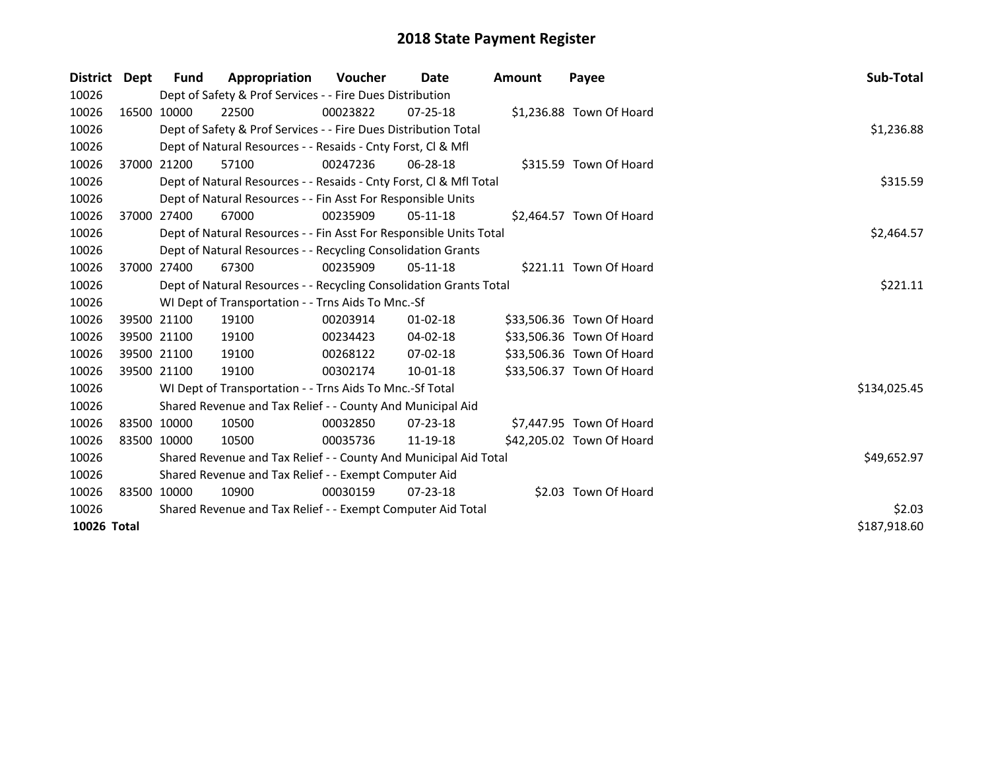| District Dept               |  | Fund                                                        | Appropriation                                                      | <b>Voucher</b> | Date           | <b>Amount</b> | Payee                     | <b>Sub-Total</b> |  |  |  |
|-----------------------------|--|-------------------------------------------------------------|--------------------------------------------------------------------|----------------|----------------|---------------|---------------------------|------------------|--|--|--|
| 10026                       |  |                                                             | Dept of Safety & Prof Services - - Fire Dues Distribution          |                |                |               |                           |                  |  |  |  |
| 10026                       |  | 16500 10000                                                 | 22500                                                              | 00023822       | $07 - 25 - 18$ |               | \$1,236.88 Town Of Hoard  |                  |  |  |  |
| 10026                       |  |                                                             | Dept of Safety & Prof Services - - Fire Dues Distribution Total    |                |                |               |                           | \$1,236.88       |  |  |  |
| 10026                       |  |                                                             | Dept of Natural Resources - - Resaids - Cnty Forst, CI & Mfl       |                |                |               |                           |                  |  |  |  |
| 10026                       |  | 37000 21200                                                 | 57100                                                              | 00247236       | 06-28-18       |               | \$315.59 Town Of Hoard    |                  |  |  |  |
| 10026                       |  |                                                             | Dept of Natural Resources - - Resaids - Cnty Forst, Cl & Mfl Total |                |                |               |                           | \$315.59         |  |  |  |
| 10026                       |  |                                                             | Dept of Natural Resources - - Fin Asst For Responsible Units       |                |                |               |                           |                  |  |  |  |
| 10026                       |  | 37000 27400                                                 | 67000                                                              | 00235909       | $05-11-18$     |               | \$2,464.57 Town Of Hoard  |                  |  |  |  |
| 10026                       |  |                                                             | Dept of Natural Resources - - Fin Asst For Responsible Units Total |                |                |               |                           | \$2,464.57       |  |  |  |
| 10026                       |  |                                                             | Dept of Natural Resources - - Recycling Consolidation Grants       |                |                |               |                           |                  |  |  |  |
| 10026                       |  | 37000 27400                                                 | 67300                                                              | 00235909       | 05-11-18       |               | \$221.11 Town Of Hoard    |                  |  |  |  |
| 10026                       |  |                                                             | Dept of Natural Resources - - Recycling Consolidation Grants Total |                |                |               |                           | \$221.11         |  |  |  |
| 10026                       |  |                                                             | WI Dept of Transportation - - Trns Aids To Mnc.-Sf                 |                |                |               |                           |                  |  |  |  |
| 10026                       |  | 39500 21100                                                 | 19100                                                              | 00203914       | $01 - 02 - 18$ |               | \$33,506.36 Town Of Hoard |                  |  |  |  |
| 10026                       |  | 39500 21100                                                 | 19100                                                              | 00234423       | 04-02-18       |               | \$33,506.36 Town Of Hoard |                  |  |  |  |
| 10026                       |  | 39500 21100                                                 | 19100                                                              | 00268122       | 07-02-18       |               | \$33,506.36 Town Of Hoard |                  |  |  |  |
| 10026                       |  | 39500 21100                                                 | 19100                                                              | 00302174       | 10-01-18       |               | \$33,506.37 Town Of Hoard |                  |  |  |  |
| 10026                       |  |                                                             | WI Dept of Transportation - - Trns Aids To Mnc.-Sf Total           |                |                |               |                           | \$134,025.45     |  |  |  |
| 10026                       |  |                                                             | Shared Revenue and Tax Relief - - County And Municipal Aid         |                |                |               |                           |                  |  |  |  |
| 10026                       |  | 83500 10000                                                 | 10500                                                              | 00032850       | $07 - 23 - 18$ |               | \$7,447.95 Town Of Hoard  |                  |  |  |  |
| 10026                       |  | 83500 10000                                                 | 10500                                                              | 00035736       | 11-19-18       |               | \$42,205.02 Town Of Hoard |                  |  |  |  |
| 10026                       |  |                                                             | Shared Revenue and Tax Relief - - County And Municipal Aid Total   |                |                |               |                           | \$49,652.97      |  |  |  |
| 10026                       |  |                                                             | Shared Revenue and Tax Relief - - Exempt Computer Aid              |                |                |               |                           |                  |  |  |  |
| 10026                       |  | 83500 10000                                                 | 10900                                                              | 00030159       | 07-23-18       |               | \$2.03 Town Of Hoard      |                  |  |  |  |
| 10026                       |  | Shared Revenue and Tax Relief - - Exempt Computer Aid Total | \$2.03                                                             |                |                |               |                           |                  |  |  |  |
| \$187,918.60<br>10026 Total |  |                                                             |                                                                    |                |                |               |                           |                  |  |  |  |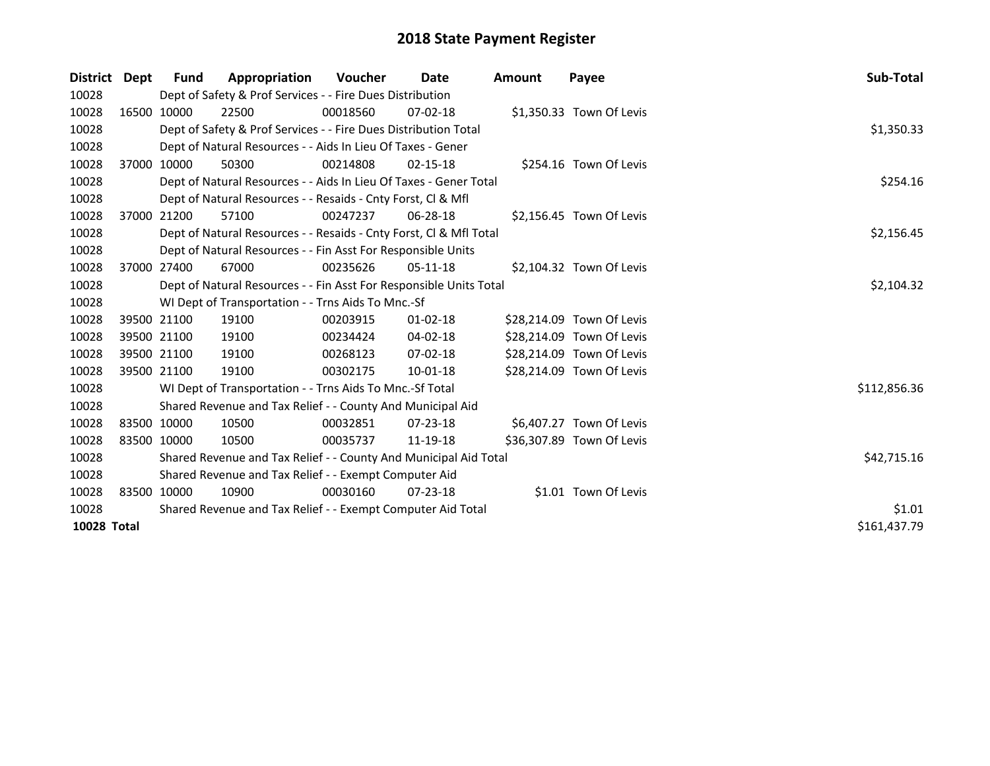| District    | Dept        | Fund                                                  | Appropriation                                                      | <b>Voucher</b> | Date           | <b>Amount</b> | Payee                     | Sub-Total    |  |  |  |
|-------------|-------------|-------------------------------------------------------|--------------------------------------------------------------------|----------------|----------------|---------------|---------------------------|--------------|--|--|--|
| 10028       |             |                                                       | Dept of Safety & Prof Services - - Fire Dues Distribution          |                |                |               |                           |              |  |  |  |
| 10028       |             | 16500 10000                                           | 22500                                                              | 00018560       | $07 - 02 - 18$ |               | \$1,350.33 Town Of Levis  |              |  |  |  |
| 10028       |             |                                                       | Dept of Safety & Prof Services - - Fire Dues Distribution Total    |                |                |               |                           | \$1,350.33   |  |  |  |
| 10028       |             |                                                       | Dept of Natural Resources - - Aids In Lieu Of Taxes - Gener        |                |                |               |                           |              |  |  |  |
| 10028       |             | 37000 10000                                           | 50300                                                              | 00214808       | $02 - 15 - 18$ |               | \$254.16 Town Of Levis    |              |  |  |  |
| 10028       |             |                                                       | Dept of Natural Resources - - Aids In Lieu Of Taxes - Gener Total  |                |                |               |                           | \$254.16     |  |  |  |
| 10028       |             |                                                       | Dept of Natural Resources - - Resaids - Cnty Forst, Cl & Mfl       |                |                |               |                           |              |  |  |  |
| 10028       |             | 37000 21200                                           | 57100                                                              | 00247237       | $06 - 28 - 18$ |               | \$2,156.45 Town Of Levis  |              |  |  |  |
| 10028       |             |                                                       | Dept of Natural Resources - - Resaids - Cnty Forst, CI & Mfl Total |                |                |               |                           | \$2,156.45   |  |  |  |
| 10028       |             |                                                       | Dept of Natural Resources - - Fin Asst For Responsible Units       |                |                |               |                           |              |  |  |  |
| 10028       |             | 37000 27400                                           | 67000                                                              | 00235626       | 05-11-18       |               | \$2,104.32 Town Of Levis  |              |  |  |  |
| 10028       |             |                                                       | Dept of Natural Resources - - Fin Asst For Responsible Units Total |                |                |               |                           | \$2,104.32   |  |  |  |
| 10028       |             |                                                       | WI Dept of Transportation - - Trns Aids To Mnc.-Sf                 |                |                |               |                           |              |  |  |  |
| 10028       |             | 39500 21100                                           | 19100                                                              | 00203915       | $01 - 02 - 18$ |               | \$28,214.09 Town Of Levis |              |  |  |  |
| 10028       |             | 39500 21100                                           | 19100                                                              | 00234424       | 04-02-18       |               | \$28,214.09 Town Of Levis |              |  |  |  |
| 10028       |             | 39500 21100                                           | 19100                                                              | 00268123       | $07 - 02 - 18$ |               | \$28,214.09 Town Of Levis |              |  |  |  |
| 10028       |             | 39500 21100                                           | 19100                                                              | 00302175       | 10-01-18       |               | \$28,214.09 Town Of Levis |              |  |  |  |
| 10028       |             |                                                       | WI Dept of Transportation - - Trns Aids To Mnc.-Sf Total           |                |                |               |                           | \$112,856.36 |  |  |  |
| 10028       |             |                                                       | Shared Revenue and Tax Relief - - County And Municipal Aid         |                |                |               |                           |              |  |  |  |
| 10028       | 83500 10000 |                                                       | 10500                                                              | 00032851       | $07 - 23 - 18$ |               | \$6,407.27 Town Of Levis  |              |  |  |  |
| 10028       | 83500 10000 |                                                       | 10500                                                              | 00035737       | 11-19-18       |               | \$36,307.89 Town Of Levis |              |  |  |  |
| 10028       |             |                                                       | Shared Revenue and Tax Relief - - County And Municipal Aid Total   |                |                |               |                           | \$42,715.16  |  |  |  |
| 10028       |             | Shared Revenue and Tax Relief - - Exempt Computer Aid |                                                                    |                |                |               |                           |              |  |  |  |
| 10028       |             | 83500 10000                                           | 10900                                                              | 00030160       | 07-23-18       |               | \$1.01 Town Of Levis      |              |  |  |  |
| 10028       |             |                                                       | Shared Revenue and Tax Relief - - Exempt Computer Aid Total        |                |                |               |                           | \$1.01       |  |  |  |
| 10028 Total |             |                                                       |                                                                    |                |                |               |                           | \$161,437.79 |  |  |  |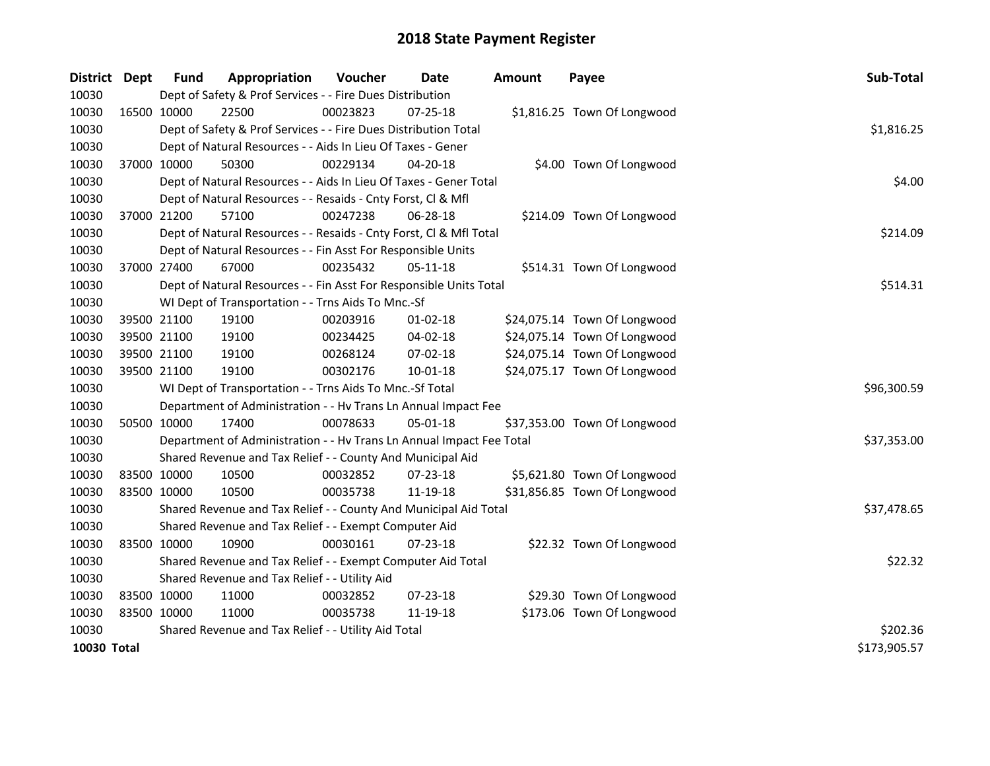| <b>District</b> | Dept        | <b>Fund</b>                                                     | Appropriation                                                        | Voucher  | <b>Date</b>    | <b>Amount</b> | Payee                        | Sub-Total    |  |  |  |
|-----------------|-------------|-----------------------------------------------------------------|----------------------------------------------------------------------|----------|----------------|---------------|------------------------------|--------------|--|--|--|
| 10030           |             |                                                                 | Dept of Safety & Prof Services - - Fire Dues Distribution            |          |                |               |                              |              |  |  |  |
| 10030           | 16500 10000 |                                                                 | 22500                                                                | 00023823 | $07 - 25 - 18$ |               | \$1,816.25 Town Of Longwood  |              |  |  |  |
| 10030           |             |                                                                 | Dept of Safety & Prof Services - - Fire Dues Distribution Total      |          |                |               |                              | \$1,816.25   |  |  |  |
| 10030           |             |                                                                 | Dept of Natural Resources - - Aids In Lieu Of Taxes - Gener          |          |                |               |                              |              |  |  |  |
| 10030           |             | 37000 10000                                                     | 50300                                                                | 00229134 | 04-20-18       |               | \$4.00 Town Of Longwood      |              |  |  |  |
| 10030           |             |                                                                 | Dept of Natural Resources - - Aids In Lieu Of Taxes - Gener Total    |          |                |               |                              | \$4.00       |  |  |  |
| 10030           |             |                                                                 | Dept of Natural Resources - - Resaids - Cnty Forst, Cl & Mfl         |          |                |               |                              |              |  |  |  |
| 10030           | 37000 21200 |                                                                 | 57100                                                                | 00247238 | 06-28-18       |               | \$214.09 Town Of Longwood    |              |  |  |  |
| 10030           |             |                                                                 | Dept of Natural Resources - - Resaids - Cnty Forst, CI & Mfl Total   |          |                |               |                              | \$214.09     |  |  |  |
| 10030           |             |                                                                 | Dept of Natural Resources - - Fin Asst For Responsible Units         |          |                |               |                              |              |  |  |  |
| 10030           | 37000 27400 |                                                                 | 67000                                                                | 00235432 | 05-11-18       |               | \$514.31 Town Of Longwood    |              |  |  |  |
| 10030           |             |                                                                 | Dept of Natural Resources - - Fin Asst For Responsible Units Total   |          |                |               |                              | \$514.31     |  |  |  |
| 10030           |             |                                                                 | WI Dept of Transportation - - Trns Aids To Mnc.-Sf                   |          |                |               |                              |              |  |  |  |
| 10030           |             | 39500 21100                                                     | 19100                                                                | 00203916 | 01-02-18       |               | \$24,075.14 Town Of Longwood |              |  |  |  |
| 10030           |             | 39500 21100                                                     | 19100                                                                | 00234425 | 04-02-18       |               | \$24,075.14 Town Of Longwood |              |  |  |  |
| 10030           |             | 39500 21100                                                     | 19100                                                                | 00268124 | 07-02-18       |               | \$24,075.14 Town Of Longwood |              |  |  |  |
| 10030           | 39500 21100 |                                                                 | 19100                                                                | 00302176 | $10 - 01 - 18$ |               | \$24,075.17 Town Of Longwood |              |  |  |  |
| 10030           |             |                                                                 | WI Dept of Transportation - - Trns Aids To Mnc.-Sf Total             |          |                |               |                              | \$96,300.59  |  |  |  |
| 10030           |             |                                                                 | Department of Administration - - Hv Trans Ln Annual Impact Fee       |          |                |               |                              |              |  |  |  |
| 10030           | 50500 10000 |                                                                 | 17400                                                                | 00078633 | 05-01-18       |               | \$37,353.00 Town Of Longwood |              |  |  |  |
| 10030           |             |                                                                 | Department of Administration - - Hv Trans Ln Annual Impact Fee Total |          |                |               |                              | \$37,353.00  |  |  |  |
| 10030           |             |                                                                 | Shared Revenue and Tax Relief - - County And Municipal Aid           |          |                |               |                              |              |  |  |  |
| 10030           | 83500 10000 |                                                                 | 10500                                                                | 00032852 | 07-23-18       |               | \$5,621.80 Town Of Longwood  |              |  |  |  |
| 10030           | 83500 10000 |                                                                 | 10500                                                                | 00035738 | 11-19-18       |               | \$31,856.85 Town Of Longwood |              |  |  |  |
| 10030           |             |                                                                 | Shared Revenue and Tax Relief - - County And Municipal Aid Total     |          |                |               |                              | \$37,478.65  |  |  |  |
| 10030           |             |                                                                 | Shared Revenue and Tax Relief - - Exempt Computer Aid                |          |                |               |                              |              |  |  |  |
| 10030           | 83500 10000 |                                                                 | 10900                                                                | 00030161 | 07-23-18       |               | \$22.32 Town Of Longwood     |              |  |  |  |
| 10030           |             |                                                                 | Shared Revenue and Tax Relief - - Exempt Computer Aid Total          |          |                |               |                              | \$22.32      |  |  |  |
| 10030           |             | Shared Revenue and Tax Relief - - Utility Aid                   |                                                                      |          |                |               |                              |              |  |  |  |
| 10030           | 83500 10000 |                                                                 | 11000                                                                | 00032852 | $07 - 23 - 18$ |               | \$29.30 Town Of Longwood     |              |  |  |  |
| 10030           | 83500 10000 |                                                                 | 11000                                                                | 00035738 | 11-19-18       |               | \$173.06 Town Of Longwood    |              |  |  |  |
| 10030           |             | \$202.36<br>Shared Revenue and Tax Relief - - Utility Aid Total |                                                                      |          |                |               |                              |              |  |  |  |
| 10030 Total     |             |                                                                 |                                                                      |          |                |               |                              | \$173,905.57 |  |  |  |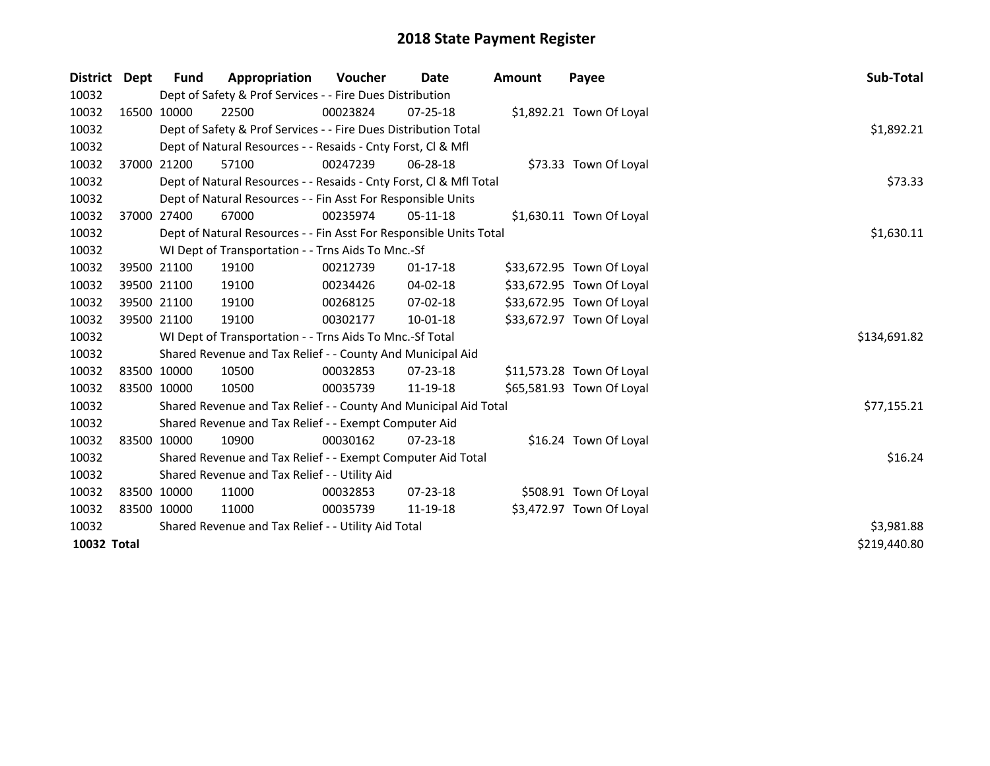| District Dept | <b>Fund</b> | Appropriation                                                      | Voucher    | Date           | <b>Amount</b> | Payee                     | Sub-Total    |  |  |  |
|---------------|-------------|--------------------------------------------------------------------|------------|----------------|---------------|---------------------------|--------------|--|--|--|
| 10032         |             | Dept of Safety & Prof Services - - Fire Dues Distribution          |            |                |               |                           |              |  |  |  |
| 10032         | 16500 10000 | 22500                                                              | 00023824   | $07 - 25 - 18$ |               | \$1,892.21 Town Of Loyal  |              |  |  |  |
| 10032         |             | Dept of Safety & Prof Services - - Fire Dues Distribution Total    |            |                |               |                           | \$1,892.21   |  |  |  |
| 10032         |             | Dept of Natural Resources - - Resaids - Cnty Forst, Cl & Mfl       |            |                |               |                           |              |  |  |  |
| 10032         | 37000 21200 | 57100                                                              | 00247239   | 06-28-18       |               | \$73.33 Town Of Loyal     |              |  |  |  |
| 10032         |             | Dept of Natural Resources - - Resaids - Cnty Forst, Cl & Mfl Total | \$73.33    |                |               |                           |              |  |  |  |
| 10032         |             | Dept of Natural Resources - - Fin Asst For Responsible Units       |            |                |               |                           |              |  |  |  |
| 10032         | 37000 27400 | 67000                                                              | 00235974   | 05-11-18       |               | \$1,630.11 Town Of Loyal  |              |  |  |  |
| 10032         |             | Dept of Natural Resources - - Fin Asst For Responsible Units Total |            |                |               |                           | \$1,630.11   |  |  |  |
| 10032         |             | WI Dept of Transportation - - Trns Aids To Mnc.-Sf                 |            |                |               |                           |              |  |  |  |
| 10032         | 39500 21100 | 19100                                                              | 00212739   | $01 - 17 - 18$ |               | \$33,672.95 Town Of Loyal |              |  |  |  |
| 10032         | 39500 21100 | 19100                                                              | 00234426   | 04-02-18       |               | \$33,672.95 Town Of Loyal |              |  |  |  |
| 10032         | 39500 21100 | 19100                                                              | 00268125   | $07 - 02 - 18$ |               | \$33,672.95 Town Of Loyal |              |  |  |  |
| 10032         | 39500 21100 | 19100                                                              | 00302177   | 10-01-18       |               | \$33,672.97 Town Of Loyal |              |  |  |  |
| 10032         |             | WI Dept of Transportation - - Trns Aids To Mnc.-Sf Total           |            |                |               |                           | \$134,691.82 |  |  |  |
| 10032         |             | Shared Revenue and Tax Relief - - County And Municipal Aid         |            |                |               |                           |              |  |  |  |
| 10032         | 83500 10000 | 10500                                                              | 00032853   | $07 - 23 - 18$ |               | \$11,573.28 Town Of Loyal |              |  |  |  |
| 10032         | 83500 10000 | 10500                                                              | 00035739   | 11-19-18       |               | \$65,581.93 Town Of Loyal |              |  |  |  |
| 10032         |             | Shared Revenue and Tax Relief - - County And Municipal Aid Total   |            |                |               |                           | \$77,155.21  |  |  |  |
| 10032         |             | Shared Revenue and Tax Relief - - Exempt Computer Aid              |            |                |               |                           |              |  |  |  |
| 10032         | 83500 10000 | 10900                                                              | 00030162   | $07 - 23 - 18$ |               | \$16.24 Town Of Loyal     |              |  |  |  |
| 10032         |             | Shared Revenue and Tax Relief - - Exempt Computer Aid Total        |            |                |               |                           | \$16.24      |  |  |  |
| 10032         |             | Shared Revenue and Tax Relief - - Utility Aid                      |            |                |               |                           |              |  |  |  |
| 10032         | 83500 10000 | 11000                                                              | 00032853   | $07 - 23 - 18$ |               | \$508.91 Town Of Loyal    |              |  |  |  |
| 10032         | 83500 10000 | 11000                                                              | 00035739   | 11-19-18       |               | \$3,472.97 Town Of Loyal  |              |  |  |  |
| 10032         |             | Shared Revenue and Tax Relief - - Utility Aid Total                | \$3,981.88 |                |               |                           |              |  |  |  |
| 10032 Total   |             |                                                                    |            |                |               |                           | \$219,440.80 |  |  |  |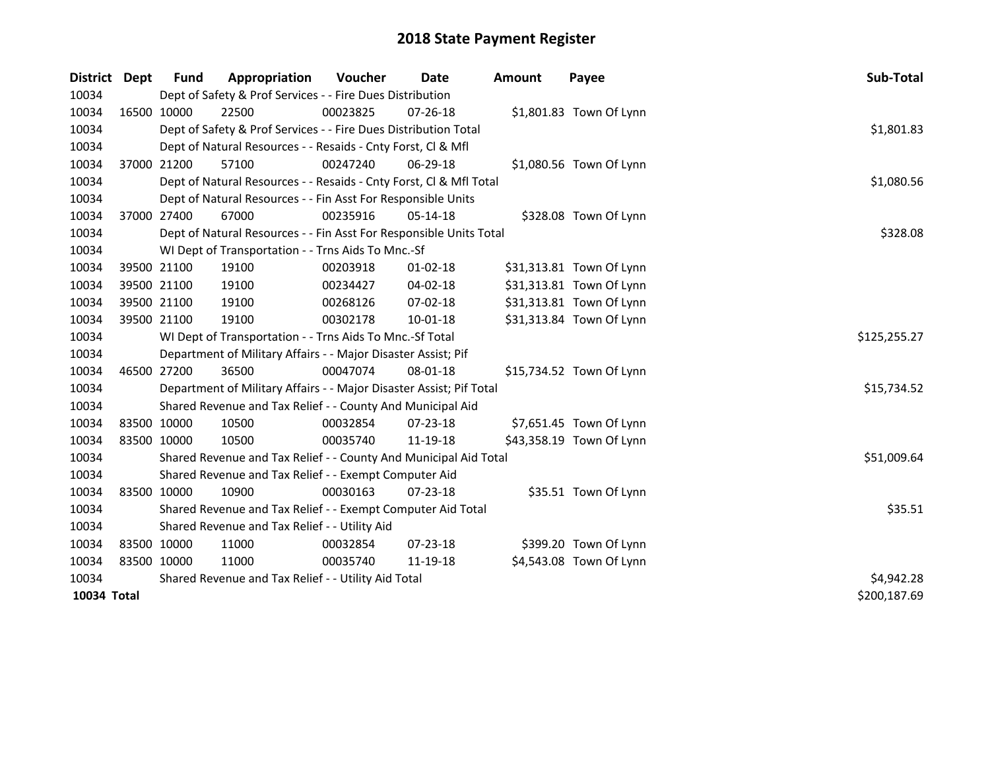| District    | Dept | <b>Fund</b> | Appropriation                                                       | <b>Voucher</b> | Date           | <b>Amount</b> | Payee                    | Sub-Total    |
|-------------|------|-------------|---------------------------------------------------------------------|----------------|----------------|---------------|--------------------------|--------------|
| 10034       |      |             | Dept of Safety & Prof Services - - Fire Dues Distribution           |                |                |               |                          |              |
| 10034       |      | 16500 10000 | 22500                                                               | 00023825       | 07-26-18       |               | \$1,801.83 Town Of Lynn  |              |
| 10034       |      |             | Dept of Safety & Prof Services - - Fire Dues Distribution Total     |                |                |               |                          | \$1,801.83   |
| 10034       |      |             | Dept of Natural Resources - - Resaids - Cnty Forst, Cl & Mfl        |                |                |               |                          |              |
| 10034       |      | 37000 21200 | 57100                                                               | 00247240       | 06-29-18       |               | \$1,080.56 Town Of Lynn  |              |
| 10034       |      |             | Dept of Natural Resources - - Resaids - Cnty Forst, CI & Mfl Total  |                |                |               |                          | \$1,080.56   |
| 10034       |      |             | Dept of Natural Resources - - Fin Asst For Responsible Units        |                |                |               |                          |              |
| 10034       |      | 37000 27400 | 67000                                                               | 00235916       | 05-14-18       |               | \$328.08 Town Of Lynn    |              |
| 10034       |      |             | Dept of Natural Resources - - Fin Asst For Responsible Units Total  |                |                |               |                          | \$328.08     |
| 10034       |      |             | WI Dept of Transportation - - Trns Aids To Mnc.-Sf                  |                |                |               |                          |              |
| 10034       |      | 39500 21100 | 19100                                                               | 00203918       | $01 - 02 - 18$ |               | \$31,313.81 Town Of Lynn |              |
| 10034       |      | 39500 21100 | 19100                                                               | 00234427       | 04-02-18       |               | \$31,313.81 Town Of Lynn |              |
| 10034       |      | 39500 21100 | 19100                                                               | 00268126       | 07-02-18       |               | \$31,313.81 Town Of Lynn |              |
| 10034       |      | 39500 21100 | 19100                                                               | 00302178       | 10-01-18       |               | \$31,313.84 Town Of Lynn |              |
| 10034       |      |             | WI Dept of Transportation - - Trns Aids To Mnc.-Sf Total            |                |                |               |                          | \$125,255.27 |
| 10034       |      |             | Department of Military Affairs - - Major Disaster Assist; Pif       |                |                |               |                          |              |
| 10034       |      | 46500 27200 | 36500                                                               | 00047074       | 08-01-18       |               | \$15,734.52 Town Of Lynn |              |
| 10034       |      |             | Department of Military Affairs - - Major Disaster Assist; Pif Total |                |                |               |                          | \$15,734.52  |
| 10034       |      |             | Shared Revenue and Tax Relief - - County And Municipal Aid          |                |                |               |                          |              |
| 10034       |      | 83500 10000 | 10500                                                               | 00032854       | $07 - 23 - 18$ |               | \$7,651.45 Town Of Lynn  |              |
| 10034       |      | 83500 10000 | 10500                                                               | 00035740       | 11-19-18       |               | \$43,358.19 Town Of Lynn |              |
| 10034       |      |             | Shared Revenue and Tax Relief - - County And Municipal Aid Total    |                |                |               |                          | \$51,009.64  |
| 10034       |      |             | Shared Revenue and Tax Relief - - Exempt Computer Aid               |                |                |               |                          |              |
| 10034       |      | 83500 10000 | 10900                                                               | 00030163       | $07 - 23 - 18$ |               | \$35.51 Town Of Lynn     |              |
| 10034       |      |             | Shared Revenue and Tax Relief - - Exempt Computer Aid Total         |                |                |               |                          | \$35.51      |
| 10034       |      |             | Shared Revenue and Tax Relief - - Utility Aid                       |                |                |               |                          |              |
| 10034       |      | 83500 10000 | 11000                                                               | 00032854       | 07-23-18       |               | \$399.20 Town Of Lynn    |              |
| 10034       |      | 83500 10000 | 11000                                                               | 00035740       | 11-19-18       |               | \$4,543.08 Town Of Lynn  |              |
| 10034       |      |             | Shared Revenue and Tax Relief - - Utility Aid Total                 | \$4,942.28     |                |               |                          |              |
| 10034 Total |      |             |                                                                     |                |                |               |                          | \$200,187.69 |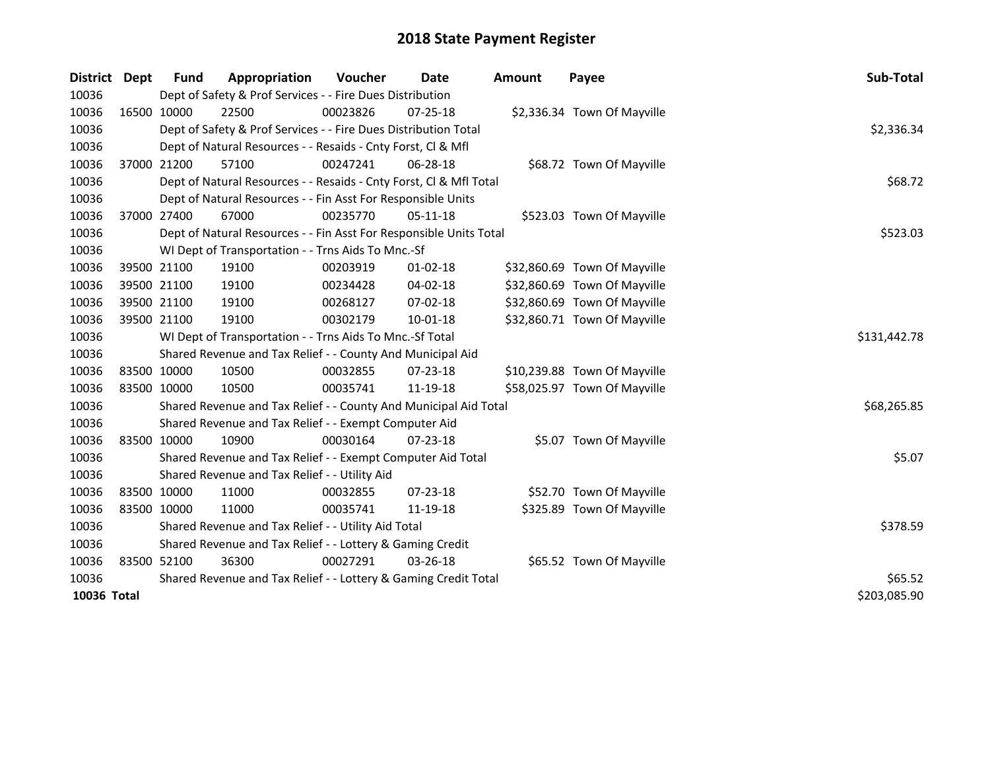| <b>District</b>             | Dept        | <b>Fund</b>                                               | Appropriation                                                      | Voucher      | Date           | <b>Amount</b> | Payee                        | Sub-Total   |
|-----------------------------|-------------|-----------------------------------------------------------|--------------------------------------------------------------------|--------------|----------------|---------------|------------------------------|-------------|
| 10036                       |             |                                                           | Dept of Safety & Prof Services - - Fire Dues Distribution          |              |                |               |                              |             |
| 10036                       |             | 16500 10000                                               | 22500                                                              | 00023826     | $07 - 25 - 18$ |               | \$2,336.34 Town Of Mayville  |             |
| 10036                       |             |                                                           | Dept of Safety & Prof Services - - Fire Dues Distribution Total    |              |                |               |                              | \$2,336.34  |
| 10036                       |             |                                                           | Dept of Natural Resources - - Resaids - Cnty Forst, CI & Mfl       |              |                |               |                              |             |
| 10036                       |             | 37000 21200                                               | 57100                                                              | 00247241     | 06-28-18       |               | \$68.72 Town Of Mayville     |             |
| 10036                       |             |                                                           | Dept of Natural Resources - - Resaids - Cnty Forst, Cl & Mfl Total | \$68.72      |                |               |                              |             |
| 10036                       |             |                                                           | Dept of Natural Resources - - Fin Asst For Responsible Units       |              |                |               |                              |             |
| 10036                       |             | 37000 27400                                               | 67000                                                              | 00235770     | $05-11-18$     |               | \$523.03 Town Of Mayville    |             |
| 10036                       |             |                                                           | Dept of Natural Resources - - Fin Asst For Responsible Units Total | \$523.03     |                |               |                              |             |
| 10036                       |             |                                                           | WI Dept of Transportation - - Trns Aids To Mnc.-Sf                 |              |                |               |                              |             |
| 10036                       |             | 39500 21100                                               | 19100                                                              | 00203919     | $01 - 02 - 18$ |               | \$32,860.69 Town Of Mayville |             |
| 10036                       | 39500 21100 |                                                           | 19100                                                              | 00234428     | 04-02-18       |               | \$32,860.69 Town Of Mayville |             |
| 10036                       | 39500 21100 |                                                           | 19100                                                              | 00268127     | 07-02-18       |               | \$32,860.69 Town Of Mayville |             |
| 10036                       | 39500 21100 |                                                           | 19100                                                              | 00302179     | $10 - 01 - 18$ |               | \$32,860.71 Town Of Mayville |             |
| 10036                       |             |                                                           | WI Dept of Transportation - - Trns Aids To Mnc.-Sf Total           | \$131,442.78 |                |               |                              |             |
| 10036                       |             |                                                           | Shared Revenue and Tax Relief - - County And Municipal Aid         |              |                |               |                              |             |
| 10036                       | 83500 10000 |                                                           | 10500                                                              | 00032855     | 07-23-18       |               | \$10,239.88 Town Of Mayville |             |
| 10036                       | 83500 10000 |                                                           | 10500                                                              | 00035741     | 11-19-18       |               | \$58,025.97 Town Of Mayville |             |
| 10036                       |             |                                                           | Shared Revenue and Tax Relief - - County And Municipal Aid Total   |              |                |               |                              | \$68,265.85 |
| 10036                       |             |                                                           | Shared Revenue and Tax Relief - - Exempt Computer Aid              |              |                |               |                              |             |
| 10036                       | 83500 10000 |                                                           | 10900                                                              | 00030164     | 07-23-18       |               | \$5.07 Town Of Mayville      |             |
| 10036                       |             |                                                           | Shared Revenue and Tax Relief - - Exempt Computer Aid Total        |              |                |               |                              | \$5.07      |
| 10036                       |             |                                                           | Shared Revenue and Tax Relief - - Utility Aid                      |              |                |               |                              |             |
| 10036                       | 83500 10000 |                                                           | 11000                                                              | 00032855     | 07-23-18       |               | \$52.70 Town Of Mayville     |             |
| 10036                       | 83500 10000 |                                                           | 11000                                                              | 00035741     | 11-19-18       |               | \$325.89 Town Of Mayville    |             |
| 10036                       |             |                                                           | Shared Revenue and Tax Relief - - Utility Aid Total                |              |                |               |                              | \$378.59    |
| 10036                       |             | Shared Revenue and Tax Relief - - Lottery & Gaming Credit |                                                                    |              |                |               |                              |             |
| 10036                       | 83500 52100 |                                                           | 36300                                                              | 00027291     | 03-26-18       |               | \$65.52 Town Of Mayville     |             |
| 10036                       |             |                                                           | Shared Revenue and Tax Relief - - Lottery & Gaming Credit Total    | \$65.52      |                |               |                              |             |
| 10036 Total<br>\$203,085.90 |             |                                                           |                                                                    |              |                |               |                              |             |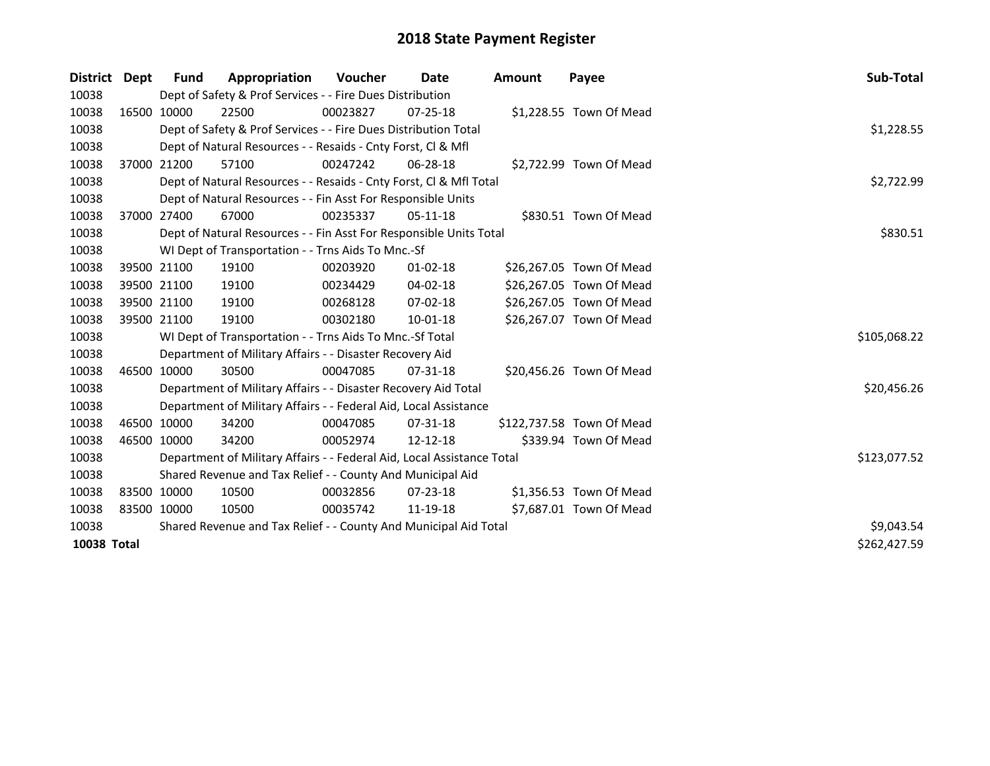| <b>District</b> | <b>Dept</b> | Fund                                                             | Appropriation                                                          | Voucher    | Date           | Amount | Payee                     | <b>Sub-Total</b> |
|-----------------|-------------|------------------------------------------------------------------|------------------------------------------------------------------------|------------|----------------|--------|---------------------------|------------------|
| 10038           |             |                                                                  | Dept of Safety & Prof Services - - Fire Dues Distribution              |            |                |        |                           |                  |
| 10038           | 16500 10000 |                                                                  | 22500                                                                  | 00023827   | $07 - 25 - 18$ |        | \$1,228.55 Town Of Mead   |                  |
| 10038           |             |                                                                  | Dept of Safety & Prof Services - - Fire Dues Distribution Total        | \$1,228.55 |                |        |                           |                  |
| 10038           |             |                                                                  | Dept of Natural Resources - - Resaids - Cnty Forst, Cl & Mfl           |            |                |        |                           |                  |
| 10038           |             | 37000 21200                                                      | 57100                                                                  | 00247242   | 06-28-18       |        | \$2,722.99 Town Of Mead   |                  |
| 10038           |             |                                                                  | Dept of Natural Resources - - Resaids - Cnty Forst, Cl & Mfl Total     |            |                |        |                           | \$2,722.99       |
| 10038           |             |                                                                  | Dept of Natural Resources - - Fin Asst For Responsible Units           |            |                |        |                           |                  |
| 10038           |             | 37000 27400                                                      | 67000                                                                  | 00235337   | $05 - 11 - 18$ |        | \$830.51 Town Of Mead     |                  |
| 10038           |             |                                                                  | Dept of Natural Resources - - Fin Asst For Responsible Units Total     |            |                |        |                           | \$830.51         |
| 10038           |             |                                                                  | WI Dept of Transportation - - Trns Aids To Mnc.-Sf                     |            |                |        |                           |                  |
| 10038           |             | 39500 21100                                                      | 19100                                                                  | 00203920   | $01 - 02 - 18$ |        | \$26,267.05 Town Of Mead  |                  |
| 10038           |             | 39500 21100                                                      | 19100                                                                  | 00234429   | 04-02-18       |        | \$26,267.05 Town Of Mead  |                  |
| 10038           |             | 39500 21100                                                      | 19100                                                                  | 00268128   | 07-02-18       |        | \$26,267.05 Town Of Mead  |                  |
| 10038           |             | 39500 21100                                                      | 19100                                                                  | 00302180   | 10-01-18       |        | \$26,267.07 Town Of Mead  |                  |
| 10038           |             |                                                                  | WI Dept of Transportation - - Trns Aids To Mnc.-Sf Total               |            |                |        |                           | \$105,068.22     |
| 10038           |             |                                                                  | Department of Military Affairs - - Disaster Recovery Aid               |            |                |        |                           |                  |
| 10038           | 46500 10000 |                                                                  | 30500                                                                  | 00047085   | 07-31-18       |        | \$20,456.26 Town Of Mead  |                  |
| 10038           |             |                                                                  | Department of Military Affairs - - Disaster Recovery Aid Total         |            |                |        |                           | \$20,456.26      |
| 10038           |             |                                                                  | Department of Military Affairs - - Federal Aid, Local Assistance       |            |                |        |                           |                  |
| 10038           | 46500 10000 |                                                                  | 34200                                                                  | 00047085   | $07 - 31 - 18$ |        | \$122,737.58 Town Of Mead |                  |
| 10038           | 46500 10000 |                                                                  | 34200                                                                  | 00052974   | 12-12-18       |        | \$339.94 Town Of Mead     |                  |
| 10038           |             |                                                                  | Department of Military Affairs - - Federal Aid, Local Assistance Total |            |                |        |                           | \$123,077.52     |
| 10038           |             |                                                                  | Shared Revenue and Tax Relief - - County And Municipal Aid             |            |                |        |                           |                  |
| 10038           | 83500 10000 |                                                                  | 10500                                                                  | 00032856   | $07 - 23 - 18$ |        | \$1,356.53 Town Of Mead   |                  |
| 10038           | 83500 10000 |                                                                  | 10500                                                                  | 00035742   | 11-19-18       |        | \$7,687.01 Town Of Mead   |                  |
| 10038           |             | Shared Revenue and Tax Relief - - County And Municipal Aid Total | \$9,043.54                                                             |            |                |        |                           |                  |
| 10038 Total     |             |                                                                  |                                                                        |            |                |        |                           | \$262,427.59     |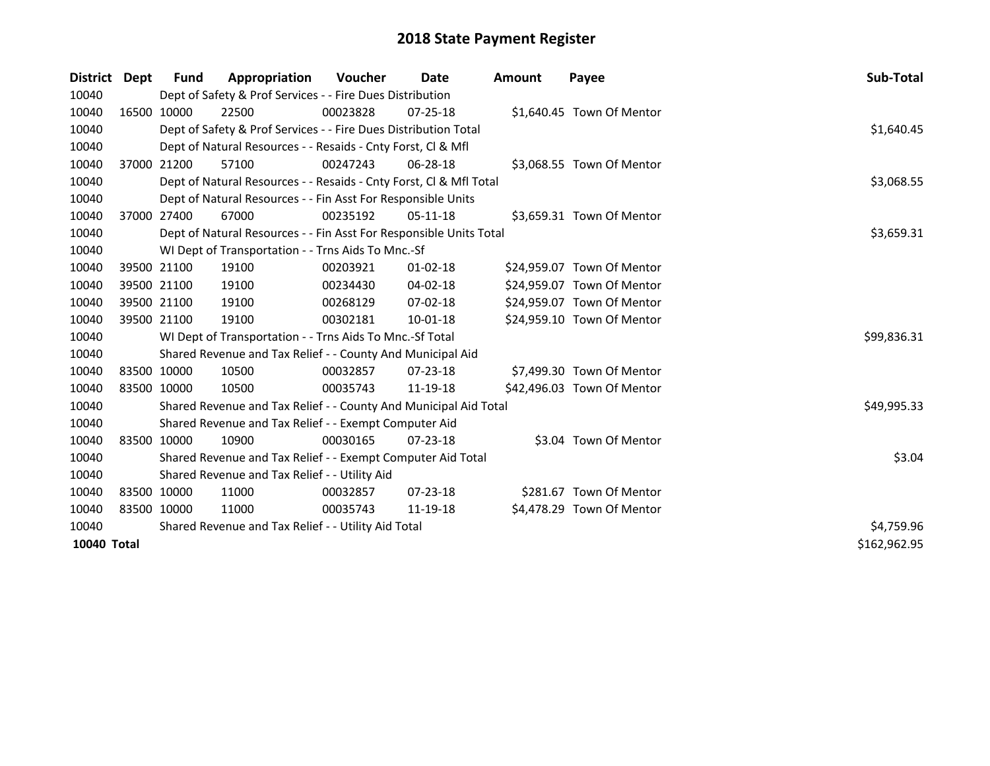| District    | Dept | Fund        | Appropriation                                                      | <b>Voucher</b> | Date           | Amount | Payee                      | Sub-Total    |
|-------------|------|-------------|--------------------------------------------------------------------|----------------|----------------|--------|----------------------------|--------------|
| 10040       |      |             | Dept of Safety & Prof Services - - Fire Dues Distribution          |                |                |        |                            |              |
| 10040       |      | 16500 10000 | 22500                                                              | 00023828       | $07 - 25 - 18$ |        | \$1,640.45 Town Of Mentor  |              |
| 10040       |      |             | Dept of Safety & Prof Services - - Fire Dues Distribution Total    |                |                |        |                            | \$1,640.45   |
| 10040       |      |             | Dept of Natural Resources - - Resaids - Cnty Forst, CI & Mfl       |                |                |        |                            |              |
| 10040       |      | 37000 21200 | 57100                                                              | 00247243       | 06-28-18       |        | \$3,068.55 Town Of Mentor  |              |
| 10040       |      |             | Dept of Natural Resources - - Resaids - Cnty Forst, Cl & Mfl Total |                |                |        |                            | \$3,068.55   |
| 10040       |      |             | Dept of Natural Resources - - Fin Asst For Responsible Units       |                |                |        |                            |              |
| 10040       |      | 37000 27400 | 67000                                                              | 00235192       | 05-11-18       |        | \$3,659.31 Town Of Mentor  |              |
| 10040       |      |             | Dept of Natural Resources - - Fin Asst For Responsible Units Total |                |                |        |                            | \$3,659.31   |
| 10040       |      |             | WI Dept of Transportation - - Trns Aids To Mnc.-Sf                 |                |                |        |                            |              |
| 10040       |      | 39500 21100 | 19100                                                              | 00203921       | $01 - 02 - 18$ |        | \$24,959.07 Town Of Mentor |              |
| 10040       |      | 39500 21100 | 19100                                                              | 00234430       | $04 - 02 - 18$ |        | \$24,959.07 Town Of Mentor |              |
| 10040       |      | 39500 21100 | 19100                                                              | 00268129       | 07-02-18       |        | \$24,959.07 Town Of Mentor |              |
| 10040       |      | 39500 21100 | 19100                                                              | 00302181       | 10-01-18       |        | \$24,959.10 Town Of Mentor |              |
| 10040       |      |             | WI Dept of Transportation - - Trns Aids To Mnc.-Sf Total           |                |                |        |                            | \$99,836.31  |
| 10040       |      |             | Shared Revenue and Tax Relief - - County And Municipal Aid         |                |                |        |                            |              |
| 10040       |      | 83500 10000 | 10500                                                              | 00032857       | $07 - 23 - 18$ |        | \$7,499.30 Town Of Mentor  |              |
| 10040       |      | 83500 10000 | 10500                                                              | 00035743       | 11-19-18       |        | \$42,496.03 Town Of Mentor |              |
| 10040       |      |             | Shared Revenue and Tax Relief - - County And Municipal Aid Total   |                |                |        |                            | \$49,995.33  |
| 10040       |      |             | Shared Revenue and Tax Relief - - Exempt Computer Aid              |                |                |        |                            |              |
| 10040       |      | 83500 10000 | 10900                                                              | 00030165       | $07 - 23 - 18$ |        | \$3.04 Town Of Mentor      |              |
| 10040       |      |             | Shared Revenue and Tax Relief - - Exempt Computer Aid Total        |                |                |        |                            | \$3.04       |
| 10040       |      |             | Shared Revenue and Tax Relief - - Utility Aid                      |                |                |        |                            |              |
| 10040       |      | 83500 10000 | 11000                                                              | 00032857       | $07 - 23 - 18$ |        | \$281.67 Town Of Mentor    |              |
| 10040       |      | 83500 10000 | 11000                                                              | 00035743       | 11-19-18       |        | \$4,478.29 Town Of Mentor  |              |
| 10040       |      |             | Shared Revenue and Tax Relief - - Utility Aid Total                | \$4,759.96     |                |        |                            |              |
| 10040 Total |      |             |                                                                    |                |                |        |                            | \$162,962.95 |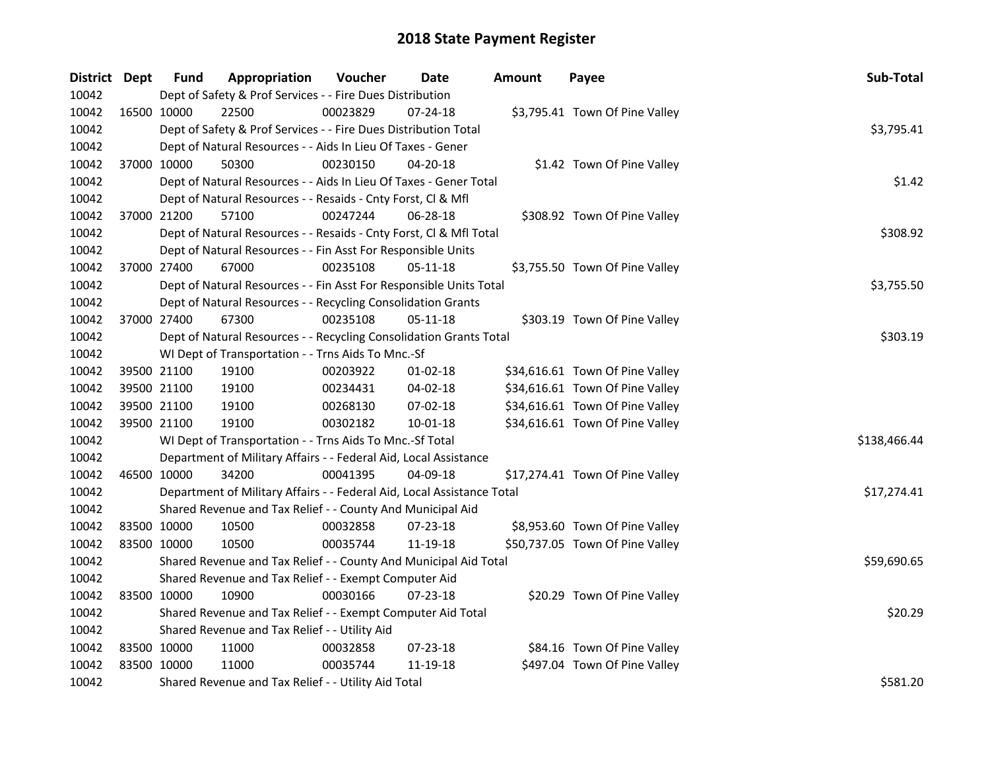| District Dept |             | <b>Fund</b>                                   | Appropriation                                                          | Voucher  | Date           | <b>Amount</b> | Payee                           | Sub-Total    |  |
|---------------|-------------|-----------------------------------------------|------------------------------------------------------------------------|----------|----------------|---------------|---------------------------------|--------------|--|
| 10042         |             |                                               | Dept of Safety & Prof Services - - Fire Dues Distribution              |          |                |               |                                 |              |  |
| 10042         | 16500 10000 |                                               | 22500                                                                  | 00023829 | 07-24-18       |               | \$3,795.41 Town Of Pine Valley  |              |  |
| 10042         |             |                                               | Dept of Safety & Prof Services - - Fire Dues Distribution Total        |          |                |               |                                 | \$3,795.41   |  |
| 10042         |             |                                               | Dept of Natural Resources - - Aids In Lieu Of Taxes - Gener            |          |                |               |                                 |              |  |
| 10042         | 37000 10000 |                                               | 50300                                                                  | 00230150 | 04-20-18       |               | \$1.42 Town Of Pine Valley      |              |  |
| 10042         |             |                                               | Dept of Natural Resources - - Aids In Lieu Of Taxes - Gener Total      |          |                |               |                                 | \$1.42       |  |
| 10042         |             |                                               | Dept of Natural Resources - - Resaids - Cnty Forst, Cl & Mfl           |          |                |               |                                 |              |  |
| 10042         |             | 37000 21200                                   | 57100                                                                  | 00247244 | $06 - 28 - 18$ |               | \$308.92 Town Of Pine Valley    |              |  |
| 10042         |             |                                               | Dept of Natural Resources - - Resaids - Cnty Forst, Cl & Mfl Total     |          |                |               |                                 | \$308.92     |  |
| 10042         |             |                                               | Dept of Natural Resources - - Fin Asst For Responsible Units           |          |                |               |                                 |              |  |
| 10042         |             | 37000 27400                                   | 67000                                                                  | 00235108 | 05-11-18       |               | \$3,755.50 Town Of Pine Valley  |              |  |
| 10042         |             |                                               | Dept of Natural Resources - - Fin Asst For Responsible Units Total     |          |                |               |                                 | \$3,755.50   |  |
| 10042         |             |                                               | Dept of Natural Resources - - Recycling Consolidation Grants           |          |                |               |                                 |              |  |
| 10042         | 37000 27400 |                                               | 67300                                                                  | 00235108 | 05-11-18       |               | \$303.19 Town Of Pine Valley    |              |  |
| 10042         |             |                                               | Dept of Natural Resources - - Recycling Consolidation Grants Total     |          |                |               |                                 | \$303.19     |  |
| 10042         |             |                                               | WI Dept of Transportation - - Trns Aids To Mnc.-Sf                     |          |                |               |                                 |              |  |
| 10042         |             | 39500 21100                                   | 19100                                                                  | 00203922 | $01-02-18$     |               | \$34,616.61 Town Of Pine Valley |              |  |
| 10042         |             | 39500 21100                                   | 19100                                                                  | 00234431 | 04-02-18       |               | \$34,616.61 Town Of Pine Valley |              |  |
| 10042         |             | 39500 21100                                   | 19100                                                                  | 00268130 | 07-02-18       |               | \$34,616.61 Town Of Pine Valley |              |  |
| 10042         |             | 39500 21100                                   | 19100                                                                  | 00302182 | $10 - 01 - 18$ |               | \$34,616.61 Town Of Pine Valley |              |  |
| 10042         |             |                                               | WI Dept of Transportation - - Trns Aids To Mnc.-Sf Total               |          |                |               |                                 | \$138,466.44 |  |
| 10042         |             |                                               | Department of Military Affairs - - Federal Aid, Local Assistance       |          |                |               |                                 |              |  |
| 10042         |             | 46500 10000                                   | 34200                                                                  | 00041395 | 04-09-18       |               | \$17,274.41 Town Of Pine Valley |              |  |
| 10042         |             |                                               | Department of Military Affairs - - Federal Aid, Local Assistance Total |          |                |               |                                 | \$17,274.41  |  |
| 10042         |             |                                               | Shared Revenue and Tax Relief - - County And Municipal Aid             |          |                |               |                                 |              |  |
| 10042         |             | 83500 10000                                   | 10500                                                                  | 00032858 | 07-23-18       |               | \$8,953.60 Town Of Pine Valley  |              |  |
| 10042         | 83500 10000 |                                               | 10500                                                                  | 00035744 | 11-19-18       |               | \$50,737.05 Town Of Pine Valley |              |  |
| 10042         |             |                                               | Shared Revenue and Tax Relief - - County And Municipal Aid Total       |          |                |               |                                 | \$59,690.65  |  |
| 10042         |             |                                               | Shared Revenue and Tax Relief - - Exempt Computer Aid                  |          |                |               |                                 |              |  |
| 10042         | 83500 10000 |                                               | 10900                                                                  | 00030166 | 07-23-18       |               | \$20.29 Town Of Pine Valley     |              |  |
| 10042         |             |                                               | Shared Revenue and Tax Relief - - Exempt Computer Aid Total            |          |                |               |                                 | \$20.29      |  |
| 10042         |             | Shared Revenue and Tax Relief - - Utility Aid |                                                                        |          |                |               |                                 |              |  |
| 10042         |             | 83500 10000                                   | 11000                                                                  | 00032858 | 07-23-18       |               | \$84.16 Town Of Pine Valley     |              |  |
| 10042         | 83500 10000 |                                               | 11000                                                                  | 00035744 | 11-19-18       |               | \$497.04 Town Of Pine Valley    |              |  |
| 10042         |             |                                               | Shared Revenue and Tax Relief - - Utility Aid Total                    |          |                |               |                                 | \$581.20     |  |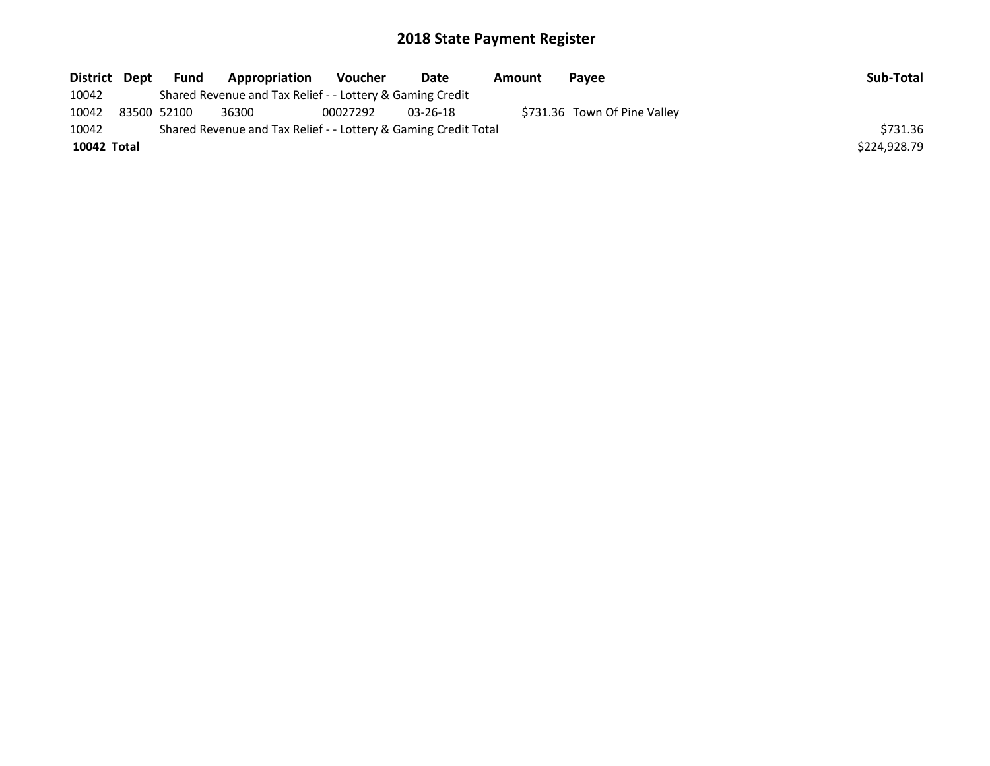| District Dept | <b>Fund</b> | Appropriation                                                   | Voucher  | Date           | Amount | <b>Pavee</b>                 | Sub-Total    |
|---------------|-------------|-----------------------------------------------------------------|----------|----------------|--------|------------------------------|--------------|
| 10042         |             | Shared Revenue and Tax Relief - - Lottery & Gaming Credit       |          |                |        |                              |              |
| 10042         | 83500 52100 | 36300                                                           | 00027292 | $03 - 26 - 18$ |        | \$731.36 Town Of Pine Valley |              |
| 10042         |             | Shared Revenue and Tax Relief - - Lottery & Gaming Credit Total |          |                |        |                              | \$731.36     |
| 10042 Total   |             |                                                                 |          |                |        |                              | \$224.928.79 |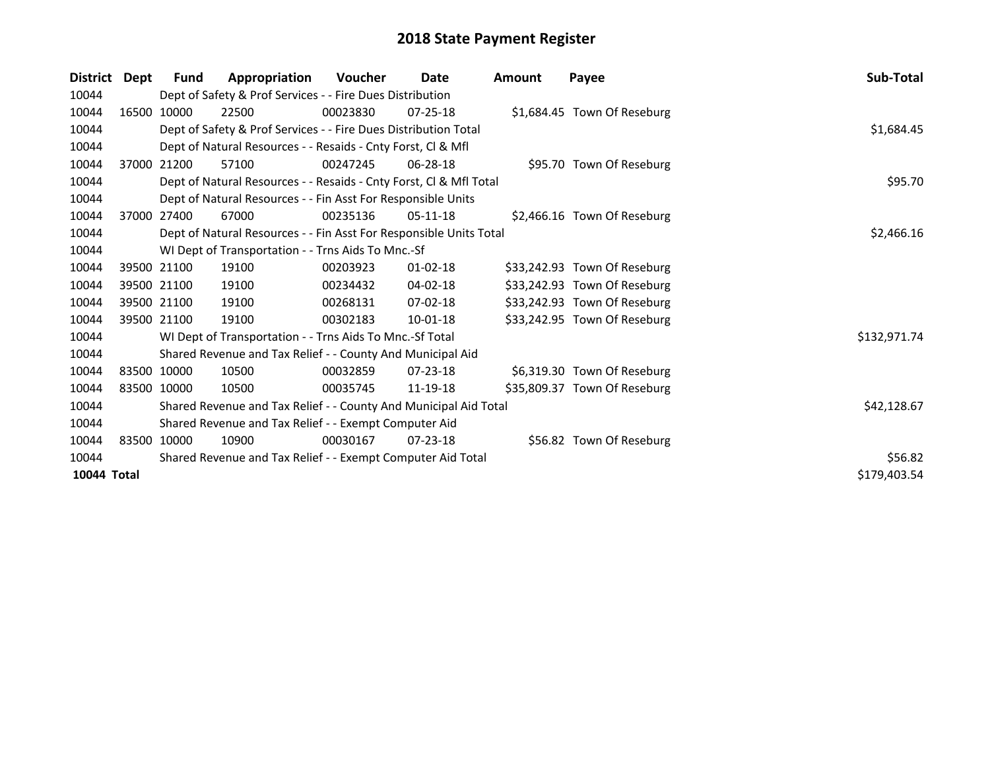| <b>District</b> | Dept | <b>Fund</b>                                                 | Appropriation                                                      | Voucher  | <b>Date</b>    | Amount | Payee                        | Sub-Total    |  |  |
|-----------------|------|-------------------------------------------------------------|--------------------------------------------------------------------|----------|----------------|--------|------------------------------|--------------|--|--|
| 10044           |      |                                                             | Dept of Safety & Prof Services - - Fire Dues Distribution          |          |                |        |                              |              |  |  |
| 10044           |      | 16500 10000                                                 | 22500                                                              | 00023830 | $07 - 25 - 18$ |        | \$1,684.45 Town Of Reseburg  |              |  |  |
| 10044           |      |                                                             | Dept of Safety & Prof Services - - Fire Dues Distribution Total    |          |                |        |                              |              |  |  |
| 10044           |      |                                                             | Dept of Natural Resources - - Resaids - Cnty Forst, CI & Mfl       |          |                |        |                              |              |  |  |
| 10044           |      | 37000 21200                                                 | 57100                                                              | 00247245 | 06-28-18       |        | \$95.70 Town Of Reseburg     |              |  |  |
| 10044           |      |                                                             | Dept of Natural Resources - - Resaids - Cnty Forst, CI & Mfl Total |          |                |        |                              | \$95.70      |  |  |
| 10044           |      |                                                             | Dept of Natural Resources - - Fin Asst For Responsible Units       |          |                |        |                              |              |  |  |
| 10044           |      | 37000 27400                                                 | 67000                                                              | 00235136 | $05-11-18$     |        | \$2,466.16 Town Of Reseburg  |              |  |  |
| 10044           |      |                                                             | Dept of Natural Resources - - Fin Asst For Responsible Units Total |          |                |        |                              | \$2,466.16   |  |  |
| 10044           |      |                                                             | WI Dept of Transportation - - Trns Aids To Mnc.-Sf                 |          |                |        |                              |              |  |  |
| 10044           |      | 39500 21100                                                 | 19100                                                              | 00203923 | $01 - 02 - 18$ |        | \$33,242.93 Town Of Reseburg |              |  |  |
| 10044           |      | 39500 21100                                                 | 19100                                                              | 00234432 | 04-02-18       |        | \$33,242.93 Town Of Reseburg |              |  |  |
| 10044           |      | 39500 21100                                                 | 19100                                                              | 00268131 | 07-02-18       |        | \$33,242.93 Town Of Reseburg |              |  |  |
| 10044           |      | 39500 21100                                                 | 19100                                                              | 00302183 | $10 - 01 - 18$ |        | \$33,242.95 Town Of Reseburg |              |  |  |
| 10044           |      |                                                             | WI Dept of Transportation - - Trns Aids To Mnc.-Sf Total           |          |                |        |                              | \$132,971.74 |  |  |
| 10044           |      |                                                             | Shared Revenue and Tax Relief - - County And Municipal Aid         |          |                |        |                              |              |  |  |
| 10044           |      | 83500 10000                                                 | 10500                                                              | 00032859 | $07 - 23 - 18$ |        | \$6,319.30 Town Of Reseburg  |              |  |  |
| 10044           |      | 83500 10000                                                 | 10500                                                              | 00035745 | 11-19-18       |        | \$35,809.37 Town Of Reseburg |              |  |  |
| 10044           |      |                                                             | Shared Revenue and Tax Relief - - County And Municipal Aid Total   |          |                |        |                              | \$42,128.67  |  |  |
| 10044           |      |                                                             | Shared Revenue and Tax Relief - - Exempt Computer Aid              |          |                |        |                              |              |  |  |
| 10044           |      | 83500 10000                                                 | 10900                                                              | 00030167 | $07 - 23 - 18$ |        | \$56.82 Town Of Reseburg     |              |  |  |
| 10044           |      | Shared Revenue and Tax Relief - - Exempt Computer Aid Total |                                                                    |          |                |        |                              |              |  |  |
| 10044 Total     |      |                                                             |                                                                    |          |                |        |                              | \$179,403.54 |  |  |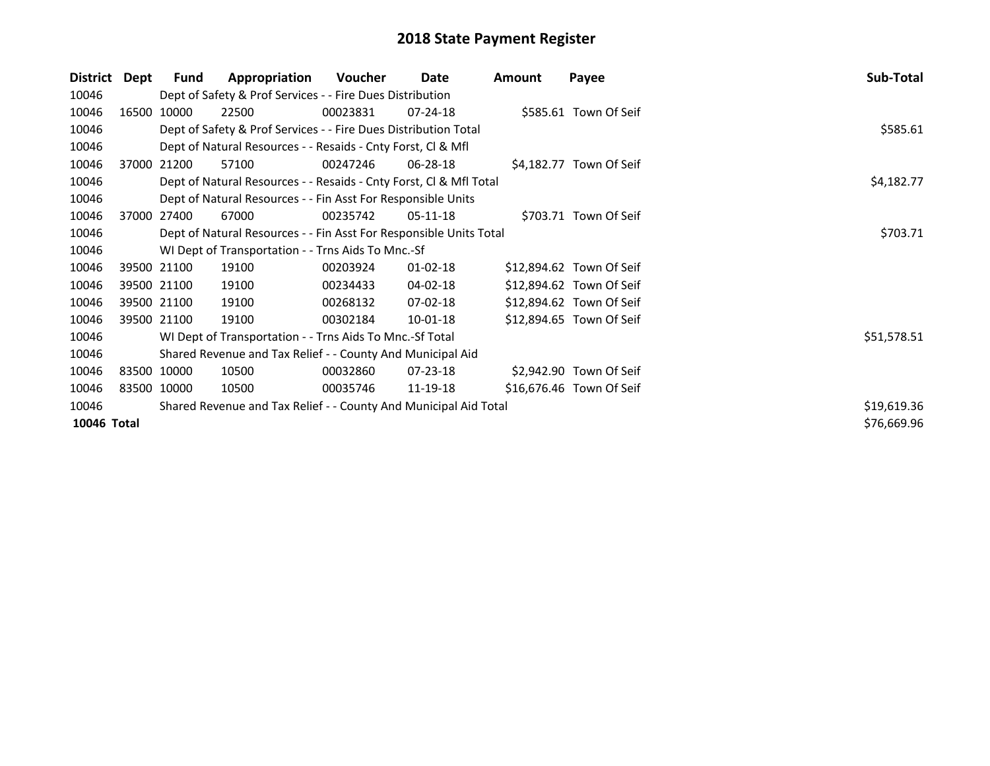| <b>District</b> | Dept | Fund        | Appropriation                                                      | Voucher    | Date           | Amount | Payee                    | Sub-Total   |
|-----------------|------|-------------|--------------------------------------------------------------------|------------|----------------|--------|--------------------------|-------------|
| 10046           |      |             | Dept of Safety & Prof Services - - Fire Dues Distribution          |            |                |        |                          |             |
| 10046           |      | 16500 10000 | 22500                                                              | 00023831   | 07-24-18       |        | \$585.61 Town Of Seif    |             |
| 10046           |      |             | Dept of Safety & Prof Services - - Fire Dues Distribution Total    |            |                |        |                          | \$585.61    |
| 10046           |      |             | Dept of Natural Resources - - Resaids - Cnty Forst, Cl & Mfl       |            |                |        |                          |             |
| 10046           |      | 37000 21200 | 57100                                                              | 00247246   | 06-28-18       |        | \$4,182.77 Town Of Seif  |             |
| 10046           |      |             | Dept of Natural Resources - - Resaids - Cnty Forst, Cl & Mfl Total | \$4,182.77 |                |        |                          |             |
| 10046           |      |             | Dept of Natural Resources - - Fin Asst For Responsible Units       |            |                |        |                          |             |
| 10046           |      | 37000 27400 | 67000                                                              | 00235742   | 05-11-18       |        | \$703.71 Town Of Seif    |             |
| 10046           |      |             | Dept of Natural Resources - - Fin Asst For Responsible Units Total | \$703.71   |                |        |                          |             |
| 10046           |      |             | WI Dept of Transportation - - Trns Aids To Mnc.-Sf                 |            |                |        |                          |             |
| 10046           |      | 39500 21100 | 19100                                                              | 00203924   | $01 - 02 - 18$ |        | \$12,894.62 Town Of Seif |             |
| 10046           |      | 39500 21100 | 19100                                                              | 00234433   | 04-02-18       |        | \$12,894.62 Town Of Seif |             |
| 10046           |      | 39500 21100 | 19100                                                              | 00268132   | $07 - 02 - 18$ |        | \$12,894.62 Town Of Seif |             |
| 10046           |      | 39500 21100 | 19100                                                              | 00302184   | 10-01-18       |        | \$12,894.65 Town Of Seif |             |
| 10046           |      |             | WI Dept of Transportation - - Trns Aids To Mnc.-Sf Total           |            |                |        |                          | \$51,578.51 |
| 10046           |      |             | Shared Revenue and Tax Relief - - County And Municipal Aid         |            |                |        |                          |             |
| 10046           |      | 83500 10000 | 10500                                                              | 00032860   | $07 - 23 - 18$ |        | \$2,942.90 Town Of Seif  |             |
| 10046           |      | 83500 10000 | 10500                                                              | 00035746   | 11-19-18       |        | \$16,676.46 Town Of Seif |             |
| 10046           |      |             | Shared Revenue and Tax Relief - - County And Municipal Aid Total   |            |                |        |                          | \$19,619.36 |
| 10046 Total     |      |             |                                                                    |            |                |        |                          | \$76,669.96 |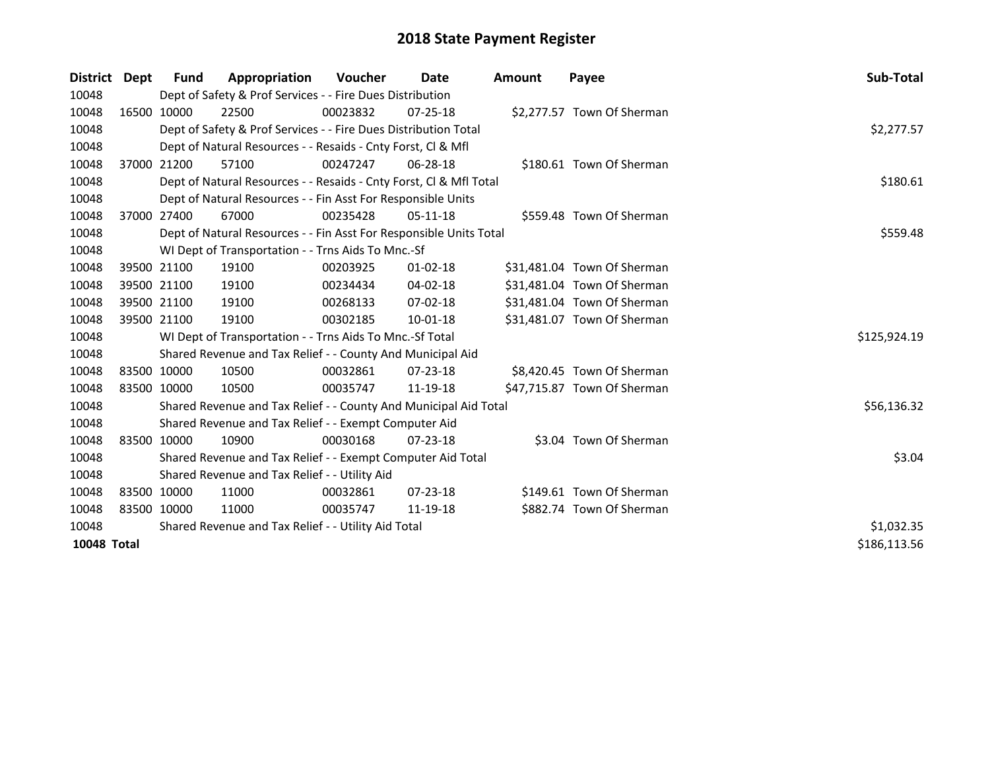| District    | Dept | <b>Fund</b> | Appropriation                                                      | <b>Voucher</b> | Date           | <b>Amount</b> | Payee                       | Sub-Total    |
|-------------|------|-------------|--------------------------------------------------------------------|----------------|----------------|---------------|-----------------------------|--------------|
| 10048       |      |             | Dept of Safety & Prof Services - - Fire Dues Distribution          |                |                |               |                             |              |
| 10048       |      | 16500 10000 | 22500                                                              | 00023832       | $07 - 25 - 18$ |               | \$2,277.57 Town Of Sherman  |              |
| 10048       |      |             | Dept of Safety & Prof Services - - Fire Dues Distribution Total    |                |                |               |                             | \$2,277.57   |
| 10048       |      |             | Dept of Natural Resources - - Resaids - Cnty Forst, CI & Mfl       |                |                |               |                             |              |
| 10048       |      | 37000 21200 | 57100                                                              | 00247247       | 06-28-18       |               | \$180.61 Town Of Sherman    |              |
| 10048       |      |             | Dept of Natural Resources - - Resaids - Cnty Forst, Cl & Mfl Total |                |                |               |                             | \$180.61     |
| 10048       |      |             | Dept of Natural Resources - - Fin Asst For Responsible Units       |                |                |               |                             |              |
| 10048       |      | 37000 27400 | 67000                                                              | 00235428       | $05-11-18$     |               | \$559.48 Town Of Sherman    |              |
| 10048       |      |             | Dept of Natural Resources - - Fin Asst For Responsible Units Total |                |                |               |                             | \$559.48     |
| 10048       |      |             | WI Dept of Transportation - - Trns Aids To Mnc.-Sf                 |                |                |               |                             |              |
| 10048       |      | 39500 21100 | 19100                                                              | 00203925       | $01 - 02 - 18$ |               | \$31,481.04 Town Of Sherman |              |
| 10048       |      | 39500 21100 | 19100                                                              | 00234434       | 04-02-18       |               | \$31,481.04 Town Of Sherman |              |
| 10048       |      | 39500 21100 | 19100                                                              | 00268133       | 07-02-18       |               | \$31,481.04 Town Of Sherman |              |
| 10048       |      | 39500 21100 | 19100                                                              | 00302185       | $10 - 01 - 18$ |               | \$31,481.07 Town Of Sherman |              |
| 10048       |      |             | WI Dept of Transportation - - Trns Aids To Mnc.-Sf Total           |                |                |               |                             | \$125,924.19 |
| 10048       |      |             | Shared Revenue and Tax Relief - - County And Municipal Aid         |                |                |               |                             |              |
| 10048       |      | 83500 10000 | 10500                                                              | 00032861       | $07 - 23 - 18$ |               | \$8,420.45 Town Of Sherman  |              |
| 10048       |      | 83500 10000 | 10500                                                              | 00035747       | 11-19-18       |               | \$47,715.87 Town Of Sherman |              |
| 10048       |      |             | Shared Revenue and Tax Relief - - County And Municipal Aid Total   |                |                |               |                             | \$56,136.32  |
| 10048       |      |             | Shared Revenue and Tax Relief - - Exempt Computer Aid              |                |                |               |                             |              |
| 10048       |      | 83500 10000 | 10900                                                              | 00030168       | $07 - 23 - 18$ |               | \$3.04 Town Of Sherman      |              |
| 10048       |      |             | Shared Revenue and Tax Relief - - Exempt Computer Aid Total        |                |                |               |                             | \$3.04       |
| 10048       |      |             | Shared Revenue and Tax Relief - - Utility Aid                      |                |                |               |                             |              |
| 10048       |      | 83500 10000 | 11000                                                              | 00032861       | $07 - 23 - 18$ |               | \$149.61 Town Of Sherman    |              |
| 10048       |      | 83500 10000 | 11000                                                              | 00035747       | 11-19-18       |               | \$882.74 Town Of Sherman    |              |
| 10048       |      |             | Shared Revenue and Tax Relief - - Utility Aid Total                | \$1,032.35     |                |               |                             |              |
| 10048 Total |      |             |                                                                    |                |                |               |                             | \$186,113.56 |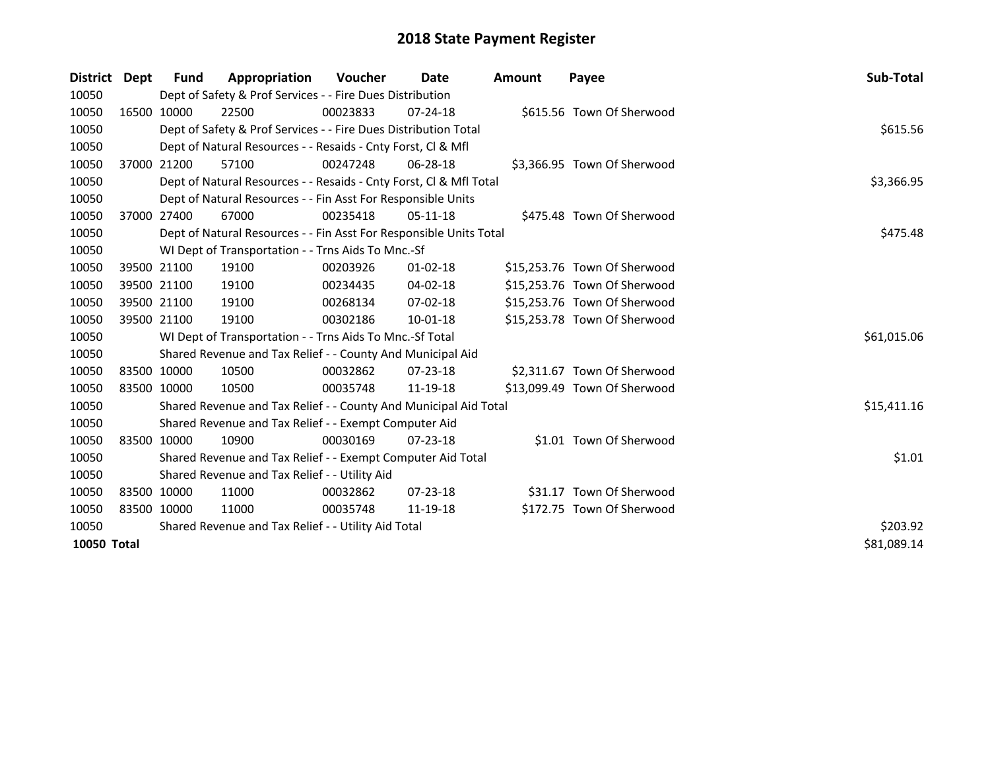| <b>District</b> | <b>Dept</b> | <b>Fund</b> | Appropriation                                                      | <b>Voucher</b> | Date           | Amount | Payee                        | Sub-Total   |
|-----------------|-------------|-------------|--------------------------------------------------------------------|----------------|----------------|--------|------------------------------|-------------|
| 10050           |             |             | Dept of Safety & Prof Services - - Fire Dues Distribution          |                |                |        |                              |             |
| 10050           |             | 16500 10000 | 22500                                                              | 00023833       | $07 - 24 - 18$ |        | \$615.56 Town Of Sherwood    |             |
| 10050           |             |             | Dept of Safety & Prof Services - - Fire Dues Distribution Total    |                |                |        |                              | \$615.56    |
| 10050           |             |             | Dept of Natural Resources - - Resaids - Cnty Forst, CI & Mfl       |                |                |        |                              |             |
| 10050           |             | 37000 21200 | 57100                                                              | 00247248       | 06-28-18       |        | \$3,366.95 Town Of Sherwood  |             |
| 10050           |             |             | Dept of Natural Resources - - Resaids - Cnty Forst, Cl & Mfl Total |                |                |        |                              | \$3,366.95  |
| 10050           |             |             | Dept of Natural Resources - - Fin Asst For Responsible Units       |                |                |        |                              |             |
| 10050           |             | 37000 27400 | 67000                                                              | 00235418       | $05-11-18$     |        | \$475.48 Town Of Sherwood    |             |
| 10050           |             |             | Dept of Natural Resources - - Fin Asst For Responsible Units Total |                |                |        |                              | \$475.48    |
| 10050           |             |             | WI Dept of Transportation - - Trns Aids To Mnc.-Sf                 |                |                |        |                              |             |
| 10050           |             | 39500 21100 | 19100                                                              | 00203926       | $01 - 02 - 18$ |        | \$15,253.76 Town Of Sherwood |             |
| 10050           |             | 39500 21100 | 19100                                                              | 00234435       | 04-02-18       |        | \$15,253.76 Town Of Sherwood |             |
| 10050           |             | 39500 21100 | 19100                                                              | 00268134       | $07 - 02 - 18$ |        | \$15,253.76 Town Of Sherwood |             |
| 10050           |             | 39500 21100 | 19100                                                              | 00302186       | $10 - 01 - 18$ |        | \$15,253.78 Town Of Sherwood |             |
| 10050           |             |             | WI Dept of Transportation - - Trns Aids To Mnc.-Sf Total           |                |                |        |                              | \$61,015.06 |
| 10050           |             |             | Shared Revenue and Tax Relief - - County And Municipal Aid         |                |                |        |                              |             |
| 10050           |             | 83500 10000 | 10500                                                              | 00032862       | $07 - 23 - 18$ |        | \$2,311.67 Town Of Sherwood  |             |
| 10050           |             | 83500 10000 | 10500                                                              | 00035748       | 11-19-18       |        | \$13,099.49 Town Of Sherwood |             |
| 10050           |             |             | Shared Revenue and Tax Relief - - County And Municipal Aid Total   |                |                |        |                              | \$15,411.16 |
| 10050           |             |             | Shared Revenue and Tax Relief - - Exempt Computer Aid              |                |                |        |                              |             |
| 10050           |             | 83500 10000 | 10900                                                              | 00030169       | $07 - 23 - 18$ |        | \$1.01 Town Of Sherwood      |             |
| 10050           |             |             | Shared Revenue and Tax Relief - - Exempt Computer Aid Total        |                |                |        |                              | \$1.01      |
| 10050           |             |             | Shared Revenue and Tax Relief - - Utility Aid                      |                |                |        |                              |             |
| 10050           |             | 83500 10000 | 11000                                                              | 00032862       | $07 - 23 - 18$ |        | \$31.17 Town Of Sherwood     |             |
| 10050           |             | 83500 10000 | 11000                                                              | 00035748       | 11-19-18       |        | \$172.75 Town Of Sherwood    |             |
| 10050           |             |             | Shared Revenue and Tax Relief - - Utility Aid Total                |                |                |        |                              | \$203.92    |
| 10050 Total     |             | \$81,089.14 |                                                                    |                |                |        |                              |             |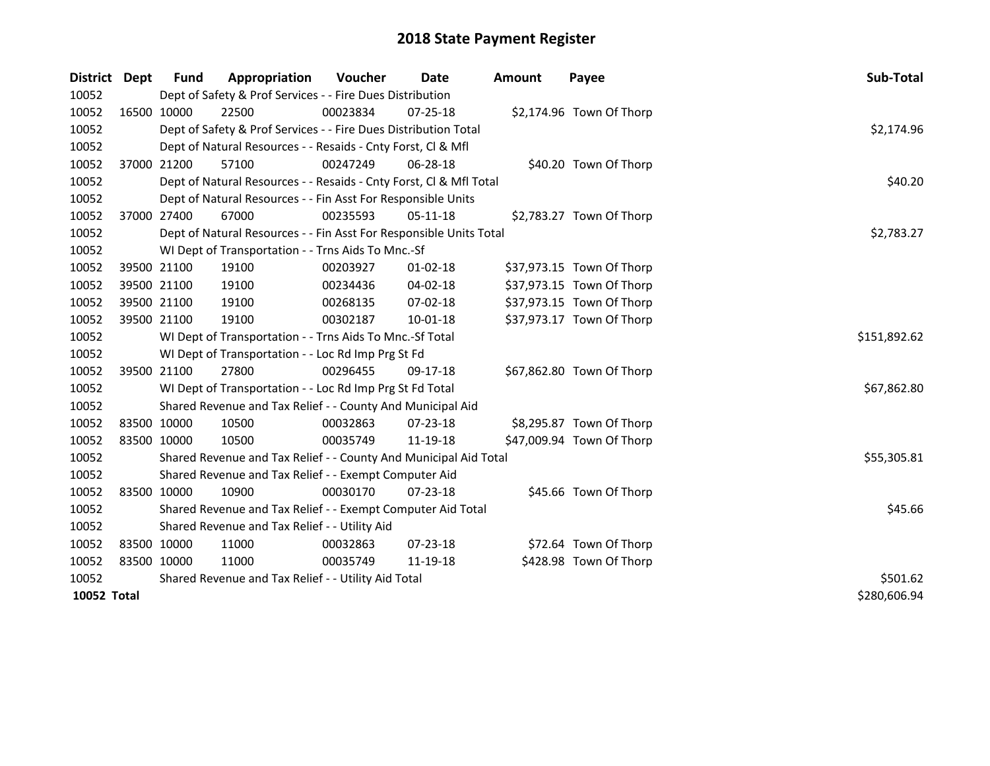| District    | Dept | Fund        | Appropriation                                                      | <b>Voucher</b> | Date           | <b>Amount</b> | Payee                     | Sub-Total    |
|-------------|------|-------------|--------------------------------------------------------------------|----------------|----------------|---------------|---------------------------|--------------|
| 10052       |      |             | Dept of Safety & Prof Services - - Fire Dues Distribution          |                |                |               |                           |              |
| 10052       |      | 16500 10000 | 22500                                                              | 00023834       | 07-25-18       |               | \$2,174.96 Town Of Thorp  |              |
| 10052       |      |             | Dept of Safety & Prof Services - - Fire Dues Distribution Total    |                |                |               |                           | \$2,174.96   |
| 10052       |      |             | Dept of Natural Resources - - Resaids - Cnty Forst, Cl & Mfl       |                |                |               |                           |              |
| 10052       |      | 37000 21200 | 57100                                                              | 00247249       | 06-28-18       |               | \$40.20 Town Of Thorp     |              |
| 10052       |      |             | Dept of Natural Resources - - Resaids - Cnty Forst, CI & Mfl Total |                |                |               |                           | \$40.20      |
| 10052       |      |             | Dept of Natural Resources - - Fin Asst For Responsible Units       |                |                |               |                           |              |
| 10052       |      | 37000 27400 | 67000                                                              | 00235593       | $05-11-18$     |               | \$2,783.27 Town Of Thorp  |              |
| 10052       |      |             | Dept of Natural Resources - - Fin Asst For Responsible Units Total |                |                |               |                           | \$2,783.27   |
| 10052       |      |             | WI Dept of Transportation - - Trns Aids To Mnc.-Sf                 |                |                |               |                           |              |
| 10052       |      | 39500 21100 | 19100                                                              | 00203927       | $01 - 02 - 18$ |               | \$37,973.15 Town Of Thorp |              |
| 10052       |      | 39500 21100 | 19100                                                              | 00234436       | 04-02-18       |               | \$37,973.15 Town Of Thorp |              |
| 10052       |      | 39500 21100 | 19100                                                              | 00268135       | 07-02-18       |               | \$37,973.15 Town Of Thorp |              |
| 10052       |      | 39500 21100 | 19100                                                              | 00302187       | 10-01-18       |               | \$37,973.17 Town Of Thorp |              |
| 10052       |      |             | WI Dept of Transportation - - Trns Aids To Mnc.-Sf Total           |                |                |               |                           | \$151,892.62 |
| 10052       |      |             | WI Dept of Transportation - - Loc Rd Imp Prg St Fd                 |                |                |               |                           |              |
| 10052       |      | 39500 21100 | 27800                                                              | 00296455       | $09-17-18$     |               | \$67,862.80 Town Of Thorp |              |
| 10052       |      |             | WI Dept of Transportation - - Loc Rd Imp Prg St Fd Total           |                |                |               |                           | \$67,862.80  |
| 10052       |      |             | Shared Revenue and Tax Relief - - County And Municipal Aid         |                |                |               |                           |              |
| 10052       |      | 83500 10000 | 10500                                                              | 00032863       | $07 - 23 - 18$ |               | \$8,295.87 Town Of Thorp  |              |
| 10052       |      | 83500 10000 | 10500                                                              | 00035749       | 11-19-18       |               | \$47,009.94 Town Of Thorp |              |
| 10052       |      |             | Shared Revenue and Tax Relief - - County And Municipal Aid Total   |                |                |               |                           | \$55,305.81  |
| 10052       |      |             | Shared Revenue and Tax Relief - - Exempt Computer Aid              |                |                |               |                           |              |
| 10052       |      | 83500 10000 | 10900                                                              | 00030170       | $07 - 23 - 18$ |               | \$45.66 Town Of Thorp     |              |
| 10052       |      |             | Shared Revenue and Tax Relief - - Exempt Computer Aid Total        |                |                |               |                           | \$45.66      |
| 10052       |      |             | Shared Revenue and Tax Relief - - Utility Aid                      |                |                |               |                           |              |
| 10052       |      | 83500 10000 | 11000                                                              | 00032863       | 07-23-18       |               | \$72.64 Town Of Thorp     |              |
| 10052       |      | 83500 10000 | 11000                                                              | 00035749       | 11-19-18       |               | \$428.98 Town Of Thorp    |              |
| 10052       |      |             | Shared Revenue and Tax Relief - - Utility Aid Total                | \$501.62       |                |               |                           |              |
| 10052 Total |      |             |                                                                    |                |                |               |                           | \$280,606.94 |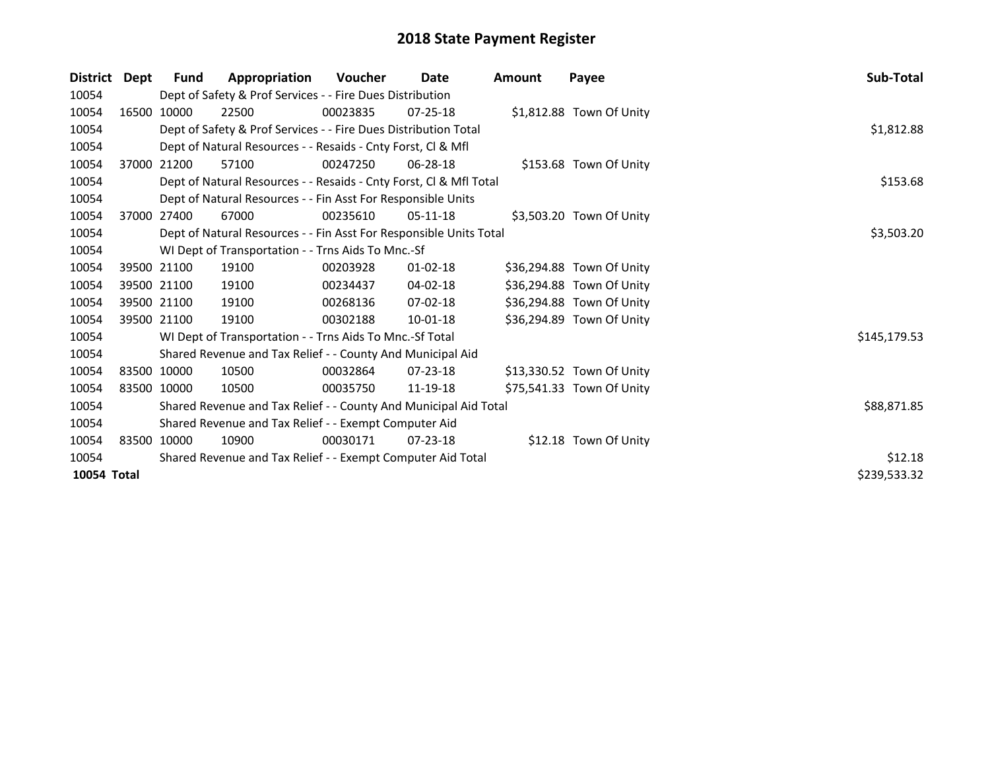| <b>District</b> | Dept | <b>Fund</b>                                                 | Appropriation                                                      | Voucher  | Date           | <b>Amount</b> | Payee                     | Sub-Total    |
|-----------------|------|-------------------------------------------------------------|--------------------------------------------------------------------|----------|----------------|---------------|---------------------------|--------------|
| 10054           |      |                                                             | Dept of Safety & Prof Services - - Fire Dues Distribution          |          |                |               |                           |              |
| 10054           |      | 16500 10000                                                 | 22500                                                              | 00023835 | $07 - 25 - 18$ |               | \$1,812.88 Town Of Unity  |              |
| 10054           |      |                                                             | Dept of Safety & Prof Services - - Fire Dues Distribution Total    |          |                |               |                           | \$1,812.88   |
| 10054           |      |                                                             | Dept of Natural Resources - - Resaids - Cnty Forst, CI & Mfl       |          |                |               |                           |              |
| 10054           |      | 37000 21200                                                 | 57100                                                              | 00247250 | $06 - 28 - 18$ |               | \$153.68 Town Of Unity    |              |
| 10054           |      |                                                             | Dept of Natural Resources - - Resaids - Cnty Forst, Cl & Mfl Total |          |                |               |                           | \$153.68     |
| 10054           |      |                                                             | Dept of Natural Resources - - Fin Asst For Responsible Units       |          |                |               |                           |              |
| 10054           |      | 37000 27400                                                 | 67000                                                              | 00235610 | $05-11-18$     |               | \$3,503.20 Town Of Unity  |              |
| 10054           |      |                                                             | Dept of Natural Resources - - Fin Asst For Responsible Units Total |          |                |               |                           | \$3,503.20   |
| 10054           |      |                                                             | WI Dept of Transportation - - Trns Aids To Mnc.-Sf                 |          |                |               |                           |              |
| 10054           |      | 39500 21100                                                 | 19100                                                              | 00203928 | $01 - 02 - 18$ |               | \$36,294.88 Town Of Unity |              |
| 10054           |      | 39500 21100                                                 | 19100                                                              | 00234437 | 04-02-18       |               | \$36,294.88 Town Of Unity |              |
| 10054           |      | 39500 21100                                                 | 19100                                                              | 00268136 | $07-02-18$     |               | \$36,294.88 Town Of Unity |              |
| 10054           |      | 39500 21100                                                 | 19100                                                              | 00302188 | 10-01-18       |               | \$36,294.89 Town Of Unity |              |
| 10054           |      |                                                             | WI Dept of Transportation - - Trns Aids To Mnc.-Sf Total           |          |                |               |                           | \$145,179.53 |
| 10054           |      |                                                             | Shared Revenue and Tax Relief - - County And Municipal Aid         |          |                |               |                           |              |
| 10054           |      | 83500 10000                                                 | 10500                                                              | 00032864 | $07 - 23 - 18$ |               | \$13,330.52 Town Of Unity |              |
| 10054           |      | 83500 10000                                                 | 10500                                                              | 00035750 | 11-19-18       |               | \$75,541.33 Town Of Unity |              |
| 10054           |      |                                                             | Shared Revenue and Tax Relief - - County And Municipal Aid Total   |          |                |               |                           | \$88,871.85  |
| 10054           |      | Shared Revenue and Tax Relief - - Exempt Computer Aid       |                                                                    |          |                |               |                           |              |
| 10054           |      | 83500 10000                                                 | 10900                                                              | 00030171 | $07 - 23 - 18$ |               | \$12.18 Town Of Unity     |              |
| 10054           |      | Shared Revenue and Tax Relief - - Exempt Computer Aid Total |                                                                    |          |                |               |                           |              |
| 10054 Total     |      |                                                             |                                                                    |          |                |               |                           | \$239,533.32 |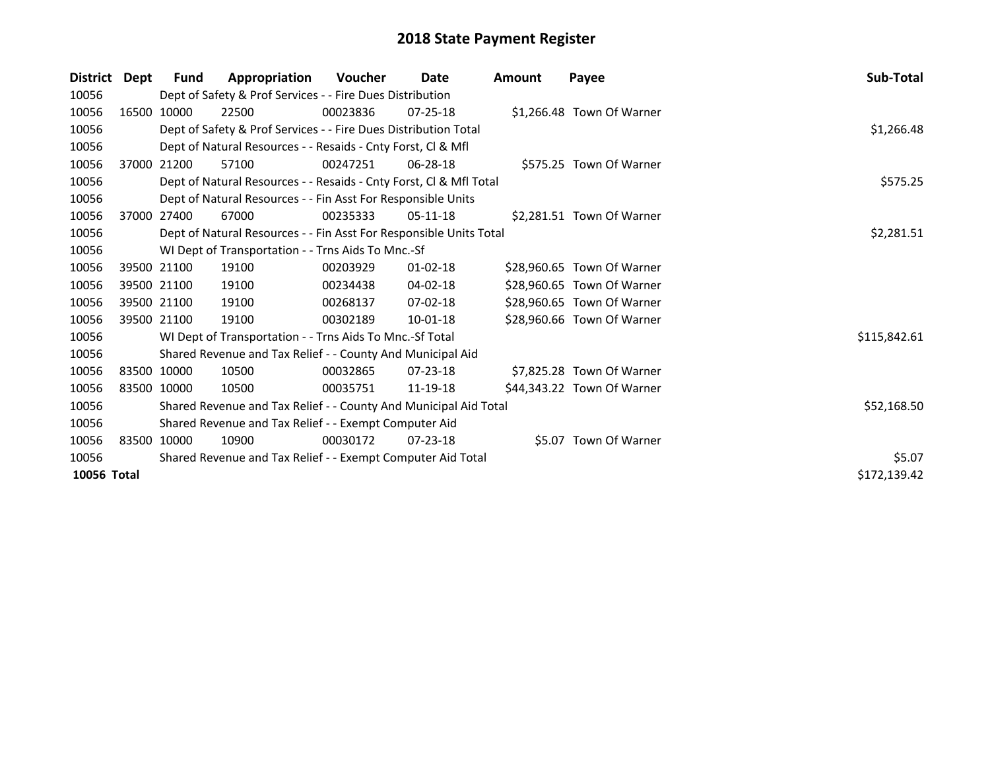| <b>District</b> | Dept | <b>Fund</b>                                           | Appropriation                                                      | Voucher  | Date           | Amount | Payee                      | Sub-Total    |
|-----------------|------|-------------------------------------------------------|--------------------------------------------------------------------|----------|----------------|--------|----------------------------|--------------|
| 10056           |      |                                                       | Dept of Safety & Prof Services - - Fire Dues Distribution          |          |                |        |                            |              |
| 10056           |      | 16500 10000                                           | 22500                                                              | 00023836 | $07 - 25 - 18$ |        | \$1,266.48 Town Of Warner  |              |
| 10056           |      |                                                       | Dept of Safety & Prof Services - - Fire Dues Distribution Total    |          |                |        |                            | \$1,266.48   |
| 10056           |      |                                                       | Dept of Natural Resources - - Resaids - Cnty Forst, CI & Mfl       |          |                |        |                            |              |
| 10056           |      | 37000 21200                                           | 57100                                                              | 00247251 | $06 - 28 - 18$ |        | \$575.25 Town Of Warner    |              |
| 10056           |      |                                                       | Dept of Natural Resources - - Resaids - Cnty Forst, CI & Mfl Total |          |                |        |                            | \$575.25     |
| 10056           |      |                                                       | Dept of Natural Resources - - Fin Asst For Responsible Units       |          |                |        |                            |              |
| 10056           |      | 37000 27400                                           | 67000                                                              | 00235333 | 05-11-18       |        | \$2,281.51 Town Of Warner  |              |
| 10056           |      |                                                       | Dept of Natural Resources - - Fin Asst For Responsible Units Total |          |                |        |                            | \$2,281.51   |
| 10056           |      |                                                       | WI Dept of Transportation - - Trns Aids To Mnc.-Sf                 |          |                |        |                            |              |
| 10056           |      | 39500 21100                                           | 19100                                                              | 00203929 | $01 - 02 - 18$ |        | \$28,960.65 Town Of Warner |              |
| 10056           |      | 39500 21100                                           | 19100                                                              | 00234438 | 04-02-18       |        | \$28,960.65 Town Of Warner |              |
| 10056           |      | 39500 21100                                           | 19100                                                              | 00268137 | $07-02-18$     |        | \$28,960.65 Town Of Warner |              |
| 10056           |      | 39500 21100                                           | 19100                                                              | 00302189 | 10-01-18       |        | \$28,960.66 Town Of Warner |              |
| 10056           |      |                                                       | WI Dept of Transportation - - Trns Aids To Mnc.-Sf Total           |          |                |        |                            | \$115,842.61 |
| 10056           |      |                                                       | Shared Revenue and Tax Relief - - County And Municipal Aid         |          |                |        |                            |              |
| 10056           |      | 83500 10000                                           | 10500                                                              | 00032865 | $07 - 23 - 18$ |        | \$7,825.28 Town Of Warner  |              |
| 10056           |      | 83500 10000                                           | 10500                                                              | 00035751 | 11-19-18       |        | \$44,343.22 Town Of Warner |              |
| 10056           |      |                                                       | Shared Revenue and Tax Relief - - County And Municipal Aid Total   |          |                |        |                            | \$52,168.50  |
| 10056           |      | Shared Revenue and Tax Relief - - Exempt Computer Aid |                                                                    |          |                |        |                            |              |
| 10056           |      | 83500 10000                                           | 10900                                                              | 00030172 | $07 - 23 - 18$ |        | \$5.07 Town Of Warner      |              |
| 10056           |      |                                                       | Shared Revenue and Tax Relief - - Exempt Computer Aid Total        |          |                |        |                            | \$5.07       |
| 10056 Total     |      |                                                       |                                                                    |          |                |        |                            | \$172,139.42 |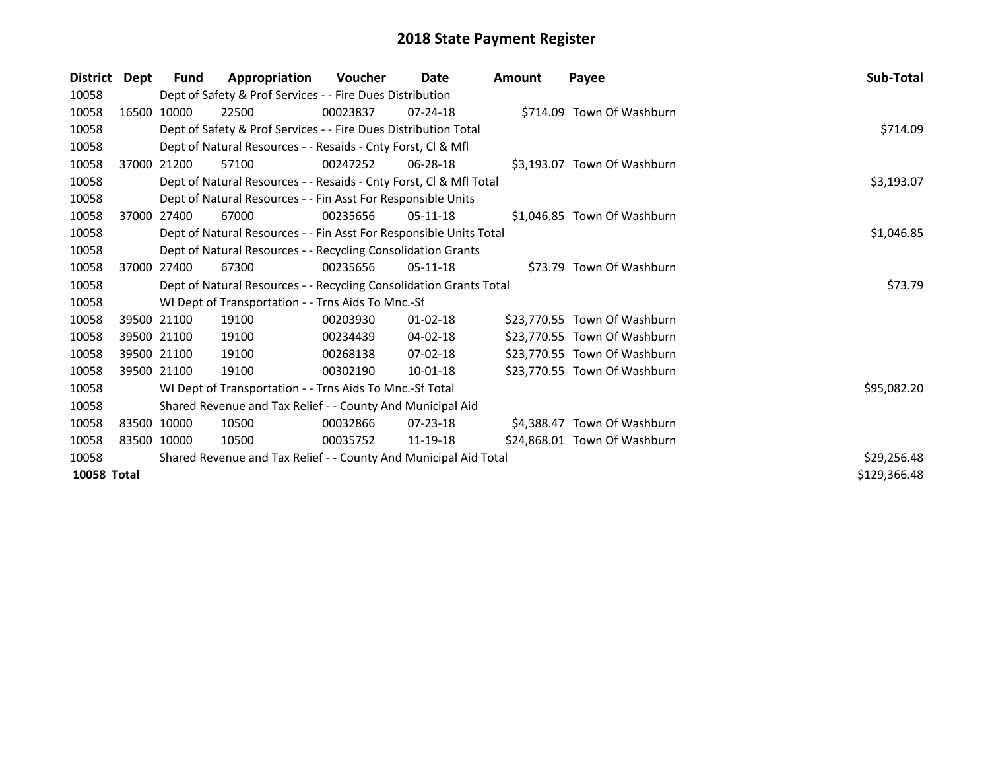| <b>District</b> | Dept | Fund                                                             | Appropriation                                                      | <b>Voucher</b> | <b>Date</b>    | Amount | Payee                        | Sub-Total    |  |  |  |
|-----------------|------|------------------------------------------------------------------|--------------------------------------------------------------------|----------------|----------------|--------|------------------------------|--------------|--|--|--|
| 10058           |      |                                                                  | Dept of Safety & Prof Services - - Fire Dues Distribution          |                |                |        |                              |              |  |  |  |
| 10058           |      | 16500 10000                                                      | 22500                                                              | 00023837       | $07 - 24 - 18$ |        | \$714.09 Town Of Washburn    |              |  |  |  |
| 10058           |      |                                                                  | Dept of Safety & Prof Services - - Fire Dues Distribution Total    |                |                |        |                              | \$714.09     |  |  |  |
| 10058           |      | Dept of Natural Resources - - Resaids - Cnty Forst, CI & Mfl     |                                                                    |                |                |        |                              |              |  |  |  |
| 10058           |      | 37000 21200                                                      | 57100                                                              | 00247252       | 06-28-18       |        | \$3,193.07 Town Of Washburn  |              |  |  |  |
| 10058           |      |                                                                  | Dept of Natural Resources - - Resaids - Cnty Forst, Cl & Mfl Total |                |                |        |                              | \$3,193.07   |  |  |  |
| 10058           |      |                                                                  | Dept of Natural Resources - - Fin Asst For Responsible Units       |                |                |        |                              |              |  |  |  |
| 10058           |      | 37000 27400                                                      | 67000                                                              | 00235656       | $05-11-18$     |        | \$1,046.85 Town Of Washburn  |              |  |  |  |
| 10058           |      |                                                                  | Dept of Natural Resources - - Fin Asst For Responsible Units Total |                |                |        |                              | \$1,046.85   |  |  |  |
| 10058           |      |                                                                  | Dept of Natural Resources - - Recycling Consolidation Grants       |                |                |        |                              |              |  |  |  |
| 10058           |      | 37000 27400                                                      | 67300                                                              | 00235656       | $05-11-18$     |        | \$73.79 Town Of Washburn     |              |  |  |  |
| 10058           |      |                                                                  | Dept of Natural Resources - - Recycling Consolidation Grants Total |                |                |        |                              | \$73.79      |  |  |  |
| 10058           |      |                                                                  | WI Dept of Transportation - - Trns Aids To Mnc.-Sf                 |                |                |        |                              |              |  |  |  |
| 10058           |      | 39500 21100                                                      | 19100                                                              | 00203930       | 01-02-18       |        | \$23,770.55 Town Of Washburn |              |  |  |  |
| 10058           |      | 39500 21100                                                      | 19100                                                              | 00234439       | 04-02-18       |        | \$23,770.55 Town Of Washburn |              |  |  |  |
| 10058           |      | 39500 21100                                                      | 19100                                                              | 00268138       | $07-02-18$     |        | \$23,770.55 Town Of Washburn |              |  |  |  |
| 10058           |      | 39500 21100                                                      | 19100                                                              | 00302190       | $10-01-18$     |        | \$23,770.55 Town Of Washburn |              |  |  |  |
| 10058           |      |                                                                  | WI Dept of Transportation - - Trns Aids To Mnc.-Sf Total           |                |                |        |                              | \$95,082.20  |  |  |  |
| 10058           |      |                                                                  | Shared Revenue and Tax Relief - - County And Municipal Aid         |                |                |        |                              |              |  |  |  |
| 10058           |      | 83500 10000                                                      | 10500                                                              | 00032866       | $07 - 23 - 18$ |        | \$4,388.47 Town Of Washburn  |              |  |  |  |
| 10058           |      | 83500 10000                                                      | 10500                                                              | 00035752       | 11-19-18       |        | \$24,868.01 Town Of Washburn |              |  |  |  |
| 10058           |      | Shared Revenue and Tax Relief - - County And Municipal Aid Total | \$29,256.48                                                        |                |                |        |                              |              |  |  |  |
| 10058 Total     |      |                                                                  |                                                                    |                |                |        |                              | \$129,366.48 |  |  |  |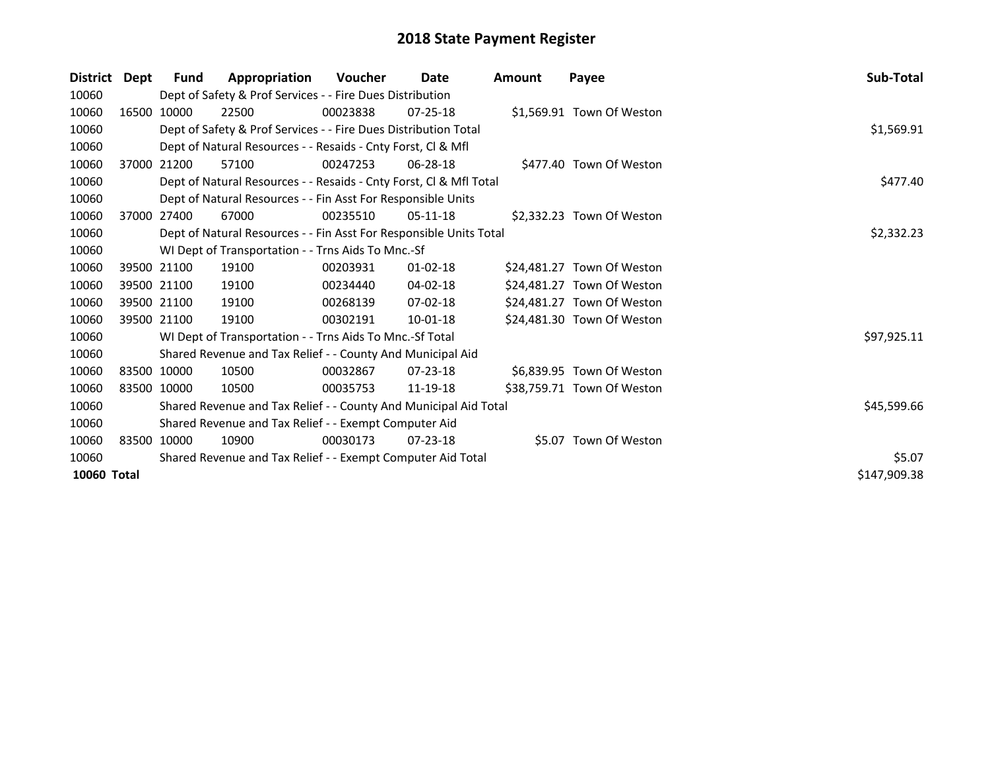| <b>District</b> | Dept        | <b>Fund</b>                                                           | Appropriation                                                      | Voucher  | Date           | <b>Amount</b> | Payee                      | Sub-Total    |
|-----------------|-------------|-----------------------------------------------------------------------|--------------------------------------------------------------------|----------|----------------|---------------|----------------------------|--------------|
| 10060           |             |                                                                       | Dept of Safety & Prof Services - - Fire Dues Distribution          |          |                |               |                            |              |
| 10060           |             | 16500 10000                                                           | 22500                                                              | 00023838 | $07 - 25 - 18$ |               | \$1,569.91 Town Of Weston  |              |
| 10060           |             |                                                                       | Dept of Safety & Prof Services - - Fire Dues Distribution Total    |          |                |               |                            | \$1,569.91   |
| 10060           |             |                                                                       | Dept of Natural Resources - - Resaids - Cnty Forst, CI & Mfl       |          |                |               |                            |              |
| 10060           |             | 37000 21200                                                           | 57100                                                              | 00247253 | 06-28-18       |               | \$477.40 Town Of Weston    |              |
| 10060           |             |                                                                       | Dept of Natural Resources - - Resaids - Cnty Forst, CI & Mfl Total |          |                |               |                            | \$477.40     |
| 10060           |             |                                                                       | Dept of Natural Resources - - Fin Asst For Responsible Units       |          |                |               |                            |              |
| 10060           |             | 37000 27400                                                           | 67000                                                              | 00235510 | $05-11-18$     |               | \$2,332.23 Town Of Weston  |              |
| 10060           |             |                                                                       | Dept of Natural Resources - - Fin Asst For Responsible Units Total |          |                |               |                            | \$2,332.23   |
| 10060           |             |                                                                       | WI Dept of Transportation - - Trns Aids To Mnc.-Sf                 |          |                |               |                            |              |
| 10060           |             | 39500 21100                                                           | 19100                                                              | 00203931 | 01-02-18       |               | \$24,481.27 Town Of Weston |              |
| 10060           | 39500 21100 |                                                                       | 19100                                                              | 00234440 | 04-02-18       |               | \$24,481.27 Town Of Weston |              |
| 10060           | 39500 21100 |                                                                       | 19100                                                              | 00268139 | 07-02-18       |               | \$24,481.27 Town Of Weston |              |
| 10060           |             | 39500 21100                                                           | 19100                                                              | 00302191 | 10-01-18       |               | \$24,481.30 Town Of Weston |              |
| 10060           |             |                                                                       | WI Dept of Transportation - - Trns Aids To Mnc.-Sf Total           |          |                |               |                            | \$97,925.11  |
| 10060           |             |                                                                       | Shared Revenue and Tax Relief - - County And Municipal Aid         |          |                |               |                            |              |
| 10060           |             | 83500 10000                                                           | 10500                                                              | 00032867 | $07 - 23 - 18$ |               | \$6,839.95 Town Of Weston  |              |
| 10060           | 83500 10000 |                                                                       | 10500                                                              | 00035753 | 11-19-18       |               | \$38,759.71 Town Of Weston |              |
| 10060           |             |                                                                       | Shared Revenue and Tax Relief - - County And Municipal Aid Total   |          |                |               |                            | \$45,599.66  |
| 10060           |             | Shared Revenue and Tax Relief - - Exempt Computer Aid                 |                                                                    |          |                |               |                            |              |
| 10060           |             | 83500 10000                                                           | 10900                                                              | 00030173 | $07 - 23 - 18$ |               | \$5.07 Town Of Weston      |              |
| 10060           |             | \$5.07<br>Shared Revenue and Tax Relief - - Exempt Computer Aid Total |                                                                    |          |                |               |                            |              |
| 10060 Total     |             |                                                                       |                                                                    |          |                |               |                            | \$147,909.38 |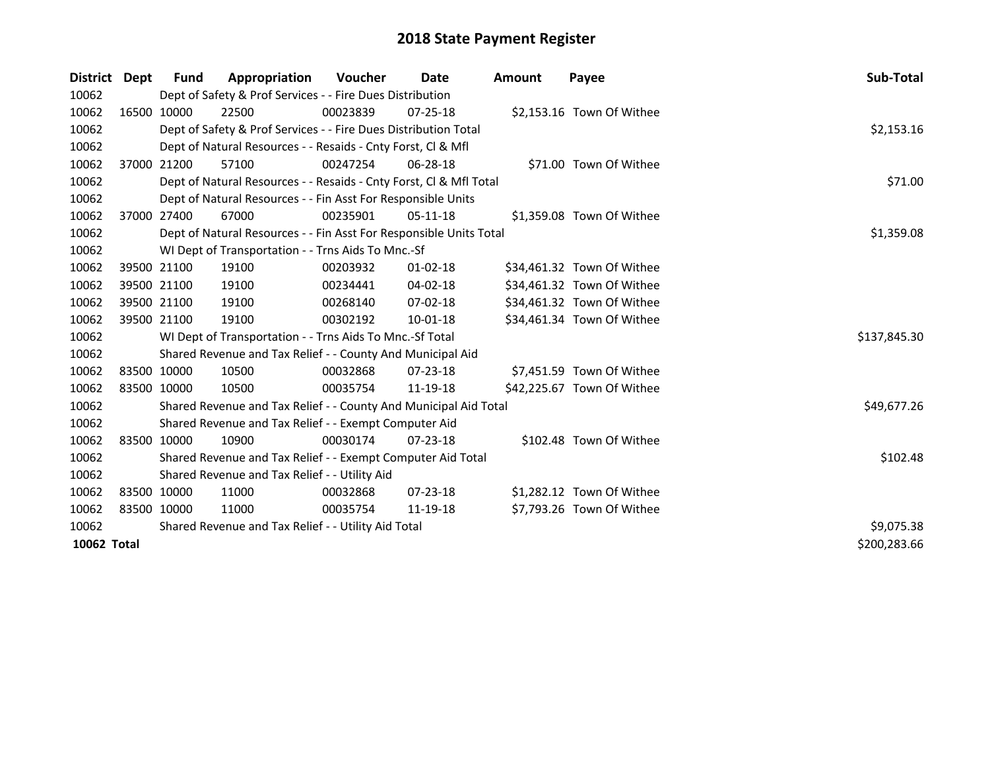| <b>District</b> | Dept | <b>Fund</b> | Appropriation                                                      | <b>Voucher</b> | Date           | <b>Amount</b> | Payee                      | Sub-Total    |
|-----------------|------|-------------|--------------------------------------------------------------------|----------------|----------------|---------------|----------------------------|--------------|
| 10062           |      |             | Dept of Safety & Prof Services - - Fire Dues Distribution          |                |                |               |                            |              |
| 10062           |      | 16500 10000 | 22500                                                              | 00023839       | $07 - 25 - 18$ |               | \$2,153.16 Town Of Withee  |              |
| 10062           |      |             | Dept of Safety & Prof Services - - Fire Dues Distribution Total    |                |                |               |                            | \$2,153.16   |
| 10062           |      |             | Dept of Natural Resources - - Resaids - Cnty Forst, CI & Mfl       |                |                |               |                            |              |
| 10062           |      | 37000 21200 | 57100                                                              | 00247254       | 06-28-18       |               | \$71.00 Town Of Withee     |              |
| 10062           |      |             | Dept of Natural Resources - - Resaids - Cnty Forst, CI & Mfl Total |                |                |               |                            | \$71.00      |
| 10062           |      |             | Dept of Natural Resources - - Fin Asst For Responsible Units       |                |                |               |                            |              |
| 10062           |      | 37000 27400 | 67000                                                              | 00235901       | $05-11-18$     |               | \$1,359.08 Town Of Withee  |              |
| 10062           |      |             | Dept of Natural Resources - - Fin Asst For Responsible Units Total |                |                |               |                            | \$1,359.08   |
| 10062           |      |             | WI Dept of Transportation - - Trns Aids To Mnc.-Sf                 |                |                |               |                            |              |
| 10062           |      | 39500 21100 | 19100                                                              | 00203932       | $01-02-18$     |               | \$34,461.32 Town Of Withee |              |
| 10062           |      | 39500 21100 | 19100                                                              | 00234441       | 04-02-18       |               | \$34,461.32 Town Of Withee |              |
| 10062           |      | 39500 21100 | 19100                                                              | 00268140       | 07-02-18       |               | \$34,461.32 Town Of Withee |              |
| 10062           |      | 39500 21100 | 19100                                                              | 00302192       | 10-01-18       |               | \$34,461.34 Town Of Withee |              |
| 10062           |      |             | WI Dept of Transportation - - Trns Aids To Mnc.-Sf Total           |                |                |               |                            | \$137,845.30 |
| 10062           |      |             | Shared Revenue and Tax Relief - - County And Municipal Aid         |                |                |               |                            |              |
| 10062           |      | 83500 10000 | 10500                                                              | 00032868       | $07 - 23 - 18$ |               | \$7,451.59 Town Of Withee  |              |
| 10062           |      | 83500 10000 | 10500                                                              | 00035754       | 11-19-18       |               | \$42,225.67 Town Of Withee |              |
| 10062           |      |             | Shared Revenue and Tax Relief - - County And Municipal Aid Total   |                |                |               |                            | \$49,677.26  |
| 10062           |      |             | Shared Revenue and Tax Relief - - Exempt Computer Aid              |                |                |               |                            |              |
| 10062           |      | 83500 10000 | 10900                                                              | 00030174       | $07 - 23 - 18$ |               | \$102.48 Town Of Withee    |              |
| 10062           |      |             | Shared Revenue and Tax Relief - - Exempt Computer Aid Total        |                |                |               |                            | \$102.48     |
| 10062           |      |             | Shared Revenue and Tax Relief - - Utility Aid                      |                |                |               |                            |              |
| 10062           |      | 83500 10000 | 11000                                                              | 00032868       | 07-23-18       |               | \$1,282.12 Town Of Withee  |              |
| 10062           |      | 83500 10000 | 11000                                                              | 00035754       | 11-19-18       |               | \$7,793.26 Town Of Withee  |              |
| 10062           |      |             | Shared Revenue and Tax Relief - - Utility Aid Total                | \$9,075.38     |                |               |                            |              |
| 10062 Total     |      |             |                                                                    |                |                |               |                            | \$200,283.66 |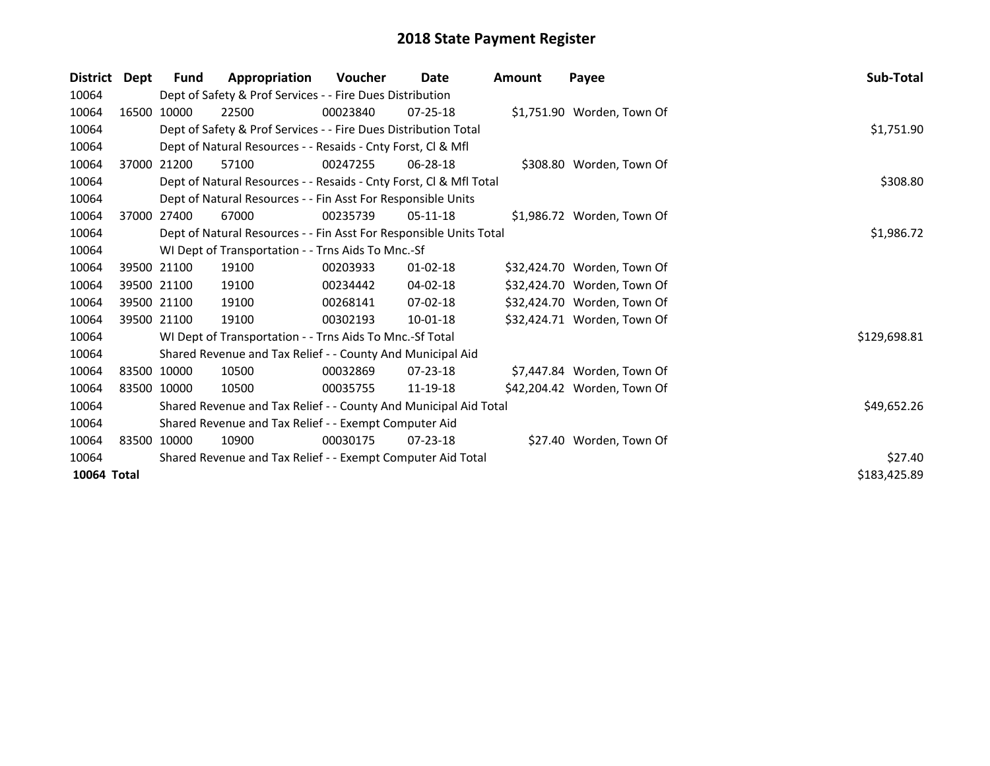| <b>District</b> | Dept | <b>Fund</b>                                                 | Appropriation                                                                 | Voucher  | Date           | Amount | Payee                       | Sub-Total    |  |  |  |
|-----------------|------|-------------------------------------------------------------|-------------------------------------------------------------------------------|----------|----------------|--------|-----------------------------|--------------|--|--|--|
| 10064           |      |                                                             | Dept of Safety & Prof Services - - Fire Dues Distribution                     |          |                |        |                             |              |  |  |  |
| 10064           |      | 16500 10000                                                 | 22500                                                                         | 00023840 | 07-25-18       |        | \$1,751.90 Worden, Town Of  |              |  |  |  |
| 10064           |      |                                                             | \$1,751.90<br>Dept of Safety & Prof Services - - Fire Dues Distribution Total |          |                |        |                             |              |  |  |  |
| 10064           |      |                                                             | Dept of Natural Resources - - Resaids - Cnty Forst, CI & Mfl                  |          |                |        |                             |              |  |  |  |
| 10064           |      | 37000 21200                                                 | 57100                                                                         | 00247255 | $06 - 28 - 18$ |        | \$308.80 Worden, Town Of    |              |  |  |  |
| 10064           |      |                                                             | Dept of Natural Resources - - Resaids - Cnty Forst, Cl & Mfl Total            |          |                |        |                             | \$308.80     |  |  |  |
| 10064           |      |                                                             | Dept of Natural Resources - - Fin Asst For Responsible Units                  |          |                |        |                             |              |  |  |  |
| 10064           |      | 37000 27400                                                 | 67000                                                                         | 00235739 | 05-11-18       |        | \$1,986.72 Worden, Town Of  |              |  |  |  |
| 10064           |      |                                                             | Dept of Natural Resources - - Fin Asst For Responsible Units Total            |          |                |        |                             | \$1,986.72   |  |  |  |
| 10064           |      |                                                             | WI Dept of Transportation - - Trns Aids To Mnc.-Sf                            |          |                |        |                             |              |  |  |  |
| 10064           |      | 39500 21100                                                 | 19100                                                                         | 00203933 | $01 - 02 - 18$ |        | \$32,424.70 Worden, Town Of |              |  |  |  |
| 10064           |      | 39500 21100                                                 | 19100                                                                         | 00234442 | $04 - 02 - 18$ |        | \$32,424.70 Worden, Town Of |              |  |  |  |
| 10064           |      | 39500 21100                                                 | 19100                                                                         | 00268141 | $07-02-18$     |        | \$32,424.70 Worden, Town Of |              |  |  |  |
| 10064           |      | 39500 21100                                                 | 19100                                                                         | 00302193 | 10-01-18       |        | \$32,424.71 Worden, Town Of |              |  |  |  |
| 10064           |      |                                                             | WI Dept of Transportation - - Trns Aids To Mnc.-Sf Total                      |          |                |        |                             | \$129,698.81 |  |  |  |
| 10064           |      |                                                             | Shared Revenue and Tax Relief - - County And Municipal Aid                    |          |                |        |                             |              |  |  |  |
| 10064           |      | 83500 10000                                                 | 10500                                                                         | 00032869 | $07 - 23 - 18$ |        | \$7,447.84 Worden, Town Of  |              |  |  |  |
| 10064           |      | 83500 10000                                                 | 10500                                                                         | 00035755 | 11-19-18       |        | \$42,204.42 Worden, Town Of |              |  |  |  |
| 10064           |      |                                                             | Shared Revenue and Tax Relief - - County And Municipal Aid Total              |          |                |        |                             | \$49,652.26  |  |  |  |
| 10064           |      |                                                             | Shared Revenue and Tax Relief - - Exempt Computer Aid                         |          |                |        |                             |              |  |  |  |
| 10064           |      | 83500 10000                                                 | 10900                                                                         | 00030175 | $07 - 23 - 18$ |        | \$27.40 Worden, Town Of     |              |  |  |  |
| 10064           |      | Shared Revenue and Tax Relief - - Exempt Computer Aid Total |                                                                               |          |                |        |                             |              |  |  |  |
| 10064 Total     |      |                                                             |                                                                               |          |                |        |                             | \$183,425.89 |  |  |  |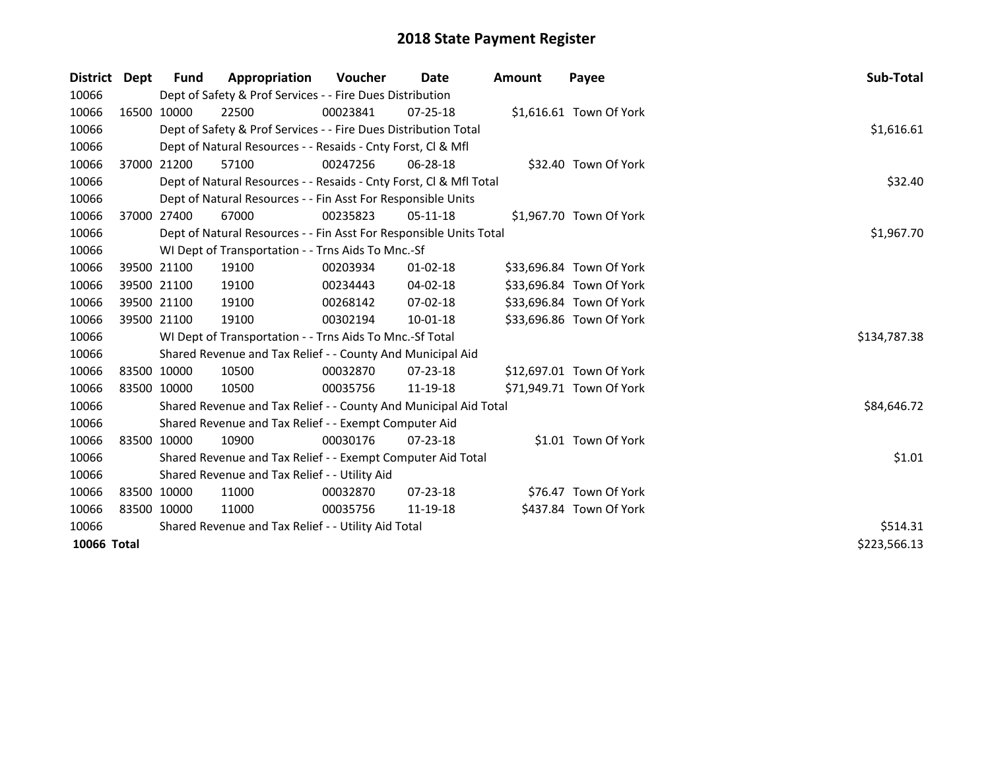| District    | Dept | <b>Fund</b> | Appropriation                                                      | <b>Voucher</b> | Date           | <b>Amount</b> | Payee                    | Sub-Total    |
|-------------|------|-------------|--------------------------------------------------------------------|----------------|----------------|---------------|--------------------------|--------------|
| 10066       |      |             | Dept of Safety & Prof Services - - Fire Dues Distribution          |                |                |               |                          |              |
| 10066       |      | 16500 10000 | 22500                                                              | 00023841       | $07 - 25 - 18$ |               | \$1,616.61 Town Of York  |              |
| 10066       |      |             | Dept of Safety & Prof Services - - Fire Dues Distribution Total    |                |                |               |                          | \$1,616.61   |
| 10066       |      |             | Dept of Natural Resources - - Resaids - Cnty Forst, CI & Mfl       |                |                |               |                          |              |
| 10066       |      | 37000 21200 | 57100                                                              | 00247256       | 06-28-18       |               | \$32.40 Town Of York     |              |
| 10066       |      |             | Dept of Natural Resources - - Resaids - Cnty Forst, Cl & Mfl Total | \$32.40        |                |               |                          |              |
| 10066       |      |             | Dept of Natural Resources - - Fin Asst For Responsible Units       |                |                |               |                          |              |
| 10066       |      | 37000 27400 | 67000                                                              | 00235823       | $05-11-18$     |               | \$1,967.70 Town Of York  |              |
| 10066       |      |             | Dept of Natural Resources - - Fin Asst For Responsible Units Total |                |                |               |                          | \$1,967.70   |
| 10066       |      |             | WI Dept of Transportation - - Trns Aids To Mnc.-Sf                 |                |                |               |                          |              |
| 10066       |      | 39500 21100 | 19100                                                              | 00203934       | $01 - 02 - 18$ |               | \$33,696.84 Town Of York |              |
| 10066       |      | 39500 21100 | 19100                                                              | 00234443       | $04 - 02 - 18$ |               | \$33,696.84 Town Of York |              |
| 10066       |      | 39500 21100 | 19100                                                              | 00268142       | 07-02-18       |               | \$33,696.84 Town Of York |              |
| 10066       |      | 39500 21100 | 19100                                                              | 00302194       | 10-01-18       |               | \$33,696.86 Town Of York |              |
| 10066       |      |             | WI Dept of Transportation - - Trns Aids To Mnc.-Sf Total           |                |                |               |                          | \$134,787.38 |
| 10066       |      |             | Shared Revenue and Tax Relief - - County And Municipal Aid         |                |                |               |                          |              |
| 10066       |      | 83500 10000 | 10500                                                              | 00032870       | $07 - 23 - 18$ |               | \$12,697.01 Town Of York |              |
| 10066       |      | 83500 10000 | 10500                                                              | 00035756       | 11-19-18       |               | \$71,949.71 Town Of York |              |
| 10066       |      |             | Shared Revenue and Tax Relief - - County And Municipal Aid Total   |                |                |               |                          | \$84,646.72  |
| 10066       |      |             | Shared Revenue and Tax Relief - - Exempt Computer Aid              |                |                |               |                          |              |
| 10066       |      | 83500 10000 | 10900                                                              | 00030176       | $07 - 23 - 18$ |               | \$1.01 Town Of York      |              |
| 10066       |      |             | Shared Revenue and Tax Relief - - Exempt Computer Aid Total        |                |                |               |                          | \$1.01       |
| 10066       |      |             | Shared Revenue and Tax Relief - - Utility Aid                      |                |                |               |                          |              |
| 10066       |      | 83500 10000 | 11000                                                              | 00032870       | $07 - 23 - 18$ |               | \$76.47 Town Of York     |              |
| 10066       |      | 83500 10000 | 11000                                                              | 00035756       | 11-19-18       |               | \$437.84 Town Of York    |              |
| 10066       |      |             | Shared Revenue and Tax Relief - - Utility Aid Total                | \$514.31       |                |               |                          |              |
| 10066 Total |      |             |                                                                    |                |                |               |                          | \$223,566.13 |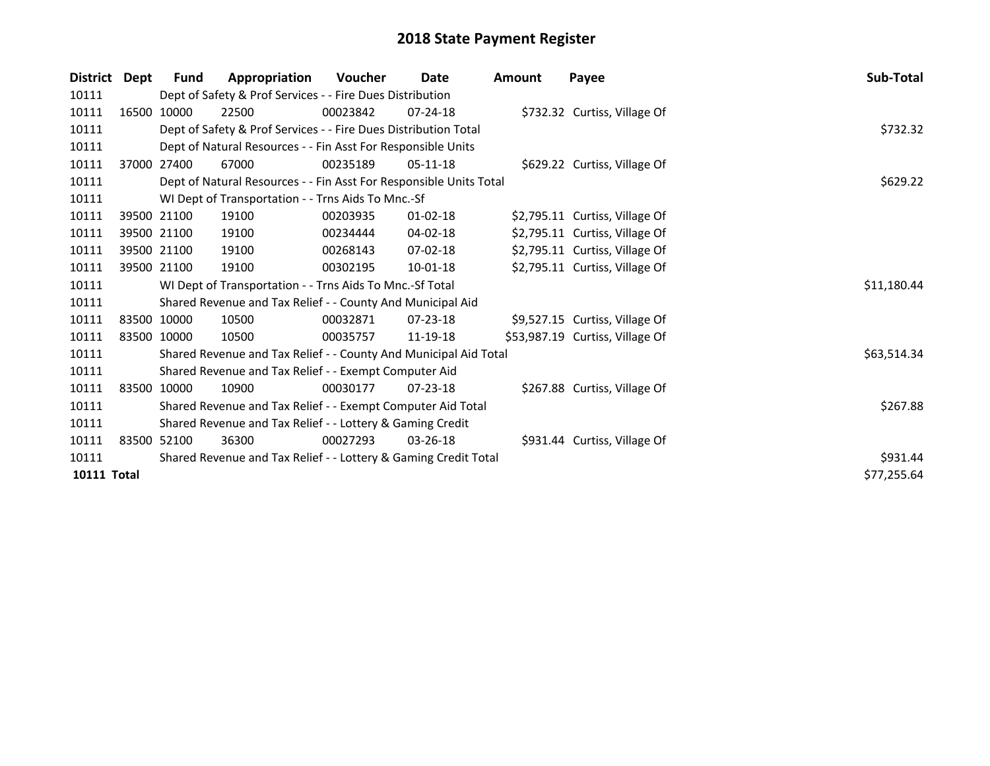| <b>District</b>    | Dept        | Fund                                                            | Appropriation                                                      | <b>Voucher</b> | Date           | <b>Amount</b> | Payee                           | Sub-Total   |
|--------------------|-------------|-----------------------------------------------------------------|--------------------------------------------------------------------|----------------|----------------|---------------|---------------------------------|-------------|
| 10111              |             |                                                                 | Dept of Safety & Prof Services - - Fire Dues Distribution          |                |                |               |                                 |             |
| 10111              |             | 16500 10000                                                     | 22500                                                              | 00023842       | $07 - 24 - 18$ |               | \$732.32 Curtiss, Village Of    |             |
| 10111              |             |                                                                 | Dept of Safety & Prof Services - - Fire Dues Distribution Total    |                |                |               |                                 | \$732.32    |
| 10111              |             |                                                                 | Dept of Natural Resources - - Fin Asst For Responsible Units       |                |                |               |                                 |             |
| 10111              |             | 37000 27400                                                     | 67000                                                              | 00235189       | $05-11-18$     |               | \$629.22 Curtiss, Village Of    |             |
| 10111              |             |                                                                 | Dept of Natural Resources - - Fin Asst For Responsible Units Total | \$629.22       |                |               |                                 |             |
| 10111              |             |                                                                 | WI Dept of Transportation - - Trns Aids To Mnc.-Sf                 |                |                |               |                                 |             |
| 10111              | 39500 21100 |                                                                 | 19100                                                              | 00203935       | $01 - 02 - 18$ |               | \$2,795.11 Curtiss, Village Of  |             |
| 10111              | 39500 21100 |                                                                 | 19100                                                              | 00234444       | 04-02-18       |               | \$2,795.11 Curtiss, Village Of  |             |
| 10111              | 39500 21100 |                                                                 | 19100                                                              | 00268143       | $07 - 02 - 18$ |               | \$2,795.11 Curtiss, Village Of  |             |
| 10111              | 39500 21100 |                                                                 | 19100                                                              | 00302195       | $10 - 01 - 18$ |               | \$2,795.11 Curtiss, Village Of  |             |
| 10111              |             |                                                                 | WI Dept of Transportation - - Trns Aids To Mnc.-Sf Total           |                |                |               |                                 | \$11,180.44 |
| 10111              |             |                                                                 | Shared Revenue and Tax Relief - - County And Municipal Aid         |                |                |               |                                 |             |
| 10111              | 83500 10000 |                                                                 | 10500                                                              | 00032871       | $07 - 23 - 18$ |               | \$9,527.15 Curtiss, Village Of  |             |
| 10111              | 83500 10000 |                                                                 | 10500                                                              | 00035757       | 11-19-18       |               | \$53,987.19 Curtiss, Village Of |             |
| 10111              |             |                                                                 | Shared Revenue and Tax Relief - - County And Municipal Aid Total   |                |                |               |                                 | \$63,514.34 |
| 10111              |             |                                                                 | Shared Revenue and Tax Relief - - Exempt Computer Aid              |                |                |               |                                 |             |
| 10111              |             | 83500 10000                                                     | 10900                                                              | 00030177       | $07 - 23 - 18$ |               | \$267.88 Curtiss, Village Of    |             |
| 10111              |             |                                                                 | Shared Revenue and Tax Relief - - Exempt Computer Aid Total        |                |                |               |                                 | \$267.88    |
| 10111              |             | Shared Revenue and Tax Relief - - Lottery & Gaming Credit       |                                                                    |                |                |               |                                 |             |
| 10111              |             | 83500 52100                                                     | 36300                                                              | 00027293       | $03 - 26 - 18$ |               | \$931.44 Curtiss, Village Of    |             |
| 10111              |             | Shared Revenue and Tax Relief - - Lottery & Gaming Credit Total | \$931.44                                                           |                |                |               |                                 |             |
| <b>10111 Total</b> |             |                                                                 |                                                                    |                |                |               |                                 | \$77,255.64 |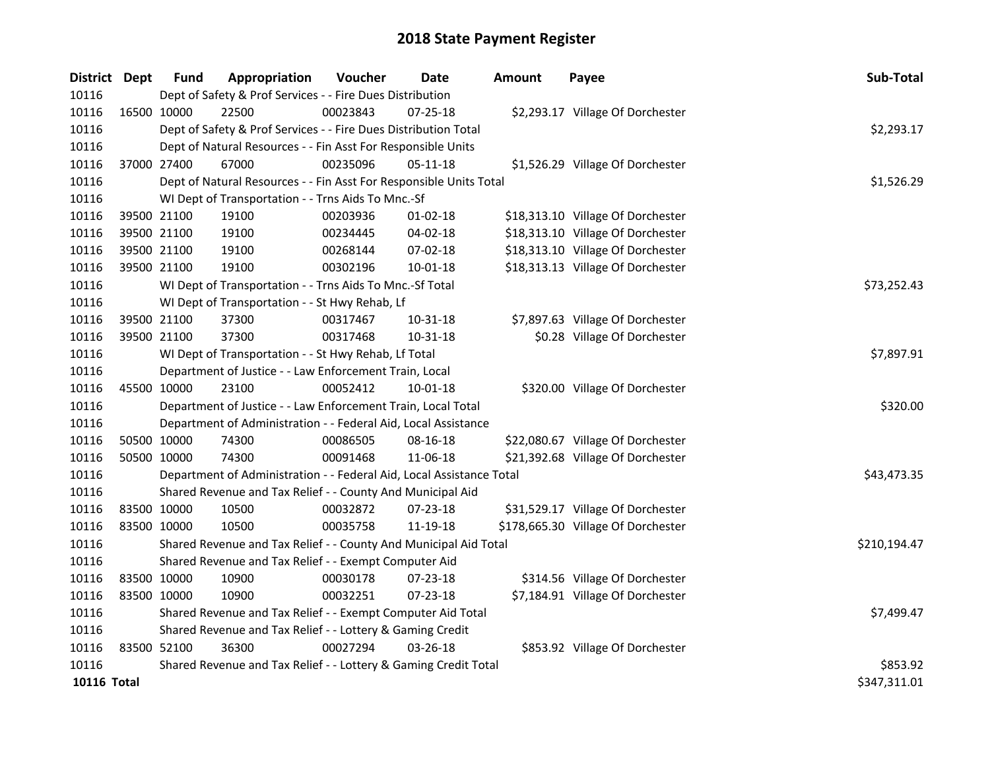| District Dept |             | <b>Fund</b>                                               | Appropriation                                                        | Voucher  | <b>Date</b>    | <b>Amount</b> | Payee                              | Sub-Total    |
|---------------|-------------|-----------------------------------------------------------|----------------------------------------------------------------------|----------|----------------|---------------|------------------------------------|--------------|
| 10116         |             |                                                           | Dept of Safety & Prof Services - - Fire Dues Distribution            |          |                |               |                                    |              |
| 10116         | 16500 10000 |                                                           | 22500                                                                | 00023843 | $07 - 25 - 18$ |               | \$2,293.17 Village Of Dorchester   |              |
| 10116         |             |                                                           | Dept of Safety & Prof Services - - Fire Dues Distribution Total      |          |                |               |                                    | \$2,293.17   |
| 10116         |             |                                                           | Dept of Natural Resources - - Fin Asst For Responsible Units         |          |                |               |                                    |              |
| 10116         | 37000 27400 |                                                           | 67000                                                                | 00235096 | $05 - 11 - 18$ |               | \$1,526.29 Village Of Dorchester   |              |
| 10116         |             |                                                           | Dept of Natural Resources - - Fin Asst For Responsible Units Total   |          |                |               |                                    | \$1,526.29   |
| 10116         |             |                                                           | WI Dept of Transportation - - Trns Aids To Mnc.-Sf                   |          |                |               |                                    |              |
| 10116         |             | 39500 21100                                               | 19100                                                                | 00203936 | $01 - 02 - 18$ |               | \$18,313.10 Village Of Dorchester  |              |
| 10116         | 39500 21100 |                                                           | 19100                                                                | 00234445 | 04-02-18       |               | \$18,313.10 Village Of Dorchester  |              |
| 10116         |             | 39500 21100                                               | 19100                                                                | 00268144 | 07-02-18       |               | \$18,313.10 Village Of Dorchester  |              |
| 10116         | 39500 21100 |                                                           | 19100                                                                | 00302196 | $10 - 01 - 18$ |               | \$18,313.13 Village Of Dorchester  |              |
| 10116         |             |                                                           | WI Dept of Transportation - - Trns Aids To Mnc.-Sf Total             |          |                |               |                                    | \$73,252.43  |
| 10116         |             |                                                           | WI Dept of Transportation - - St Hwy Rehab, Lf                       |          |                |               |                                    |              |
| 10116         |             | 39500 21100                                               | 37300                                                                | 00317467 | 10-31-18       |               | \$7,897.63 Village Of Dorchester   |              |
| 10116         | 39500 21100 |                                                           | 37300                                                                | 00317468 | 10-31-18       |               | \$0.28 Village Of Dorchester       |              |
| 10116         |             |                                                           | WI Dept of Transportation - - St Hwy Rehab, Lf Total                 |          | \$7,897.91     |               |                                    |              |
| 10116         |             |                                                           | Department of Justice - - Law Enforcement Train, Local               |          |                |               |                                    |              |
| 10116         | 45500 10000 |                                                           | 23100                                                                | 00052412 | $10 - 01 - 18$ |               | \$320.00 Village Of Dorchester     |              |
| 10116         |             |                                                           | Department of Justice - - Law Enforcement Train, Local Total         |          |                |               |                                    | \$320.00     |
| 10116         |             |                                                           | Department of Administration - - Federal Aid, Local Assistance       |          |                |               |                                    |              |
| 10116         |             | 50500 10000                                               | 74300                                                                | 00086505 | 08-16-18       |               | \$22,080.67 Village Of Dorchester  |              |
| 10116         | 50500 10000 |                                                           | 74300                                                                | 00091468 | 11-06-18       |               | \$21,392.68 Village Of Dorchester  |              |
| 10116         |             |                                                           | Department of Administration - - Federal Aid, Local Assistance Total |          |                |               |                                    | \$43,473.35  |
| 10116         |             |                                                           | Shared Revenue and Tax Relief - - County And Municipal Aid           |          |                |               |                                    |              |
| 10116         |             | 83500 10000                                               | 10500                                                                | 00032872 | 07-23-18       |               | \$31,529.17 Village Of Dorchester  |              |
| 10116         | 83500 10000 |                                                           | 10500                                                                | 00035758 | 11-19-18       |               | \$178,665.30 Village Of Dorchester |              |
| 10116         |             |                                                           | Shared Revenue and Tax Relief - - County And Municipal Aid Total     |          |                |               |                                    | \$210,194.47 |
| 10116         |             |                                                           | Shared Revenue and Tax Relief - - Exempt Computer Aid                |          |                |               |                                    |              |
| 10116         | 83500 10000 |                                                           | 10900                                                                | 00030178 | 07-23-18       |               | \$314.56 Village Of Dorchester     |              |
| 10116         | 83500 10000 |                                                           | 10900                                                                | 00032251 | 07-23-18       |               | \$7,184.91 Village Of Dorchester   |              |
| 10116         |             |                                                           | Shared Revenue and Tax Relief - - Exempt Computer Aid Total          |          |                |               |                                    | \$7,499.47   |
| 10116         |             | Shared Revenue and Tax Relief - - Lottery & Gaming Credit |                                                                      |          |                |               |                                    |              |
| 10116         | 83500 52100 |                                                           | 36300                                                                | 00027294 | 03-26-18       |               | \$853.92 Village Of Dorchester     |              |
| 10116         |             |                                                           | Shared Revenue and Tax Relief - - Lottery & Gaming Credit Total      |          |                |               |                                    | \$853.92     |
| 10116 Total   |             |                                                           |                                                                      |          |                |               |                                    | \$347,311.01 |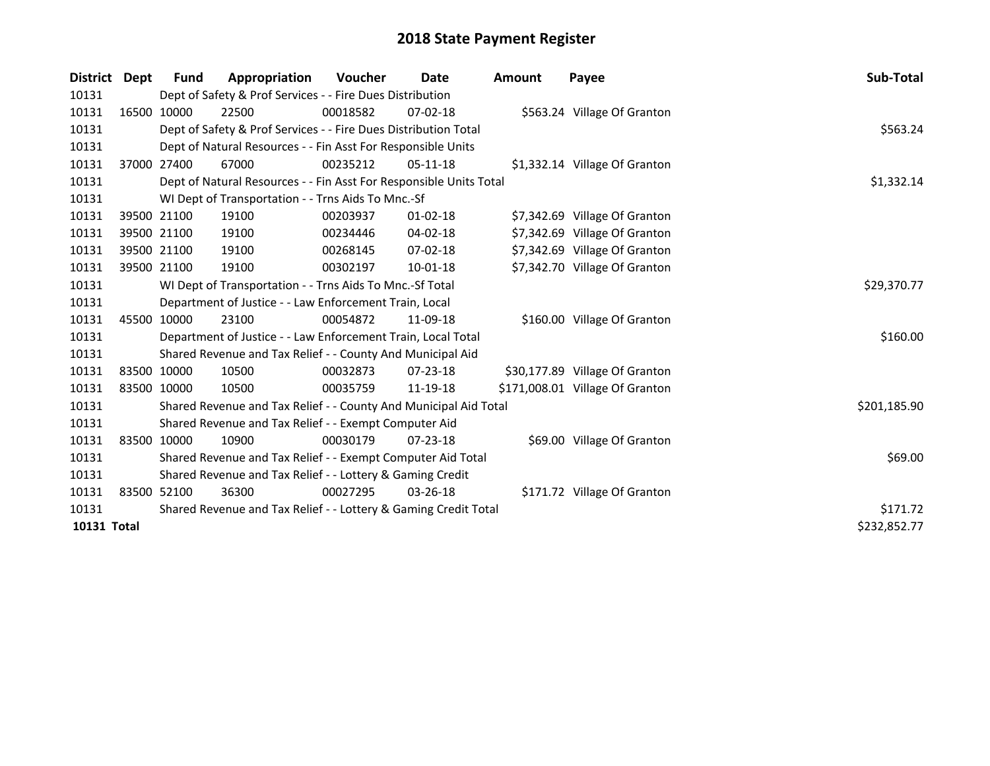| District Dept |             | Fund        | Appropriation                                                      | <b>Voucher</b> | Date           | <b>Amount</b> | Payee                           | Sub-Total    |
|---------------|-------------|-------------|--------------------------------------------------------------------|----------------|----------------|---------------|---------------------------------|--------------|
| 10131         |             |             | Dept of Safety & Prof Services - - Fire Dues Distribution          |                |                |               |                                 |              |
| 10131         |             | 16500 10000 | 22500                                                              | 00018582       | $07-02-18$     |               | \$563.24 Village Of Granton     |              |
| 10131         |             |             | Dept of Safety & Prof Services - - Fire Dues Distribution Total    |                |                |               |                                 | \$563.24     |
| 10131         |             |             | Dept of Natural Resources - - Fin Asst For Responsible Units       |                |                |               |                                 |              |
| 10131         |             | 37000 27400 | 67000                                                              | 00235212       | $05-11-18$     |               | \$1,332.14 Village Of Granton   |              |
| 10131         |             |             | Dept of Natural Resources - - Fin Asst For Responsible Units Total | \$1,332.14     |                |               |                                 |              |
| 10131         |             |             | WI Dept of Transportation - - Trns Aids To Mnc.-Sf                 |                |                |               |                                 |              |
| 10131         |             | 39500 21100 | 19100                                                              | 00203937       | $01 - 02 - 18$ |               | \$7,342.69 Village Of Granton   |              |
| 10131         |             | 39500 21100 | 19100                                                              | 00234446       | 04-02-18       |               | \$7,342.69 Village Of Granton   |              |
| 10131         |             | 39500 21100 | 19100                                                              | 00268145       | $07 - 02 - 18$ |               | \$7,342.69 Village Of Granton   |              |
| 10131         |             | 39500 21100 | 19100                                                              | 00302197       | $10 - 01 - 18$ |               | \$7,342.70 Village Of Granton   |              |
| 10131         |             |             | WI Dept of Transportation - - Trns Aids To Mnc.-Sf Total           |                |                |               |                                 | \$29,370.77  |
| 10131         |             |             | Department of Justice - - Law Enforcement Train, Local             |                |                |               |                                 |              |
| 10131         |             | 45500 10000 | 23100                                                              | 00054872       | 11-09-18       |               | \$160.00 Village Of Granton     |              |
| 10131         |             |             | Department of Justice - - Law Enforcement Train, Local Total       |                |                |               |                                 | \$160.00     |
| 10131         |             |             | Shared Revenue and Tax Relief - - County And Municipal Aid         |                |                |               |                                 |              |
| 10131         |             | 83500 10000 | 10500                                                              | 00032873       | 07-23-18       |               | \$30,177.89 Village Of Granton  |              |
| 10131         | 83500 10000 |             | 10500                                                              | 00035759       | 11-19-18       |               | \$171,008.01 Village Of Granton |              |
| 10131         |             |             | Shared Revenue and Tax Relief - - County And Municipal Aid Total   |                |                |               |                                 | \$201,185.90 |
| 10131         |             |             | Shared Revenue and Tax Relief - - Exempt Computer Aid              |                |                |               |                                 |              |
| 10131         |             | 83500 10000 | 10900                                                              | 00030179       | $07 - 23 - 18$ |               | \$69.00 Village Of Granton      |              |
| 10131         |             |             | Shared Revenue and Tax Relief - - Exempt Computer Aid Total        | \$69.00        |                |               |                                 |              |
| 10131         |             |             | Shared Revenue and Tax Relief - - Lottery & Gaming Credit          |                |                |               |                                 |              |
| 10131         |             | 83500 52100 | 36300                                                              | 00027295       | $03 - 26 - 18$ |               | \$171.72 Village Of Granton     |              |
| 10131         |             |             | Shared Revenue and Tax Relief - - Lottery & Gaming Credit Total    |                |                |               |                                 | \$171.72     |
| 10131 Total   |             |             |                                                                    |                |                |               |                                 | \$232,852.77 |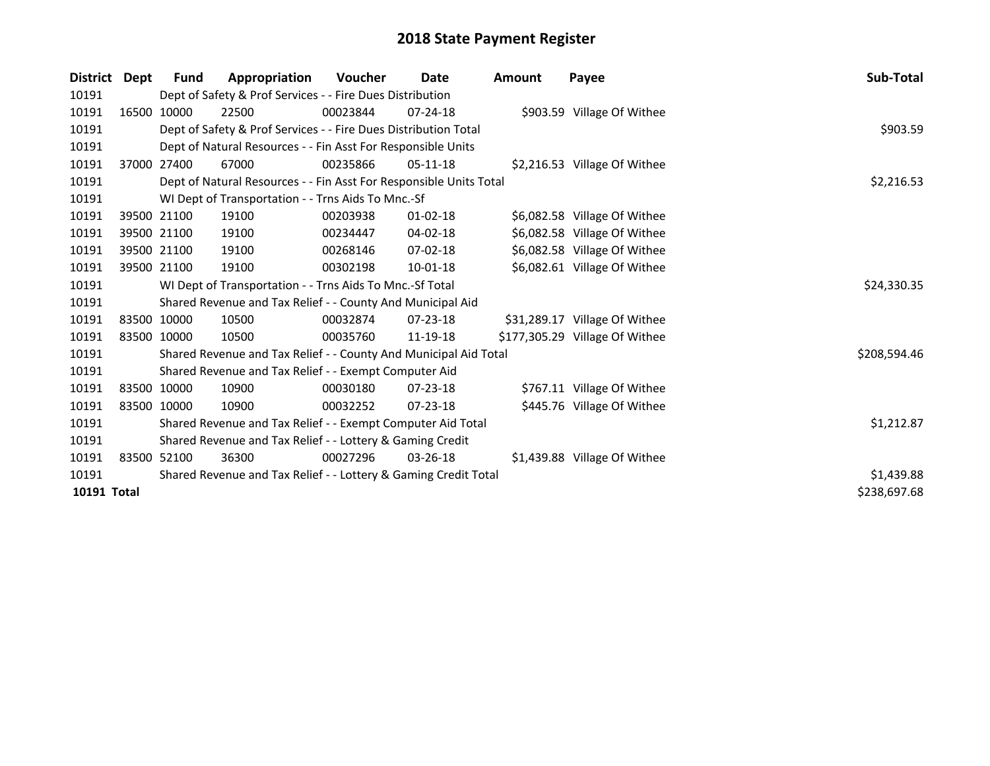| <b>District</b> | Dept  | <b>Fund</b>                                                     | Appropriation                                                      | Voucher    | Date           | <b>Amount</b> | Payee                          | Sub-Total    |
|-----------------|-------|-----------------------------------------------------------------|--------------------------------------------------------------------|------------|----------------|---------------|--------------------------------|--------------|
| 10191           |       |                                                                 | Dept of Safety & Prof Services - - Fire Dues Distribution          |            |                |               |                                |              |
| 10191           |       | 16500 10000                                                     | 22500                                                              | 00023844   | $07 - 24 - 18$ |               | \$903.59 Village Of Withee     |              |
| 10191           |       |                                                                 | Dept of Safety & Prof Services - - Fire Dues Distribution Total    |            |                |               |                                | \$903.59     |
| 10191           |       | Dept of Natural Resources - - Fin Asst For Responsible Units    |                                                                    |            |                |               |                                |              |
| 10191           | 37000 | 27400                                                           | 67000                                                              | 00235866   | $05-11-18$     |               | \$2,216.53 Village Of Withee   |              |
| 10191           |       |                                                                 | Dept of Natural Resources - - Fin Asst For Responsible Units Total |            |                |               |                                | \$2,216.53   |
| 10191           |       |                                                                 | WI Dept of Transportation - - Trns Aids To Mnc.-Sf                 |            |                |               |                                |              |
| 10191           |       | 39500 21100                                                     | 19100                                                              | 00203938   | $01 - 02 - 18$ |               | \$6,082.58 Village Of Withee   |              |
| 10191           |       | 39500 21100                                                     | 19100                                                              | 00234447   | 04-02-18       |               | \$6,082.58 Village Of Withee   |              |
| 10191           |       | 39500 21100                                                     | 19100                                                              | 00268146   | $07 - 02 - 18$ |               | \$6,082.58 Village Of Withee   |              |
| 10191           |       | 39500 21100                                                     | 19100                                                              | 00302198   | $10 - 01 - 18$ |               | \$6,082.61 Village Of Withee   |              |
| 10191           |       |                                                                 | WI Dept of Transportation - - Trns Aids To Mnc.-Sf Total           |            |                |               |                                | \$24,330.35  |
| 10191           |       |                                                                 | Shared Revenue and Tax Relief - - County And Municipal Aid         |            |                |               |                                |              |
| 10191           |       | 83500 10000                                                     | 10500                                                              | 00032874   | $07 - 23 - 18$ |               | \$31,289.17 Village Of Withee  |              |
| 10191           |       | 83500 10000                                                     | 10500                                                              | 00035760   | 11-19-18       |               | \$177,305.29 Village Of Withee |              |
| 10191           |       |                                                                 | Shared Revenue and Tax Relief - - County And Municipal Aid Total   |            |                |               |                                | \$208,594.46 |
| 10191           |       |                                                                 | Shared Revenue and Tax Relief - - Exempt Computer Aid              |            |                |               |                                |              |
| 10191           |       | 83500 10000                                                     | 10900                                                              | 00030180   | $07 - 23 - 18$ |               | \$767.11 Village Of Withee     |              |
| 10191           |       | 83500 10000                                                     | 10900                                                              | 00032252   | $07 - 23 - 18$ |               | \$445.76 Village Of Withee     |              |
| 10191           |       |                                                                 | Shared Revenue and Tax Relief - - Exempt Computer Aid Total        | \$1,212.87 |                |               |                                |              |
| 10191           |       |                                                                 | Shared Revenue and Tax Relief - - Lottery & Gaming Credit          |            |                |               |                                |              |
| 10191           |       | 83500 52100                                                     | 36300                                                              | 00027296   | $03 - 26 - 18$ |               | \$1,439.88 Village Of Withee   |              |
| 10191           |       | Shared Revenue and Tax Relief - - Lottery & Gaming Credit Total | \$1,439.88                                                         |            |                |               |                                |              |
| 10191 Total     |       |                                                                 |                                                                    |            |                |               |                                | \$238,697.68 |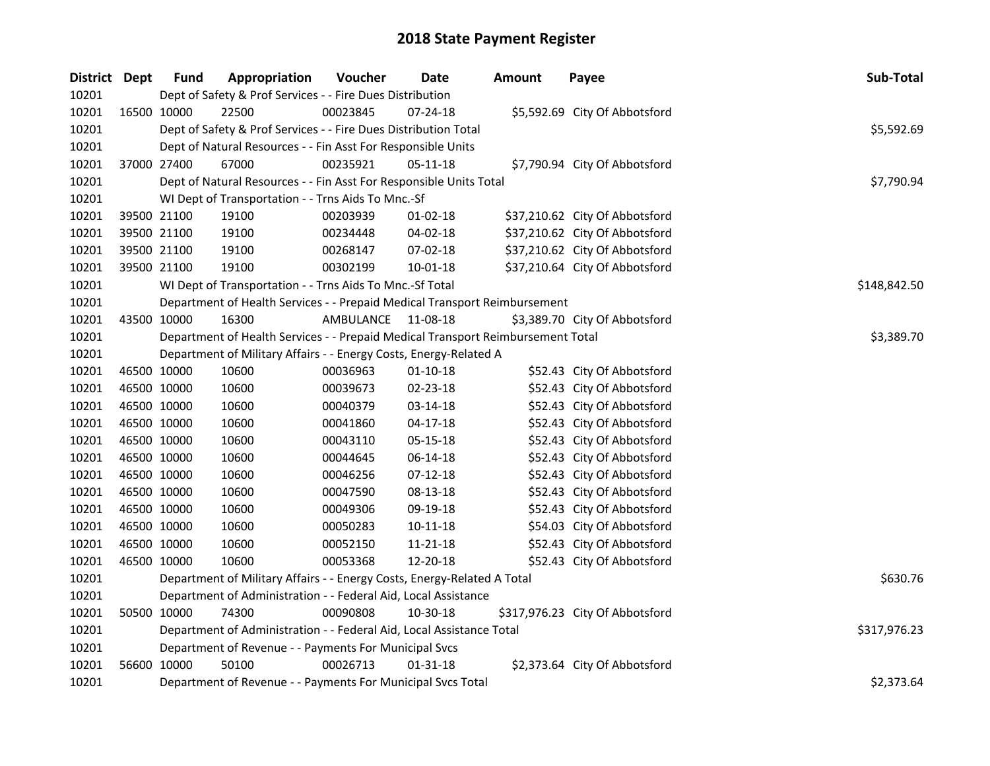| District Dept |             | <b>Fund</b> | Appropriation                                                                   | Voucher   | <b>Date</b>    | <b>Amount</b> | Payee                           | Sub-Total    |
|---------------|-------------|-------------|---------------------------------------------------------------------------------|-----------|----------------|---------------|---------------------------------|--------------|
| 10201         |             |             | Dept of Safety & Prof Services - - Fire Dues Distribution                       |           |                |               |                                 |              |
| 10201         | 16500 10000 |             | 22500                                                                           | 00023845  | 07-24-18       |               | \$5,592.69 City Of Abbotsford   |              |
| 10201         |             |             | Dept of Safety & Prof Services - - Fire Dues Distribution Total                 |           |                |               |                                 | \$5,592.69   |
| 10201         |             |             | Dept of Natural Resources - - Fin Asst For Responsible Units                    |           |                |               |                                 |              |
| 10201         |             | 37000 27400 | 67000                                                                           | 00235921  | 05-11-18       |               | \$7,790.94 City Of Abbotsford   |              |
| 10201         |             |             | Dept of Natural Resources - - Fin Asst For Responsible Units Total              |           |                |               |                                 | \$7,790.94   |
| 10201         |             |             | WI Dept of Transportation - - Trns Aids To Mnc.-Sf                              |           |                |               |                                 |              |
| 10201         |             | 39500 21100 | 19100                                                                           | 00203939  | 01-02-18       |               | \$37,210.62 City Of Abbotsford  |              |
| 10201         |             | 39500 21100 | 19100                                                                           | 00234448  | 04-02-18       |               | \$37,210.62 City Of Abbotsford  |              |
| 10201         |             | 39500 21100 | 19100                                                                           | 00268147  | 07-02-18       |               | \$37,210.62 City Of Abbotsford  |              |
| 10201         | 39500 21100 |             | 19100                                                                           | 00302199  | 10-01-18       |               | \$37,210.64 City Of Abbotsford  |              |
| 10201         |             |             | WI Dept of Transportation - - Trns Aids To Mnc.-Sf Total                        |           |                |               |                                 | \$148,842.50 |
| 10201         |             |             | Department of Health Services - - Prepaid Medical Transport Reimbursement       |           |                |               |                                 |              |
| 10201         | 43500 10000 |             | 16300                                                                           | AMBULANCE | 11-08-18       |               | \$3,389.70 City Of Abbotsford   |              |
| 10201         |             |             | Department of Health Services - - Prepaid Medical Transport Reimbursement Total |           |                |               |                                 | \$3,389.70   |
| 10201         |             |             | Department of Military Affairs - - Energy Costs, Energy-Related A               |           |                |               |                                 |              |
| 10201         | 46500 10000 |             | 10600                                                                           | 00036963  | $01 - 10 - 18$ |               | \$52.43 City Of Abbotsford      |              |
| 10201         |             | 46500 10000 | 10600                                                                           | 00039673  | 02-23-18       |               | \$52.43 City Of Abbotsford      |              |
| 10201         |             | 46500 10000 | 10600                                                                           | 00040379  | 03-14-18       |               | \$52.43 City Of Abbotsford      |              |
| 10201         |             | 46500 10000 | 10600                                                                           | 00041860  | $04-17-18$     |               | \$52.43 City Of Abbotsford      |              |
| 10201         |             | 46500 10000 | 10600                                                                           | 00043110  | 05-15-18       |               | \$52.43 City Of Abbotsford      |              |
| 10201         |             | 46500 10000 | 10600                                                                           | 00044645  | 06-14-18       |               | \$52.43 City Of Abbotsford      |              |
| 10201         |             | 46500 10000 | 10600                                                                           | 00046256  | 07-12-18       |               | \$52.43 City Of Abbotsford      |              |
| 10201         |             | 46500 10000 | 10600                                                                           | 00047590  | 08-13-18       |               | \$52.43 City Of Abbotsford      |              |
| 10201         |             | 46500 10000 | 10600                                                                           | 00049306  | 09-19-18       |               | \$52.43 City Of Abbotsford      |              |
| 10201         |             | 46500 10000 | 10600                                                                           | 00050283  | $10 - 11 - 18$ |               | \$54.03 City Of Abbotsford      |              |
| 10201         |             | 46500 10000 | 10600                                                                           | 00052150  | 11-21-18       |               | \$52.43 City Of Abbotsford      |              |
| 10201         | 46500 10000 |             | 10600                                                                           | 00053368  | 12-20-18       |               | \$52.43 City Of Abbotsford      |              |
| 10201         |             |             | Department of Military Affairs - - Energy Costs, Energy-Related A Total         | \$630.76  |                |               |                                 |              |
| 10201         |             |             | Department of Administration - - Federal Aid, Local Assistance                  |           |                |               |                                 |              |
| 10201         |             | 50500 10000 | 74300                                                                           | 00090808  | 10-30-18       |               | \$317,976.23 City Of Abbotsford |              |
| 10201         |             |             | Department of Administration - - Federal Aid, Local Assistance Total            |           |                |               |                                 | \$317,976.23 |
| 10201         |             |             | Department of Revenue - - Payments For Municipal Svcs                           |           |                |               |                                 |              |
| 10201         |             | 56600 10000 | 50100                                                                           | 00026713  | $01 - 31 - 18$ |               | \$2,373.64 City Of Abbotsford   |              |
| 10201         |             |             | Department of Revenue - - Payments For Municipal Svcs Total                     |           |                |               |                                 | \$2,373.64   |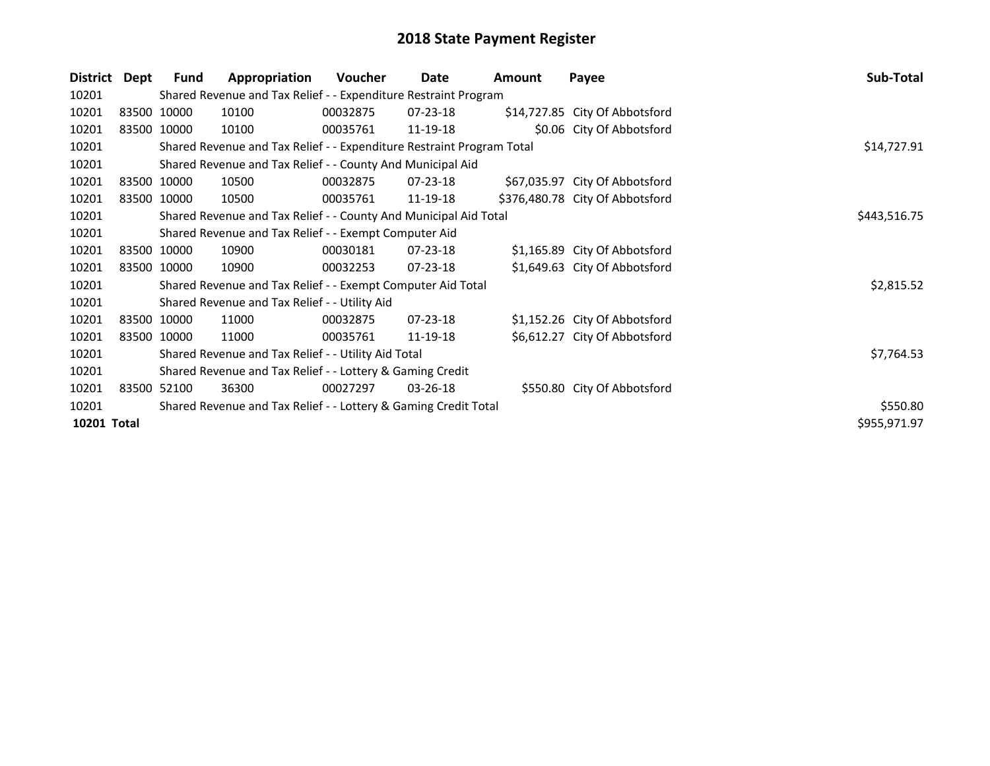| <b>District</b>    | Dept | Fund        | Appropriation                                                         | Voucher  | Date           | <b>Amount</b> | Payee                           | Sub-Total    |
|--------------------|------|-------------|-----------------------------------------------------------------------|----------|----------------|---------------|---------------------------------|--------------|
| 10201              |      |             | Shared Revenue and Tax Relief - - Expenditure Restraint Program       |          |                |               |                                 |              |
| 10201              |      | 83500 10000 | 10100                                                                 | 00032875 | 07-23-18       |               | \$14,727.85 City Of Abbotsford  |              |
| 10201              |      | 83500 10000 | 10100                                                                 | 00035761 | 11-19-18       |               | \$0.06 City Of Abbotsford       |              |
| 10201              |      |             | Shared Revenue and Tax Relief - - Expenditure Restraint Program Total |          |                |               |                                 | \$14,727.91  |
| 10201              |      |             | Shared Revenue and Tax Relief - - County And Municipal Aid            |          |                |               |                                 |              |
| 10201              |      | 83500 10000 | 10500                                                                 | 00032875 | 07-23-18       |               | \$67,035.97 City Of Abbotsford  |              |
| 10201              |      | 83500 10000 | 10500                                                                 | 00035761 | 11-19-18       |               | \$376,480.78 City Of Abbotsford |              |
| 10201              |      |             | Shared Revenue and Tax Relief - - County And Municipal Aid Total      |          |                |               |                                 | \$443,516.75 |
| 10201              |      |             | Shared Revenue and Tax Relief - - Exempt Computer Aid                 |          |                |               |                                 |              |
| 10201              |      | 83500 10000 | 10900                                                                 | 00030181 | 07-23-18       |               | \$1,165.89 City Of Abbotsford   |              |
| 10201              |      | 83500 10000 | 10900                                                                 | 00032253 | $07 - 23 - 18$ |               | \$1,649.63 City Of Abbotsford   |              |
| 10201              |      |             | Shared Revenue and Tax Relief - - Exempt Computer Aid Total           |          |                |               |                                 | \$2,815.52   |
| 10201              |      |             | Shared Revenue and Tax Relief - - Utility Aid                         |          |                |               |                                 |              |
| 10201              |      | 83500 10000 | 11000                                                                 | 00032875 | $07 - 23 - 18$ |               | \$1,152.26 City Of Abbotsford   |              |
| 10201              |      | 83500 10000 | 11000                                                                 | 00035761 | 11-19-18       |               | \$6,612.27 City Of Abbotsford   |              |
| 10201              |      |             | Shared Revenue and Tax Relief - - Utility Aid Total                   |          |                |               |                                 | \$7,764.53   |
| 10201              |      |             | Shared Revenue and Tax Relief - - Lottery & Gaming Credit             |          |                |               |                                 |              |
| 10201              |      | 83500 52100 | 36300                                                                 | 00027297 | $03 - 26 - 18$ |               | \$550.80 City Of Abbotsford     |              |
| 10201              |      |             | Shared Revenue and Tax Relief - - Lottery & Gaming Credit Total       | \$550.80 |                |               |                                 |              |
| <b>10201 Total</b> |      |             |                                                                       |          |                |               |                                 | \$955,971.97 |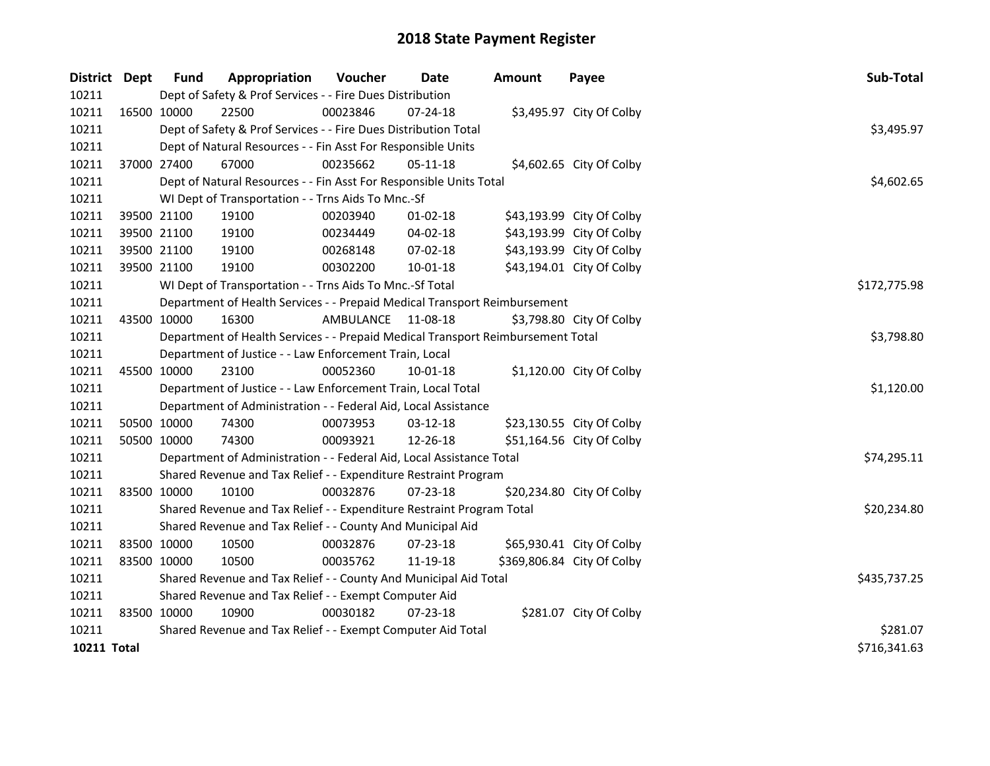| District Dept      | <b>Fund</b>                                            | Appropriation                                                                   | Voucher   | Date           | <b>Amount</b> | Payee                      | Sub-Total    |  |  |  |
|--------------------|--------------------------------------------------------|---------------------------------------------------------------------------------|-----------|----------------|---------------|----------------------------|--------------|--|--|--|
| 10211              |                                                        | Dept of Safety & Prof Services - - Fire Dues Distribution                       |           |                |               |                            |              |  |  |  |
| 10211              | 16500 10000                                            | 22500                                                                           | 00023846  | 07-24-18       |               | \$3,495.97 City Of Colby   |              |  |  |  |
| 10211              |                                                        | Dept of Safety & Prof Services - - Fire Dues Distribution Total                 |           |                |               |                            | \$3,495.97   |  |  |  |
| 10211              |                                                        | Dept of Natural Resources - - Fin Asst For Responsible Units                    |           |                |               |                            |              |  |  |  |
| 10211              | 37000 27400                                            | 67000                                                                           | 00235662  | 05-11-18       |               | \$4,602.65 City Of Colby   |              |  |  |  |
| 10211              |                                                        | Dept of Natural Resources - - Fin Asst For Responsible Units Total              |           |                |               |                            | \$4,602.65   |  |  |  |
| 10211              |                                                        | WI Dept of Transportation - - Trns Aids To Mnc.-Sf                              |           |                |               |                            |              |  |  |  |
| 10211              | 39500 21100                                            | 19100                                                                           | 00203940  | $01-02-18$     |               | \$43,193.99 City Of Colby  |              |  |  |  |
| 10211              | 39500 21100                                            | 19100                                                                           | 00234449  | 04-02-18       |               | \$43,193.99 City Of Colby  |              |  |  |  |
| 10211              | 39500 21100                                            | 19100                                                                           | 00268148  | 07-02-18       |               | \$43,193.99 City Of Colby  |              |  |  |  |
| 10211              | 39500 21100                                            | 19100                                                                           | 00302200  | $10 - 01 - 18$ |               | \$43,194.01 City Of Colby  |              |  |  |  |
| 10211              |                                                        | WI Dept of Transportation - - Trns Aids To Mnc.-Sf Total                        |           |                |               |                            | \$172,775.98 |  |  |  |
| 10211              |                                                        | Department of Health Services - - Prepaid Medical Transport Reimbursement       |           |                |               |                            |              |  |  |  |
| 10211              | 43500 10000                                            | 16300                                                                           | AMBULANCE | 11-08-18       |               | \$3,798.80 City Of Colby   |              |  |  |  |
| 10211              |                                                        | Department of Health Services - - Prepaid Medical Transport Reimbursement Total |           |                |               |                            |              |  |  |  |
| 10211              | Department of Justice - - Law Enforcement Train, Local |                                                                                 |           |                |               |                            |              |  |  |  |
| 10211              | 45500 10000                                            | 23100                                                                           | 00052360  | 10-01-18       |               | \$1,120.00 City Of Colby   |              |  |  |  |
| 10211              |                                                        | Department of Justice - - Law Enforcement Train, Local Total                    |           |                |               |                            | \$1,120.00   |  |  |  |
| 10211              |                                                        | Department of Administration - - Federal Aid, Local Assistance                  |           |                |               |                            |              |  |  |  |
| 10211              | 50500 10000                                            | 74300                                                                           | 00073953  | 03-12-18       |               | \$23,130.55 City Of Colby  |              |  |  |  |
| 10211              | 50500 10000                                            | 74300                                                                           | 00093921  | 12-26-18       |               | \$51,164.56 City Of Colby  |              |  |  |  |
| 10211              |                                                        | Department of Administration - - Federal Aid, Local Assistance Total            |           |                |               |                            | \$74,295.11  |  |  |  |
| 10211              |                                                        | Shared Revenue and Tax Relief - - Expenditure Restraint Program                 |           |                |               |                            |              |  |  |  |
| 10211              | 83500 10000                                            | 10100                                                                           | 00032876  | $07 - 23 - 18$ |               | \$20,234.80 City Of Colby  |              |  |  |  |
| 10211              |                                                        | Shared Revenue and Tax Relief - - Expenditure Restraint Program Total           |           |                |               |                            | \$20,234.80  |  |  |  |
| 10211              |                                                        | Shared Revenue and Tax Relief - - County And Municipal Aid                      |           |                |               |                            |              |  |  |  |
| 10211              | 83500 10000                                            | 10500                                                                           | 00032876  | 07-23-18       |               | \$65,930.41 City Of Colby  |              |  |  |  |
| 10211              | 83500 10000                                            | 10500                                                                           | 00035762  | 11-19-18       |               | \$369,806.84 City Of Colby |              |  |  |  |
| 10211              |                                                        | Shared Revenue and Tax Relief - - County And Municipal Aid Total                |           |                |               |                            | \$435,737.25 |  |  |  |
| 10211              |                                                        | Shared Revenue and Tax Relief - - Exempt Computer Aid                           |           |                |               |                            |              |  |  |  |
| 10211              | 83500 10000                                            | 10900                                                                           | 00030182  | 07-23-18       |               | \$281.07 City Of Colby     |              |  |  |  |
| 10211              |                                                        | Shared Revenue and Tax Relief - - Exempt Computer Aid Total                     |           |                |               |                            | \$281.07     |  |  |  |
| <b>10211 Total</b> |                                                        |                                                                                 |           |                |               |                            | \$716,341.63 |  |  |  |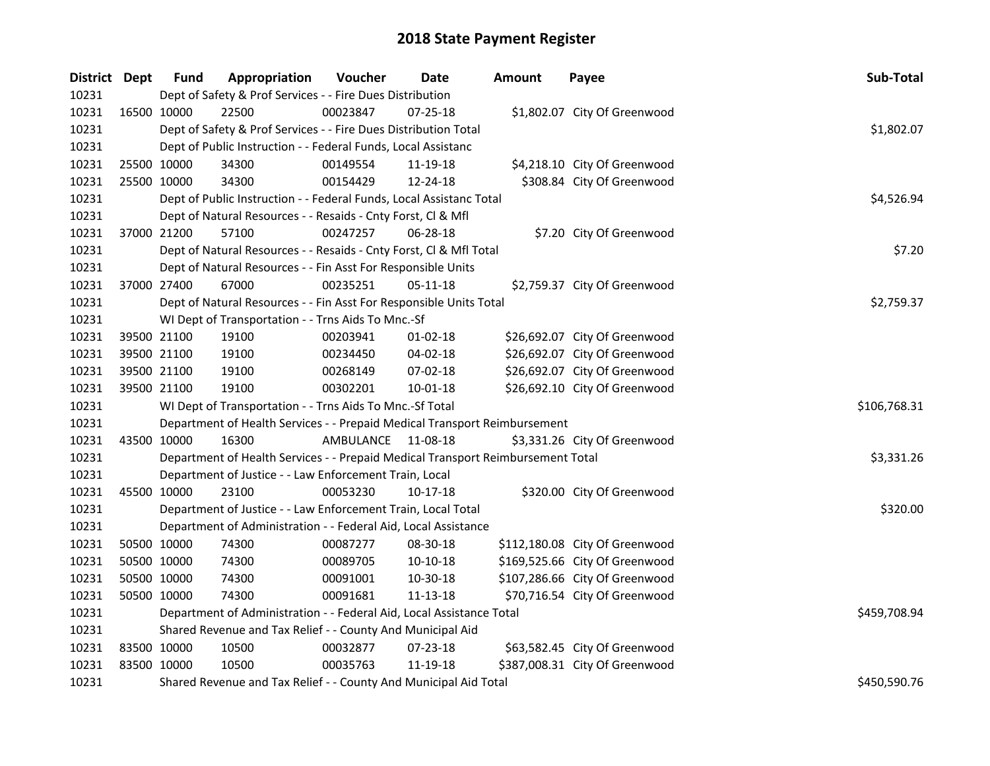| District Dept |             | <b>Fund</b>                                                     | Appropriation                                                                   | Voucher    | <b>Date</b>    | Amount | Payee                          | Sub-Total    |
|---------------|-------------|-----------------------------------------------------------------|---------------------------------------------------------------------------------|------------|----------------|--------|--------------------------------|--------------|
| 10231         |             |                                                                 | Dept of Safety & Prof Services - - Fire Dues Distribution                       |            |                |        |                                |              |
| 10231         | 16500 10000 |                                                                 | 22500                                                                           | 00023847   | $07 - 25 - 18$ |        | \$1,802.07 City Of Greenwood   |              |
| 10231         |             | Dept of Safety & Prof Services - - Fire Dues Distribution Total |                                                                                 | \$1,802.07 |                |        |                                |              |
| 10231         |             |                                                                 | Dept of Public Instruction - - Federal Funds, Local Assistanc                   |            |                |        |                                |              |
| 10231         |             | 25500 10000                                                     | 34300                                                                           | 00149554   | 11-19-18       |        | \$4,218.10 City Of Greenwood   |              |
| 10231         |             | 25500 10000                                                     | 34300                                                                           | 00154429   | 12-24-18       |        | \$308.84 City Of Greenwood     |              |
| 10231         |             |                                                                 | Dept of Public Instruction - - Federal Funds, Local Assistanc Total             |            |                |        |                                | \$4,526.94   |
| 10231         |             |                                                                 | Dept of Natural Resources - - Resaids - Cnty Forst, Cl & Mfl                    |            |                |        |                                |              |
| 10231         |             | 37000 21200                                                     | 57100                                                                           | 00247257   | 06-28-18       |        | \$7.20 City Of Greenwood       |              |
| 10231         |             |                                                                 | Dept of Natural Resources - - Resaids - Cnty Forst, Cl & Mfl Total              |            |                |        |                                | \$7.20       |
| 10231         |             |                                                                 | Dept of Natural Resources - - Fin Asst For Responsible Units                    |            |                |        |                                |              |
| 10231         |             | 37000 27400                                                     | 67000                                                                           | 00235251   | 05-11-18       |        | \$2,759.37 City Of Greenwood   |              |
| 10231         |             |                                                                 | Dept of Natural Resources - - Fin Asst For Responsible Units Total              |            |                |        |                                | \$2,759.37   |
| 10231         |             |                                                                 | WI Dept of Transportation - - Trns Aids To Mnc.-Sf                              |            |                |        |                                |              |
| 10231         |             | 39500 21100                                                     | 19100                                                                           | 00203941   | $01 - 02 - 18$ |        | \$26,692.07 City Of Greenwood  |              |
| 10231         |             | 39500 21100                                                     | 19100                                                                           | 00234450   | 04-02-18       |        | \$26,692.07 City Of Greenwood  |              |
| 10231         |             | 39500 21100                                                     | 19100                                                                           | 00268149   | 07-02-18       |        | \$26,692.07 City Of Greenwood  |              |
| 10231         |             | 39500 21100                                                     | 19100                                                                           | 00302201   | $10 - 01 - 18$ |        | \$26,692.10 City Of Greenwood  |              |
| 10231         |             |                                                                 | WI Dept of Transportation - - Trns Aids To Mnc.-Sf Total                        |            |                |        |                                | \$106,768.31 |
| 10231         |             |                                                                 | Department of Health Services - - Prepaid Medical Transport Reimbursement       |            |                |        |                                |              |
| 10231         |             | 43500 10000                                                     | 16300                                                                           | AMBULANCE  | 11-08-18       |        | \$3,331.26 City Of Greenwood   |              |
| 10231         |             |                                                                 | Department of Health Services - - Prepaid Medical Transport Reimbursement Total |            |                |        |                                | \$3,331.26   |
| 10231         |             |                                                                 | Department of Justice - - Law Enforcement Train, Local                          |            |                |        |                                |              |
| 10231         | 45500 10000 |                                                                 | 23100                                                                           | 00053230   | 10-17-18       |        | \$320.00 City Of Greenwood     |              |
| 10231         |             |                                                                 | Department of Justice - - Law Enforcement Train, Local Total                    |            |                |        |                                | \$320.00     |
| 10231         |             |                                                                 | Department of Administration - - Federal Aid, Local Assistance                  |            |                |        |                                |              |
| 10231         |             | 50500 10000                                                     | 74300                                                                           | 00087277   | 08-30-18       |        | \$112,180.08 City Of Greenwood |              |
| 10231         |             | 50500 10000                                                     | 74300                                                                           | 00089705   | 10-10-18       |        | \$169,525.66 City Of Greenwood |              |
| 10231         |             | 50500 10000                                                     | 74300                                                                           | 00091001   | 10-30-18       |        | \$107,286.66 City Of Greenwood |              |
| 10231         | 50500 10000 |                                                                 | 74300                                                                           | 00091681   | 11-13-18       |        | \$70,716.54 City Of Greenwood  |              |
| 10231         |             |                                                                 | Department of Administration - - Federal Aid, Local Assistance Total            |            |                |        |                                | \$459,708.94 |
| 10231         |             |                                                                 | Shared Revenue and Tax Relief - - County And Municipal Aid                      |            |                |        |                                |              |
| 10231         |             | 83500 10000                                                     | 10500                                                                           | 00032877   | 07-23-18       |        | \$63,582.45 City Of Greenwood  |              |
| 10231         | 83500 10000 |                                                                 | 10500                                                                           | 00035763   | 11-19-18       |        | \$387,008.31 City Of Greenwood |              |
| 10231         |             |                                                                 | Shared Revenue and Tax Relief - - County And Municipal Aid Total                |            |                |        |                                | \$450,590.76 |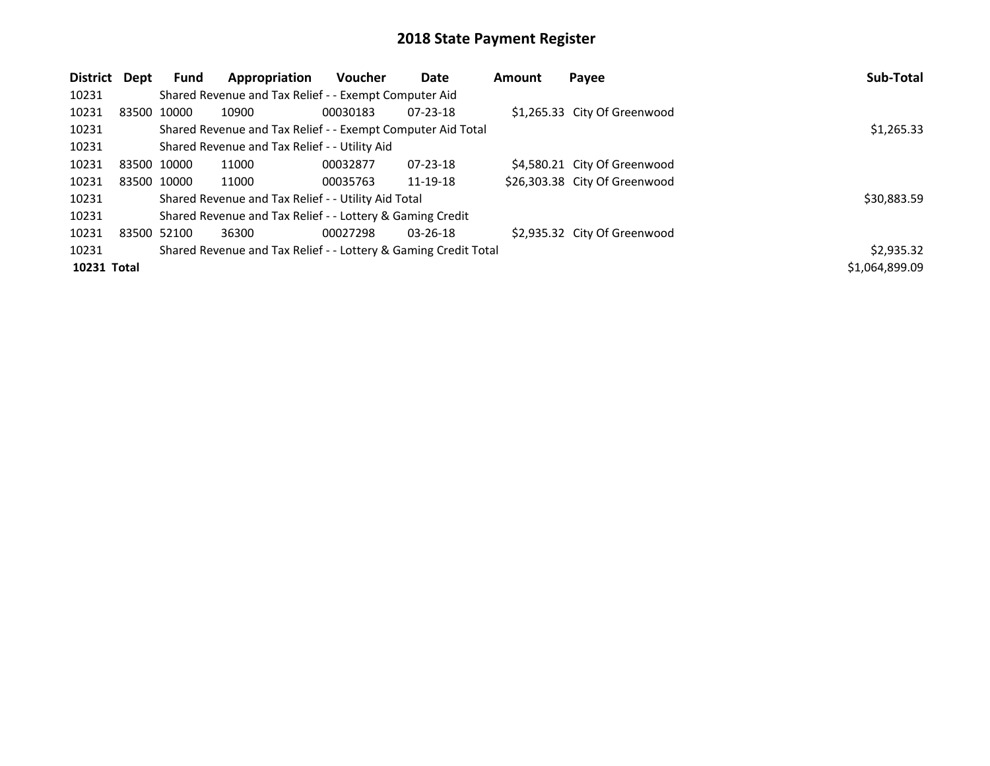| District Dept |             | <b>Fund</b> | Appropriation                                                   | <b>Voucher</b> | Date           | Amount | Payee                         | Sub-Total      |
|---------------|-------------|-------------|-----------------------------------------------------------------|----------------|----------------|--------|-------------------------------|----------------|
| 10231         |             |             | Shared Revenue and Tax Relief - - Exempt Computer Aid           |                |                |        |                               |                |
| 10231         |             | 83500 10000 | 10900                                                           | 00030183       | $07 - 23 - 18$ |        | \$1,265.33 City Of Greenwood  |                |
| 10231         |             |             | Shared Revenue and Tax Relief - - Exempt Computer Aid Total     |                |                |        |                               | \$1,265.33     |
| 10231         |             |             | Shared Revenue and Tax Relief - - Utility Aid                   |                |                |        |                               |                |
| 10231         |             | 83500 10000 | 11000                                                           | 00032877       | 07-23-18       |        | \$4,580.21 City Of Greenwood  |                |
| 10231         | 83500 10000 |             | 11000                                                           | 00035763       | 11-19-18       |        | \$26,303.38 City Of Greenwood |                |
| 10231         |             |             | Shared Revenue and Tax Relief - - Utility Aid Total             |                |                |        |                               | \$30,883.59    |
| 10231         |             |             | Shared Revenue and Tax Relief - - Lottery & Gaming Credit       |                |                |        |                               |                |
| 10231         | 83500 52100 |             | 36300                                                           | 00027298       | $03 - 26 - 18$ |        | \$2,935.32 City Of Greenwood  |                |
| 10231         |             |             | Shared Revenue and Tax Relief - - Lottery & Gaming Credit Total |                |                |        |                               | \$2,935.32     |
| 10231 Total   |             |             |                                                                 |                |                |        |                               | \$1,064,899.09 |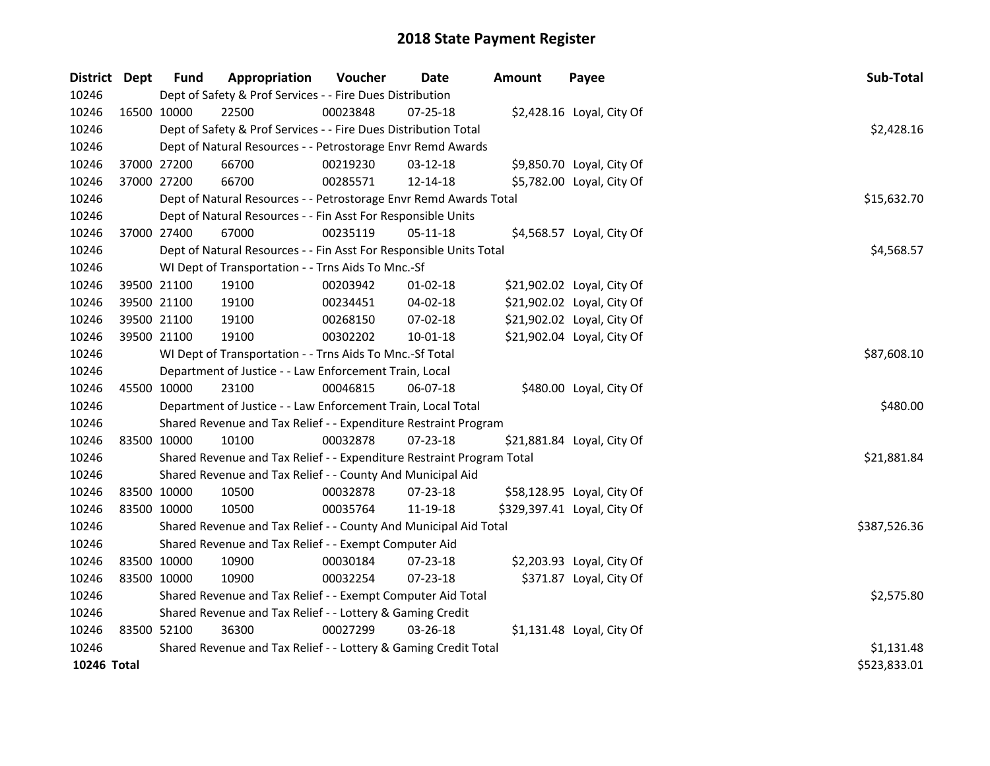| <b>District</b> | Dept        | <b>Fund</b> | Appropriation                                                         | Voucher    | Date           | <b>Amount</b> | Payee                       | Sub-Total    |
|-----------------|-------------|-------------|-----------------------------------------------------------------------|------------|----------------|---------------|-----------------------------|--------------|
| 10246           |             |             | Dept of Safety & Prof Services - - Fire Dues Distribution             |            |                |               |                             |              |
| 10246           |             | 16500 10000 | 22500                                                                 | 00023848   | 07-25-18       |               | \$2,428.16 Loyal, City Of   |              |
| 10246           |             |             | Dept of Safety & Prof Services - - Fire Dues Distribution Total       | \$2,428.16 |                |               |                             |              |
| 10246           |             |             | Dept of Natural Resources - - Petrostorage Envr Remd Awards           |            |                |               |                             |              |
| 10246           |             | 37000 27200 | 66700                                                                 | 00219230   | 03-12-18       |               | \$9,850.70 Loyal, City Of   |              |
| 10246           |             | 37000 27200 | 66700                                                                 | 00285571   | 12-14-18       |               | \$5,782.00 Loyal, City Of   |              |
| 10246           |             |             | Dept of Natural Resources - - Petrostorage Envr Remd Awards Total     |            |                |               |                             | \$15,632.70  |
| 10246           |             |             | Dept of Natural Resources - - Fin Asst For Responsible Units          |            |                |               |                             |              |
| 10246           |             | 37000 27400 | 67000                                                                 | 00235119   | 05-11-18       |               | \$4,568.57 Loyal, City Of   |              |
| 10246           |             |             | Dept of Natural Resources - - Fin Asst For Responsible Units Total    |            |                |               |                             | \$4,568.57   |
| 10246           |             |             | WI Dept of Transportation - - Trns Aids To Mnc.-Sf                    |            |                |               |                             |              |
| 10246           |             | 39500 21100 | 19100                                                                 | 00203942   | 01-02-18       |               | \$21,902.02 Loyal, City Of  |              |
| 10246           |             | 39500 21100 | 19100                                                                 | 00234451   | $04 - 02 - 18$ |               | \$21,902.02 Loyal, City Of  |              |
| 10246           |             | 39500 21100 | 19100                                                                 | 00268150   | 07-02-18       |               | \$21,902.02 Loyal, City Of  |              |
| 10246           |             | 39500 21100 | 19100                                                                 | 00302202   | $10 - 01 - 18$ |               | \$21,902.04 Loyal, City Of  |              |
| 10246           |             |             | WI Dept of Transportation - - Trns Aids To Mnc.-Sf Total              |            |                |               |                             | \$87,608.10  |
| 10246           |             |             | Department of Justice - - Law Enforcement Train, Local                |            |                |               |                             |              |
| 10246           |             | 45500 10000 | 23100                                                                 | 00046815   | 06-07-18       |               | \$480.00 Loyal, City Of     |              |
| 10246           |             |             | Department of Justice - - Law Enforcement Train, Local Total          |            |                |               |                             | \$480.00     |
| 10246           |             |             | Shared Revenue and Tax Relief - - Expenditure Restraint Program       |            |                |               |                             |              |
| 10246           |             | 83500 10000 | 10100                                                                 | 00032878   | 07-23-18       |               | \$21,881.84 Loyal, City Of  |              |
| 10246           |             |             | Shared Revenue and Tax Relief - - Expenditure Restraint Program Total |            |                |               |                             | \$21,881.84  |
| 10246           |             |             | Shared Revenue and Tax Relief - - County And Municipal Aid            |            |                |               |                             |              |
| 10246           |             | 83500 10000 | 10500                                                                 | 00032878   | 07-23-18       |               | \$58,128.95 Loyal, City Of  |              |
| 10246           |             | 83500 10000 | 10500                                                                 | 00035764   | 11-19-18       |               | \$329,397.41 Loyal, City Of |              |
| 10246           |             |             | Shared Revenue and Tax Relief - - County And Municipal Aid Total      |            |                |               |                             | \$387,526.36 |
| 10246           |             |             | Shared Revenue and Tax Relief - - Exempt Computer Aid                 |            |                |               |                             |              |
| 10246           |             | 83500 10000 | 10900                                                                 | 00030184   | 07-23-18       |               | \$2,203.93 Loyal, City Of   |              |
| 10246           | 83500 10000 |             | 10900                                                                 | 00032254   | 07-23-18       |               | \$371.87 Loyal, City Of     |              |
| 10246           |             |             | Shared Revenue and Tax Relief - - Exempt Computer Aid Total           |            |                |               |                             | \$2,575.80   |
| 10246           |             |             | Shared Revenue and Tax Relief - - Lottery & Gaming Credit             |            |                |               |                             |              |
| 10246           |             | 83500 52100 | 36300                                                                 | 00027299   | 03-26-18       |               | \$1,131.48 Loyal, City Of   |              |
| 10246           |             |             | Shared Revenue and Tax Relief - - Lottery & Gaming Credit Total       |            |                |               |                             | \$1,131.48   |
| 10246 Total     |             |             |                                                                       |            |                |               |                             | \$523,833.01 |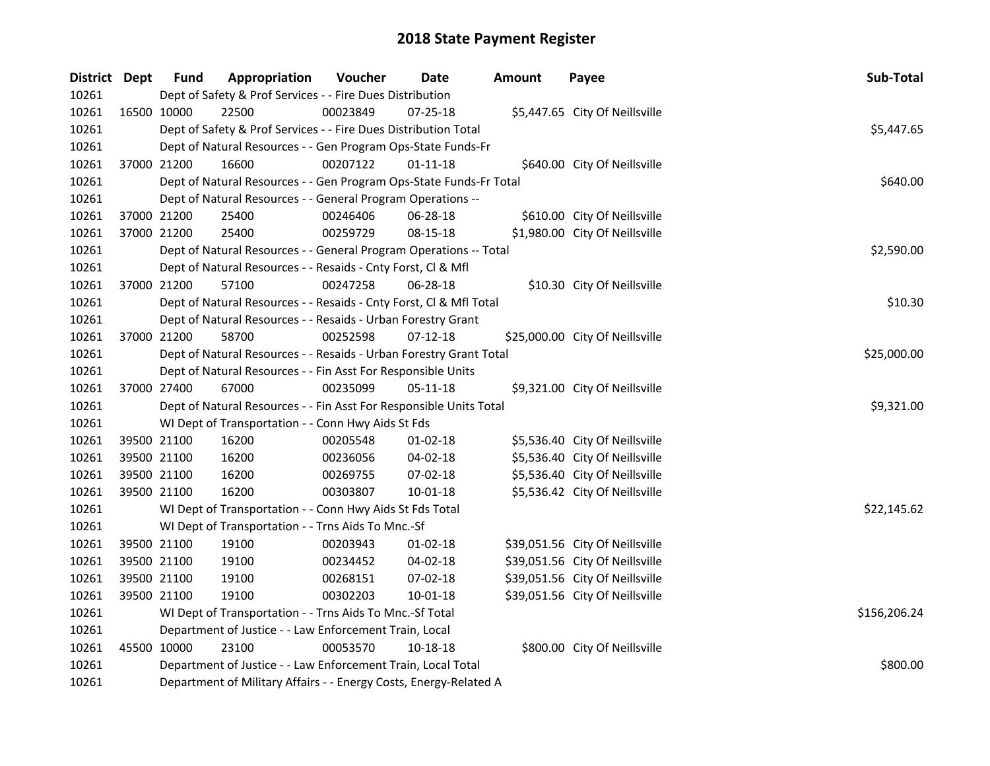| District Dept |             | <b>Fund</b>                                                     | Appropriation                                                      | Voucher  | Date           | <b>Amount</b> | Payee                           | Sub-Total    |  |  |
|---------------|-------------|-----------------------------------------------------------------|--------------------------------------------------------------------|----------|----------------|---------------|---------------------------------|--------------|--|--|
| 10261         |             |                                                                 | Dept of Safety & Prof Services - - Fire Dues Distribution          |          |                |               |                                 |              |  |  |
| 10261         | 16500 10000 |                                                                 | 22500                                                              | 00023849 | $07 - 25 - 18$ |               | \$5,447.65 City Of Neillsville  |              |  |  |
| 10261         |             | Dept of Safety & Prof Services - - Fire Dues Distribution Total | \$5,447.65                                                         |          |                |               |                                 |              |  |  |
| 10261         |             |                                                                 | Dept of Natural Resources - - Gen Program Ops-State Funds-Fr       |          |                |               |                                 |              |  |  |
| 10261         |             | 37000 21200                                                     | 16600                                                              | 00207122 | $01 - 11 - 18$ |               | \$640.00 City Of Neillsville    |              |  |  |
| 10261         |             |                                                                 | Dept of Natural Resources - - Gen Program Ops-State Funds-Fr Total | \$640.00 |                |               |                                 |              |  |  |
| 10261         |             |                                                                 | Dept of Natural Resources - - General Program Operations --        |          |                |               |                                 |              |  |  |
| 10261         |             | 37000 21200                                                     | 25400                                                              | 00246406 | 06-28-18       |               | \$610.00 City Of Neillsville    |              |  |  |
| 10261         |             | 37000 21200                                                     | 25400                                                              | 00259729 | 08-15-18       |               | \$1,980.00 City Of Neillsville  |              |  |  |
| 10261         |             |                                                                 | Dept of Natural Resources - - General Program Operations -- Total  |          |                |               |                                 | \$2,590.00   |  |  |
| 10261         |             |                                                                 | Dept of Natural Resources - - Resaids - Cnty Forst, Cl & Mfl       |          |                |               |                                 |              |  |  |
| 10261         |             | 37000 21200                                                     | 57100                                                              | 00247258 | 06-28-18       |               | \$10.30 City Of Neillsville     |              |  |  |
| 10261         |             |                                                                 | Dept of Natural Resources - - Resaids - Cnty Forst, Cl & Mfl Total |          |                |               |                                 | \$10.30      |  |  |
| 10261         |             |                                                                 | Dept of Natural Resources - - Resaids - Urban Forestry Grant       |          |                |               |                                 |              |  |  |
| 10261         |             | 37000 21200                                                     | 58700                                                              | 00252598 | $07-12-18$     |               | \$25,000.00 City Of Neillsville |              |  |  |
| 10261         |             |                                                                 | Dept of Natural Resources - - Resaids - Urban Forestry Grant Total |          |                |               |                                 | \$25,000.00  |  |  |
| 10261         |             |                                                                 | Dept of Natural Resources - - Fin Asst For Responsible Units       |          |                |               |                                 |              |  |  |
| 10261         |             | 37000 27400                                                     | 67000                                                              | 00235099 | $05 - 11 - 18$ |               | \$9,321.00 City Of Neillsville  |              |  |  |
| 10261         |             |                                                                 | Dept of Natural Resources - - Fin Asst For Responsible Units Total |          |                |               |                                 | \$9,321.00   |  |  |
| 10261         |             |                                                                 | WI Dept of Transportation - - Conn Hwy Aids St Fds                 |          |                |               |                                 |              |  |  |
| 10261         |             | 39500 21100                                                     | 16200                                                              | 00205548 | $01 - 02 - 18$ |               | \$5,536.40 City Of Neillsville  |              |  |  |
| 10261         |             | 39500 21100                                                     | 16200                                                              | 00236056 | 04-02-18       |               | \$5,536.40 City Of Neillsville  |              |  |  |
| 10261         |             | 39500 21100                                                     | 16200                                                              | 00269755 | 07-02-18       |               | \$5,536.40 City Of Neillsville  |              |  |  |
| 10261         |             | 39500 21100                                                     | 16200                                                              | 00303807 | 10-01-18       |               | \$5,536.42 City Of Neillsville  |              |  |  |
| 10261         |             |                                                                 | WI Dept of Transportation - - Conn Hwy Aids St Fds Total           |          |                |               |                                 | \$22,145.62  |  |  |
| 10261         |             |                                                                 | WI Dept of Transportation - - Trns Aids To Mnc.-Sf                 |          |                |               |                                 |              |  |  |
| 10261         |             | 39500 21100                                                     | 19100                                                              | 00203943 | $01-02-18$     |               | \$39,051.56 City Of Neillsville |              |  |  |
| 10261         |             | 39500 21100                                                     | 19100                                                              | 00234452 | 04-02-18       |               | \$39,051.56 City Of Neillsville |              |  |  |
| 10261         |             | 39500 21100                                                     | 19100                                                              | 00268151 | 07-02-18       |               | \$39,051.56 City Of Neillsville |              |  |  |
| 10261         |             | 39500 21100                                                     | 19100                                                              | 00302203 | 10-01-18       |               | \$39,051.56 City Of Neillsville |              |  |  |
| 10261         |             |                                                                 | WI Dept of Transportation - - Trns Aids To Mnc.-Sf Total           |          |                |               |                                 | \$156,206.24 |  |  |
| 10261         |             | Department of Justice - - Law Enforcement Train, Local          |                                                                    |          |                |               |                                 |              |  |  |
| 10261         |             | 45500 10000                                                     | 23100                                                              | 00053570 | 10-18-18       |               | \$800.00 City Of Neillsville    |              |  |  |
| 10261         |             |                                                                 | Department of Justice - - Law Enforcement Train, Local Total       |          |                |               |                                 | \$800.00     |  |  |
| 10261         |             |                                                                 | Department of Military Affairs - - Energy Costs, Energy-Related A  |          |                |               |                                 |              |  |  |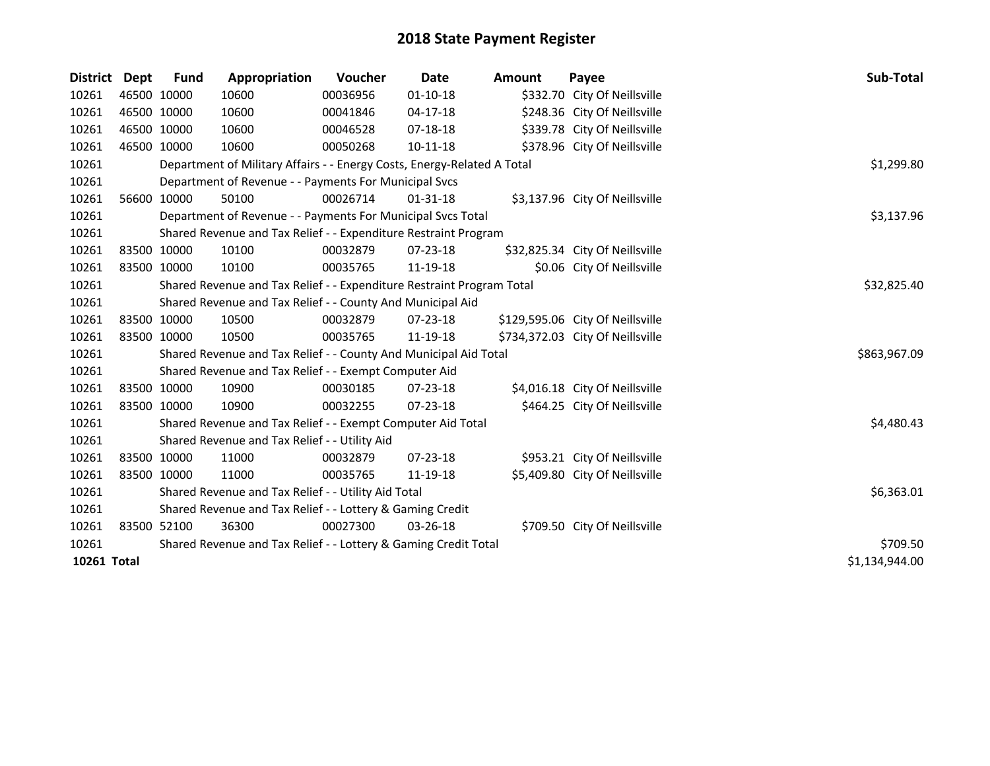| <b>District Dept</b> | <b>Fund</b> | Appropriation                                                           | Voucher  | Date           | <b>Amount</b> | Payee                            | Sub-Total      |
|----------------------|-------------|-------------------------------------------------------------------------|----------|----------------|---------------|----------------------------------|----------------|
| 10261                | 46500 10000 | 10600                                                                   | 00036956 | $01 - 10 - 18$ |               | \$332.70 City Of Neillsville     |                |
| 10261                | 46500 10000 | 10600                                                                   | 00041846 | $04-17-18$     |               | \$248.36 City Of Neillsville     |                |
| 10261                | 46500 10000 | 10600                                                                   | 00046528 | 07-18-18       |               | \$339.78 City Of Neillsville     |                |
| 10261                | 46500 10000 | 10600                                                                   | 00050268 | $10 - 11 - 18$ |               | \$378.96 City Of Neillsville     |                |
| 10261                |             | Department of Military Affairs - - Energy Costs, Energy-Related A Total |          |                |               |                                  | \$1,299.80     |
| 10261                |             | Department of Revenue - - Payments For Municipal Svcs                   |          |                |               |                                  |                |
| 10261                | 56600 10000 | 50100                                                                   | 00026714 | $01 - 31 - 18$ |               | \$3,137.96 City Of Neillsville   |                |
| 10261                |             | Department of Revenue - - Payments For Municipal Svcs Total             |          |                |               |                                  | \$3,137.96     |
| 10261                |             | Shared Revenue and Tax Relief - - Expenditure Restraint Program         |          |                |               |                                  |                |
| 10261                | 83500 10000 | 10100                                                                   | 00032879 | 07-23-18       |               | \$32,825.34 City Of Neillsville  |                |
| 10261                | 83500 10000 | 10100                                                                   | 00035765 | 11-19-18       |               | \$0.06 City Of Neillsville       |                |
| 10261                |             | Shared Revenue and Tax Relief - - Expenditure Restraint Program Total   |          |                |               |                                  | \$32,825.40    |
| 10261                |             | Shared Revenue and Tax Relief - - County And Municipal Aid              |          |                |               |                                  |                |
| 10261                | 83500 10000 | 10500                                                                   | 00032879 | $07 - 23 - 18$ |               | \$129,595.06 City Of Neillsville |                |
| 10261                | 83500 10000 | 10500                                                                   | 00035765 | 11-19-18       |               | \$734,372.03 City Of Neillsville |                |
| 10261                |             | Shared Revenue and Tax Relief - - County And Municipal Aid Total        |          |                |               |                                  | \$863,967.09   |
| 10261                |             | Shared Revenue and Tax Relief - - Exempt Computer Aid                   |          |                |               |                                  |                |
| 10261                | 83500 10000 | 10900                                                                   | 00030185 | 07-23-18       |               | \$4,016.18 City Of Neillsville   |                |
| 10261                | 83500 10000 | 10900                                                                   | 00032255 | 07-23-18       |               | \$464.25 City Of Neillsville     |                |
| 10261                |             | Shared Revenue and Tax Relief - - Exempt Computer Aid Total             |          |                |               |                                  | \$4,480.43     |
| 10261                |             | Shared Revenue and Tax Relief - - Utility Aid                           |          |                |               |                                  |                |
| 10261                | 83500 10000 | 11000                                                                   | 00032879 | 07-23-18       |               | \$953.21 City Of Neillsville     |                |
| 10261                | 83500 10000 | 11000                                                                   | 00035765 | 11-19-18       |               | \$5,409.80 City Of Neillsville   |                |
| 10261                |             | Shared Revenue and Tax Relief - - Utility Aid Total                     |          |                |               |                                  | \$6,363.01     |
| 10261                |             | Shared Revenue and Tax Relief - - Lottery & Gaming Credit               |          |                |               |                                  |                |
| 10261                | 83500 52100 | 36300                                                                   | 00027300 | 03-26-18       |               | \$709.50 City Of Neillsville     |                |
| 10261                |             | Shared Revenue and Tax Relief - - Lottery & Gaming Credit Total         |          |                |               |                                  | \$709.50       |
| 10261 Total          |             |                                                                         |          |                |               |                                  | \$1,134,944.00 |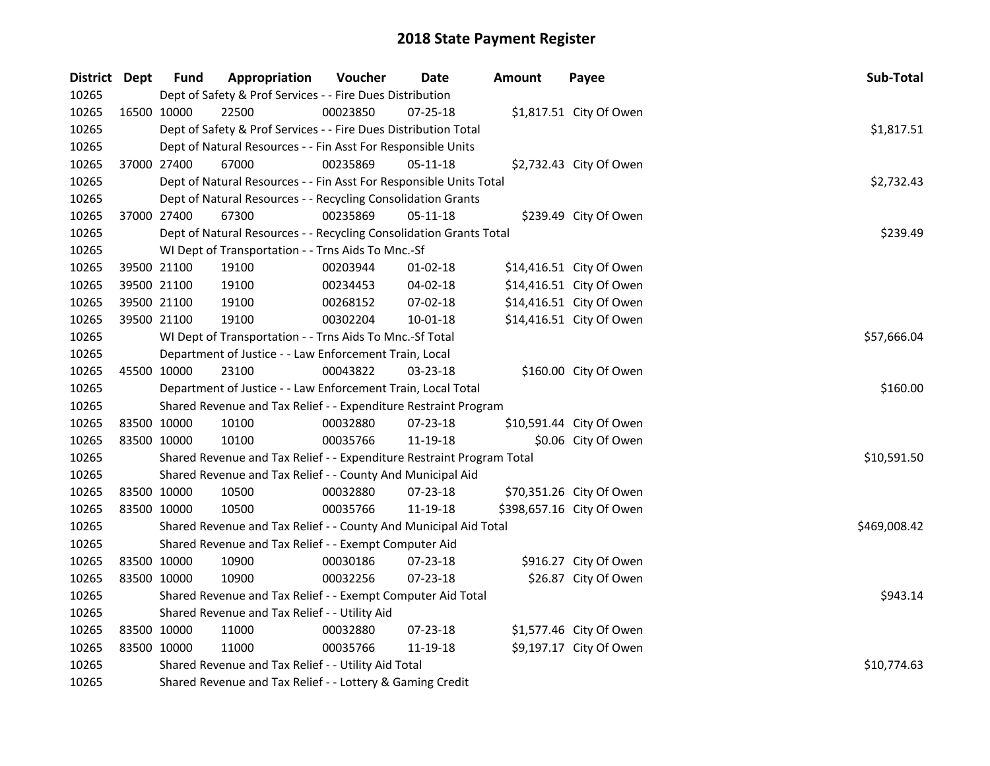| District Dept | <b>Fund</b> | Appropriation                                                         | Voucher    | Date           | <b>Amount</b> | Payee                     | Sub-Total    |
|---------------|-------------|-----------------------------------------------------------------------|------------|----------------|---------------|---------------------------|--------------|
| 10265         |             | Dept of Safety & Prof Services - - Fire Dues Distribution             |            |                |               |                           |              |
| 10265         | 16500 10000 | 22500                                                                 | 00023850   | 07-25-18       |               | \$1,817.51 City Of Owen   |              |
| 10265         |             | Dept of Safety & Prof Services - - Fire Dues Distribution Total       | \$1,817.51 |                |               |                           |              |
| 10265         |             | Dept of Natural Resources - - Fin Asst For Responsible Units          |            |                |               |                           |              |
| 10265         | 37000 27400 | 67000                                                                 | 00235869   | $05 - 11 - 18$ |               | \$2,732.43 City Of Owen   |              |
| 10265         |             | Dept of Natural Resources - - Fin Asst For Responsible Units Total    |            |                |               |                           | \$2,732.43   |
| 10265         |             | Dept of Natural Resources - - Recycling Consolidation Grants          |            |                |               |                           |              |
| 10265         | 37000 27400 | 67300                                                                 | 00235869   | 05-11-18       |               | \$239.49 City Of Owen     |              |
| 10265         |             | Dept of Natural Resources - - Recycling Consolidation Grants Total    |            |                |               |                           | \$239.49     |
| 10265         |             | WI Dept of Transportation - - Trns Aids To Mnc.-Sf                    |            |                |               |                           |              |
| 10265         | 39500 21100 | 19100                                                                 | 00203944   | $01-02-18$     |               | \$14,416.51 City Of Owen  |              |
| 10265         | 39500 21100 | 19100                                                                 | 00234453   | 04-02-18       |               | \$14,416.51 City Of Owen  |              |
| 10265         | 39500 21100 | 19100                                                                 | 00268152   | 07-02-18       |               | \$14,416.51 City Of Owen  |              |
| 10265         | 39500 21100 | 19100                                                                 | 00302204   | $10 - 01 - 18$ |               | \$14,416.51 City Of Owen  |              |
| 10265         |             | WI Dept of Transportation - - Trns Aids To Mnc.-Sf Total              |            |                |               |                           | \$57,666.04  |
| 10265         |             | Department of Justice - - Law Enforcement Train, Local                |            |                |               |                           |              |
| 10265         | 45500 10000 | 23100                                                                 | 00043822   | 03-23-18       |               | \$160.00 City Of Owen     |              |
| 10265         |             | Department of Justice - - Law Enforcement Train, Local Total          |            |                |               |                           | \$160.00     |
| 10265         |             | Shared Revenue and Tax Relief - - Expenditure Restraint Program       |            |                |               |                           |              |
| 10265         | 83500 10000 | 10100                                                                 | 00032880   | 07-23-18       |               | \$10,591.44 City Of Owen  |              |
| 10265         | 83500 10000 | 10100                                                                 | 00035766   | 11-19-18       |               | \$0.06 City Of Owen       |              |
| 10265         |             | Shared Revenue and Tax Relief - - Expenditure Restraint Program Total |            |                |               |                           | \$10,591.50  |
| 10265         |             | Shared Revenue and Tax Relief - - County And Municipal Aid            |            |                |               |                           |              |
| 10265         | 83500 10000 | 10500                                                                 | 00032880   | 07-23-18       |               | \$70,351.26 City Of Owen  |              |
| 10265         | 83500 10000 | 10500                                                                 | 00035766   | 11-19-18       |               | \$398,657.16 City Of Owen |              |
| 10265         |             | Shared Revenue and Tax Relief - - County And Municipal Aid Total      |            |                |               |                           | \$469,008.42 |
| 10265         |             | Shared Revenue and Tax Relief - - Exempt Computer Aid                 |            |                |               |                           |              |
| 10265         | 83500 10000 | 10900                                                                 | 00030186   | 07-23-18       |               | \$916.27 City Of Owen     |              |
| 10265         | 83500 10000 | 10900                                                                 | 00032256   | $07 - 23 - 18$ |               | \$26.87 City Of Owen      |              |
| 10265         |             | Shared Revenue and Tax Relief - - Exempt Computer Aid Total           |            |                |               |                           | \$943.14     |
| 10265         |             | Shared Revenue and Tax Relief - - Utility Aid                         |            |                |               |                           |              |
| 10265         | 83500 10000 | 11000                                                                 | 00032880   | 07-23-18       |               | \$1,577.46 City Of Owen   |              |
| 10265         | 83500 10000 | 11000                                                                 | 00035766   | 11-19-18       |               | \$9,197.17 City Of Owen   |              |
| 10265         |             | Shared Revenue and Tax Relief - - Utility Aid Total                   |            |                |               |                           | \$10,774.63  |
| 10265         |             | Shared Revenue and Tax Relief - - Lottery & Gaming Credit             |            |                |               |                           |              |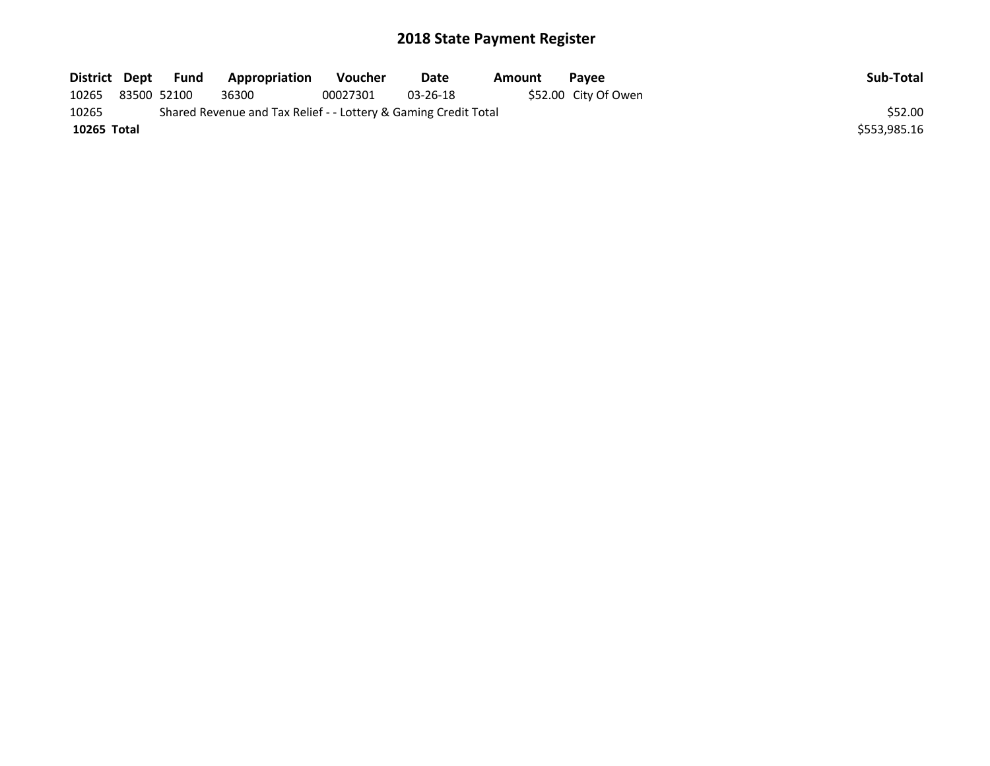| District Dept | Fund        | Appropriation                                                   | Voucher  | Date           | Amount | <b>Pavee</b>         | Sub-Total    |
|---------------|-------------|-----------------------------------------------------------------|----------|----------------|--------|----------------------|--------------|
| 10265         | 83500 52100 | 36300                                                           | 00027301 | $03 - 26 - 18$ |        | \$52.00 City Of Owen |              |
| 10265         |             | Shared Revenue and Tax Relief - - Lottery & Gaming Credit Total |          |                |        |                      | \$52.00      |
| 10265 Total   |             |                                                                 |          |                |        |                      | \$553.985.16 |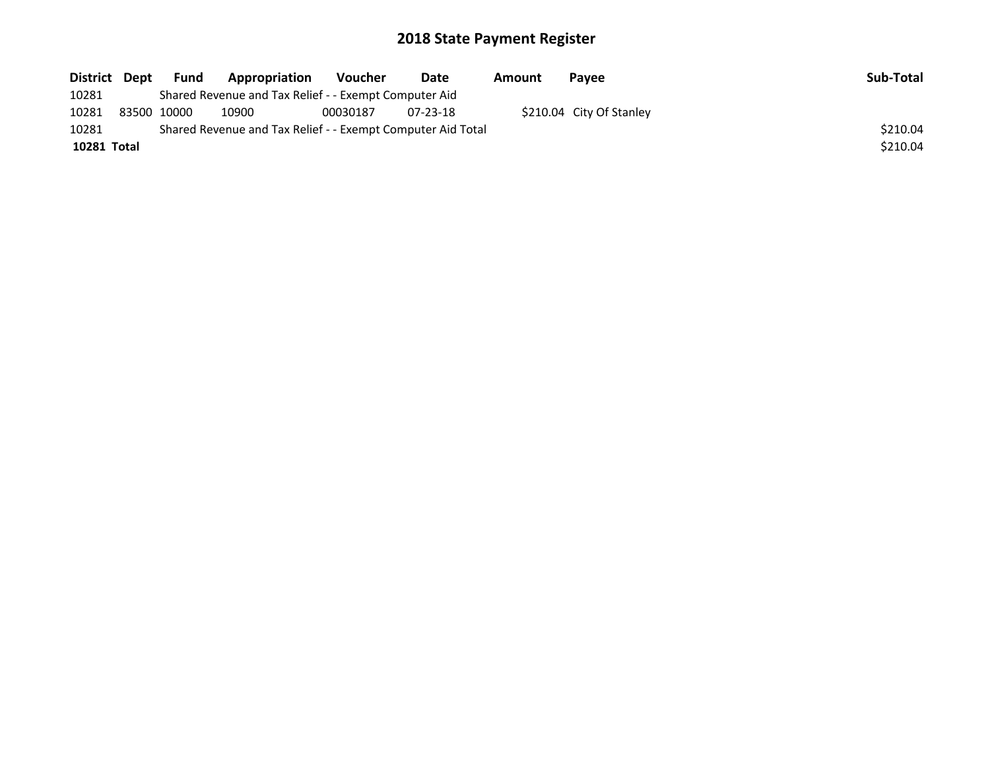| District Dept | <b>Fund</b> | Appropriation                                               | Voucher  | Date     | Amount | Pavee                    | Sub-Total |
|---------------|-------------|-------------------------------------------------------------|----------|----------|--------|--------------------------|-----------|
| 10281         |             | Shared Revenue and Tax Relief - - Exempt Computer Aid       |          |          |        |                          |           |
| 10281         | 83500 10000 | 10900                                                       | 00030187 | 07-23-18 |        | \$210.04 City Of Stanley |           |
| 10281         |             | Shared Revenue and Tax Relief - - Exempt Computer Aid Total |          |          |        |                          | \$210.04  |
| 10281 Total   |             |                                                             |          |          |        |                          | \$210.04  |